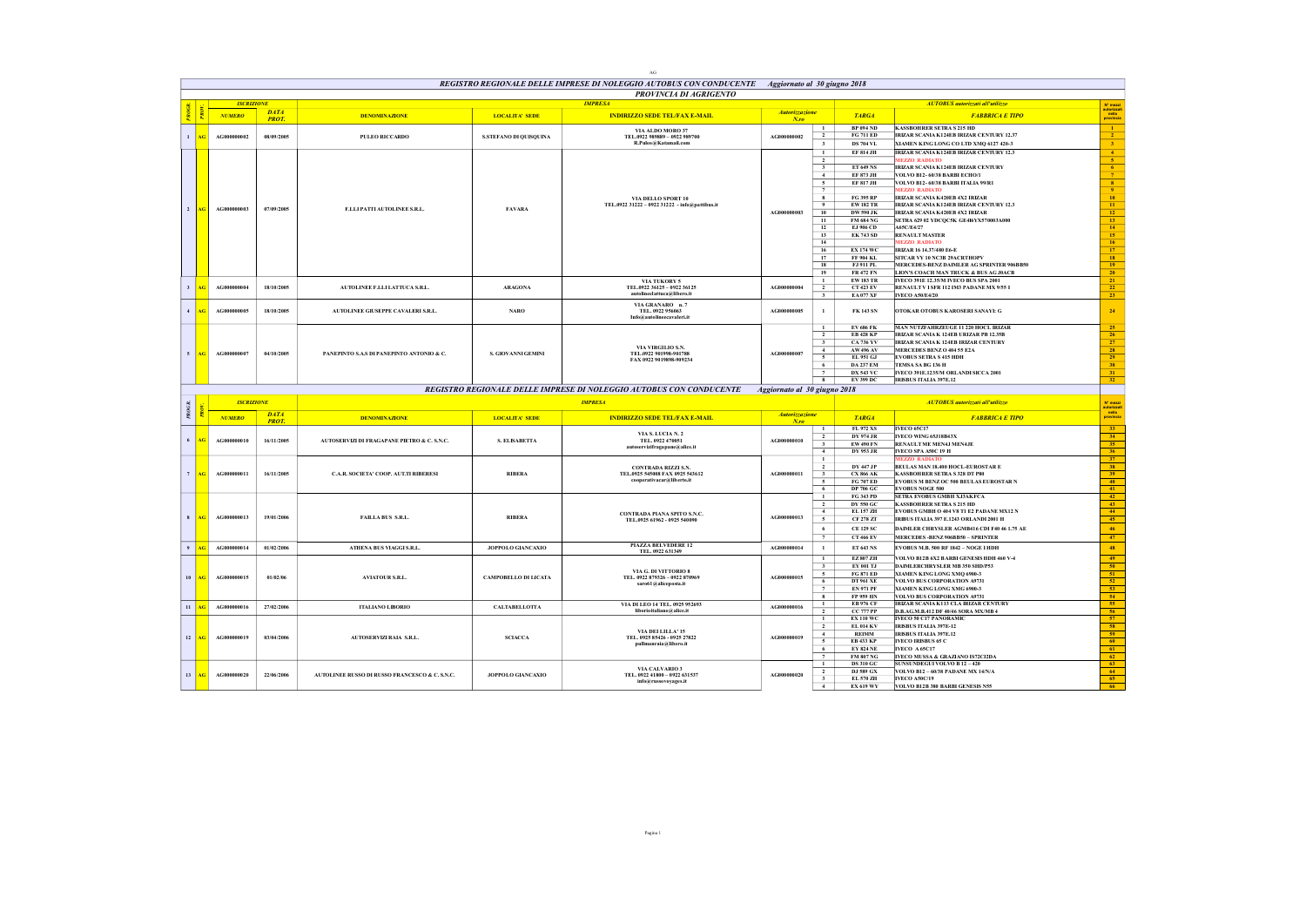|                |           |                    |              |                                                |                             | AG                                                                                               |                                     |                                           |                                      |                                                                                    |                                                                                                                                                                                   |
|----------------|-----------|--------------------|--------------|------------------------------------------------|-----------------------------|--------------------------------------------------------------------------------------------------|-------------------------------------|-------------------------------------------|--------------------------------------|------------------------------------------------------------------------------------|-----------------------------------------------------------------------------------------------------------------------------------------------------------------------------------|
|                |           |                    |              |                                                |                             | REGISTRO REGIONALE DELLE IMPRESE DI NOLEGGIO AUTOBUS CON CONDUCENTE Aggiornato al 30 giugno 2018 |                                     |                                           |                                      |                                                                                    |                                                                                                                                                                                   |
|                |           |                    |              |                                                |                             | <b>PROVINCIA DI AGRIGENTO</b>                                                                    |                                     |                                           |                                      |                                                                                    |                                                                                                                                                                                   |
|                |           | <b>ISCRIZIONE</b>  | <b>DATA</b>  |                                                |                             | <b>IMPRESA</b>                                                                                   |                                     |                                           |                                      | <b>AUTOBUS</b> autorizzati all'utilizzo                                            | N <sup>*</sup> mezzi<br>autorizzat<br>nella<br>provincia                                                                                                                          |
|                |           | <b>NUMERO</b>      | <b>PROT.</b> | <b>DENOMINAZIONE</b>                           | <b>LOCALITA' SEDE</b>       | <b>INDIRIZZO SEDE TEL/FAX E-MAIL</b>                                                             | <b>Autorizzazione</b><br>$N_{.}$ ro |                                           | <b>TARGA</b>                         | <b>FABBRICA E TIPO</b>                                                             |                                                                                                                                                                                   |
|                |           |                    |              |                                                |                             | VIA ALDO MORO 37                                                                                 |                                     | $\mathbf{1}$<br>$\overline{2}$            | <b>BP 094 ND</b><br><b>FG 711 ED</b> | <b>KASSBOHRER SETRA S 215 HD</b><br>IRIZAR SCANIA K124EB IRIZAR CENTURY 12.37      | $\frac{1}{2}$                                                                                                                                                                     |
| $\mathbf{1}$   | xG        | AG000000002        | 08/09/2005   | <b>PULEO RICCARDO</b>                          | S.STEFANO DI QUISQUINA      | TEL.0922 989889 - 0922 989700<br>R.Puleo@Katamail.com                                            | A (2000000002                       | $\overline{\mathbf{3}}$                   | DS 704 VL                            | XIAMEN KING LONG CO LTD XMO 6127 420-3                                             | 3 <sup>°</sup>                                                                                                                                                                    |
|                |           |                    |              |                                                |                             |                                                                                                  |                                     | $\mathbf{1}$                              | <b>EF 814 JH</b>                     | IRIZAR SCANIA K124EB IRIZAR CENTURY 12.3                                           |                                                                                                                                                                                   |
|                |           |                    |              |                                                |                             |                                                                                                  |                                     | $\overline{2}$                            |                                      | <b>MEZZO RADIATO</b>                                                               | $\begin{array}{r} 4 \\ 5 \\ 6 \\ 7 \end{array}$                                                                                                                                   |
|                |           |                    |              |                                                |                             |                                                                                                  |                                     | $\overline{\mathbf{3}}$<br>$\overline{4}$ | ET 649 NS<br>EF 873 JH               | IRIZAR SCANIA K124EB IRIZAR CENTURY<br>VOLVO B12- 60/38 BARBI ECHO/L               |                                                                                                                                                                                   |
|                |           |                    |              |                                                |                             |                                                                                                  |                                     | $5\overline{5}$                           | EF 817 JH                            | VOLVO B12- 60/38 BARBI ITALIA 99/R1                                                |                                                                                                                                                                                   |
|                |           |                    |              |                                                |                             |                                                                                                  |                                     | 7                                         |                                      | <b>MEZZO RADIATO</b>                                                               |                                                                                                                                                                                   |
|                |           |                    |              |                                                |                             | VIA DELLO SPORT 10<br>TEL.0922 31222 - 0922 31222 - info@pattibus.it                             |                                     | 8<br>$\overline{9}$                       | <b>FG 395 RP</b><br><b>EW182 TR</b>  | IRIZAR SCANIA K420EB 4X2 IRIZAR<br><b>IRIZAR SCANIA K124EB IRIZAR CENTURY 12.3</b> |                                                                                                                                                                                   |
| $\overline{2}$ | AG.       | AG000000003        | 07/09/2005   | F.LLI PATTI AUTOLINEE S.R.L.                   | <b>FAVARA</b>               |                                                                                                  | AG000000003                         | 10                                        | <b>DW 590 JK</b>                     | IRIZAR SCANIA K420EB 4X2 IRIZAR                                                    |                                                                                                                                                                                   |
|                |           |                    |              |                                                |                             |                                                                                                  |                                     | 11                                        | <b>FM 684 NG</b>                     | SETRA 629 02 YDCQC5K GE4I6YX570003A000<br>A65C/E4/27                               |                                                                                                                                                                                   |
|                |           |                    |              |                                                |                             |                                                                                                  |                                     | 12<br>13                                  | EJ 906 CD<br><b>EK 743 SD</b>        | <b>RENAULT MASTER</b>                                                              | 8<br>9<br>10<br>11<br>12<br>13<br>14<br>15<br>16<br>17<br>18                                                                                                                      |
|                |           |                    |              |                                                |                             |                                                                                                  |                                     | 14                                        |                                      | <b>MEZZO RADIATO</b>                                                               |                                                                                                                                                                                   |
|                |           |                    |              |                                                |                             |                                                                                                  |                                     | 16                                        | <b>EX 174 WC</b>                     | IRIZAR 16 14.37/480 E6-E                                                           |                                                                                                                                                                                   |
|                |           |                    |              |                                                |                             |                                                                                                  |                                     | 17<br>18                                  | FF 904 KL<br>FJ 911 PL               | SITCAR VY 10 NC3B 29ACRTHOPV<br>MERCEDES-BENZ DAIMLER AG SPRINTER 906BB50          |                                                                                                                                                                                   |
|                |           |                    |              |                                                |                             |                                                                                                  |                                     | 19                                        | <b>FR 472 FN</b>                     | LION'S COACH MAN TRUCK & BUS AG JOACB                                              | 20                                                                                                                                                                                |
| $\mathbf{3}$   | ٨Ġ        | AG000000004        | 18/10/2005   | AUTOLINEE F.LLI LATTUCA S.R.L.                 | <b>ARAGONA</b>              | VIA TUKORY 5<br>TEL.0922 36125 - 0922 36125                                                      | A G000000004                        | $\mathbf{1}$<br>$\overline{2}$            | <b>EW183 TR</b><br><b>CT 423 EV</b>  | IVECO 391E 12.35/M IVECO BUS SPA 2001<br>RENAULT V I SFR 112 IM3 PADANE MX 9/55 I  | 21<br>22                                                                                                                                                                          |
|                |           |                    |              |                                                |                             | autolineelattuca@libero.it                                                                       |                                     | $3 -$                                     | <b>EA 077 XF</b>                     | <b>IVECO A50/E4/20</b>                                                             | 23                                                                                                                                                                                |
|                |           |                    |              |                                                |                             | VIA GRANARO n.7                                                                                  |                                     |                                           |                                      |                                                                                    |                                                                                                                                                                                   |
| $\overline{4}$ | ٨Ġ        | <b>AG000000005</b> | 18/10/2005   | AUTOLINEE GIUSEPPE CAVALERI S.R.L.             | <b>NARO</b>                 | TEL. 0922 956063<br>Info@autolineecavaleri.it                                                    | AG000000005                         | $\mathbf{1}$                              | <b>FK 143 SN</b>                     | OTOKAR OTOBUS KAROSERI SANAYI: G                                                   | 24                                                                                                                                                                                |
|                |           |                    |              |                                                |                             |                                                                                                  |                                     | $\mathbf{1}$                              | <b>EV 686 FK</b>                     | MAN NUTZFAHRZEUGE 11 220 HOCL IRIZAR                                               |                                                                                                                                                                                   |
|                |           |                    |              |                                                |                             |                                                                                                  |                                     | $\overline{2}$                            | <b>EB 428 KP</b>                     | <b>IRIZAR SCANIA K 124EB URIZAR PB 12.35B</b>                                      | $\begin{array}{r} 25 \\ \hline 26 \\ \hline 27 \\ \hline 28 \\ \hline 29 \\ \hline 30 \\ \hline 31 \end{array}$                                                                   |
|                |           |                    |              |                                                |                             | VIA VIRGILIO S.N.                                                                                |                                     | $\mathbf{3}$                              | <b>CA 736 YV</b>                     | IRIZAR SCANIA K 124EB IRIZAR CENTURY                                               |                                                                                                                                                                                   |
|                | <b>AG</b> | AG000000007        | 04/10/2005   | PANEPINTO S.A.S DI PANEPINTO ANTONIO & C.      | S. GIOVANNI GEMINI          | TEL.0922 901998-901788                                                                           | AG000000007                         | 4<br>$\sim$                               | AW 496 AV<br>EL 951 GJ               | MERCEDES BENZO 404 55 E2A<br><b>EVORUS SETRA S 415 HDH</b>                         |                                                                                                                                                                                   |
|                |           |                    |              |                                                |                             | FAX 0922 9019898-909234                                                                          |                                     | 6                                         | <b>DA 237 EM</b>                     | TEMSA SA BG 136 H                                                                  |                                                                                                                                                                                   |
|                |           |                    |              |                                                |                             |                                                                                                  |                                     |                                           | <b>DX 543 VC</b>                     | IVECO 391E.1235/M ORLANDI SICCA 2001                                               |                                                                                                                                                                                   |
|                |           |                    |              |                                                |                             |                                                                                                  |                                     |                                           |                                      |                                                                                    |                                                                                                                                                                                   |
|                |           |                    |              |                                                |                             |                                                                                                  |                                     | $\overline{\mathbf{g}}$                   | <b>EV 399 DC</b>                     | <b>IRISBUS ITALIA 397E.12</b>                                                      | 32                                                                                                                                                                                |
|                |           |                    |              |                                                |                             | REGISTRO REGIONALE DELLE IMPRESE DI NOLEGGIO AUTOBUS CON CONDUCENTE                              | Aggiornato al 30 giugno 2018        |                                           |                                      |                                                                                    |                                                                                                                                                                                   |
|                |           | <b>ISCRIZIONE</b>  |              |                                                |                             | <b>IMPRESA</b>                                                                                   |                                     |                                           |                                      | <b>AUTOBUS</b> autorizzati all'utilizzo                                            | N° mezzi                                                                                                                                                                          |
| PROG.          |           | <b>NUMERO</b>      | <b>DATA</b>  | <b>DENOMINAZIONE</b>                           | <b>LOCALITA' SEDE</b>       | <b>INDIRIZZO SEDE TEL/FAX E-MAIL</b>                                                             | Autorizzazione                      |                                           | <b>TARGA</b>                         | <b>FABBRICA E TIPO</b>                                                             | autorizza<br>nella<br>provinci                                                                                                                                                    |
|                |           |                    | <b>PROT.</b> |                                                |                             |                                                                                                  | $N$ .ro                             | $\mathbf{1}$                              | FL 972 XS                            | <b>IVECO 65C17</b>                                                                 | 33                                                                                                                                                                                |
| 6              |           | A G000000010       |              |                                                |                             | VIA S. LUCIA N. 2<br>TEL. 0922 470051                                                            | AC000000010                         | $\overline{2}$                            | <b>DY 974 JR</b>                     | IVECO WING 65J18B43X                                                               |                                                                                                                                                                                   |
|                |           |                    | 16/11/2005   | AUTOSERVIZI DI FRAGAPANE PIETRO & C. S.N.C.    | S. ELISABETTA               | autoservizifragapane@alice.it                                                                    |                                     | $\overline{\mathbf{3}}$                   | <b>EW 490 FN</b>                     | RENAULT ME MEN4J MEN4JE                                                            |                                                                                                                                                                                   |
|                |           |                    |              |                                                |                             |                                                                                                  |                                     | $\sim$<br>$\mathbf{1}$                    | <b>DY 953 JR</b>                     | IVECO SPA A50C 19 H<br><b>MEZZO RADIATO</b>                                        |                                                                                                                                                                                   |
|                |           |                    |              |                                                |                             | CONTRADA RIZZI S.N.                                                                              |                                     | $\overline{2}$                            | <b>DY 447 JP</b>                     | BEULAS MAN 18.400 HOCL-EUROSTAR E                                                  |                                                                                                                                                                                   |
| $\overline{7}$ | w         | A G000000011       | 16/11/2005   | C.A.R. SOCIETA' COOP. AUT.TI RIBERESI          | <b>RIBERA</b>               | TEL.0925 545008 FAX 0925 543612<br>cooperativacar@liberto.it                                     | AG000000011                         | $\overline{\mathbf{3}}$<br>$\overline{5}$ | <b>CX 866 AK</b>                     | <b>KASSBOHRER SETRA S 328 DT P80</b>                                               |                                                                                                                                                                                   |
|                |           |                    |              |                                                |                             |                                                                                                  |                                     | 6                                         | <b>FG 707 ED</b><br><b>DP 706 GC</b> | EVOBUS M BENZ OC 500 BEULAS EUROSTAR N<br><b>EVOBUS NOGE 500</b>                   | $\begin{array}{r} \n \overline{34} \\  \overline{35} \\  \overline{36} \\  \overline{37} \\  \overline{38} \\  \overline{39} \\  \overline{40} \\  \overline{41} \\  \end{array}$ |
|                |           |                    |              |                                                |                             |                                                                                                  |                                     | $\overline{1}$                            | <b>FG 343 PD</b>                     | SETRA EVOBUS GMBH XJ3AKFCA                                                         | 42                                                                                                                                                                                |
|                |           |                    |              |                                                |                             |                                                                                                  |                                     | $\overline{2}$<br>$\sim$                  | <b>DY 550 GC</b><br>EL 157 ZH        | <b>KASSBOHRER SETRA S 215 HD</b><br>EVORUS GMBH O 404 V8 T1 E2 PADANE MX12 N       | 43                                                                                                                                                                                |
| 8              |           | AG000000013        | 19/01/2006   | <b>FAILLABUS S.R.L.</b>                        | <b>RIBERA</b>               | CONTRADA PIANA SPITO S.N.C.<br>TEL.0925 61962 - 0925 540090                                      | AG000000013                         | $\mathfrak{s}$                            | <b>CF 278 ZT</b>                     | IRIBUS ITALIA 397 E.1243 ORLANDI 2001 H                                            | 44<br>$45 -$                                                                                                                                                                      |
|                |           |                    |              |                                                |                             |                                                                                                  |                                     | -6                                        | <b>CE 129 SC</b>                     | DAIMLER CHRYSLER AGMB416 CDI F40 46 1.75 AE                                        | 46 <sup>°</sup>                                                                                                                                                                   |
|                |           |                    |              |                                                |                             |                                                                                                  |                                     | 7                                         | <b>CT 466 EV</b>                     | MERCEDES - BENZ 906BB50 - SPRINTER                                                 | 47                                                                                                                                                                                |
| 9              |           | AG000000014        | 01/02/2006   | ATHENA BUS VIAGGI S.R.L.                       | JOPPOLO GIANCAXIO           | <b>PIAZZA BELVEDERE 12</b><br>TEL. 0922 631349                                                   | AG000000014                         | $\mathbf{1}$                              | ET 643 NS                            | EVOBUS M.B. 500 RF 1842 - NOGE I HDH                                               | $\bf 48$                                                                                                                                                                          |
|                |           |                    |              |                                                |                             |                                                                                                  |                                     | $\mathbf{1}$                              | <b>EZ 807 ZH</b>                     | VOLVO B12B 6X2 BARBI GENESIS HDH 460 V-4                                           |                                                                                                                                                                                   |
|                |           |                    |              |                                                |                             | VIA G. DI VITTORIO 8                                                                             |                                     | $\overline{\mathbf{3}}$<br>$\sim$         | EV 001 T.I                           | <b>DAIMLERCHRYSLER MR 350 SHD/P53</b>                                              |                                                                                                                                                                                   |
| 10             |           | A G000000015       | 01/02/06     | AVIATOUR S.R.L.                                | <b>CAMPOBELLO DI LICATA</b> | TEL. 0922 879326 - 0922 870969                                                                   | AG000000015                         | 6                                         | <b>FG 871 ED</b><br><b>DT 961 XE</b> | XIAMEN KING LONG XMQ 6900-3<br><b>VOLVO BUS CORPORATION A9731</b>                  |                                                                                                                                                                                   |
|                |           |                    |              |                                                |                             | saro61@aliceposta.it                                                                             |                                     | $\overline{7}$                            | <b>EN 971 PF</b>                     | XTAMEN KING LONG XMG 6900-3                                                        | $\begin{array}{r} 49 \\ 50 \\ 51 \\ 52 \\ 53 \\ \end{array}$                                                                                                                      |
|                |           |                    |              |                                                |                             |                                                                                                  |                                     | $\overline{\mathbf{8}}$                   | <b>FP 959 HN</b>                     | VOLVO BUS CORPORATION A9731                                                        | 54                                                                                                                                                                                |
| 11             |           | A G000000016       | 27/02/2006   | ITALIANO LIBORIO                               | CALTABELLOTTA               | VIA DI LEO 14 TEL. 0925 952693<br>liborioitaliano@alice.it                                       | AG000000016                         | $\mathbf{1}$<br>$\overline{2}$            | <b>EB 976 CF</b><br><b>CC 777 PP</b> | IRIZAR SCANIA K113 CLA IRIZAR CENTURY<br>D.B.AG.M.B.412 DF 40/46 SORA MX/MB 4      |                                                                                                                                                                                   |
|                |           |                    |              |                                                |                             |                                                                                                  |                                     | $\mathbf{1}$                              | <b>EX 110 WC</b>                     | <b>IVECO 50 C17 PANORAMIC</b>                                                      |                                                                                                                                                                                   |
|                |           |                    |              |                                                |                             | VIA DEI LILLA' 15                                                                                |                                     | $\overline{2}$<br>$\sim$                  | <b>EL 014 KV</b>                     | <b>IRISBUS ITALIA 397E-12</b>                                                      |                                                                                                                                                                                   |
| 12             | ٨Ġ        | AG000000019        | 03/04/2006   | AUTOSERVIZI RAIA S.R.L.                        | <b>SCLACCA</b>              | TEL. 0925 85426 - 0925 27822                                                                     | AC000000019                         | 5                                         | <b>REIMM</b><br><b>EB 433 KP</b>     | <b>IRISBUS ITALIA 397E.12</b><br><b>IVECO IRISBUS 65 C</b>                         | $\begin{array}{r l}\n\text{S} & \text{S} \\ \hline\n\text{S} & \text{S} \\ \hline\n\text{S} & \text{S} \\ \hline\n\text{S} & \text{S}\n\end{array}$<br>60                         |
|                |           |                    |              |                                                |                             | Ilmanraia@libero.it                                                                              |                                     | 6                                         | <b>EY 824 NE</b>                     | <b>IVECO A 65C17</b>                                                               |                                                                                                                                                                                   |
|                |           |                    |              |                                                |                             |                                                                                                  |                                     | $\overline{7}$<br>$\mathbf{1}$            | <b>FM 807 NG</b><br>DS 310 GC        | IVECO MUSSA & GRAZIANO IS72CI2DA<br>SUNSUNDEGIT VOLVO B 12 - 420                   | $\frac{61}{62}$                                                                                                                                                                   |
| 13             | AG.       | AG000000020        | 22/06/2006   | AUTOLINEE RUSSO DI RUSSO FRANCESCO & C. S.N.C. | <b>JOPPOLO GIANCAXIO</b>    | VIA CALVARIO 3                                                                                   | AC000000020                         | $\overline{2}$                            | DJ 589 GX                            | <b>VOLVO B12 - 60/38 PADANE MX 14/N/A</b>                                          | 63<br>64                                                                                                                                                                          |
|                |           |                    |              |                                                |                             | TEL. 0922 41800 - 0922 631537<br>info@russovoyages.it                                            |                                     | $\overline{\mathbf{3}}$<br>$-4$           | EL 570 ZH<br><b>EX 619 WY</b>        | <b>IVECO 450C/19</b><br>VOLVO B12B 380 BARBI GENESIS N55                           | $65 -$<br>66                                                                                                                                                                      |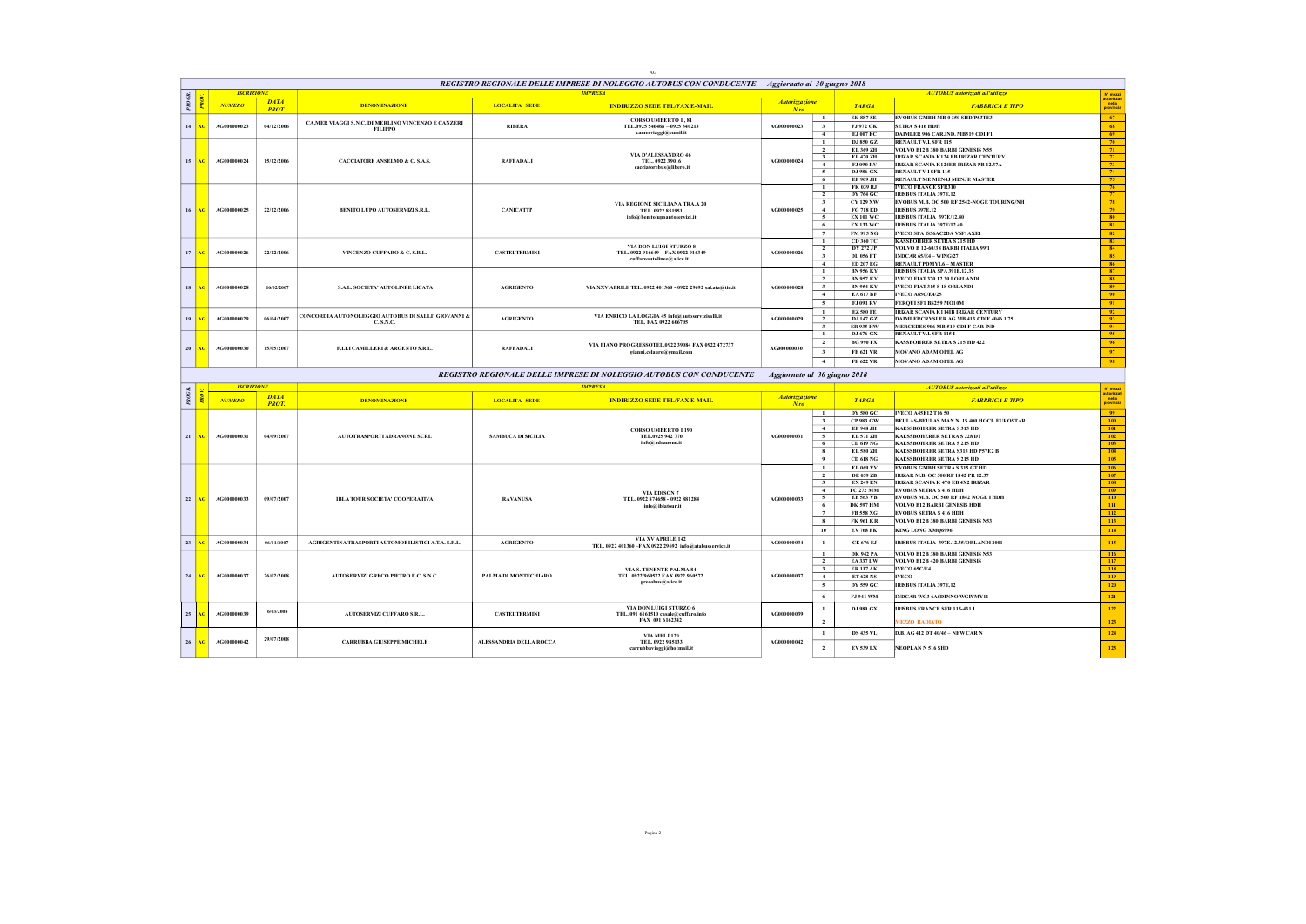|        |                 |                   |                             |                                                                 |                           | AG                                                                                               |                                  |                                           |                                      |                                                                               |                                                                                                                                                                         |
|--------|-----------------|-------------------|-----------------------------|-----------------------------------------------------------------|---------------------------|--------------------------------------------------------------------------------------------------|----------------------------------|-------------------------------------------|--------------------------------------|-------------------------------------------------------------------------------|-------------------------------------------------------------------------------------------------------------------------------------------------------------------------|
|        |                 |                   |                             |                                                                 |                           | REGISTRO REGIONALE DELLE IMPRESE DI NOLEGGIO AUTOBUS CON CONDUCENTE Aggiornato al 30 giugno 2018 |                                  |                                           |                                      |                                                                               |                                                                                                                                                                         |
| PROGR. |                 | <b>ISCRIZIONE</b> |                             |                                                                 |                           | <b>IMPRESA</b>                                                                                   |                                  |                                           |                                      | <b>AUTOBUS</b> autorizzati all'utilizzo                                       | N' mezzi<br>autorizzat<br>nella<br>provincia                                                                                                                            |
|        |                 | <b>NUMERO</b>     | <b>DATA</b><br><b>PROT.</b> | <b>DENOMINAZIONE</b>                                            | <b>LOCALITA' SEDE</b>     | <b>INDIRIZZO SEDE TEL/FAX E-MAIL</b>                                                             | <b>Autorizzazione</b><br>$N$ .ro |                                           | <b>TARGA</b>                         | <b>FABBRICA E TIPO</b>                                                        |                                                                                                                                                                         |
|        |                 |                   |                             | CA.MER VIAGGI S.N.C. DI MERLINO VINCENZO E CANZERI              |                           | <b>CORSO UMBERTO I, 81</b>                                                                       |                                  | $\mathbf{1}$                              | <b>EK 887 SE</b>                     | EVOBUS GMBH MB 0 350 SHD/P53TE3                                               | $-67$                                                                                                                                                                   |
| 14     | AC              | AG000000023       | 04/12/2006                  | <b>FILIPPO</b>                                                  | <b>RIBERA</b>             | TEL.0925 540468 - 0925 540213<br>camerviaggi@email.it                                            | AG000000023                      | $\mathbf{3}$<br>$\overline{4}$            | FJ 972 GK<br>EJ 007 EC               | <b>SETRA S 416 HDH</b><br>DAIMLER 906 CAR.IND. MB519 CDI F1                   | 68<br>69                                                                                                                                                                |
|        |                 |                   |                             |                                                                 |                           |                                                                                                  |                                  | $\mathbf{1}$                              | DJ 850 GZ                            | <b>RENAULT V.L SFR 115</b>                                                    | 70                                                                                                                                                                      |
|        |                 |                   |                             |                                                                 |                           | VIA D'ALESSANDRO 46                                                                              |                                  | $\overline{2}$                            | EL 369 ZH                            | VOLVO B12B 380 BARBI GENESIS N55                                              | 71                                                                                                                                                                      |
| 15     |                 | AG000000024       | 15/12/2006                  | CACCIATORE ANSELMO & C. S.A.S.                                  | <b>RAFFADALI</b>          | TEL. 0922 39016                                                                                  | AG000000024                      | $\overline{\mathbf{3}}$<br>$\mathbf{4}$   | EL 470 ZH<br>FJ 090 RV               | IRIZAR SCANIA K124 EB IRIZAR CENTURY<br>IRIZAR SCANIA K124EB IRIZAR PB 12.37A |                                                                                                                                                                         |
|        |                 |                   |                             |                                                                 |                           | cacciatorebus@libero.it                                                                          |                                  | 5                                         | DJ 986 GX                            | <b>RENAULT V ISFR 115</b>                                                     |                                                                                                                                                                         |
|        |                 |                   |                             |                                                                 |                           |                                                                                                  |                                  | 6                                         | <b>EF 909 JH</b>                     | RENAULT ME MEN4J MENJE MASTER                                                 | $\begin{array}{r} \hline 72 \\ \hline 73 \\ \hline 74 \\ \hline 75 \\ \hline 76 \\ \hline 77 \\ \hline 78 \\ \hline 79 \\ \hline 80 \\ \hline 81 \\ \hline \end{array}$ |
|        |                 |                   |                             |                                                                 |                           |                                                                                                  |                                  | -1<br>$\overline{2}$                      | FK 039 RJ<br><b>DY 764 GC</b>        | <b>IVECO FRANCE SFR310</b><br><b>IRISBUS ITALIA 397E.12</b>                   |                                                                                                                                                                         |
|        |                 |                   |                             |                                                                 |                           | VIA REGIONE SICILIANA TRA.A 20                                                                   |                                  | $\mathbf{3}$                              | <b>CY 129 XW</b>                     | EVOBUS M.B. OC 500 RF 2542-NOGE TOURING/NH                                    |                                                                                                                                                                         |
| 16     |                 | AG000000025       | 22/12/2006                  | BENITO LUPO AUTOSERVIZI S.R.L.                                  | <b>CANICATTP</b>          | TEL. 0922 851951                                                                                 | AG000000025                      | $\overline{4}$                            | <b>FG 718 ED</b>                     | <b>IRISBUS 397E.12</b>                                                        |                                                                                                                                                                         |
|        |                 |                   |                             |                                                                 |                           | info@benitolupoautoservizi.it                                                                    |                                  | $\overline{\phantom{a}}$<br>6             | <b>EX 101 WC</b><br><b>EX 133 WC</b> | IRISBUS ITALIA 397E/12.40<br>IRISBUS ITALIA 397E/12.40                        |                                                                                                                                                                         |
|        |                 |                   |                             |                                                                 |                           |                                                                                                  |                                  | $\overline{ }$                            | <b>FM 995 NG</b>                     | IVECO SPA IS56AC2DA V6F1AXE1                                                  | 82                                                                                                                                                                      |
|        |                 |                   |                             |                                                                 |                           |                                                                                                  |                                  | $\overline{1}$                            | CD 360 TC                            | <b>KASSBOHRER SETRA S 215 HD</b>                                              | $\begin{array}{c} 83 \\ 84 \end{array}$                                                                                                                                 |
| 17     | AC              | A G000000026      | 22/12/2006                  | VINCENZO CUFFARO & C. S.R.L.                                    | <b>CASTELTERMINI</b>      | VIA DON LUIGI STURZO 8<br>TEL. 0922 916649 - FAX 0922 916349                                     | AG000000026                      | $\overline{2}$                            | DV 272.JP                            | <b>VOLVO B 12-60/38 BARBI ITALIA 99/1</b>                                     |                                                                                                                                                                         |
|        |                 |                   |                             |                                                                 |                           | cuffaroautolinee@alice.it                                                                        |                                  | $\overline{\mathbf{3}}$<br>$\overline{4}$ | <b>DL 056 FT</b><br><b>ED 207 EG</b> | <b>INDCAR 65/E4 - WING/27</b><br><b>RENAULT PDMYL6 - MASTER</b>               | 85<br>86                                                                                                                                                                |
|        |                 |                   |                             |                                                                 |                           |                                                                                                  |                                  | $\mathbf{1}$                              | <b>BN 956 KY</b>                     | IRISBUS ITALIA SPA 391E.12.35                                                 | 87                                                                                                                                                                      |
|        |                 |                   |                             |                                                                 |                           |                                                                                                  |                                  | $\overline{2}$                            | <b>BN 957 KY</b>                     | IVECO FIAT 370.12.30 I ORLANDI                                                | 88                                                                                                                                                                      |
| 18     |                 | A G000000028      | 16/02/2007                  | S.A.L. SOCIETA' AUTOLINEE LICATA                                | <b>AGRIGENTO</b>          | VIA XXV APRILE TEL. 0922 401360 - 0922 29692 sal.ata@tin.it                                      | A (2000000028                    | $\mathbf{3}$                              | <b>BN 954 KY</b>                     | IVECO FIAT 315 8 18 ORLANDI                                                   | 89<br>90 <sub>1</sub>                                                                                                                                                   |
|        |                 |                   |                             |                                                                 |                           |                                                                                                  |                                  | 4<br>5 <sub>5</sub>                       | <b>EA617BF</b><br><b>FJ 091 RV</b>   | <b>IVECO A65C/E4/25</b><br>FERQUISF1 BS259 MO10M                              | 91                                                                                                                                                                      |
|        |                 |                   |                             |                                                                 |                           |                                                                                                  |                                  | $\mathbf{1}$                              | <b>EZ580 FE</b>                      | IRIZAR SCANIA K114IB IRIZAR CENTURY                                           | 92                                                                                                                                                                      |
| 19     |                 | AG000000029       | 06/04/2007                  | CONCORDIA AUTONOLEGGIO AUTOBUS DI SALLI' GIOVANNI &<br>C.S.N.C. | <b>AGRIGENTO</b>          | VIA ENRICO LA LOGGIA 45 info@autoservizisalli.it<br>TEL. FAX 0922 606705                         | AG000000029                      | $\overline{2}$                            | <b>DJ 147 GZ</b>                     | DAIMLERCRYSLER AG MB 413 CDIF 4046 1.75                                       | $\frac{93}{94}$                                                                                                                                                         |
|        |                 |                   |                             |                                                                 |                           |                                                                                                  |                                  | $3 -$                                     | <b>ER 935 HW</b>                     | MERCEDES 906 MB 519 CDI F CAR IND                                             |                                                                                                                                                                         |
|        |                 |                   |                             |                                                                 |                           |                                                                                                  |                                  | $\mathbf{1}$<br>$\overline{2}$            | DJ 676 GX<br><b>BG 990 FX</b>        | RENAULT V.I. SFR 115 I<br><b>KASSBOHRER SETRA S 215 HD 422</b>                | 95<br>96 <sup>°</sup>                                                                                                                                                   |
| 20     | AC              | AG000000030       | 15/05/2007                  | F.LLI CAMILLERI & ARGENTO S.R.L.                                | <b>RAFFADALI</b>          | VIA PIANO PROGRESSOTEL.0922 39084 FAX 0922 472737<br>gianni.celauro@gmail.com                    | AG000000030                      | $\overline{\mathbf{3}}$                   | <b>FE 621 VR</b>                     | MOVANO ADAM OPEL AG                                                           | $-97$                                                                                                                                                                   |
|        |                 |                   |                             |                                                                 |                           |                                                                                                  |                                  |                                           |                                      |                                                                               |                                                                                                                                                                         |
|        |                 |                   |                             |                                                                 |                           |                                                                                                  |                                  |                                           |                                      |                                                                               |                                                                                                                                                                         |
|        |                 |                   |                             |                                                                 |                           |                                                                                                  |                                  | 4                                         | <b>FE 622 VR</b>                     | MOVANO ADAM OPEL AG                                                           | 98                                                                                                                                                                      |
|        |                 |                   |                             |                                                                 |                           | REGISTRO REGIONALE DELLE IMPRESE DI NOLEGGIO AUTOBUS CON CONDUCENTE                              | Aggiornato al 30 giugno 2018     |                                           |                                      |                                                                               |                                                                                                                                                                         |
|        |                 | <b>ISCRIZIONE</b> |                             |                                                                 |                           | <b>IMPRESA</b>                                                                                   |                                  |                                           |                                      | <b>AUTOBUS</b> autorizzati all'utilizzo                                       | $N^*$ mezzi                                                                                                                                                             |
| PROGR. |                 | <b>NUMERO</b>     | <b>DATA</b><br><b>PROT.</b> | <b>DENOMINAZIONE</b>                                            | <b>LOCALITA' SEDE</b>     | <b>INDIRIZZO SEDE TEL/FAX E-MAIL</b>                                                             | Autorizzazione<br>$N$ .ro        |                                           | <b>TARGA</b>                         | <b>FABBRICA E TIPO</b>                                                        | autorizza<br>nella<br>provincia                                                                                                                                         |
|        |                 |                   |                             |                                                                 |                           |                                                                                                  |                                  | $\mathbf{1}$                              | <b>DY 580 GC</b>                     | <b>IVECO A45E12 T16 50</b>                                                    | 99                                                                                                                                                                      |
|        |                 |                   |                             |                                                                 |                           |                                                                                                  |                                  | $\mathbf{3}$                              | <b>CP 983 GW</b>                     | REIT.AS-REIT.AS MAN N. 1S.400 HOCL EIROSTAR                                   | 100                                                                                                                                                                     |
|        | AG I            | AG000000031       | 04/09/2007                  | AUTOTRASPORTI ADRANONE SCRL                                     | <b>SAMBUCA DI SICILIA</b> | <b>CORSO UMBERTO I 190</b><br>TEL.0925 942 770                                                   | AG000000031                      | $\overline{4}$<br>$\sim$                  | <b>EF 948 JH</b><br>EL 571 ZH        | <b>KAESSBOHRER SETRA S 315 HD</b><br><b>KAESSBOHERER SETRA S 228 DT</b>       | 101                                                                                                                                                                     |
| 21     |                 |                   |                             |                                                                 |                           | info@adranone.it                                                                                 |                                  | 6                                         | CD 619 NG                            | <b>KAESSROHRER SETRA S 215 HD</b>                                             | 102<br>103                                                                                                                                                              |
|        |                 |                   |                             |                                                                 |                           |                                                                                                  |                                  | 8                                         | EL 580 ZH                            | <b>KAESSBOHRER SETRA S315 HD P57E2 B</b>                                      | 104                                                                                                                                                                     |
|        |                 |                   |                             |                                                                 |                           |                                                                                                  |                                  | $\overline{9}$                            | <b>CD 618 NG</b>                     | <b>KAESSBOHRER SETRA S 215 HD</b>                                             | 105                                                                                                                                                                     |
|        |                 |                   |                             |                                                                 |                           |                                                                                                  |                                  | $\mathbf{1}$<br>$\overline{2}$            | EL 069 VV<br><b>DE 059 ZB</b>        | <b>EVOBUS GMBH SETRAS 315 GT HD</b><br>IRIZAR M.B. OC 500 RF 1842 PR 12.37    | 106<br>107                                                                                                                                                              |
|        |                 |                   |                             |                                                                 |                           |                                                                                                  |                                  | $\overline{\mathbf{3}}$                   | <b>EX 249 EN</b>                     | IRIZAR SCANIA K 470 EB 4X2 IRIZAR                                             | 108                                                                                                                                                                     |
|        |                 |                   |                             |                                                                 |                           | <b>VIA EDISON 7</b>                                                                              |                                  | $-4$                                      | <b>FC 272 MM</b>                     | <b>EVORUS SETRA S 416 HDH</b>                                                 | 109                                                                                                                                                                     |
| 22     | AG <sub>1</sub> | AG000000033       | 09/07/2007                  | IBLA TOUR SOCIETA' COOPERATIVA                                  | <b>RAVANUSA</b>           | TEL. 0922 874658 - 0922 881284<br>info@iblatour.it                                               | AG000000033                      | $\sim$<br>6                               | EB 563 VB<br><b>DK 597 HM</b>        | EVOBUS M.B. OC 500 RF 1842 NOGE I HDH<br>VOLVO B12 BARBI GENESIS HDH          | $-110$<br>$111$                                                                                                                                                         |
|        |                 |                   |                             |                                                                 |                           |                                                                                                  |                                  | $\overline{7}$                            | <b>FB 558 XG</b>                     | <b>EVOBUS SETRA S 416 HDH</b>                                                 | 112                                                                                                                                                                     |
|        |                 |                   |                             |                                                                 |                           |                                                                                                  |                                  | 8                                         | <b>FK 961 KR</b>                     | VOLVO B12B 380 BARBI GENESIS N53                                              | 113                                                                                                                                                                     |
|        |                 |                   |                             |                                                                 |                           |                                                                                                  |                                  | 10                                        | <b>EV 768 FK</b>                     | KING LONG XMQ6996                                                             | $114$                                                                                                                                                                   |
| 23     |                 | AG000000034       | 06/11/2007                  | AGRIGENTINA TRASPORTI AUTOMOBILISTICI A.T.A. S.R.L.             | <b>AGRIGENTO</b>          | VIA XV APRILE 142<br>TEL. 0922 401360 -FAX 0922 29692 info@atabusservice.it                      | AG000000034                      | $\mathbf{1}$                              | CE 676 EJ                            | IRISBUS ITALIA 397E.12.35/ORLANDI 2001                                        | 115                                                                                                                                                                     |
|        |                 |                   |                             |                                                                 |                           |                                                                                                  |                                  | $\mathbf{1}$                              | <b>DK 942 PA</b>                     | VOLVO B12B 380 BARBI GENESIS N53                                              | 116                                                                                                                                                                     |
|        |                 |                   |                             |                                                                 |                           |                                                                                                  |                                  | $\overline{2}$                            | <b>EA337LW</b>                       | VOLVO B12B 420 BARBI GENESIS                                                  | 117                                                                                                                                                                     |
| 24     | AG I            | AG000000037       | 26/02/2008                  | AUTOSERVIZI GRECO PIETRO E C. S.N.C.                            | PALMA DI MONTECHIARO      | VIA S. TENENTE PALMA 84<br>TEL. 0922/960572 FAX 0922 960572                                      | AG000000037                      | $\overline{\mathbf{3}}$<br>4              | <b>ER 117 AK</b><br><b>ET 628 NS</b> | IVECO 65C/E4<br><b>IVECO</b>                                                  | $-118$<br>119                                                                                                                                                           |
|        |                 |                   |                             |                                                                 |                           | grecobus@alice.it                                                                                |                                  | $\sim$                                    | DY 559 GC                            | <b>IRISBUS ITALIA 397E.12</b>                                                 | 120                                                                                                                                                                     |
|        |                 |                   |                             |                                                                 |                           |                                                                                                  |                                  | -6                                        | <b>FJ 941 WM</b>                     | INDCAR WG3 6A5DINNO WGIVMY11                                                  | 121                                                                                                                                                                     |
|        |                 |                   |                             |                                                                 |                           |                                                                                                  |                                  | $\mathbf{1}$                              |                                      |                                                                               |                                                                                                                                                                         |
| 25     |                 | AG000000039       | 6/03/2008                   | AUTOSERVIZI CUFFARO S.R.L.                                      | <b>CASTELTERMINI</b>      | VIA DON LUIGI STURZO 6<br>TEL. 091 6161510 casale@cuffaro.info                                   | AG000000039                      |                                           | DJ 980 GX                            | <b>IRISBUS FRANCE SFR 115-431 I</b>                                           | 122                                                                                                                                                                     |
|        |                 |                   |                             |                                                                 |                           | FAX 091 6162342                                                                                  |                                  | $\overline{2}$                            |                                      | <b>IEZZO RADIATO</b>                                                          | 123                                                                                                                                                                     |
| 26     |                 | AG000000042       | 29/07/2008                  | <b>CARRUBBA GIUSEPPE MICHELE</b>                                | ALESSANDRIA DELLA ROCCA   | VIA MELI 120<br>TEL. 0922 985133                                                                 | AG000000042                      | $\mathbf{1}$                              | <b>DS 435 VL</b>                     | D.B. AG 412 DT 40/46 - NEW CAR N                                              | 124                                                                                                                                                                     |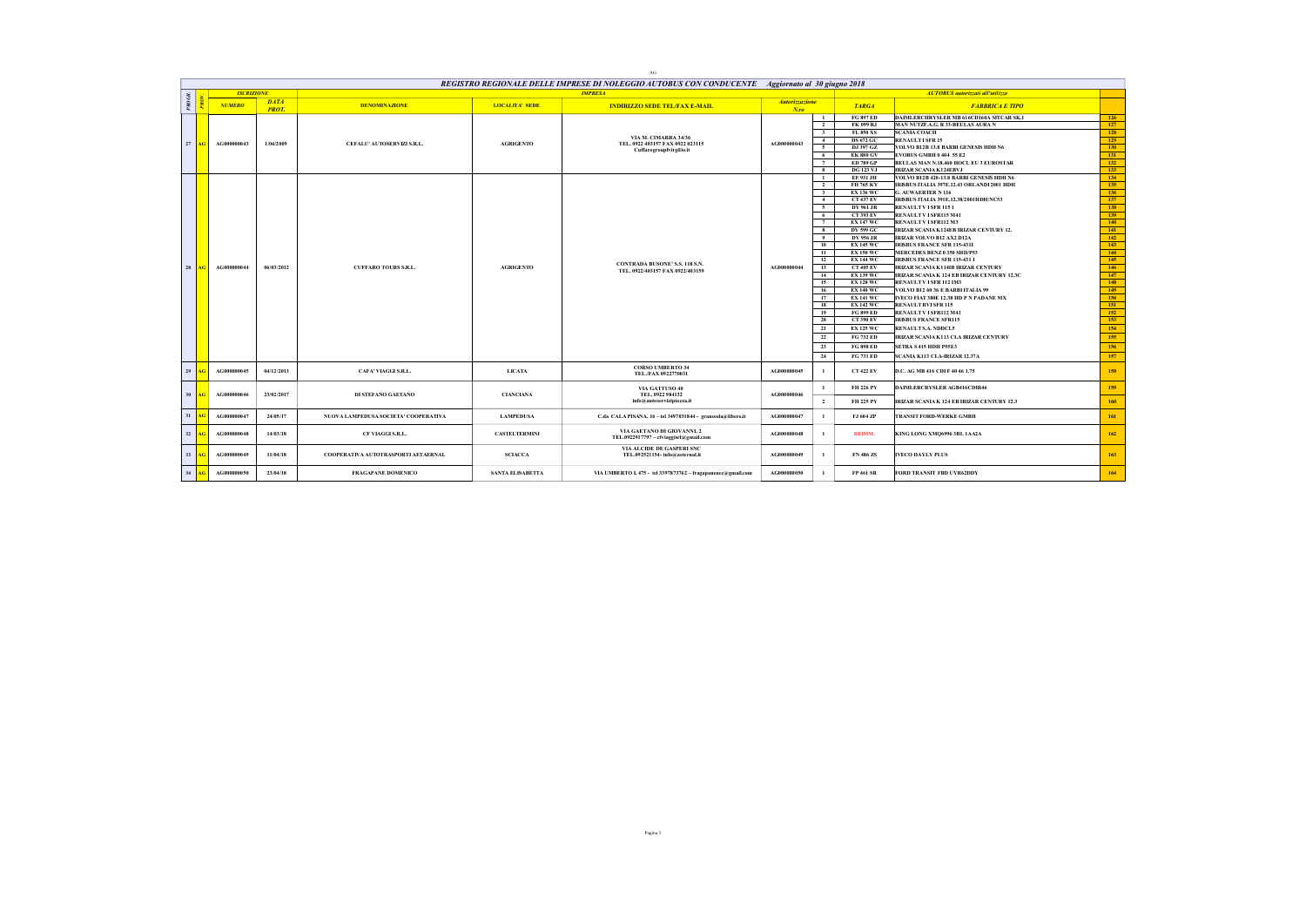|                 |      |                   |                             |                                      |                         | $\rm{AG}$                                                                                        |                           |                         |                        |                                                                             |                  |
|-----------------|------|-------------------|-----------------------------|--------------------------------------|-------------------------|--------------------------------------------------------------------------------------------------|---------------------------|-------------------------|------------------------|-----------------------------------------------------------------------------|------------------|
|                 |      |                   |                             |                                      |                         | REGISTRO REGIONALE DELLE IMPRESE DI NOLEGGIO AUTOBUS CON CONDUCENTE Aggiornato al 30 giugno 2018 |                           |                         |                        |                                                                             |                  |
|                 |      | <b>ISCRIZIONE</b> |                             |                                      |                         | <b>IMPRESA</b>                                                                                   |                           |                         |                        | <b>AUTOBUS</b> autorizzati all'utilizzo                                     |                  |
| PROGR.          |      | <b>NUMERO</b>     | <b>DATA</b><br><b>PROT.</b> | <b>DENOMINAZIONE</b>                 | <b>LOCALITA' SEDE</b>   | <b>INDIRIZZO SEDE TEL/FAX E-MAIL</b>                                                             | Autorizzazione<br>$N$ .ro |                         | <b>TARGA</b>           | <b>FABBRICA E TIPO</b>                                                      |                  |
|                 |      |                   |                             |                                      |                         |                                                                                                  |                           | $\mathbf{1}$            | <b>FG 897 ED</b>       | DAIMLERCHRYSLER MB 616CD160A SITCAR SK.1                                    | 126              |
|                 |      |                   |                             |                                      |                         |                                                                                                  |                           | $\overline{2}$          | FK 099 RJ              | MAN NUTZF.A.G. R 33-BEULAS AURA N                                           | $-127$           |
|                 |      |                   |                             |                                      |                         |                                                                                                  |                           | 3                       | <b>FL 850 XS</b>       | <b>SCANIA COACH</b>                                                         | 128              |
| 27 <sup>1</sup> | AG   | AG000000043       | 1/04/2009                   | CEFALU' AUTOSERVIZI S.R.L.           | <b>AGRIGENTO</b>        | VIA M. CIMARRA 34/36<br>TEL. 0922 403157 FAX 0922 023115                                         | AG000000043               | 4                       | <b>DS 672 GC</b>       | <b>RENAULT1SFR15</b>                                                        | 129              |
|                 |      |                   |                             |                                      |                         | Cuffarogroupfvirgilio.it                                                                         |                           | $\sim$                  | DJ 397 GZ              | VOLVO B12B 13.8 BARBI GENESIS HDH N6                                        | 130              |
|                 |      |                   |                             |                                      |                         |                                                                                                  |                           | 6                       | <b>EK 880 GV</b>       | EVOBUS GMBH 0 404 55 E2                                                     | 131              |
|                 |      |                   |                             |                                      |                         |                                                                                                  |                           | $\overline{7}$          | <b>ED 789 GP</b>       | BEULAS MAN N.18.460 HOCL EU 3 EUROSTAR                                      | 132              |
|                 |      |                   |                             |                                      |                         |                                                                                                  |                           | 8                       | <b>DG 123 VJ</b>       | <b>IRIZAR SCANIA K124EBVJ</b>                                               | 133              |
|                 |      |                   |                             |                                      |                         |                                                                                                  |                           | $\mathbf{1}$            | EF 931 JH              | VOLVO B12B 420-13.8 BARBI GENESIS HDH N6                                    | 134              |
|                 |      |                   |                             |                                      |                         |                                                                                                  |                           | $\overline{2}$          | FH 765 KY              | IRISBUS ITALIA 397E.12.43 ORLANDI 2001 HDH                                  | 135              |
|                 |      |                   |                             |                                      |                         |                                                                                                  |                           | $\overline{\mathbf{3}}$ | <b>EX 136 WC</b>       | G. AUWAERTER N 116                                                          | 136              |
|                 |      |                   |                             |                                      |                         |                                                                                                  |                           | $\overline{4}$          | <b>CT 437 EV</b>       | IRISBUS ITALIA 391E.12.38/2001HDH/NC53                                      | 137              |
|                 |      |                   |                             |                                      |                         |                                                                                                  |                           | $\sim$                  | DY 961 JR              | RENAULT V ISFR 1151                                                         | 138              |
|                 |      |                   |                             |                                      |                         |                                                                                                  |                           | - 6                     | <b>CT 393 EV</b>       | RENAULT V ISFR115 M41                                                       | 139              |
|                 |      |                   |                             |                                      |                         |                                                                                                  |                           |                         | <b>EX 147 WC</b>       | RENAULT V I SFR112 M3                                                       | 140              |
|                 |      |                   |                             |                                      |                         |                                                                                                  |                           | 8<br>$\overline{9}$     | DY 599 GC<br>DY 956 JR | IRIZAR SCANIA K124EB IRIZAR CENTURY 12.<br><b>IRIZAR VOLVO B12 AX2 D12A</b> | $-141$<br>$-142$ |
|                 |      |                   |                             |                                      |                         |                                                                                                  |                           | 10                      | <b>EX 145 WC</b>       | <b>IRISBUS FRANCE SFR 115-431I</b>                                          | 143              |
|                 |      |                   |                             |                                      |                         |                                                                                                  |                           | 11                      | <b>EX 150 WC</b>       | MERCEDES BENZ 0 350 SHD/P53                                                 | $-144$           |
|                 |      |                   |                             |                                      |                         |                                                                                                  |                           | 12                      | <b>EX 144 WC</b>       | <b>IRISBUS FRANCE SFR 115-431 I</b>                                         | $-145$           |
| 28              | AGL  | AG000000044       | 06/03/2012                  | <b>CUFFARO TOURS S.R.L.</b>          | <b>AGRIGENTO</b>        | <b>CONTRADA BUSONE'S.S. 118 S.N.</b>                                                             | AG000000044               | 13                      | <b>CT 405 EV</b>       | IRIZAR SCANIA K114IB IRIZAR CENTURY                                         | 146              |
|                 |      |                   |                             |                                      |                         | TEL. 0922/403157 FAX 0922/403159                                                                 |                           | 14                      | <b>EX 139 WC</b>       | IRIZAR SCANIA K 124 EB IRIZAR CENTURY 12.3C                                 | $-147$           |
|                 |      |                   |                             |                                      |                         |                                                                                                  |                           | 15                      | <b>EX 128 WC</b>       | RENAULT V I SFR 112 IM3                                                     | 148              |
|                 |      |                   |                             |                                      |                         |                                                                                                  |                           | 16                      | <b>EX 140 WC</b>       | VOLVO B12 60 36 E BARBI ITALIA 99                                           | 149              |
|                 |      |                   |                             |                                      |                         |                                                                                                  |                           | 17                      | <b>EX 141 WC</b>       | IVECO FIAT 380E 12.38 HD P N PADANE MX                                      | 150              |
|                 |      |                   |                             |                                      |                         |                                                                                                  |                           | 18                      | <b>EX 142 WC</b>       | <b>RENAULT RVISFR 115</b>                                                   | 151              |
|                 |      |                   |                             |                                      |                         |                                                                                                  |                           | 19                      | <b>FG 899 ED</b>       | <b>RENAULT V I SFR112 M41</b>                                               | 152              |
|                 |      |                   |                             |                                      |                         |                                                                                                  |                           | 20                      | <b>CT 390 EV</b>       | <b>IRISBUS FRANCE SFR115</b>                                                | 153              |
|                 |      |                   |                             |                                      |                         |                                                                                                  |                           | 21                      | <b>EX 125 WC</b>       | <b>RENAULT S.A. NDDCL5</b>                                                  | 154              |
|                 |      |                   |                             |                                      |                         |                                                                                                  |                           | 22                      | FG 732 ED              | IRIZAR SCANIA K113 CLA IRIZAR CENTURY                                       | 155              |
|                 |      |                   |                             |                                      |                         |                                                                                                  |                           | 23                      | <b>FG 898 ED</b>       | SETRA S 415 HDH P55E3                                                       | -156             |
|                 |      |                   |                             |                                      |                         |                                                                                                  |                           |                         |                        |                                                                             |                  |
|                 |      |                   |                             |                                      |                         |                                                                                                  |                           | 24                      | <b>FG 731 ED</b>       | İSCANIA K113 CLA-IRIZAR 12.37A                                              | 157              |
| 29              |      | AG000000045       | 04/12/2013                  | <b>CAFA' VIAGGI S.R.L.</b>           | <b>LICATA</b>           | <b>CORSO UMBERTO 34</b><br>TEL/FAX 0922770031                                                    | AG000000045               | $\mathbf{1}$            | <b>CT 422 EV</b>       | D.C. AG MB 416 CDI F 40 46 1.75                                             | 158              |
| 30              | AG I | AG000000046       | 23/02/2017                  | DI STEFANO GAETANO                   | <b>CIANCIANA</b>        | VIA GATTUSO 40<br>TEL. 0922 984132                                                               | AG000000046               |                         | <b>FH 226 PY</b>       | <b>DAIMLERCRYSLER AGB416CDIR46</b>                                          | 159              |
|                 |      |                   |                             |                                      |                         | info@autoservizipiazza.it                                                                        |                           | $\overline{2}$          | FH 225 PY              | IRIZAR SCANIA K 124 EB IRIZAR CENTURY 12.3                                  | 160              |
| 31              |      | AG000000047       | 24/05/17                    | NUOVA LAMPEDUSA SOCIETA' COOPERATIVA | <b>LAMPEDUSA</b>        | C.da CALA PISANA, 16 - tel 3497031844 - granseola@libero.it                                      | AG000000047               | $\mathbf{1}$            | FJ 604 ZP              | TRANSIT FORD-WERKE GMBH                                                     | 161              |
| 32              | AG   | AG000000048       | 14/03/18                    | CF VIAGGI S.R.L.                     | <b>CASTELTERMINI</b>    | VIA GAETANO DI GIOVANNI, 2<br>TEL.0922917797 - cfviaggisrl@gmail.com                             | AG000000048               | $\mathbf{1}$            | <b>REIMM.</b>          | KING LONG XMQ6996 3BL 1AA2A                                                 | 162              |
| 33              |      | AG000000049       | 11/04/18                    | COOPERATIVA AUTOTRASPORTI AETAERNAL  | <b>SCIACCA</b>          | VIA ALCIDE DE GASPERI SNC<br>TEL.092521154- info@aeternal.it                                     | AG000000049               | $\mathbf{1}$            | FN 486 ZS              | <b>IVECO DAYLY PLUS</b>                                                     | 163              |
| 34              | AG   | AG000000050       | 23/04/18                    | FRAGAPANE DOMENICO                   | <b>SANTA ELISABETTA</b> | VIA UMBERTO I, 475 - tel 3397873762 - fragapanence@gmail.com                                     | AG000000050               | $\mathbf{1}$            | FP 461 SR              | FORD TRANSIT FBD UYR62DDY                                                   | 164              |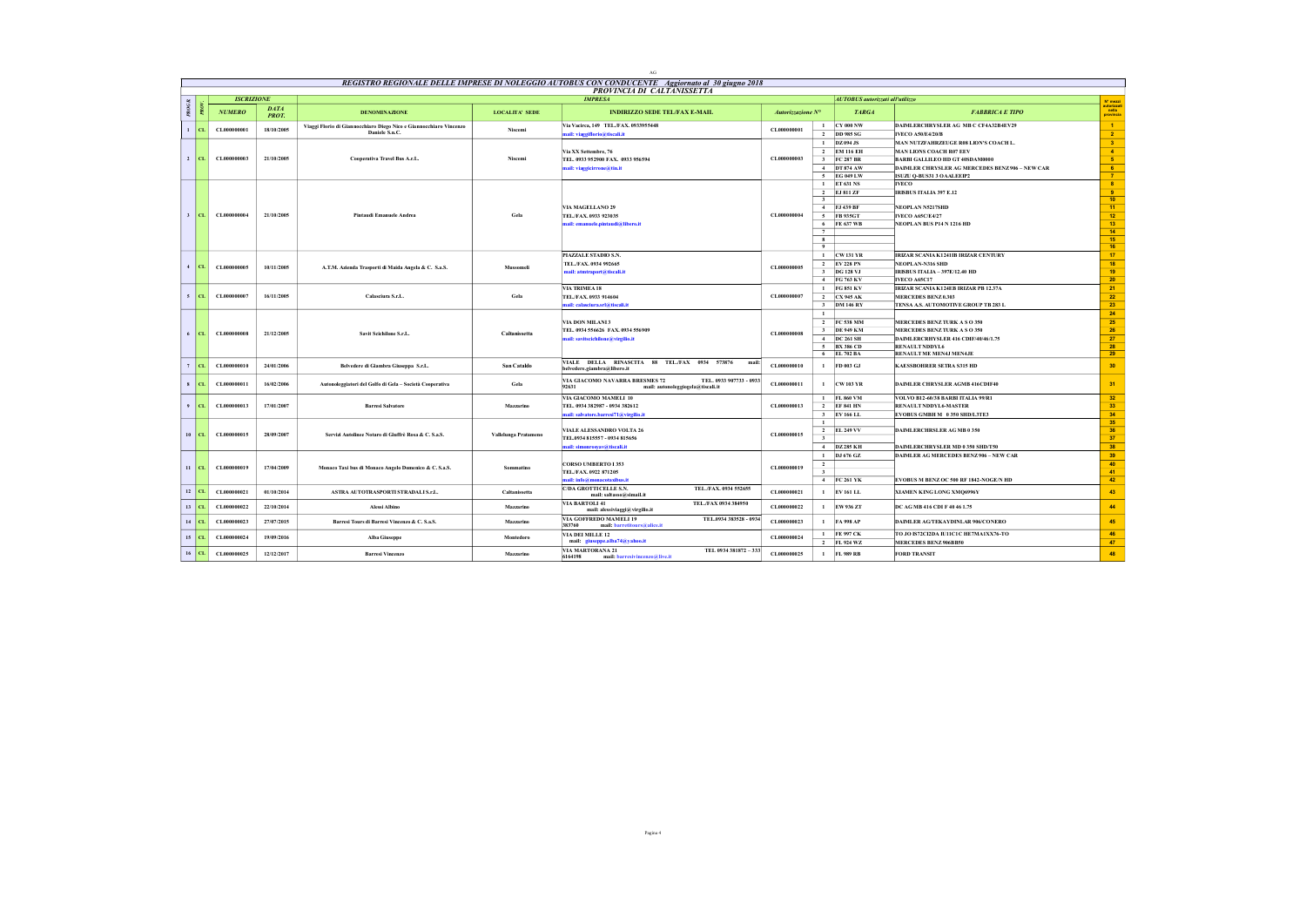|                    |                   |                             |                                                                                      |                       | AG.                                                                                                                            |                   |                                |                                         |                                                                  |                                  |
|--------------------|-------------------|-----------------------------|--------------------------------------------------------------------------------------|-----------------------|--------------------------------------------------------------------------------------------------------------------------------|-------------------|--------------------------------|-----------------------------------------|------------------------------------------------------------------|----------------------------------|
|                    |                   |                             |                                                                                      |                       | REGISTRO REGIONALE DELLE IMPRESE DI NOLEGGIO AUTOBUS CON CONDUCENTE Aggiornato al 30 giugno 2018<br>PROVINCIA DI CALTANISSETTA |                   |                                |                                         |                                                                  |                                  |
|                    | <b>ISCRIZIONE</b> |                             |                                                                                      |                       | <b>IMPRESA</b>                                                                                                                 |                   |                                | <b>AUTOBUS</b> autorizzati all'utilizzo |                                                                  | N° mezzi                         |
| PROGR.             | <b>NUMERO</b>     | <b>DATA</b><br><b>PROT.</b> | <b>DENOMINAZIONE</b>                                                                 | <b>LOCALITA' SEDE</b> | <b>INDIRIZZO SEDE TEL/FAX E-MAIL</b>                                                                                           | Autorizzazione N° |                                | <b>TARGA</b>                            | <b>FABBRICA E TIPO</b>                                           | autorizzat<br>nella<br>provincia |
| $1$ CL             | CL000000001       | 18/10/2005                  | Viaggi Florio di Giannocchiaro Diego Nico e Giannocchiaro Vincenzo<br>Daniele S.n.C. | Niscemi               | Via Vacirca, 149 TEL/FAX, 0933955448<br>nail: viaggiflorio@tiscali.it                                                          | CL000000001       | $\mathbf{1}$<br>$\overline{2}$ | <b>CY 000 NW</b><br><b>DD 985 SG</b>    | DAIMLERCHRYSLER AG MB C CF4A32B4EV29<br><b>IVECO A50/E4/20/B</b> | $\overline{1}$<br>$\overline{2}$ |
|                    |                   |                             |                                                                                      |                       |                                                                                                                                |                   |                                | $1$ DZ 094 JS                           | MAN NUTZFAHRZEUGE R08 LION'S COACH L.                            | $-3$                             |
|                    |                   |                             |                                                                                      |                       | Via XX Settembre, 76                                                                                                           |                   |                                | 2 EM 116 EH                             | <b>MAN LIONS COACH R07 EEV</b>                                   | $\overline{4}$                   |
| 2 CL               | CL000000003       | 21/10/2005                  | <b>Cooperativa Travel Bus A.r.L.</b>                                                 | Niscemi               | TEL. 0933 952900 FAX. 0933 956594                                                                                              | CL000000003       | $\overline{\mathbf{3}}$        | <b>FC 287 BR</b>                        | BARBI GALLILEO HD GT 40SDAM0000                                  | $-5$                             |
|                    |                   |                             |                                                                                      |                       | mail: viaggicirrone@tin.it                                                                                                     |                   |                                | 4 DT 874 AW                             | DAIMLER CHRYSLER AG MERCEDES BENZ 906 - NEW CAR                  | 6 <sup>2</sup>                   |
|                    |                   |                             |                                                                                      |                       |                                                                                                                                |                   |                                | 5 EG 049 LW                             | ISUZU O-BUS31 3 O AALEEIP2                                       | $\overline{7}$                   |
|                    |                   |                             |                                                                                      |                       |                                                                                                                                |                   |                                | 1 ET 631 NS                             | <b>IVECO</b>                                                     | $\bullet$                        |
|                    |                   |                             |                                                                                      |                       |                                                                                                                                |                   |                                | 2 EJ 811 ZF                             | <b>IRISBUS ITALIA 397 E.12</b>                                   | $\overline{9}$                   |
|                    |                   |                             |                                                                                      |                       |                                                                                                                                |                   | $\overline{\mathbf{3}}$        |                                         |                                                                  | 10                               |
|                    |                   |                             |                                                                                      |                       | VIA MAGELLANO 29                                                                                                               |                   |                                | 4 FJ 439 BF                             | <b>NEOPLAN N5217SHD</b>                                          | 11 <sub>1</sub>                  |
| 3 CL               | CL000000004       | 21/10/2005                  | <b>Pintandi Emanuele Andrea</b>                                                      | Gela                  | TEL./FAX. 0933 923035                                                                                                          | CL000000004       |                                | 5 FB 935GT                              | <b>IVECO A65C/E4/27</b>                                          | 12                               |
|                    |                   |                             |                                                                                      |                       | mail: emanuele.pintaudi@libero.it                                                                                              |                   |                                | 6 FE 637 WB                             | NEOPLAN BUS P14 N 1216 HD                                        | 13 <sup>°</sup>                  |
|                    |                   |                             |                                                                                      |                       |                                                                                                                                |                   | 7                              |                                         |                                                                  | 14                               |
|                    |                   |                             |                                                                                      |                       |                                                                                                                                |                   | 8<br>$\overline{9}$            |                                         |                                                                  | 15<br>16                         |
|                    |                   |                             |                                                                                      |                       | PIAZZALE STADIO S.N.                                                                                                           |                   |                                | $1$ CW 131 YR                           | IRIZAR SCANIA K1241IB IRIZAR CENTURY                             | 17                               |
|                    |                   |                             |                                                                                      |                       |                                                                                                                                |                   |                                | 2 EV 228 PN                             |                                                                  | 18                               |
| $4$ CL             | CL000000005       | 10/11/2005                  | A.T.M. Azienda Trasporti di Maida Angela & C. S.a.S.                                 | Mussomeli             | TEL./FAX. 0934 992665<br>mail: atmtraport@tiscali.it                                                                           | CL000000005       |                                | 3 DG 128 VJ                             | NEOPLAN-N316 SHD<br>IRISBUS ITALIA - 397E/12.40 HD               | 19                               |
|                    |                   |                             |                                                                                      |                       |                                                                                                                                |                   |                                | 4 FG 763 KV                             | IVECO A65C17                                                     | 20                               |
|                    |                   |                             |                                                                                      |                       | VIA TRIMEA 18                                                                                                                  |                   |                                | 1 FG 851 KV                             | IRIZAR SCANIA K124EB IRIZAR PB 12.37A                            | 21                               |
| $5$ CL             | CL000000007       | 16/11/2005                  | Calasciura S.r.L.                                                                    | Gela                  | TEL./FAX.0933 914604                                                                                                           | CL000000007       |                                | 2 CX 945 AK                             | <b>MERCEDES BENZ 0.303</b>                                       | 22                               |
|                    |                   |                             |                                                                                      |                       | mail: calasciura.srl@tiscali.it                                                                                                |                   |                                | 3 DM 146 RY                             | TENSA A.S. AUTOMOTIVE GROUP TB 283 L                             | 23                               |
|                    |                   |                             |                                                                                      |                       |                                                                                                                                |                   | $\mathbf{1}$                   |                                         |                                                                  | 24                               |
|                    |                   |                             |                                                                                      |                       | VIA DON MILANI3                                                                                                                |                   |                                | 2 FC 538 MM                             | MERCEDES BENZ TURK A SO 350                                      | 25                               |
|                    |                   |                             |                                                                                      |                       | TEL. 0934 556626 FAX. 0934 556909                                                                                              |                   |                                | 3 DE 949 KM                             | MERCEDES BENZ TURK A SO 350                                      | 26                               |
| $6$ CL             | CL000000008       | 21/12/2005                  | Savit Scichilone S.r.L.                                                              | Caltanissetta         | mail: savitscichilone@virgilio.it                                                                                              | CL000000008       |                                | 4 DC 261 SH                             | DAIMLERCRHYSLER 416 CDIF/40/46/1.75                              | 27                               |
|                    |                   |                             |                                                                                      |                       |                                                                                                                                |                   |                                | 5 BX 386 CD                             | <b>RENAULT NDDYL6</b>                                            | 28                               |
|                    |                   |                             |                                                                                      |                       |                                                                                                                                |                   |                                | 6 EL 702 BA                             | RENAULT ME MEN4J MEN4JE                                          | 29                               |
| CL.<br>7           | CL000000010       | 24/01/2006                  | Belvedere di Giambra Giuseppa S.r.L.                                                 | San Cataldo           | VIALE DELLA RINASCITA 88 TEL./FAX 0934 573876<br>mail:<br>belvedere.giambra@libero.it                                          | CL000000010       | $\mathbf{1}$                   | FD 003 GJ                               | <b>KAESSBOHRER SETRA S315 HD</b>                                 | 30                               |
| $s$   CL           | CL000000011       | 16/02/2006                  | Autonoleggiatori del Golfo di Gela - Società Cooperativa                             | Gela                  | VIA GIACOMO NAVARRA BRESMES 72<br>TEL. 0933 907733 - 0933<br>92631<br>mail: autonoleggiogela@tiscali.it                        | CL000000011       | $\mathbf{1}$                   | <b>CW 103 YR</b>                        | DAIMLER CHRYSLER AGMB 416CDIF40                                  | 31                               |
|                    |                   |                             |                                                                                      |                       | VIA GIACOMO MAMELI 10                                                                                                          |                   |                                | 1 FL 860 VM                             | VOLVO B12-60/38 BARBI ITALIA 99/R1                               | 32                               |
| $\mathbf{Q}$<br>CL | CL000000013       | 17/01/2007                  | <b>Barresi Salvatore</b>                                                             | Mazzarino             | TEL. 0934 382987 - 0934 382612                                                                                                 | CL000000013       |                                | 2 EF 841 HN                             | RENAULT NDDYL6-MASTER                                            | 33 <sup>°</sup>                  |
|                    |                   |                             |                                                                                      |                       | ail: salvatore.barresi71@virgilio.it                                                                                           |                   |                                | 3 EV 166 LL                             | EVOBUS GMBH M 0350 SHD/L3TE3                                     | 34                               |
|                    |                   |                             |                                                                                      |                       |                                                                                                                                |                   | $\mathbf{1}$                   |                                         |                                                                  | 35                               |
| 10<br>CL.          | CL000000015       | 28/09/2007                  | Servizi Autolinee Notaro di Giuffrè Rosa & C. S.a.S.                                 | Vallelunga Pratameno  | <b>VIALE ALESSANDRO VOLTA 26</b>                                                                                               | CL000000015       |                                | 2 EL 249 VV                             | DAIMLERCHRSLER AG MB 0 350                                       | 36                               |
|                    |                   |                             |                                                                                      |                       | TEL.0934 815557 - 0934 815656                                                                                                  |                   | $\mathbf{3}$                   |                                         |                                                                  | 37                               |
|                    |                   |                             |                                                                                      |                       | mail: simonrosyav@tiscali.it                                                                                                   |                   |                                | 4 DZ 285 KH                             | DAIMLERCHRYSLER MD 0 350 SHD/T50                                 | 38                               |
|                    |                   |                             |                                                                                      |                       |                                                                                                                                |                   | $\mathbf{1}$                   | DJ 676 GZ                               | <b>DAIMLER AG MERCEDES BENZ 906 - NEW CAR</b>                    | 39                               |
| $II$ CL            | CL000000019       | 17/04/2009                  | Monaco Taxi bus di Monaco Angelo Domenico & C. S.a.S.                                | Sommatine             | <b>CORSO UMBERTO I 353</b>                                                                                                     | CL000000019       | $\overline{2}$                 |                                         |                                                                  | 40                               |
|                    |                   |                             |                                                                                      |                       | TEL./FAX.0922 871205                                                                                                           |                   | $\overline{\mathbf{3}}$        |                                         |                                                                  | 41                               |
|                    |                   |                             |                                                                                      |                       | nail: info@monacotaxibus.it                                                                                                    |                   |                                | 4 FC 261 YK                             | EVOBUS M BENZ OC 500 RF 1842-NOGE/N HD                           | 42                               |
| 12<br>cт.          | CL000000021       | 01/10/2014                  | ASTRA AUTOTRASPORTI STRADALI S.r.L.                                                  | Caltanissetta         | C/DA GROTTICELLE S.N.<br>TEL./FAX. 0934 552655<br>mail: saltasso@simail.it                                                     | CL000000021       | $\mathbf{1}$                   | <b>EV 161 LL</b>                        | XIAMEN KING LONG XMQ6996Y                                        | 43                               |
| $13$ CL            | CL000000022       | 22/10/2014                  | <b>Alessi Albino</b>                                                                 | Mazzarino             | VIA BARTOLI 41<br>TEL./FAX 0934 384950<br>mail: alessiviaggi@virgilio.it                                                       | CL000000022       | $\mathbf{1}$                   | EW 936 ZT                               | DC AG MB 416 CDI F 40 46 1.75                                    | 44                               |
| 14<br>CL.          | CL000000023       | 27/07/2015                  | Barresi Tours di Barresi Vincenzo & C. S.a.S.                                        | Mazzarino             | VIA GOFFREDO MAMELI 19<br>TEL.0934 383528 - 0934<br>383760<br>mail: barretitours@alice.it                                      | CL000000023       | $\mathbf{1}$                   | <b>FA 998 AP</b>                        | DAIMLER AGTEKAYDINLAR 906/CONERO                                 | 45                               |
| $15$ CL            | CL000000024       | 19/09/2016                  | <b>Alba Giuseppe</b>                                                                 | Montedoro             | VIA DEI MILLE 12<br>mail: giuseppe.alba74@yahoo.it                                                                             | CL000000024       |                                | 1 FE 997 CK<br>2 FL 924 WZ              | TO JO IS72CI2DA IU11C1C HE7MA1XX76-TO<br>MERCEDES BENZ 906BB50   | 46<br>47                         |
| $16$ CL            | CL000000025       | 12/12/2017                  | <b>Barresi Vincenzo</b>                                                              | Mazzarino             | TEL 0934 381872 - 333<br>VIA MARTORANA 21<br>6164198<br>mail: barresivincenzo@live.it                                          | CL000000025       |                                | 1 FL 989 RB                             | <b>FORD TRANSIT</b>                                              | 48                               |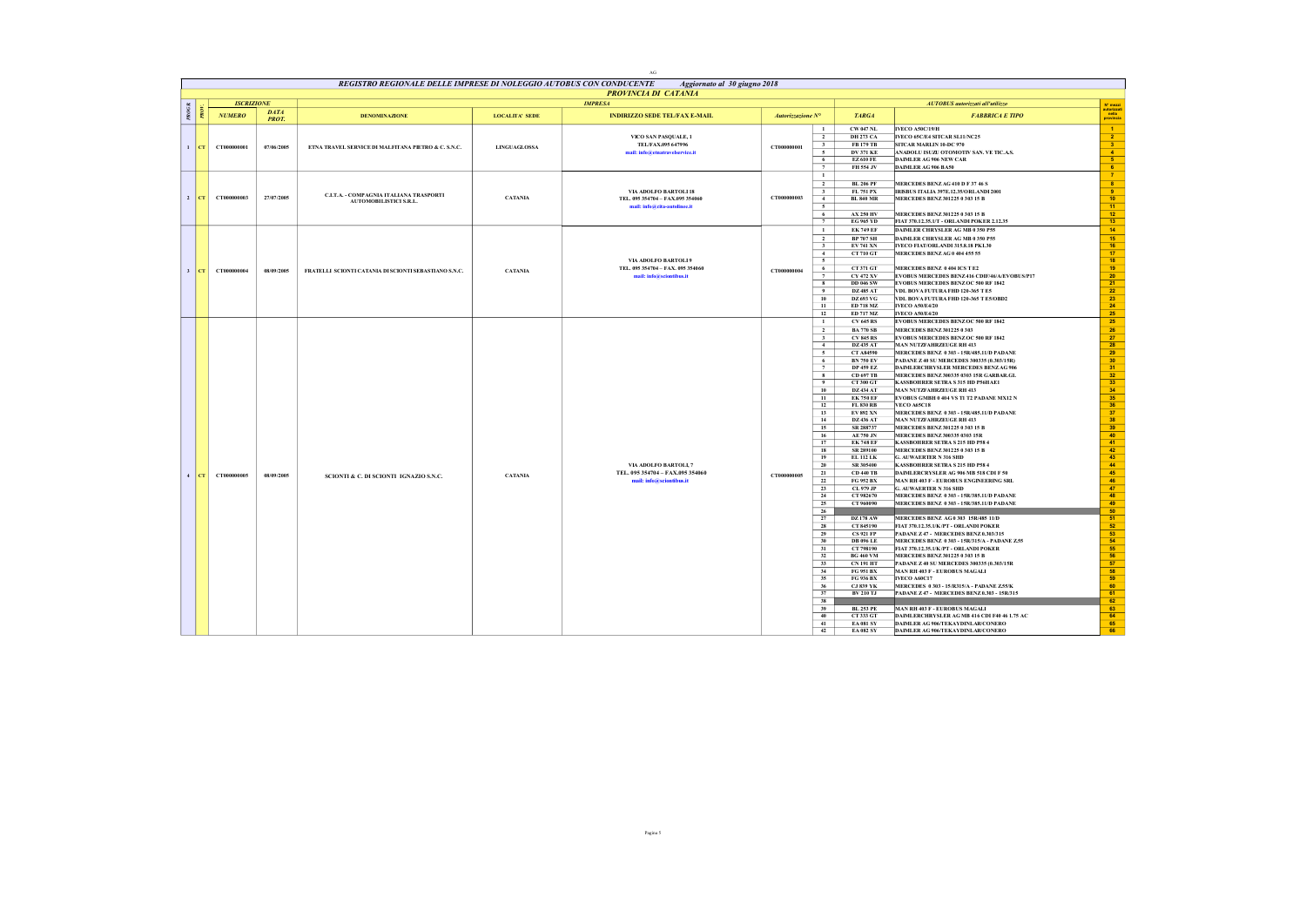|              |        |                   |                             |                                                                     |                       | $\Delta G$                                                                                |                   |                                                                                                                                                                                                                                                                                                                                                  |                                                                                                                                                                                                                                                                                                                                                                                                                                                                                                                                                                                                                                                                                                                                  |                                                                                                                                                                                                                                                                                                                                                                                                                                                                                                                                                                                                                                                                                                                                                                                                                                                                                                                                                                                                                                                                                                                                                                                                                                                                                                                                                                                                                                                                                                                                                                                                       |                                                                                                                                                                                                                                                                                                                                                       |
|--------------|--------|-------------------|-----------------------------|---------------------------------------------------------------------|-----------------------|-------------------------------------------------------------------------------------------|-------------------|--------------------------------------------------------------------------------------------------------------------------------------------------------------------------------------------------------------------------------------------------------------------------------------------------------------------------------------------------|----------------------------------------------------------------------------------------------------------------------------------------------------------------------------------------------------------------------------------------------------------------------------------------------------------------------------------------------------------------------------------------------------------------------------------------------------------------------------------------------------------------------------------------------------------------------------------------------------------------------------------------------------------------------------------------------------------------------------------|-------------------------------------------------------------------------------------------------------------------------------------------------------------------------------------------------------------------------------------------------------------------------------------------------------------------------------------------------------------------------------------------------------------------------------------------------------------------------------------------------------------------------------------------------------------------------------------------------------------------------------------------------------------------------------------------------------------------------------------------------------------------------------------------------------------------------------------------------------------------------------------------------------------------------------------------------------------------------------------------------------------------------------------------------------------------------------------------------------------------------------------------------------------------------------------------------------------------------------------------------------------------------------------------------------------------------------------------------------------------------------------------------------------------------------------------------------------------------------------------------------------------------------------------------------------------------------------------------------|-------------------------------------------------------------------------------------------------------------------------------------------------------------------------------------------------------------------------------------------------------------------------------------------------------------------------------------------------------|
|              |        |                   |                             | REGISTRO REGIONALE DELLE IMPRESE DI NOLEGGIO AUTOBUS CON CONDUCENTE |                       | Aggiornato al 30 giugno 2018<br>PROVINCIA DI CATANIA                                      |                   |                                                                                                                                                                                                                                                                                                                                                  |                                                                                                                                                                                                                                                                                                                                                                                                                                                                                                                                                                                                                                                                                                                                  |                                                                                                                                                                                                                                                                                                                                                                                                                                                                                                                                                                                                                                                                                                                                                                                                                                                                                                                                                                                                                                                                                                                                                                                                                                                                                                                                                                                                                                                                                                                                                                                                       |                                                                                                                                                                                                                                                                                                                                                       |
|              |        | <b>ISCRIZIONE</b> |                             |                                                                     |                       | <b>IMPRESA</b>                                                                            |                   |                                                                                                                                                                                                                                                                                                                                                  |                                                                                                                                                                                                                                                                                                                                                                                                                                                                                                                                                                                                                                                                                                                                  | AUTOBUS autorizzati all'utilizzo                                                                                                                                                                                                                                                                                                                                                                                                                                                                                                                                                                                                                                                                                                                                                                                                                                                                                                                                                                                                                                                                                                                                                                                                                                                                                                                                                                                                                                                                                                                                                                      | N° mezzi                                                                                                                                                                                                                                                                                                                                              |
| PROGR.       |        | <b>NUMERO</b>     | <b>DATA</b><br><b>PROT.</b> | <b>DENOMINAZIONE</b>                                                | <b>LOCALITA' SEDE</b> | <b>INDIRIZZO SEDE TEL/FAX E-MAIL</b>                                                      | Autorizzazione N° |                                                                                                                                                                                                                                                                                                                                                  | <b>TARGA</b>                                                                                                                                                                                                                                                                                                                                                                                                                                                                                                                                                                                                                                                                                                                     | <b>FABBRICA E TIPO</b>                                                                                                                                                                                                                                                                                                                                                                                                                                                                                                                                                                                                                                                                                                                                                                                                                                                                                                                                                                                                                                                                                                                                                                                                                                                                                                                                                                                                                                                                                                                                                                                | utorizza<br>nella<br>provincia                                                                                                                                                                                                                                                                                                                        |
| $\mathbf{1}$ | cr     | CT000000001       | 07/06/2005                  | ETNA TRAVEL SERVICE DI MALFITANA PIETRO & C. S.N.C.                 | <b>LINGUAGLOSSA</b>   | VICO SAN PASQUALE, 1<br>TEL/FAX.095 647996<br>mail: info@etnatravelservice.it             | CT000000001       | $\mathbf{1}$<br>$\overline{2}$<br>$\mathbf{3}$<br>5<br>6                                                                                                                                                                                                                                                                                         | <b>CW 047 NL</b><br><b>DH 273 CA</b><br><b>FB 179 TB</b><br><b>DV 371 KE</b><br><b>EZ610 FE</b>                                                                                                                                                                                                                                                                                                                                                                                                                                                                                                                                                                                                                                  | <b>IVECO A50C/19/H</b><br>IVECO 65C/E4 SITCAR SL11/NC25<br>SITCAR MARLIN 10-DC 970<br>ANADOLU ISUZU OTOMOTIV SAN. VE TIC.A.S.<br>DAIMLER AG 906 NEW CAR                                                                                                                                                                                                                                                                                                                                                                                                                                                                                                                                                                                                                                                                                                                                                                                                                                                                                                                                                                                                                                                                                                                                                                                                                                                                                                                                                                                                                                               | $\blacktriangleleft$<br>$\overline{2}$<br>$\frac{3}{4}$<br>5 <sub>1</sub>                                                                                                                                                                                                                                                                             |
|              | 2  CT  | CT000000003       | 27/07/2005                  | C.I.T.A. - COMPAGNIA ITALIANA TRASPORTI<br>AUTOMOBILISTICI S.R.L.   | <b>CATANIA</b>        | VIA ADOLFO BARTOLI 18<br>TEL. 095 354704 - FAX.095 354060<br>mail: info@cita-autolinee.it | CT000000003       | 7<br>$\mathbf{1}$<br>$\overline{2}$<br>$\overline{\mathbf{3}}$<br>4<br>5<br>6<br>7                                                                                                                                                                                                                                                               | FH 554 JV<br><b>BL 206 PF</b><br>FL 751 PX<br><b>BL 840 MR</b><br><b>AX 250 HV</b><br><b>EG 965 YD</b>                                                                                                                                                                                                                                                                                                                                                                                                                                                                                                                                                                                                                           | DAIMLER AG 906 BA50<br>MERCEDES BENZAG 410 D F 37 46 S<br>IRISBUS ITALIA 397E.12.35/ORLANDI 2001<br>MERCEDES BENZ 301225 0 303 15 B<br>MERCEDES BENZ 301225 0 303 15 B<br>FIAT 370.12.35.1/T - ORLANDI POKER 2.12.35                                                                                                                                                                                                                                                                                                                                                                                                                                                                                                                                                                                                                                                                                                                                                                                                                                                                                                                                                                                                                                                                                                                                                                                                                                                                                                                                                                                  | 6 <sup>7</sup><br>$\overline{7}$<br>8<br>$-9$<br>10 <sup>2</sup><br>$-11$<br>$\frac{12}{13}$                                                                                                                                                                                                                                                          |
| 3            | CT     | CT000000004       | 08/09/2005                  | FRATELLI SCIONTI CATANIA DI SCIONTI SEBASTIANO S.N.C.               | <b>CATANIA</b>        | VIA ADOLFO BARTOLI 9<br>TEL. 095 354704 - FAX. 095 354060<br>mail: info@sciontibus.it     | CT000000004       | $\mathbf{1}$<br>$\overline{2}$<br>$\overline{\mathbf{3}}$<br>$-4$<br>$\overline{\phantom{0}}$<br>6<br>$\overline{7}$<br>$\overline{\mathbf{8}}$<br>$\overline{9}$<br>10<br>11<br>12                                                                                                                                                              | <b>EK 749 EF</b><br><b>BP 707 SH</b><br><b>EV 741 XN</b><br>CT 710 GT<br>CT 371 GT<br><b>CY 472 XV</b><br><b>DD 046 SW</b><br><b>DZ 485 AT</b><br>DZ 693 VG<br>ED 718 MZ<br>ED 717 MZ                                                                                                                                                                                                                                                                                                                                                                                                                                                                                                                                            | <b>DAIMLER CHRYSLER AG MB 0 350 P55</b><br><b>DAIMLER CHRYSLER AG MB 0 350 P55</b><br>IVECO FIAT/ORLANDI 315.8.18 PK L30<br>MERCEDES BENZAG 0 404 455 55<br>MERCEDES BENZ 0 404 ICS T E2<br>EVOBUS MERCEDES BENZ416 CDIF/46/A/EVOBUS/P17<br><b>EVORUS MERCEDES BENZ OC 500 RF 1842</b><br>VDL BOVA FUTURA FHD 120-365 TE5<br>VDL BOVA FUTURA FHD 120-365 T E5/OBD2<br><b>IVECO A50/E4/20</b><br><b>IVECO A50/E4/20</b>                                                                                                                                                                                                                                                                                                                                                                                                                                                                                                                                                                                                                                                                                                                                                                                                                                                                                                                                                                                                                                                                                                                                                                                | 14 <sub>1</sub><br>15<br>16<br>17 <sup>2</sup><br>18<br>19<br>20<br>21<br>22<br>23<br>24<br>25                                                                                                                                                                                                                                                        |
|              | $4$ CT | CT000000005       | 08/09/2005                  | SCIONTI & C. DI SCIONTI IGNAZIO S.N.C.                              | <b>CATANIA</b>        | VIA ADOLFO BARTOLI, 7<br>TEL. 095 354704 - FAX.095 354060<br>mail: info@sciontibus.it     | CT000000005       | $\mathbf{1}$<br>$\overline{2}$<br>$\overline{\mathbf{3}}$<br>4<br>$\sim$<br>6<br>$\overline{7}$<br>$\bf{8}$<br>$\overline{9}$<br>10<br>$\overline{11}$<br>12<br>13<br>14<br>15<br>16<br>17<br>18<br>19<br>20<br>21<br>22<br>23<br>24<br>25<br>26<br>27<br>28<br>29<br>30<br>31<br>32<br>33<br>34<br>35<br>36<br>37<br>38<br>39<br>40<br>41<br>42 | <b>CV 645 RS</b><br><b>BA 770 SB</b><br><b>CV 845 RS</b><br><b>DZ 435 AT</b><br><b>CT A84590</b><br><b>BN 750 EV</b><br><b>DP 459 EZ</b><br>CD 697 TB<br>CT 300 GT<br><b>DZ 434 AT</b><br><b>EK 750 EF</b><br><b>FL 830 RB</b><br><b>EV 892 XN</b><br><b>DZ 436 AT</b><br>SR 288737<br><b>AE 750 JN</b><br><b>EK 748 EF</b><br>SR 289100<br><b>EL 112 LK</b><br>SR 305400<br><b>CD 440 TB</b><br>FG 952 BX<br>CL 979 JP<br>CT 982670<br>CT 960090<br><b>DZ178 AW</b><br>CT 845190<br><b>CS 921 FP</b><br><b>DB 096 LE</b><br>CT 798190<br><b>BG 460 VM</b><br><b>CN 191 HT</b><br><b>FG 951 BX</b><br>FG 936 BX<br><b>CJ 839 YK</b><br><b>BV 210 TJ</b><br><b>BL 253 PE</b><br>CT 333 GT<br><b>EA 081 SV</b><br><b>EA 082 SY</b> | <b>EVOBUS MERCEDES BENZ OC 500 RF 1842</b><br><b>MERCEDES BENZ 301225 0 303</b><br><b>EVOBUS MERCEDES BENZOC 500 RF 1842</b><br><b>MAN NUTZFAHRZEUGE RH 413</b><br>MERCEDES BENZ 0 303 - 15R/485.11/D PADANE<br>PADANE Z 40 SU MERCEDES 300335 (0.303/15R)<br>DAIMLERCHRYSLER MERCEDES BENZ AG 906<br>MERCEDES BENZ 300335 0303 15R GARBAR.GL<br>KASSBOHRER SETRA S 315 HD P56HAE1<br><b>MAN NUTZFAHRZEUGE RH 413</b><br>EVOBUS GMBH 0 404 VS TI T2 PADANE MX12 N<br><b>VECO 465C18</b><br>MERCEDES BENZ 0 303 - 15R/485.11/D PADANE<br>MAN NITZFAHRZEIGE RH 413<br>MERCEDES BENZ 301225 0 303 15 B<br>MERCEDES BENZ 300335 0303 15R<br><b>KASSBOHRER SETRA S 215 HD P58 4</b><br>MERCEDES BENZ 301225 0 303 15 B<br>G. AUWAERTER N 316 SHD<br>KASSBOHRER SETRA S 215 HD P58 4<br>DAIMLERCRYSLER AG 906 MB 518 CDI F 50<br>MAN RH 403 F - EUROBUS ENGINEERING SRL<br>G. AUWAERTER N 316 SHD<br>MERCEDES BENZ 0 303 - 15R/385.11/D PADANE<br>MERCEDES BENZ 0 303 - 15R/385.11/D PADANE<br>MERCEDES BENZ AG 0 303 15R/485 11/D<br>FIAT 370.12.35.1/K/PT - ORLANDI POKER<br>PADANE Z47 - MERCEDES BENZ 0.303/315<br>MERCEDES BENZ 0 303 - 15R/315/A - PADANE Z.55<br>FIAT 370.12.35.1/K/PT - ORLANDI POKER<br>MERCEDES BENZ 301225 0 303 15 B<br>PADANE Z40 SU MERCEDES 300335 (0.303/15R<br>MAN RH 403 F - EUROBUS MAGALI<br><b>IVECO A60C17</b><br>MERCEDES 0 303 - 15/R315/A - PADANE Z.55/K<br>PADANE Z47 - MERCEDES BENZ 0.303 - 15R/315<br>MAN RH 403 F - EUROBUS MAGALI<br>DAIMLERCHRYSLER AG MB 416 CDI F40 46 1.75 AC<br>DAIMLER AG 906/TEKAYDINLAR/CONERO<br>DAIMLER AG 906/TEKAYDINLAR/CONERO | 25<br>$\begin{array}{r}\n 26 \\  \hline\n 27 \\  \hline\n 28\n \end{array}$<br>$\begin{array}{r} 29 \\ 30 \\ 31 \end{array}$<br>$\frac{32}{33}$<br>34<br>35<br>36<br>37<br>38<br>39<br>40<br>41<br>42<br>43<br>44<br>45<br>46<br>47<br>48<br>49<br>50<br>51<br>52<br>53<br>54<br>55<br>56<br>57<br>58<br>59<br>60<br>61<br>62<br>63<br>64<br>65<br>66 |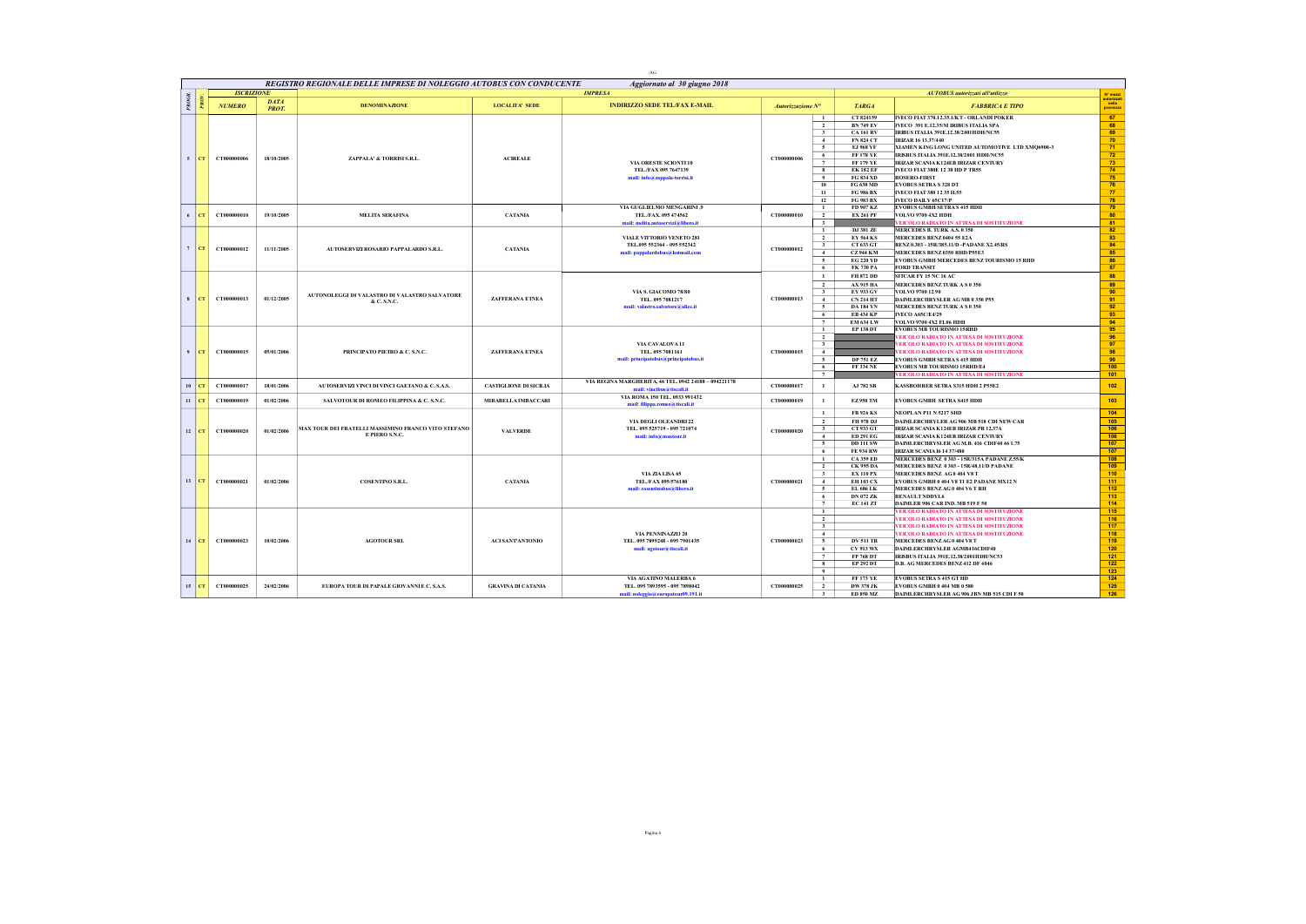|       |                  |                   |                             |                                                                       |                           | $\rm{AG}$                                                                                       |                   |                                                                                                                                                                                                                                                                               |                                                                                                                                                                                                                                                                                                                                                                                                                                                                                                                                                                                                                                             |
|-------|------------------|-------------------|-----------------------------|-----------------------------------------------------------------------|---------------------------|-------------------------------------------------------------------------------------------------|-------------------|-------------------------------------------------------------------------------------------------------------------------------------------------------------------------------------------------------------------------------------------------------------------------------|---------------------------------------------------------------------------------------------------------------------------------------------------------------------------------------------------------------------------------------------------------------------------------------------------------------------------------------------------------------------------------------------------------------------------------------------------------------------------------------------------------------------------------------------------------------------------------------------------------------------------------------------|
|       |                  |                   |                             | REGISTRO REGIONALE DELLE IMPRESE DI NOLEGGIO AUTOBUS CON CONDUCENTE   |                           | Aggiornato al 30 giugno 2018                                                                    |                   |                                                                                                                                                                                                                                                                               |                                                                                                                                                                                                                                                                                                                                                                                                                                                                                                                                                                                                                                             |
|       |                  | <b>ISCRIZIONE</b> |                             |                                                                       |                           | <b>IMPRESA</b>                                                                                  |                   |                                                                                                                                                                                                                                                                               | AUTOBUS autorizzati all'utilizzo<br>N° mezzi                                                                                                                                                                                                                                                                                                                                                                                                                                                                                                                                                                                                |
| PROGR |                  | <b>NUMERO</b>     | <b>DATA</b><br><b>PROT.</b> | <b>DENOMINAZIONE</b>                                                  | <b>LOCALITA' SEDE</b>     | <b>INDIRIZZO SEDE TEL/FAX E-MAIL</b>                                                            | Autorizzazione N° | <b>TARGA</b>                                                                                                                                                                                                                                                                  | autorizza<br>- nella<br><b>FABBRICA E TIPO</b><br>provinci                                                                                                                                                                                                                                                                                                                                                                                                                                                                                                                                                                                  |
| $5-1$ | CT               | CT000000006       | 18/10/2005                  | ZAPPALA' & TORRISI S.R.L.                                             | <b>ACIREALE</b>           | VIA ORESTE SCIONTI 10<br>TEL./FAX 095 7647139<br>mail: info@zappala-torrisi.it                  | CT000000006       | CT 824159<br>$\mathbf{1}$<br>$\overline{2}$<br><b>BN 749 EV</b><br>$\overline{\mathbf{3}}$<br><b>CA 161 RV</b><br>$\sim$<br>$\sim$<br>6<br>$\overline{7}$<br><b>EK 182 EF</b><br>8<br><b>FG 834 XD</b><br>$^{\circ}$<br>10<br>FG 638 MD<br>11<br>FG 986 BX<br>12<br>FG 983 BX | IVECO FIAT 370.12.35.1/KT - ORLANDI POKER<br>67<br>IVECO 391 E.12.35/M IRIBUS ITALIA SPA<br>68<br>69<br>IRIBUS ITALIA 391E.12.38/2001HDH/NC55<br>70 <sub>2</sub><br><b>FN 824 CT</b><br><b>IRIZAR 16 13.37/440</b><br>$71\,$<br><b>EJ 968 YF</b><br>XIAMEN KING LONG UNITED AUTOMOTIVE LTD XMQ6900-3<br>$\frac{72}{73}$<br><b>FF 178 YE</b><br>IRISBUS ITALIA 391E.12.38/2001 HDH/NC55<br>IRIZAR SCANIA K124EB IRIZAR CENTURY<br><b>FF 179 YE</b><br>74<br><b>IVECO FIAT 380E 12 38 HD P TR55</b><br>75<br><b>ROSERO-FIRST</b><br>76<br><b>EVOBUS SETRA S 328 DT</b><br>77<br>IVECO FIAT 380 12 35 IL55<br>78<br><b>IVECO DAILY 65C17/P</b> |
|       | CT               | CT000000010       | 19/10/2005                  | <b>MELITA SERAFINA</b>                                                | <b>CATANIA</b>            | <b>VIA GUGLIELMO MENGARINI ,9</b><br>TEL./FAX. 095 474562<br>mail: melita.autoservizi@libero.it | CT000000010       | $\mathbf{1}$<br>FD 907 KZ<br>$\overline{2}$<br><b>EX 261 PF</b><br>3                                                                                                                                                                                                          | 79<br><b>EVOBUS GMBH SETRAS 415 HDH</b><br>80<br><b>VOLVO 9700 4X2 HDH</b><br>81<br>VEICOLO RADIATO IN ATTESA DI SOSTITUZIONE                                                                                                                                                                                                                                                                                                                                                                                                                                                                                                               |
|       | $7$ $CT$         | CT000000012       | 11/11/2005                  | AUTOSERVIZI ROSARIO PAPPALARDO S.R.L.                                 | <b>CATANIA</b>            | VIALE VITTORIO VENETO 281<br>TEL.095 552364 - 095 552342<br>mail: pappalardobus@hotmail.com     | CT000000012       | $\mathbf{1}$<br>$\overline{2}$<br><b>EY 564 KS</b><br>$\overline{\mathbf{3}}$<br>CT 633 GT<br>4<br>$\overline{\phantom{0}}$<br><b>EG 220 YD</b><br>6<br>FK 730 PA                                                                                                             | 82<br>DJ 381 ZE<br>MERCEDES B. TURK A.S. 0350<br>83<br>MERCEDES BENZ 0404 55 E2A<br>84<br>BENZ 0.303 - 15R/385.11/D -PADANE X2.45/RS<br>85<br><b>CZ944 KM</b><br>MERCEDES BENZ 0350 RHD/P55E3<br>86<br>EVOBUS GMBH MERCEDES BENZ TOURISMO 15 RHD<br>87<br><b>FORD TRANSIT</b>                                                                                                                                                                                                                                                                                                                                                               |
|       | $s$   $c$ T      | CT000000013       | 01/12/2005                  | AUTONOLEGGI DI VALASTRO DI VALASTRO SALVATORE<br>& C. S.N.C.          | ZAFFERANA ETNEA           | VIA S. GIACOMO 78/80<br>TEL. 095 7081217<br>mail: valastro.salvatore@alice.it                   | CT000000013       | $\mathbf{1}$<br><b>FH 872 DD</b><br>$\overline{2}$<br>$\overline{\mathbf{3}}$<br>EY 933 GV<br>4<br>$CN$ 214 HT<br>5<br><b>DA 184 YN</b><br><b>EB 434 KP</b><br>6<br>$\overline{7}$                                                                                            | 88<br>SITCAR FY 15 NC 16 AC<br>89<br><b>AX 915 HA</b><br>MERCEDES BENZ TURK A S 0 350<br>90<br>VOLVO 9700 12 90<br>91<br>DAIMLERCHRYSLER AG MB 0 350 P55<br>92<br>MERCEDES BENZ TURK A S 0 350<br>93<br><b>IVECO A65C/E4/29</b><br>94<br><b>EM 634 LW</b><br>VOLVO 9700 4X2 FL06 HDH                                                                                                                                                                                                                                                                                                                                                        |
|       | $9$ $CT$         | CT000000015       | 05/01/2006                  | PRINCIPATO PIETRO & C. S.N.C.                                         | ZAFFERANA ETNEA           | VIA CAVALOVA 11<br>TEL. 095 7081161<br>mail: principatobus@principatobus.it                     | CT000000015       | <b>EP 138 DT</b><br><sup>1</sup><br>$\overline{2}$<br>$\overline{\mathbf{3}}$<br>4<br>5<br>6<br><b>FF 334 NE</b><br>$\overline{7}$                                                                                                                                            | 95<br><b>EVOBUS MB TOURISMO 15RHD</b><br>96<br>EICOLO RADIATO IN ATTESA DI SOSTITUZIONE<br>97<br>EICOLO RADIATO IN ATTESA DI SOSTITUZIONE<br>98<br><b>VEICOLO RADIATO IN ATTESA DI SOSTITUZIONE</b><br>99<br><b>DP 751 EZ</b><br><b>EVOBUS GMBH SETRAS 415 HDH</b><br>100<br><b>EVOBUS MB TOURISMO 15RHD/E4</b><br>EICOLO RADIATO IN ATTESA DI SOSTITUZIONE<br>101                                                                                                                                                                                                                                                                          |
| 10    | CT               | CT000000017       | 18/01/2006                  | AUTOSERVIZI VINCI DI VINCI GAETANO & C. S.A.S.                        | CASTIGLIONE DI SICILIA    | VIA REGINA MARGHERITA, 46 TEL. 0942 24188 - 094221178<br>mail: vincibus@tiscali.it              | CT000000017       | $\mathbf{1}$                                                                                                                                                                                                                                                                  | AJ 782 SB<br>102<br>KASSBOHRER SETRA S315 HDH 2 P55E2                                                                                                                                                                                                                                                                                                                                                                                                                                                                                                                                                                                       |
|       | $\  \cdot \ $ CT | CT000000019       | 01/02/2006                  | SALVOTOUR DI ROMEO FILIPPINA & C. S.N.C.                              | MIRABELLA IMBACCARI       | VIA ROMA 150 TEL. 0933 991432<br>mail: filippa.romeo@tiscali.it                                 | CT000000019       | EZ 950 TM<br>$\mathbf{1}$                                                                                                                                                                                                                                                     | 103<br><b>EVOBUS GMBH SETRA S415 HDH</b>                                                                                                                                                                                                                                                                                                                                                                                                                                                                                                                                                                                                    |
|       | $12$ CT          | CT000000020       | 01/02/2006                  | MAX TOUR DEI FRATELLI MASSIMINO FRANCO VITO STEFANO<br>E PIERO S.N.C. | <b>VALVERDE</b>           | VIA DEGLI OLEANDRI 22<br>TEL. 095 525719 - 095 721074<br>mail: info@maxtour.it                  | CT000000020       | $\mathbf{1}$<br><b>FB 926 KS</b><br>$\overline{2}$<br>FH 978 DJ<br>CT 933 GT<br>3<br>4<br><b>ED 291 EG</b><br>5<br><b>DD 111 SW</b><br>6<br><b>FE 934 RW</b>                                                                                                                  | 104<br>NEOPLAN P11 N 5217 SHD<br>105<br>DAIMLERCHRYLER AG 906 MB 518 CDI NEW CAR<br>106<br>IRIZAR SCANIA K124EB IRIZAR PB 12.37A<br>106<br>IRIZAR SCANIA K124EB IRIZAR CENTURY<br>DAIMLERCHRYSLER AG M.B. 416 CDIF40 46 1.75<br>107<br>107<br><b>IRIZAR SCANLA 16 14 37/480</b>                                                                                                                                                                                                                                                                                                                                                             |
|       | $13$ $ CT $      | CT000000021       | 01/02/2006                  | <b>COSENTINO S.R.L.</b>                                               | <b>CATANIA</b>            | VIA ZIA LISA 65<br>TEL./FAX 095/576180<br>mail: cosentinobus@libero.it                          | CT000000021       | <b>CA 359 ED</b><br>$\mathbf{1}$<br>$\overline{2}$<br><b>CK 995 DA</b><br>$\overline{\mathbf{3}}$<br><b>EX 110 PX</b><br>$\sim$<br><b>EH 103 CX</b><br><b>EL 686 LK</b><br>5<br>6<br><b>DN 072 ZK</b><br>7                                                                    | 108<br>MERCEDES BENZ 0 303 - 15R/315A PADANE Z.55/K<br>109<br>MERCEDES BENZ 0 303 - 15R/48.11/D PADANE<br>110<br>MERCEDES BENZ AG 0 404 V8 T<br>111<br>EVOBUS GMBH 0 404 V8 T1 E2 PADANE MX12 N<br>112<br>MERCEDES BENZAG 0 404 V6 TRH<br>113<br>RENAULT NDDYL6<br><b>EC 141 ZT</b><br>114<br>DAIMLER 906 CAR IND. MB 519 F 50                                                                                                                                                                                                                                                                                                              |
| 14    | CT               | CT000000023       | 10/02/2006                  | <b>AGOTOUR SRL</b>                                                    | ACI SANTANTONIO           | VIA PENNINAZZO 20<br>TEL. 095 7899248 - 095 7901435<br>mail: agotour@tiscali.it                 | CT000000023       | $\mathbf{1}$<br>$\overline{2}$<br>$\overline{\mathbf{3}}$<br>4<br>5<br><b>CV 913 WX</b><br>6<br>$\overline{7}$<br>FP 768 DT<br>8<br><b>EP 292 DT</b><br>$\ddot{\mathbf{q}}$                                                                                                   | VEICOLO RADIATO IN ATTESA DI SOSTITUZIONE<br>115<br>116<br>VEICOLO RADIATO IN ATTESA DI SOSTITUZIONE<br>117<br>VEICOLO RADIATO IN ATTESA DI SOSTITUZIONE<br>118<br>VEICOLO RADIATO IN ATTESA DI SOSTITUZIONE<br><b>DV 511 TR</b><br>MERCEDES BENZAG 0 404 V8 T<br>119<br>120<br>DAIMLERCHRYSLER AGMB416CDIF40<br>121<br>IRISBUS ITALIA 391E.12.38/2001HDH/NC53<br>122<br>D.B. AG MERCEDES BENZ 412 DF 4046<br>123                                                                                                                                                                                                                           |
|       | $15$ $CT$        | CT000000025       | 24/02/2006                  | EUROPA TOUR DI PAPALE GIOVANNIE C. S.A.S.                             | <b>GRAVINA DI CATANIA</b> | VIA AGATINO MALERBA 6<br>TEL. 095 7893595 - 095 7898042<br>mail: noleggio@europatour09.191.it   | CT000000025       | $\mathbf{1}$<br>$\overline{2}$<br><b>DW 378 JK</b><br>$\overline{\phantom{1}}$                                                                                                                                                                                                | <b>FF 173 YE</b><br><b>EVOBUS SETRA S 415 GT HD</b><br>124<br>$125$<br><b>EVOBUS GMBH 0 404 MB 0 580</b><br>126<br>DAIMLERCHRYSLER AG 906 JBN MB 515 CDI F 50<br><b>ED 850 MZ</b>                                                                                                                                                                                                                                                                                                                                                                                                                                                           |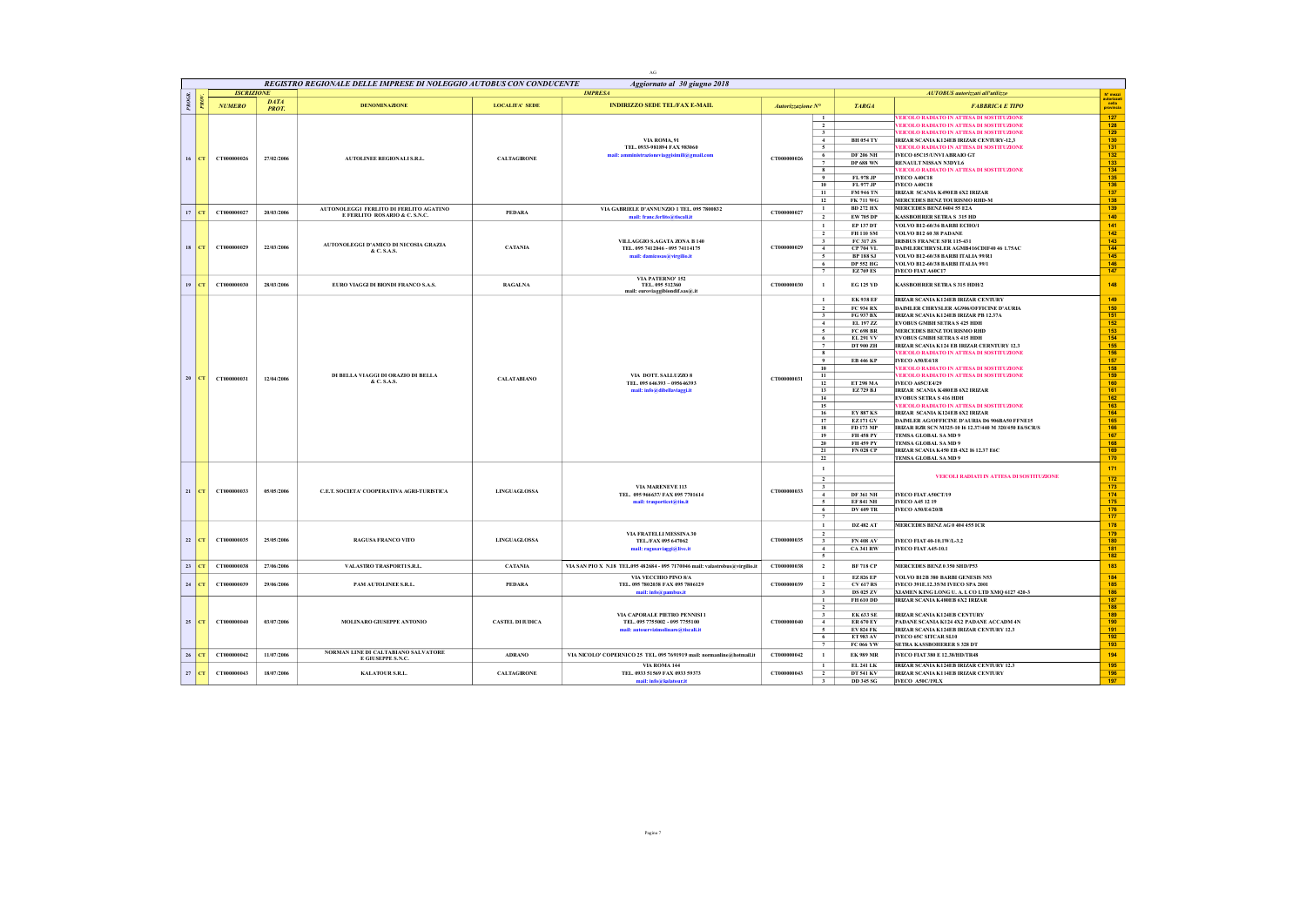|              |         |                   |              |                                                                     |                         | AC                                                                            |                   |                                           |                                      |                                                                                                         |                                               |
|--------------|---------|-------------------|--------------|---------------------------------------------------------------------|-------------------------|-------------------------------------------------------------------------------|-------------------|-------------------------------------------|--------------------------------------|---------------------------------------------------------------------------------------------------------|-----------------------------------------------|
|              |         |                   |              | REGISTRO REGIONALE DELLE IMPRESE DI NOLEGGIO AUTOBUS CON CONDUCENTE |                         | Aggiornato al 30 giugno 2018                                                  |                   |                                           |                                      |                                                                                                         |                                               |
| <b>PROGR</b> |         | <b>ISCRIZIONE</b> | <b>DATA</b>  |                                                                     |                         | <b>IMPRESA</b>                                                                |                   |                                           |                                      | AUTOBUS autorizzati all'utilizzo                                                                        | Nº mezzi<br>autorizzati<br>nella<br>provincia |
|              | å.      | <b>NUMERO</b>     | <b>PROT.</b> | <b>DENOMINAZIONE</b>                                                | <b>LOCALITA' SEDE</b>   | <b>INDIRIZZO SEDE TEL/FAX E-MAIL</b>                                          | Autorizzazione N° |                                           | <b>TARGA</b>                         | <b>FABBRICA E TIPO</b>                                                                                  |                                               |
|              |         |                   |              |                                                                     |                         |                                                                               |                   |                                           |                                      | EICOLO RADIATO IN ATTESA DI SOSTITUZIONI                                                                | 127                                           |
|              |         |                   |              |                                                                     |                         |                                                                               |                   | $\overline{2}$<br>$\overline{\mathbf{3}}$ |                                      | EICOLO RADIATO IN ATTESA DI SOSTITUZIONE<br><b>VEICOLO RADIATO IN ATTESA DI SOSTITUZIONE</b>            | 128<br>129                                    |
|              |         |                   |              |                                                                     |                         | VIA ROMA, 91                                                                  |                   | 4                                         | <b>BH 054 TY</b>                     | IRIZAR SCANIA K124EB IRIZAR CENTURY-12,3                                                                | 130                                           |
|              |         |                   |              |                                                                     |                         | TEL. 0933-981894 FAX 983060                                                   |                   | $\sim$                                    |                                      | <b>VEICOLO RADIATO IN ATTESA DI SOSTITUZIONE</b>                                                        | 131                                           |
|              | $16$ CT | CT000000026       | 27/02/2006   | AUTOLINEE REGIONALI S.R.L.                                          | <b>CALTAGIRONE</b>      | mail: amministrazioneviaggisimili@gmail.com                                   | CT000000026       | 6<br>$\overline{7}$                       | <b>DF 206 NH</b><br>DP 688 WN        | IVECO 65C15/UNVI ABRAIO GT<br>RENAULT NISSAN N3DYL6                                                     | $132$<br>133                                  |
|              |         |                   |              |                                                                     |                         |                                                                               |                   | $\overline{\mathbf{8}}$                   |                                      | <b>VEICOLO RADIATO IN ATTESA DI SOSTITUZIONE</b>                                                        | $134$                                         |
|              |         |                   |              |                                                                     |                         |                                                                               |                   | 9                                         | FL 978 JP                            | <b>IVECO A40C18</b>                                                                                     | 135                                           |
|              |         |                   |              |                                                                     |                         |                                                                               |                   | 10<br>11                                  | FL 977 JP<br><b>FM 946 TN</b>        | IVECO A40C18<br>IRIZAR SCANIA K490EB 6X2 IRIZAR                                                         | 136<br>137                                    |
|              |         |                   |              |                                                                     |                         |                                                                               |                   | 12                                        | <b>FK 711 WG</b>                     | MERCEDES BENZ TOURISMO RHD-M                                                                            | 138                                           |
|              | $17$ CT | CT000000027       | 20/03/2006   | AUTONOLEGGI FERLITO DI FERLITO AGATINO                              | PEDARA                  | VIA GABRIELE D'ANNUNZIO 1 TEL. 095 7800832                                    | CT000000027       | $\mathbf{1}$                              | <b>BD 272 HX</b>                     | MERCEDES BENZ 0404 55 E2A                                                                               | 139                                           |
|              |         |                   |              | E FERLITO ROSARIO & C. S.N.C.                                       |                         | mail: franc.ferlito@tiscali.it                                                |                   | $\overline{2}$                            | EW 705 DP                            | <b>KASSBOHRER SETRA S 315 HD</b>                                                                        | 140                                           |
|              |         |                   |              |                                                                     |                         |                                                                               |                   | $\mathbf{1}$                              | EP 137 DT                            | VOLVO B12-60/36 BARBI ECHO/1                                                                            | 141                                           |
|              |         |                   |              |                                                                     |                         | VILLAGGIO S.AGATA ZONA B 140                                                  |                   | $\overline{2}$<br>$\overline{\mathbf{3}}$ | FH 110 SM<br>FC 317 JS               | <b>VOLVO B12 60 38 PADANE</b><br><b>IRISBUS FRANCE SFR 115-431</b>                                      | $142$<br>$143$                                |
|              | $18$ CT | CT000000029       | 22/03/2006   | AUTONOLEGGI D'AMICO DI NICOSIA GRAZIA<br>& C. S.A.S.                | <b>CATANIA</b>          | TEL. 095 741 2046 - 095 7411 4175                                             | CT000000029       | $\overline{4}$                            | CP 704 VL                            | DAIMLERCHRYSLER AGMB416CDIF40 46 1.75AC                                                                 | 144                                           |
|              |         |                   |              |                                                                     |                         | mail: damicosas@virgilio.it                                                   |                   | $5\overline{5}$                           | <b>BP 188 SJ</b>                     | VOLVO B12-60/38 BARBI ITALIA 99/R1                                                                      | 145                                           |
|              |         |                   |              |                                                                     |                         |                                                                               |                   | 6<br>$\overline{7}$                       | <b>DP 552 HG</b><br><b>EZ769 ES</b>  | VOLVO B12-60/38 BARBI ITALIA 99/1<br>IVECO FIAT A60C17                                                  | $146$<br>147                                  |
|              |         |                   |              |                                                                     |                         | VIA PATERNO' 152                                                              |                   |                                           |                                      |                                                                                                         |                                               |
|              | $19$ CT | CT000000030       | 28/03/2006   | EURO VIAGGI DI BIONDI FRANCO S.A.S.                                 | <b>RAGALNA</b>          | TEL. 095 512360<br>mail: euroviaggibiondif.sas@.it                            | CT000000030       | $\mathbf{1}$                              | <b>EG 125 YD</b>                     | KASSBOHRER SETRA S 315 HDH/2                                                                            | 148                                           |
|              |         |                   |              |                                                                     |                         |                                                                               |                   | $\mathbf{1}$                              | <b>EK 938 EF</b>                     | IRIZAR SCANIA K124EB IRIZAR CENTURY                                                                     | 149                                           |
|              |         |                   |              |                                                                     |                         |                                                                               |                   | $\overline{2}$                            | FC 934 RX                            | DAIMLER CHRYSLER AG906/OFFICINE D'AURIA                                                                 | 150                                           |
|              |         |                   |              |                                                                     |                         |                                                                               |                   | $\overline{\mathbf{3}}$                   | FG 937 BX                            | <b>IRIZAR SCANIA K124EB IRIZAR PB 12.37A</b>                                                            | 151                                           |
|              |         |                   |              |                                                                     |                         |                                                                               |                   | $\overline{4}$<br>5                       | EL 197 ZZ<br><b>FC 698 BR</b>        | <b>EVOBUS GMBH SETRAS 425 HDH</b><br>MERCEDES BENZ TOURISMO RHD                                         | 152<br>153                                    |
|              |         |                   |              |                                                                     |                         |                                                                               |                   | 6                                         | <b>EL 291 VV</b>                     | <b>EVOBUS GMBH SETRAS 415 HDH</b>                                                                       | $154$                                         |
|              |         |                   |              |                                                                     |                         |                                                                               |                   | 7                                         | DT 900 ZH                            | IRIZAR SCANIA K124 EB IRIZAR CERNTURY 12.3                                                              | 155                                           |
|              |         |                   |              |                                                                     |                         |                                                                               |                   | $\mathbf{8}$<br>$\overline{9}$            | <b>EB 446 KP</b>                     | EICOLO RADIATO IN ATTESA DI SOSTITUZIONE<br><b>IVECO A50/E4/18</b>                                      | 156<br>157                                    |
|              |         |                   |              |                                                                     |                         |                                                                               |                   | 10                                        |                                      | EICOLO RADIATO IN ATTESA DI SOSTITUZIONE                                                                | 158                                           |
|              | $20$ CT | CT000000031       | 12/04/2006   | DI BELLA VIAGGI DI ORAZIO DI BELLA                                  | <b>CALATABIANO</b>      | VIA DOTT. SALLUZZO 8                                                          | CT000000031       | 11                                        |                                      | EICOLO RADIATO IN ATTESA DI SOSTITUZIONE                                                                | 159                                           |
|              |         |                   |              | & C. S.A.S                                                          |                         | TEL. 095 646393 - 095646393                                                   |                   | 12                                        | <b>ET 298 MA</b>                     | <b>IVECO A65C/E4/29</b>                                                                                 | 160                                           |
|              |         |                   |              |                                                                     |                         | mail: info@dibellaviaggi.it                                                   |                   | 13<br>14                                  | EZ 729 BJ                            | IRIZAR SCANIA K480EB 6X2 IRIZAR<br><b>EVOBUS SETRA S 416 HDH</b>                                        | 161<br>162                                    |
|              |         |                   |              |                                                                     |                         |                                                                               |                   | 15                                        |                                      | VEICOLO RADIATO IN ATTESA DI SOSTITUZIONE                                                               | $163$                                         |
|              |         |                   |              |                                                                     |                         |                                                                               |                   | 16                                        | <b>EY 887 KS</b>                     | IRIZAR SCANIA K124EB 6X2 IRIZAR                                                                         | 164                                           |
|              |         |                   |              |                                                                     |                         |                                                                               |                   | 17<br>18                                  | <b>EZ171 GV</b><br>FD 173 MP         | DAIMLER AG/OFFICINE D'AURIA D6 906BA50 FFNE15<br>IRIZAR RZR SCN M325-10 I6 12.37/440 M 320/450 E6/SCR/S | 165<br>166                                    |
|              |         |                   |              |                                                                     |                         |                                                                               |                   | 19                                        | <b>FH 458 PY</b>                     | TEMSA GLOBAL SAMD 9                                                                                     | 167                                           |
|              |         |                   |              |                                                                     |                         |                                                                               |                   | 20                                        | <b>FH 459 PY</b>                     | TEMSA GLOBAL SAMD 9                                                                                     | 168                                           |
|              |         |                   |              |                                                                     |                         |                                                                               |                   | 21<br>22                                  | <b>FN 028 CP</b>                     | IRIZAR SCANIA K450 EB 4X2 16 12.37 E6C<br>TEMSA GLOBAL SA MD 9                                          | 169<br>170                                    |
|              |         |                   |              |                                                                     |                         |                                                                               |                   | $\mathbf{1}$                              |                                      |                                                                                                         | 171                                           |
|              |         |                   |              |                                                                     |                         |                                                                               |                   |                                           |                                      | VEICOLI RADIATI IN ATTESA DI SOSTITUZIONE                                                               | $172$                                         |
|              |         |                   |              |                                                                     |                         | VIA MARENEVE 113                                                              |                   | $\overline{2}$<br>$\overline{\mathbf{3}}$ |                                      |                                                                                                         | $173$                                         |
|              | $21$ CT | CT000000033       | 05/05/2006   | C.E.T. SOCIETA' COOPERATIVA AGRI-TURISTICA                          | <b>LINGUAGLOSSA</b>     | TEL. 095 966637/ FAX 095 7701614                                              | CT000000033       | $\overline{4}$                            | <b>DF 361 NH</b>                     | IVECO FIAT A50CT/19                                                                                     | 174                                           |
|              |         |                   |              |                                                                     |                         | mail: trasporticet@tin.it                                                     |                   | $\sim$<br>6                               | <b>EF 841 NH</b><br><b>DV 609 TR</b> | <b>IVECO A45 12 19</b><br><b>IVECO A50/E4/20/B</b>                                                      | 175<br>176                                    |
|              |         |                   |              |                                                                     |                         |                                                                               |                   | $\tau$                                    |                                      |                                                                                                         | 177                                           |
|              |         |                   |              |                                                                     |                         |                                                                               |                   | $\mathbf{1}$                              | <b>DZ 482 AT</b>                     | MERCEDES BENZAG 0 404 455 ICR                                                                           | 178                                           |
|              |         |                   |              |                                                                     |                         | VIA FRATELLI MESSINA 30                                                       |                   | $\overline{2}$                            |                                      |                                                                                                         | 179                                           |
|              | $22$ CT | CT000000035       | 25/05/2006   | RAGUSA FRANCO VITO                                                  | <b>LINGUAGLOSSA</b>     | TEL./FAX 095 647062                                                           | CT000000035       | $\mathbf{3}$<br>$4 -$                     | <b>FN 408 AV</b><br><b>CA 341 RW</b> | IVECO FIAT 40-10.1W/L-3.2<br><b>IVECO FIAT A45-10.1</b>                                                 | 180<br>181                                    |
|              |         |                   |              |                                                                     |                         | mail: ragusaviaggi@live.it                                                    |                   | 5                                         |                                      |                                                                                                         | 182                                           |
|              | $23$ CT | CT000000038       | 27/06/2006   | VALASTRO TRASPORTI S.R.L.                                           | <b>CATANIA</b>          | VIA SAN PIO X N.18 TEL.095 482684 - 095 7170046 mail: valastrobus@virgilio.it | CT000000038       | $\overline{2}$                            | <b>BF 718 CP</b>                     | MERCEDES BENZ 0 350 SHD/P53                                                                             | 183                                           |
|              |         |                   |              |                                                                     |                         | VIA VECCHIO PINO 8/A                                                          |                   | $\mathbf{1}$                              | <b>EZ826 EP</b>                      | VOLVO B12B 380 BARBI GENESIS N53                                                                        | 184                                           |
| 24           | CT.     | CT000000039       | 29/06/2006   | PAM AUTOLINEE S.R.L.                                                | PEDARA                  | TEL. 095 7802038 FAX 095 7806129                                              | CT000000039       | $\overline{2}$                            | <b>CV 617 RS</b>                     | IVECO 391E.12.35/M IVECO SPA 2001                                                                       | 185                                           |
|              |         |                   |              |                                                                     |                         | mail: info@pambus.it                                                          |                   | $\overline{\mathbf{3}}$                   | <b>DS 025 ZV</b>                     | XIAMEN KING LONG U. A. I. CO LTD XMQ 6127 420-3                                                         | 186                                           |
|              |         |                   |              |                                                                     |                         |                                                                               |                   | $\overline{1}$<br>$\overline{2}$          | FH 610 DD                            | IRIZAR SCANIA K480EB 6X2 IRIZAR                                                                         | 187<br>188                                    |
|              |         |                   |              |                                                                     |                         | VIA CAPORALE PIETRO PENNISI 1                                                 |                   | $\overline{\mathbf{3}}$                   | <b>EK 633 SE</b>                     | <b>IRIZAR SCANIA K124ER CENTURY</b>                                                                     | 189                                           |
|              | $25$ CT | CT000000040       | 03/07/2006   | MOLINARO GIUSEPPE ANTONIO                                           | <b>CASTEL DI IUDICA</b> | TEL. 095 7755002 - 095 7755100                                                | CT000000040       | $\overline{4}$                            | <b>ER 670 EY</b>                     | PADANE SCANIA K124 4X2 PADANE ACCADM 4N                                                                 | 190                                           |
|              |         |                   |              |                                                                     |                         | mail: autoservizimolinaro@tiscali.it                                          |                   | $\sim$<br>6                               | <b>EV 824 FK</b><br><b>ET 983 AV</b> | IRIZAR SCANIA K124EB IRIZAR CENTURY 12.3<br>IVECO 65C SITCAR SL10                                       | 191<br>192                                    |
|              |         |                   |              |                                                                     |                         |                                                                               |                   | 7                                         | FC 066 YW                            | SETRA KASSBOHERER S 328 DT                                                                              | 193                                           |
|              | 26 CT   | CT000000042       | 11/07/2006   | NORMAN LINE DI CALTABIANO SALVATORE                                 | <b>ADRANO</b>           | VIA NICOLO' COPERNICO 25 TEL. 095 7691919 mail: normanline@hotmail.it         | CT000000042       | $\mathbf{1}$                              | <b>EK 989 MR</b>                     | IVECO FIAT 380 E 12.38/HD/TR48                                                                          | 194                                           |
|              |         |                   |              | <b>E GIUSEPPE S.N.C</b>                                             |                         | VIA ROMA 144                                                                  |                   | $\mathbf{1}$                              | <b>EL 241 LK</b>                     | IRIZAR SCANIA K124EB IRIZAR CENTURY 12.3                                                                | 195                                           |
|              | $27$ CT | CT000000043       | 18/07/2006   | KALATOUR S.R.L.                                                     | <b>CALTAGIRONE</b>      | TEL. 0933 51569 FAX 0933 59373                                                | CT000000043       | $\overline{2}$                            | <b>DT541 KV</b>                      | IRIZAR SCANIA K114EB IRIZAR CENTURY                                                                     | 196                                           |
|              |         |                   |              |                                                                     |                         | mail: info@kalatour.it                                                        |                   | $\overline{\mathbf{3}}$                   | <b>DD 345 SG</b>                     | IVECO A50C/19LX                                                                                         | 197                                           |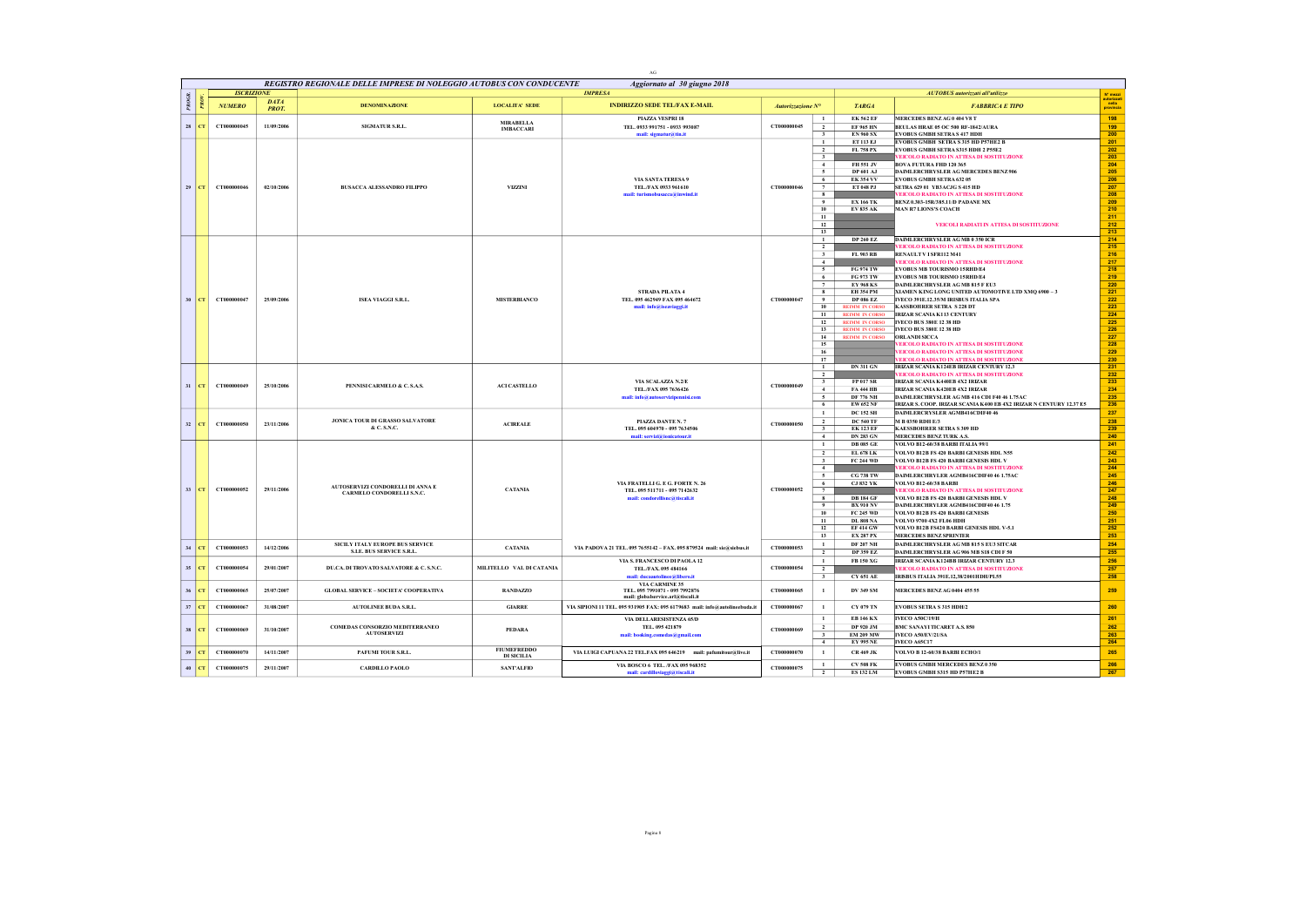|       |         |                   |             |                                                                     |                          | AC                                                                                     |                   |                                                                                    |                                                                                                                     |                                              |
|-------|---------|-------------------|-------------|---------------------------------------------------------------------|--------------------------|----------------------------------------------------------------------------------------|-------------------|------------------------------------------------------------------------------------|---------------------------------------------------------------------------------------------------------------------|----------------------------------------------|
|       |         |                   |             | REGISTRO REGIONALE DELLE IMPRESE DI NOLEGGIO AUTOBUS CON CONDUCENTE |                          | Aggiornato al 30 giugno 2018                                                           |                   |                                                                                    |                                                                                                                     |                                              |
| PROGR |         | <b>ISCRIZIONE</b> | <b>DATA</b> | <b>DENOMINAZIONE</b>                                                |                          | <b>IMPRESA</b>                                                                         |                   |                                                                                    | AUTOBUS autorizzati all'utilizzo                                                                                    | N' mezzi<br>autorizzat<br>nella<br>provincia |
|       | õ       | <b>NUMERO</b>     | PROT.       |                                                                     | <b>LOCALITA' SEDE</b>    | <b>INDIRIZZO SEDE TEL/FAX E-MAIL</b>                                                   | Autorizzazione N° | <b>TARGA</b>                                                                       | <b>FABBRICA E TIPO</b>                                                                                              |                                              |
| 28    | CT      | CT000000045       | 11/09/2006  | SIGMATUR S.R.L.                                                     | <b>MIRABELLA</b>         | <b>PLAZZA VESPRI 18</b><br>TEL. 0933 991751 - 0933 993087                              | CT000000045       | <b>EK 562 EF</b><br>$\mathbf{1}$<br>$\overline{2}$<br><b>EF 965 HN</b>             | MERCEDES BENZAG 0 404 V8 T<br>BEULAS HRAE 05 OC 500 RF-1842/AURA                                                    | 198<br>199                                   |
|       |         |                   |             |                                                                     | <b>IMBACCARI</b>         | mail: sigmatur@tin.it                                                                  |                   | $\mathbf{3}$<br><b>EN 960 SX</b>                                                   | <b>EVOBUS GMBH SETRAS 417 HDH</b>                                                                                   | 200                                          |
|       |         |                   |             |                                                                     |                          |                                                                                        |                   | $\mathbf{1}$<br><b>ET 113 EJ</b>                                                   | <b>EVOBUS GMBH SETRA S 315 HD P57HE2 B</b>                                                                          | 201                                          |
|       |         |                   |             |                                                                     |                          |                                                                                        |                   | $\overline{2}$<br>FL 758 PX<br>$\overline{\phantom{a}3}$                           | EVOBUS GMBH SETRA S315 HDH 2 P55E2<br><b>VEICOLO RADIATO IN ATTESA DI SOSTITUZIONE</b>                              | 202<br>203                                   |
|       |         |                   |             |                                                                     |                          |                                                                                        |                   | $-4$<br>FH 551 JV                                                                  | <b>BOVA FUTURA FHD 120 365</b>                                                                                      | 204                                          |
|       |         |                   |             |                                                                     |                          |                                                                                        |                   | $\sim$<br>DP 601 AJ                                                                | DAIMLERCHRYSLER AG MERCEDES BENZ 906                                                                                | 205                                          |
| 29    | CT.     | CT000000046       | 02/10/2006  | <b>BUSACCA ALESSANDRO FILIPPO</b>                                   | <b>VIZZINI</b>           | VIA SANTA TERESA 9<br>TEL./FAX 0933 961610                                             | CT000000046       | <b>EK 354 VV</b><br>6<br><b>ET 048 PJ</b><br>$\overline{7}$                        | <b>EVOBUS GMBH SETRA 632 05</b><br>SETRA 629 01 YB3 ACJG S 415 HD                                                   | 206<br>207                                   |
|       |         |                   |             |                                                                     |                          | mail: turismobusacca@inwind.it                                                         |                   | 8                                                                                  | EICOLO RADIATO IN ATTESA DI SOSTITUZIONE                                                                            | 208                                          |
|       |         |                   |             |                                                                     |                          |                                                                                        |                   | $\ddot{\mathbf{Q}}$<br><b>EX 166 TK</b><br>10                                      | BENZ 0.303-15R/385.11/D PADANE MX<br><b>MAN R7 LIONS'S COACH</b>                                                    | 209<br>210                                   |
|       |         |                   |             |                                                                     |                          |                                                                                        |                   | <b>EV 835 AK</b><br>11                                                             |                                                                                                                     | 211                                          |
|       |         |                   |             |                                                                     |                          |                                                                                        |                   | 12                                                                                 | VEICOLI RADIATI IN ATTESA DI SOSTITUZIONE                                                                           | 212                                          |
|       |         |                   |             |                                                                     |                          |                                                                                        |                   | 13<br><b>DP 260 EZ</b><br>$\mathbf{1}$                                             | DAIMLERCHRYSLER AG MB 0 350 ICR                                                                                     | 213<br>214                                   |
|       |         |                   |             |                                                                     |                          |                                                                                        |                   | $\overline{2}$                                                                     | EICOLO RADIATO IN ATTESA DI SOSTITUZIONE                                                                            | 215                                          |
|       |         |                   |             |                                                                     |                          |                                                                                        |                   | $\overline{\mathbf{3}}$<br>FL 903 RB                                               | RENAULT V I SFR112 M41                                                                                              | 216                                          |
|       |         |                   |             |                                                                     |                          |                                                                                        |                   | $-4$<br><b>FG 974 TW</b><br>5                                                      | EICOLO RADIATO IN ATTESA DI SOSTITUZIONE<br><b>EVORUS MR TOURISMO 15RHD/E4</b>                                      | 217<br>218                                   |
|       |         |                   |             |                                                                     |                          |                                                                                        |                   | 6<br>FG 973 TW                                                                     | <b>EVOBUS MB TOURISMO 15RHD/E4</b>                                                                                  | 219                                          |
|       |         |                   |             |                                                                     |                          | STRADA PILATA 4                                                                        |                   | $7\phantom{.0}$<br><b>EY 968 KS</b><br>$\overline{\mathbf{r}}$<br><b>EH 354 PM</b> | DAIMLERCHRYSLER AG MB 815 F EU3                                                                                     | 220                                          |
| 30    | CT.     | CT000000047       | 25/09/2006  | <b>ISEA VIAGGI S.R.L.</b>                                           | <b>MISTERBIANCO</b>      | TEL. 095 462949 FAX 095 464672                                                         | CT000000047       | $^{\circ}$<br><b>DP 086 EZ</b>                                                     | XIAMEN KING LONG UNITED AUTOMOTIVE LTD XMQ 6900 - 3<br>IVECO 391E.12.35/M IRISBUS ITALIA SPA                        | 221<br>222                                   |
|       |         |                   |             |                                                                     |                          | mail: info@iseaviaggi.it                                                               |                   | 10<br><b>REIMM IN CORSO</b>                                                        | <b>KASSBOHRER SETRA S 228 DT</b>                                                                                    | 223                                          |
|       |         |                   |             |                                                                     |                          |                                                                                        |                   | 11<br><b>REIMM IN CORSO</b><br>12<br><b>REIMM IN CORSO</b>                         | <b>IRIZAR SCANIA K113 CENTURY</b><br>IVECO BUS 380E 12 38 HD                                                        | $\overline{224}$<br>225                      |
|       |         |                   |             |                                                                     |                          |                                                                                        |                   | 13<br><b>REIMM IN CORSO</b>                                                        | <b>IVECO BUS 380E 12 38 HD</b>                                                                                      | 226                                          |
|       |         |                   |             |                                                                     |                          |                                                                                        |                   | 14<br><b>REIMM IN CORSO</b>                                                        | <b>ORLANDI SICCA</b>                                                                                                | 227                                          |
|       |         |                   |             |                                                                     |                          |                                                                                        |                   | 15<br>16                                                                           | EICOLO RADIATO IN ATTESA DI SOSTITUZIONE<br>EICOLO RADIATO IN ATTESA DI SOSTITUZIONE                                | 228<br>229                                   |
|       |         |                   |             |                                                                     |                          |                                                                                        |                   | 17                                                                                 | EICOLO RADIATO IN ATTESA DI SOSTITUZIONE                                                                            | 230                                          |
|       |         |                   |             |                                                                     |                          |                                                                                        |                   | <b>DN 311 GN</b><br>$\mathbf{1}$                                                   | IRIZAR SCANIA K124EB IRIZAR CENTURY 12.3                                                                            | 231                                          |
|       |         |                   |             |                                                                     |                          | VIA SCALAZZA N.2/E                                                                     |                   | $\overline{2}$<br>$\overline{\mathbf{3}}$<br><b>FP 017 SR</b>                      | EICOLO RADIATO IN ATTESA DI SOSTITUZIONE<br>IRIZAR SCANIA K440ER 4X2 IRIZAR                                         | 232<br>233                                   |
|       | $31$ CT | CT000000049       | 25/10/2006  | PENNISI CARMELO & C. S.A.S.                                         | <b>ACLCASTELLO</b>       | TEL./FAX 095 7636426                                                                   | CT000000049       | $\overline{4}$<br><b>FA 444 HB</b>                                                 | IRIZAR SCANIA K420EB 4X2 IRIZAR                                                                                     | 234                                          |
|       |         |                   |             |                                                                     |                          | mail: info@autoservizipennisi.com                                                      |                   | <b>DF 776 NH</b><br>$\sim$                                                         | DAIMLERCHRYSLER AG MB 416 CDI F40 46 1.75 AC<br>IRIZAR S. COOP. IRIZAR SCANIA K400 EB 4X2 IRIZAR N CENTURY 12.37 E5 | 235<br>236                                   |
|       |         |                   |             |                                                                     |                          |                                                                                        |                   | 6<br><b>EW 652 NF</b><br>$\mathbf{1}$<br><b>DC 152 SH</b>                          | DAIMLERCRYSLER AGMB416CDIF40 46                                                                                     | 237                                          |
| 32    | п.      | CT000000050       | 23/11/2006  | JONICA TOUR DI GRASSO SALVATORE                                     | <b>ACIREALE</b>          | PIAZZA DANTE N. 7                                                                      | CT000000050       | $\overline{2}$<br><b>DC 540 TF</b>                                                 | M B 0350 RDH E/3                                                                                                    | 238                                          |
|       |         |                   |             | & C. S.N.C.                                                         |                          | TEL. 095 604970 - 095 7634506                                                          |                   | <b>EK 123 EF</b><br>$\overline{\mathbf{3}}$                                        | <b>KAESSBOHRER SETRA S 309 HD</b>                                                                                   | 239                                          |
|       |         |                   |             |                                                                     |                          | mail: servizi@ionicatour.it                                                            |                   | $\overline{4}$<br><b>DN 283 GN</b><br><b>DB 085 GE</b><br>$\mathbf{1}$             | MERCEDES BENZ TURK A.S.<br>VOLVO B12-60/38 BARBI ITALIA 99/1                                                        | 240<br>241                                   |
|       |         |                   |             |                                                                     |                          |                                                                                        |                   | $\overline{2}$<br>EL 678 LK                                                        | VOLVO B12R FS 420 BARBI GENESIS HDL N55                                                                             | 242                                          |
|       |         |                   |             |                                                                     |                          |                                                                                        |                   | $\overline{\mathbf{3}}$<br><b>FC 244 WD</b>                                        | VOLVO B12B FS 420 BARBI GENESIS HDL V                                                                               | 243                                          |
|       |         |                   |             |                                                                     |                          |                                                                                        |                   | $-4$<br>$\overline{5}$<br><b>CG 738 TW</b>                                         | EICOLO RADIATO IN ATTESA DI SOSTITUZIONE<br>DAIMLERCHRYLER AGMB416CDIF40 46 1.75AC                                  | 244<br>245                                   |
|       |         |                   |             | AUTOSERVIZI CONDORELLI DI ANNA E                                    |                          | VIA FRATELLI G. E G. FORTE N. 26                                                       |                   | <b>CJ 832 YK</b><br>- 6                                                            | <b>VOLVO B12-60/38 BARBI</b>                                                                                        | 246                                          |
| 33    | m.      | CT000000052       | 29/11/2006  | CARMELO CONDORELLI S.N.C.                                           | <b>CATANIA</b>           | TEL. 095 511711 - 095 7142632<br>mail: condorellisne@tiscali.it                        | CT000000052       | 7<br><b>DR184 GF</b><br>8                                                          | EICOLO RADIATO IN ATTESA DI SOSTITUZIONE<br><b>VOLVO B12B FS 420 BARBI GENESIS HDL V</b>                            | 247<br>248                                   |
|       |         |                   |             |                                                                     |                          |                                                                                        |                   | $\overline{9}$<br><b>BX 910 NV</b>                                                 | DAIMLERCHRYLER AGMB416CDIF40 46 1.75                                                                                | 249                                          |
|       |         |                   |             |                                                                     |                          |                                                                                        |                   | 10<br>FC 245 WD                                                                    | <b>VOLVO B12B FS 420 BARBI GENESIS</b>                                                                              | 250                                          |
|       |         |                   |             |                                                                     |                          |                                                                                        |                   | 11<br><b>DL 808 NA</b><br>12<br><b>EF414 GW</b>                                    | VOLVO 9700 4X2 FL06 HDH<br>VOLVO B12B FS420 BARBI GENESIS HDL V-5.1                                                 | 251<br>252                                   |
|       |         |                   |             |                                                                     |                          |                                                                                        |                   | 13<br><b>EX 287 PX</b>                                                             | <b>MERCEDES BENZ SPRINTER</b>                                                                                       | 253                                          |
| 34    | CT      | CT000000053       | 14/12/2006  | SICILY ITALY EUROPE BUS SERVICE                                     | <b>CATANIA</b>           | VIA PADOVA 21 TEL. 095 7655142 - FAX. 095 879524 mail: sie@siebus.it                   | CT000000053       | <b>DF 207 NH</b><br>$\mathbf{1}$                                                   | DAIMLERCHRYSLER AG MB 815 S EU3 SITCAR                                                                              | 254                                          |
|       |         |                   |             | S.I.E. BUS SERVICE S.R.L.                                           |                          |                                                                                        |                   | $\overline{2}$<br><b>DP 359 EZ</b><br>$\mathbf{1}$                                 | DAIMLERCHRYSLER AG 906 MB S18 CDI F 50                                                                              | 255<br>256                                   |
|       | 35 CT   | CT000000054       | 29/01/2007  | DU.CA. DI TROVATO SALVATORE & C. S.N.C.                             | MILITELLO VAL DI CATANIA | VIA S. FRANCESCO DI PAOLA 12<br>TEL./FAX. 095 484166                                   | CT000000054       | FB 150 XG<br>$\overline{2}$                                                        | IRIZAR SCANIA K124BB IRIZAR CENTURY 12.3<br>EICOLO RADIATO IN ATTESA DI SOSTITUZIONE                                | 257                                          |
|       |         |                   |             |                                                                     |                          | mail: ducaautolinee@libero.it                                                          |                   | $\mathbf{3}$<br><b>CY 651 AE</b>                                                   | IRISBUS ITALIA 391E.12,38/2001HDH/PL55                                                                              | 258                                          |
| 36    | CТ      | CT000000065       | 25/07/2007  | <b>GLOBAL SERVICE - SOCIETA' COOPERATIVA</b>                        | <b>RANDAZZO</b>          | VIA CARMINE 35<br>TEL. 095 7991071 - 095 7992876<br>mail: globalservice.arl@tiscali.it | CT000000065       | $\mathbf{1}$<br><b>DV 349 SM</b>                                                   | MERCEDES BENZAG 0404 455 55                                                                                         | 259                                          |
| 37    | CT      | CT000000067       | 31/08/2007  | <b>AUTOLINEE BUDA S.R.L.</b>                                        | <b>GIARRE</b>            | VIA SIPIONI 11 TEL. 095 931905 FAX: 095 6179683 mail: info@autolineebuda.it            | CT000000067       | CY 079 TN<br>$\mathbf{1}$                                                          | <b>EVOBUS SETRA S 315 HDH/2</b>                                                                                     | 260                                          |
|       |         |                   |             |                                                                     |                          | VIA DELLARESISTENZA 65/D                                                               |                   | $\mathbf{1}$<br><b>EB 146 KX</b>                                                   | <b>IVECO A50C/19/H</b>                                                                                              | 261                                          |
| 38    | CT.     | CT000000069       | 31/10/2007  | COMEDAS CONSORZIO MEDITERRANEO<br><b>AUTOSERVIZI</b>                | PEDARA                   | TEL. 095 421879                                                                        | CT000000069       | $\overline{2}$<br>DP 920 JM                                                        | <b>BMC SANAYI TICARET A.S. 850</b>                                                                                  | 262                                          |
|       |         |                   |             |                                                                     |                          | mail: booking.comedas@gmail.com                                                        |                   | <b>EM 209 MW</b><br>$\overline{\mathbf{3}}$<br>4<br><b>EY 995 NE</b>               | IVECO A50/EV/21/SA<br><b>IVECO A65C17</b>                                                                           | 263<br>264                                   |
| 39    |         | CT000000070       | 14/11/2007  | PAFUMI TOUR S.R.L.                                                  | <b>FIUMEFREDDO</b>       | VIA LUIGI CAPUANA 22 TEL.FAX 095 646219<br>mail: pafumitour@live.it                    | CT000000070       | $\mathbf{1}$<br><b>CR 469 JK</b>                                                   | VOLVO B 12-60/38 BARBI ECHO/1                                                                                       | 265                                          |
|       |         |                   |             |                                                                     | <b>DI SICILIA</b>        | VIA BOSCO 6 TEL. /FAX 095 968352                                                       |                   | $\mathbf{1}$<br>${\rm CV}$ 508 FK                                                  | <b>EVOBUS GMBH MERCEDES BENZ 0 350</b>                                                                              | 266                                          |
|       | $40$ CT | CT000000075       | 29/11/2007  | <b>CARDILLO PAOLO</b>                                               | <b>SANTALFIO</b>         | mail: cardilloviaggi@tiscali.it                                                        | CT000000075       | $\overline{\phantom{a}}$<br><b>ES 132 LM</b>                                       | <b>EVOBUS GMBH S315 HD P57HE2 B</b>                                                                                 | 267                                          |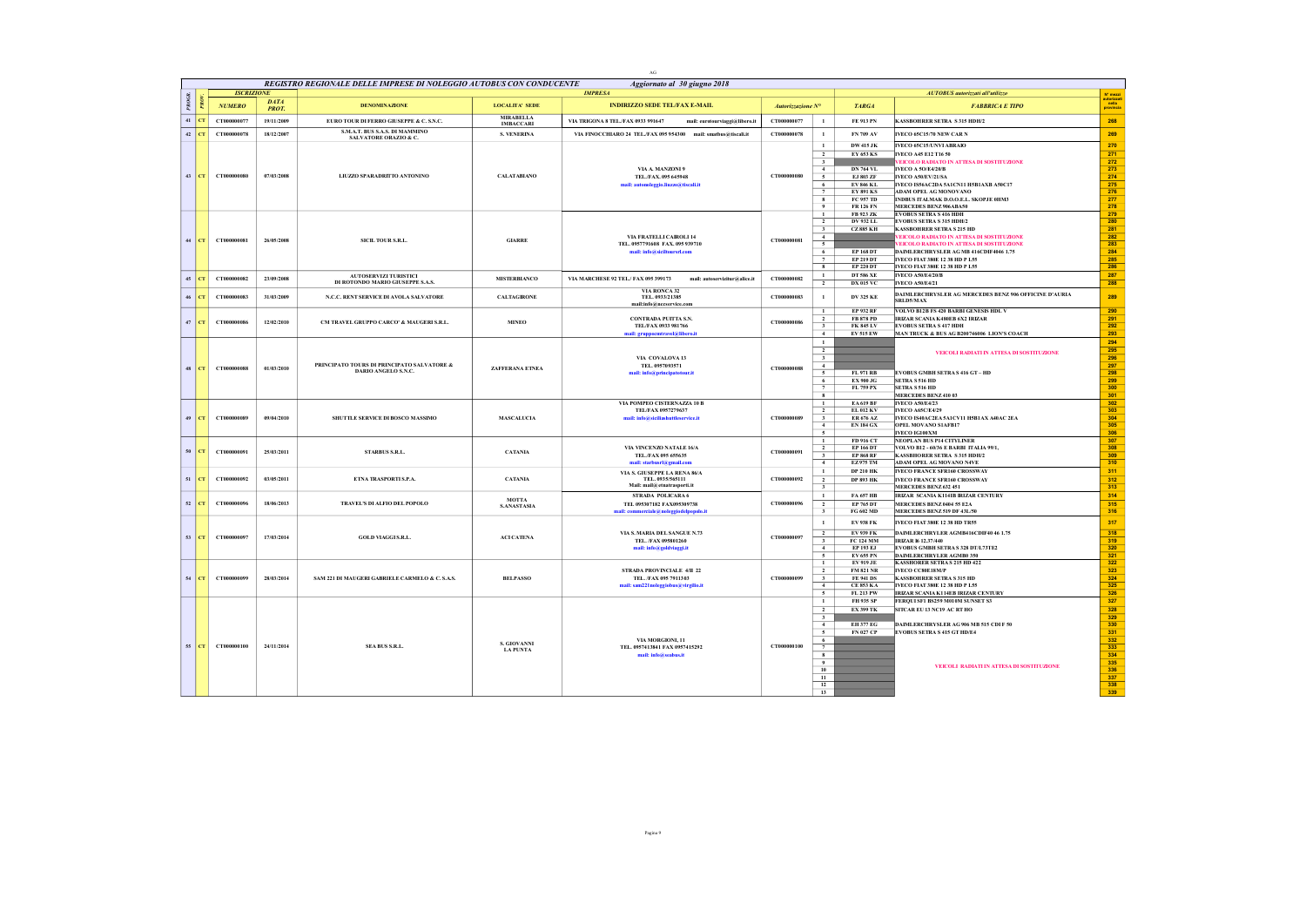|        |                |                   |                             | REGISTRO REGIONALE DELLE IMPRESE DI NOLEGGIO AUTOBUS CON CONDUCENTE |                                           | Aggiornato al 30 giugno 2018                                         |                   |                                            |                                      |                                                                                    |                                   |
|--------|----------------|-------------------|-----------------------------|---------------------------------------------------------------------|-------------------------------------------|----------------------------------------------------------------------|-------------------|--------------------------------------------|--------------------------------------|------------------------------------------------------------------------------------|-----------------------------------|
|        |                | <b>ISCRIZIONE</b> |                             |                                                                     |                                           | <b>IMPRESA</b>                                                       |                   |                                            |                                      | AUTOBUS autorizzati all'utilizzo                                                   | N° mezzi                          |
| PROGR  | $\overline{R}$ | <b>NUMERO</b>     | <b>DATA</b><br><b>PROT.</b> | <b>DENOMINAZIONE</b>                                                | <b>LOCALITA' SEDE</b><br><b>MIRABELLA</b> | <b>INDIRIZZO SEDE TEL/FAX E-MAIL</b>                                 | Autorizzazione N° |                                            | <b>TARGA</b>                         | <b>FABBRICA E TIPO</b>                                                             | autorizzati<br>nella<br>provincia |
|        | $41$ CT        | CT000000077       | 19/11/2009                  | EURO TOUR DI FERRO GIUSEPPE & C. S.N.C.                             | <b>IMBACCARI</b>                          | VIA TRIGONA 8 TEL./FAX 0933 991647<br>mail: eurotourviaggi@libero.it | CT000000077       | $\mathbf{1}$                               | FE 913 PN                            | <b>KASSBOHRER SETRA S315 HDH/2</b>                                                 | 268                               |
| $42\,$ |                | CT000000078       | 18/12/2007                  | S.M.A.T. BUS S.A.S. DI MAMMINO<br>SALVATORE ORAZIO & C.             | <b>S. VENERINA</b>                        | VIA FINOCCHIARO 24 TEL/FAX 095 954300 mail: smatbus@tiscali.it       | CT000000078       | $\mathbf{1}$                               | FN 709 AV                            | IVECO 65C15/70 NEW CAR N                                                           | 269                               |
|        |                |                   |                             |                                                                     |                                           |                                                                      |                   | $\mathbf{1}$                               | <b>DW 415 JK</b>                     | IVECO 65C15/UNVI ABRAIO                                                            | 270                               |
|        |                |                   |                             |                                                                     |                                           |                                                                      |                   | $\overline{2}$<br>$\overline{\mathbf{3}}$  | EY 653 KS                            | <b>IVECO A45 E12 T16 50</b><br>VEICOLO RADIATO IN ATTESA DI SOSTITUZIONE           | 271<br>272                        |
|        |                |                   |                             |                                                                     |                                           | VIA A. MANZONI 9                                                     |                   | $\overline{4}$                             | <b>DN 764 VL</b>                     | <b>IVECO A 50/E4/20/B</b>                                                          | 273                               |
| 43     |                | CT000000080       | 07/03/2008                  | LIUZZO SPARADRITTO ANTONINO                                         | <b>CALATABIANO</b>                        | TEL./FAX.095 645948                                                  | CT000000080       | $\sim$                                     | EJ 803 ZF                            | IVECO A50/EV/21/SA                                                                 | 274                               |
|        |                |                   |                             |                                                                     |                                           | mail: autonoleggio.liuzzo@tiscali.it                                 |                   | 6<br>$\overline{7}$                        | <b>EV 846 KL</b><br><b>EY 891 KS</b> | IVECO IS56AC2DA 5A1CN11 H5B1AXB A50C17<br>ADAM OPEL AG MONOVANO                    | 275<br>276                        |
|        |                |                   |                             |                                                                     |                                           |                                                                      |                   | $\overline{\mathbf{8}}$                    | FC 957 TD                            | INDBUS ITALMAK D.O.O.E.L. SKOPJE 0HM3                                              | 277                               |
|        |                |                   |                             |                                                                     |                                           |                                                                      |                   | $\overline{9}$                             | <b>FR 126 FN</b>                     | <b>MERCEDES BENZ 906ABA50</b>                                                      | 278                               |
|        |                |                   |                             |                                                                     |                                           |                                                                      |                   | $\mathbf{1}$<br>$\overline{2}$             | FR 923 ZK<br>DV 932 LL               | <b>EVOBUS SETRA S 416 HDH</b><br><b>EVOBUS SETRA S 315 HDH/2</b>                   | 279<br>280                        |
|        |                |                   |                             |                                                                     |                                           |                                                                      |                   | $\overline{\mathbf{3}}$                    | <b>CZ885 KH</b>                      | <b>KASSBOHRER SETRA S 215 HD</b>                                                   | 281                               |
|        | $44$ CT        | CT000000081       | 26/05/2008                  | SICIL TOUR S.R.L.                                                   | <b>GIARRE</b>                             | VIA FRATELLI CAIROLI 14                                              | CT000000081       | $-4$                                       |                                      | <b>VEICOLO RADIATO IN ATTESA DI SOSTITUZIONE</b>                                   | 282                               |
|        |                |                   |                             |                                                                     |                                           | TEL. 0957791608 FAX. 095 939710<br>mail: info@siciltoursrl.com       |                   | $\sim$<br>6                                | <b>EP 168 DT</b>                     | EICOLO RADIATO IN ATTESA DI SOSTITUZIONE<br>DAIMLERCHRYSLER AG MB 416CDIF4046 1.75 | 283<br>284                        |
|        |                |                   |                             |                                                                     |                                           |                                                                      |                   | $\overline{7}$                             | <b>EP 219 DT</b>                     | IVECO FIAT 380E 12 38 HD P L55                                                     | 285                               |
|        |                |                   |                             |                                                                     |                                           |                                                                      |                   | $\overline{\mathbf{g}}$                    | <b>EP 220 DT</b>                     | IVECO FIAT 380E 12 38 HD P L55                                                     | 286                               |
|        | $45$ CT        | CT000000082       | 23/09/2008                  | <b>AUTOSERVIZI TURISTICI</b><br>DI ROTONDO MARIO GIUSEPPE S.A.S.    | <b>MISTERBIANCO</b>                       | VIA MARCHESE 92 TEL/FAX 095 399173<br>mail: autoservizitur@alice.it  | CT000000082       | $\mathbf{1}$                               | <b>DT 586 XE</b>                     | <b>IVECO A50/E4/20/B</b>                                                           | 287                               |
|        |                |                   |                             |                                                                     |                                           | VIA RONCA 32                                                         |                   | $\overline{2}$                             | <b>DX 015 VC</b>                     | <b>IVECO A50/E4/21</b>                                                             | 288                               |
| 46     | CT             | CT000000083       | 31/03/2009                  | N.C.C. RENT SERVICE DI AVOLA SALVATORE                              | <b>CALTAGIRONE</b>                        | TEL. 0933/21385<br>mail:info@nccservice.com                          | CT000000083       | $\mathbf{1}$                               | <b>DV 325 KE</b>                     | DAIMLERCHRYSLER AG MERCEDES BENZ 906 OFFICINE D'AURIA<br><b>SRLD5/MAX</b>          | 289                               |
|        |                |                   |                             |                                                                     |                                           |                                                                      |                   | $\mathbf{1}$                               | <b>EP 932 RF</b>                     | <b>VOLVO B12B FS 420 BARBI GENESIS HDL V</b>                                       | 290                               |
|        | $47$ CT        | CT000000086       | 12/02/2010                  | CM TRAVEL GRUPPO CARCO' & MAUGERI S.R.L.                            | <b>MINEO</b>                              | <b>CONTRADA PUITTA S.N.</b><br>TEL/FAX 0933 981766                   | CT000000086       | $\overline{2}$<br>$\overline{\mathbf{3}}$  | <b>FR 878 PD</b><br><b>FK 845 LV</b> | IRIZAR SCANIA K480EB 6X2 IRIZAR<br><b>EVOBUS SETRA S 417 HDH</b>                   | 291<br>292                        |
|        |                |                   |                             |                                                                     |                                           | mail: gruppoemtravel@libero.it                                       |                   | $\overline{4}$                             | <b>EV 515 EW</b>                     | MAN TRUCK & BUS AG B200746006 LION'S COACH                                         | 293                               |
|        |                |                   |                             |                                                                     |                                           |                                                                      |                   | $\mathbf{1}$                               |                                      |                                                                                    | 294                               |
|        |                |                   |                             |                                                                     |                                           |                                                                      |                   | $\overline{2}$                             |                                      | VEICOLI RADIATI IN ATTESA DI SOSTITUZIONE                                          | 295                               |
|        |                |                   |                             | PRINCIPATO TOURS DI PRINCIPATO SALVATORE &                          |                                           | VIA COVALOVA 13<br>TEL. 0957093571                                   |                   | $\overline{\mathbf{3}}$<br>$\overline{4}$  |                                      |                                                                                    | 296<br>297                        |
|        | $48$ CT        | CT000000088       | 01/03/2010                  | DARIO ANGELO S.N.C.                                                 | ZAFFERANA ETNEA                           | mail: info@principatotour.it                                         | CT000000088       | $\sim$                                     | <b>FL 971 RB</b>                     | <b>EVOBUS GMBH SETRAS 416 GT - HD</b>                                              | 298                               |
|        |                |                   |                             |                                                                     |                                           |                                                                      |                   | 6                                          | <b>EX 900 JG</b>                     | SETRA S 516 HD                                                                     | 299                               |
|        |                |                   |                             |                                                                     |                                           |                                                                      |                   | $7\phantom{.0}$<br>$\overline{\mathbf{g}}$ | FL 759 PX                            | <b>SETRA S 516 HD</b><br>MERCEDES BENZ 410 03                                      | 300<br>301                        |
|        |                |                   |                             |                                                                     |                                           | VIA POMPEO CISTERNAZZA 10 B                                          |                   | $\mathbf{1}$                               | <b>EA619 BF</b>                      | <b>IVECO A50/E4/23</b>                                                             | 302                               |
|        |                |                   |                             |                                                                     |                                           | TEL/FAX 0957279637                                                   |                   | $\overline{2}$                             | <b>EL 012 KV</b>                     | <b>IVECO A65C/E4/29</b>                                                            | 303                               |
| 49     | CT             | CT000000089       | 09/04/2010                  | SHUTTLE SERVICE DI BOSCO MASSIMO                                    | <b>MASCALUCIA</b>                         | mail: info@siciliashuttleservice.it                                  | CT000000089       | $\overline{\mathbf{3}}$<br>$\overline{4}$  | ER 676 AZ<br><b>EN 184 GX</b>        | IVECO IS40AC2EA 5A1CV11 H5B1 AX A40AC 2EA<br>OPEL MOVANO SIAFB17                   | 304<br>305                        |
|        |                |                   |                             |                                                                     |                                           |                                                                      |                   | $\sim$                                     |                                      | IVECO IG100XM                                                                      | 306                               |
|        |                |                   |                             |                                                                     |                                           |                                                                      |                   | $\overline{1}$                             | FD 916 CT                            | NEOPLAN BUS P14 CITYLINER                                                          | 307                               |
| 50     | l CT.          | CT000000091       | 25/03/2011                  | <b>STARBUS S.R.L.</b>                                               | <b>CATANIA</b>                            | VIA VINCENZO NATALE 16/A<br>TEL./FAX 095 655635                      | CT000000091       | $\overline{2}$                             | <b>EP 166 DT</b><br><b>EP 868 RF</b> | VOLVO B12 - 60/36 E BARBI ITALIA 99/1,<br><b>KASSBHORER SETRA S315 HDH/2</b>       | 308<br>309                        |
|        |                |                   |                             |                                                                     |                                           | mail: starbusrl@gmail.com                                            |                   | $\overline{\mathbf{3}}$<br>$-4$            | <b>EZ975 TM</b>                      | ADAM OPEL AG MOVANO N4VE                                                           | 310                               |
|        |                |                   |                             |                                                                     |                                           | VIA S. GIUSEPPE LA RENA 86/A                                         |                   | $\mathbf{1}$                               | <b>DP 210 HK</b>                     | <b>IVECO FRANCE SFR160 CROSSWAY</b>                                                | 311                               |
| 51     | l et           | CT000000092       | 03/05/2011                  | ETNA TRASPORTI S.P.A.                                               | <b>CATANIA</b>                            | TEL. 0935/565111<br>Mail: mail@etnatrasporti.it                      | CT000000092       | $\overline{2}$                             | <b>DP 893 HK</b>                     | <b>IVECO FRANCE SFR160 CROSSWAY</b>                                                | 312                               |
|        |                |                   |                             |                                                                     |                                           | STRADA POLICARA 6                                                    |                   | $\overline{\mathbf{3}}$<br>$\mathbf{1}$    | FA 657 HB                            | <b>MERCEDES BENZ 632 451</b><br>IRIZAR SCANIA K114IB IRIZAR CENTURY                | 313<br>314                        |
|        | $52$ CT        | $C$ T000000096    | 18/06/2013                  | TRAVEL'S DI ALFIO DEL POPOLO                                        | <b>MOTTA</b>                              | TEL 095307182 FAX095309738                                           | CT000000096       | $\overline{2}$                             | <b>EP 765 DT</b>                     | MERCEDES BENZ 0404 55 E2A                                                          | 315                               |
|        |                |                   |                             |                                                                     | <b>S.ANASTASIA</b>                        | mail: commerciale@noleggiodelpopolo.it                               |                   | $\overline{\mathbf{3}}$                    | FG 602 MD                            | MERCEDES BENZ 519 DF 43L/50                                                        | 316                               |
|        |                |                   |                             |                                                                     |                                           |                                                                      |                   | $\mathbf{1}$                               | <b>EV 938 FK</b>                     | <b>IVECO FIAT 380E 12 38 HD TR55</b>                                               | 317                               |
|        | $53$ CT        | CT000000097       | 17/03/2014                  | <b>GOLD VIAGGIS R.L.</b>                                            | ACI CATENA                                | VIA S. MARIA DEL SANGUE N.73                                         | CT000000097       | $\overline{2}$                             | <b>EV 939 FK</b>                     | DAIMLERCHRYLER AGMB416CDIF40 46 1.75                                               | 318                               |
|        |                |                   |                             |                                                                     |                                           | TEL. /FAX 095801260<br>mail: info@goldviaggi.it                      |                   | $\overline{\mathbf{3}}$<br>$\overline{4}$  | <b>FC 124 MM</b><br><b>EP 193 EJ</b> | <b>IRIZAR I6 12.37/440</b><br><b>EVOBUS GMBH SETRAS 328 DT/L73TE2</b>              | 319<br>320                        |
|        |                |                   |                             |                                                                     |                                           |                                                                      |                   | $\sim$                                     | <b>EV 655 PN</b>                     | DAIMLERCHRYLER AGMB0 350                                                           | 321                               |
|        |                |                   |                             |                                                                     |                                           |                                                                      |                   | $\mathbf{1}$                               | <b>EV919 JE</b>                      | <b>KASSHORER SETRA S 215 HD 422</b>                                                | 322                               |
|        | 54 CT          | CT000000099       | 28/03/2014                  | SAM 221 DI MAUGERI GABRIELE CARMELO & C. S.A.S.                     | <b>BELPASSO</b>                           | STRADA PROVINCIALE 4/II 22<br>TEL. /FAX 095 7911303                  | CT000000099       | $\overline{2}$<br>$\overline{\mathbf{3}}$  | <b>FM 821 NR</b><br><b>FE 941 DS</b> | <b>IVECO CC80E18M/P</b><br><b>KASSBOHRER SETRA S 315 HD</b>                        | 323<br>324                        |
|        |                |                   |                             |                                                                     |                                           | mail: sam221noleggiobus@virgilio.it                                  |                   | 4                                          | <b>CE 853 KA</b>                     | <b>IVECO FIAT 380E 12 38 HD P L55</b>                                              | 325                               |
|        |                |                   |                             |                                                                     |                                           |                                                                      |                   | $\sim$                                     | FL 213 PW                            | IRIZAR SCANIA K114EB IRIZAR CENTURY                                                | 326                               |
|        |                |                   |                             |                                                                     |                                           |                                                                      |                   | $\mathbf{1}$                               | FH 935 SP                            | FERQUISF1 BS259 M010M SUNSET S3                                                    | 327                               |
|        |                |                   |                             |                                                                     |                                           |                                                                      |                   | $\overline{2}$<br>$\overline{\mathbf{3}}$  | <b>EX 399 TK</b>                     | SITCAR EU 13 NC19 AC RT HO                                                         | 328<br>329                        |
|        |                |                   |                             |                                                                     |                                           |                                                                      |                   | $\sim$                                     | <b>EH 377 EG</b>                     | DAIMLERCHRYSLER AG 906 MB 515 CDI F 50                                             | 330                               |
|        |                |                   |                             |                                                                     |                                           |                                                                      |                   | $\sim$                                     | <b>FN 027 CP</b>                     | <b>EVOBUS SETRA S 415 GT HD/E4</b>                                                 | 331                               |
| 55     | $ c_{\rm T} $  | CT000000100       | 24/11/2014                  | SEA BUS S.R.L.                                                      | <b>S. GIOVANNI</b>                        | VIA MORGIONI, 11<br>TEL. 0957413841 FAX 0957415292                   | CT000000100       | 6<br>7                                     |                                      |                                                                                    | 332<br>333                        |
|        |                |                   |                             |                                                                     | <b>LA PUNTA</b>                           | mail: info@seabus.it                                                 |                   | $\overline{\mathbf{8}}$                    |                                      |                                                                                    | 334                               |
|        |                |                   |                             |                                                                     |                                           |                                                                      |                   | $\overline{9}$                             |                                      | <b>VEICOLI RADIATI IN ATTESA DI SOSTITUZIONE</b>                                   | 335                               |
|        |                |                   |                             |                                                                     |                                           |                                                                      |                   | 10<br>11                                   |                                      |                                                                                    | 336<br>337                        |
|        |                |                   |                             |                                                                     |                                           |                                                                      |                   | 12                                         |                                      |                                                                                    | 338                               |
|        |                |                   |                             |                                                                     |                                           |                                                                      |                   | 13                                         |                                      |                                                                                    | 339                               |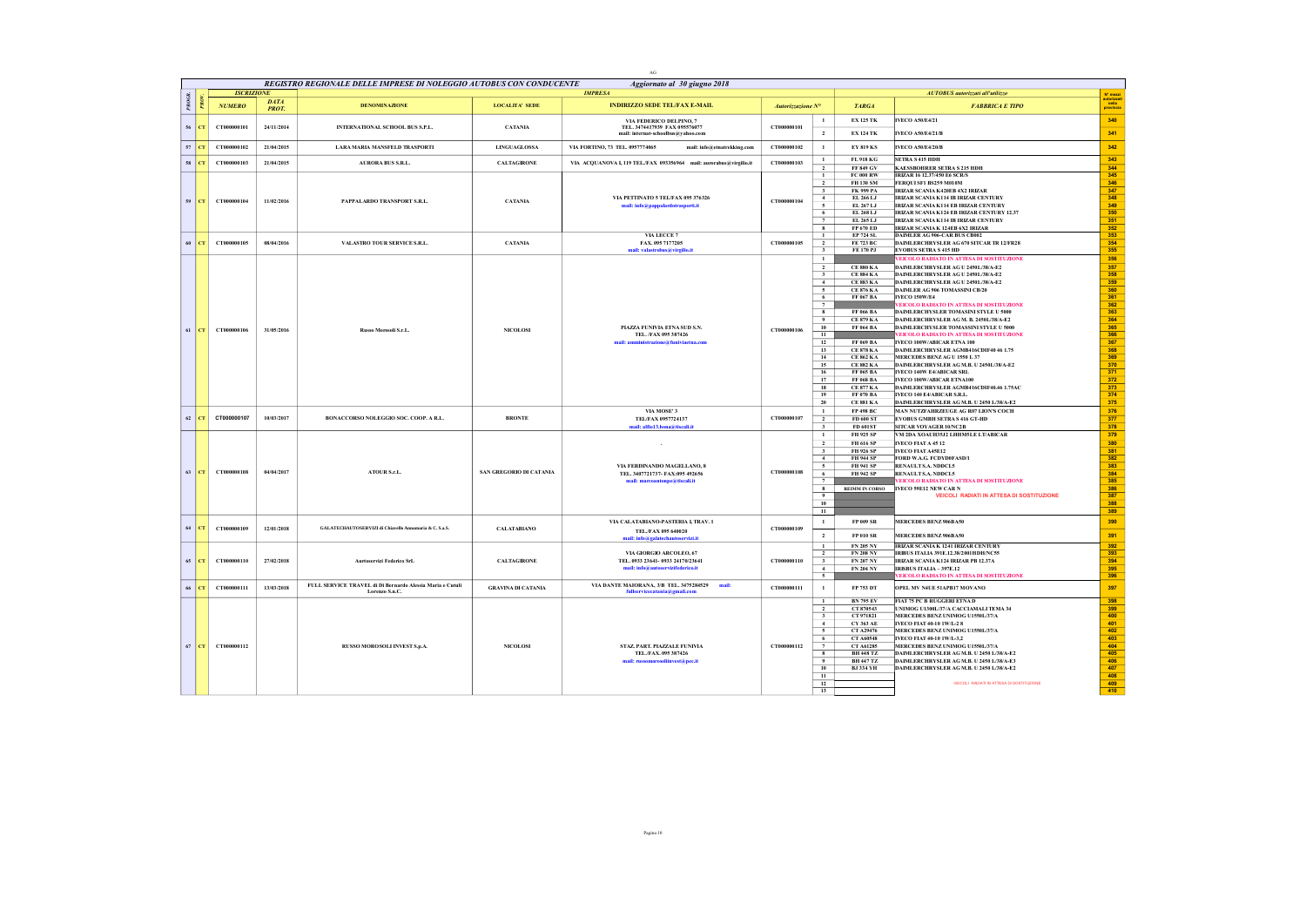|           |                   |                             |                                                                             |                           | AG                                                                                             |                   |                                           |                                      |                                                                                           |                    |
|-----------|-------------------|-----------------------------|-----------------------------------------------------------------------------|---------------------------|------------------------------------------------------------------------------------------------|-------------------|-------------------------------------------|--------------------------------------|-------------------------------------------------------------------------------------------|--------------------|
|           |                   |                             | REGISTRO REGIONALE DELLE IMPRESE DI NOLEGGIO AUTOBUS CON CONDUCENTE         |                           | Aggiornato al 30 giugno 2018                                                                   |                   |                                           |                                      |                                                                                           |                    |
|           | <b>ISCRIZIONE</b> |                             |                                                                             |                           | <b>IMPRESA</b>                                                                                 |                   |                                           |                                      | AUTOBUS autorizzati all'utilizzo                                                          | $N^*$ mezzi        |
| PROGR     | <b>NUMERO</b>     | <b>DATA</b><br><b>PROT.</b> | <b>DENOMINAZIONE</b>                                                        | <b>LOCALITA' SEDE</b>     | <b>INDIRIZZO SEDE TEL/FAX E-MAIL</b>                                                           | Autorizzazione N° |                                           | <b>TARGA</b>                         | <b>FABBRICA E TIPO</b>                                                                    | nella<br>provincia |
| 56<br>CT  | CT000000101       | 24/11/2014                  | INTERNATIONAL SCHOOL BUS S.P.L.                                             | <b>CATANIA</b>            | VIA FEDERICO DELPINO, 7<br>TEL. 3474417939 FAX 095576077<br>mail: internat-schoolbus@yahoo.com | CT000000101       | $\mathbf{1}$<br>$\overline{2}$            | <b>EX 125 TK</b><br><b>EX 124 TK</b> | <b>IVECO A50/E4/21</b><br><b>IVECO A50/E4/21/B</b>                                        | 340<br>341         |
| $57$ CT   | CT000000102       | 21/04/2015                  | <b>LARA MARIA MANSFELD TRASPORTI</b>                                        | <b>LINGUAGLOSSA</b>       | VIA FORTINO, 73 TEL. 0957774065<br>mail: info@etnatrekking.com                                 | CT000000102       | $\mathbf{1}$                              | <b>EY 819 KS</b>                     | <b>IVECO A50/E4/20/B</b>                                                                  | 342                |
|           |                   |                             |                                                                             |                           |                                                                                                |                   | $\mathbf{1}$                              | FL 918 KG                            | SETRA S 415 HDH                                                                           | 343                |
| $58$ $CT$ | CT000000103       | 21/04/2015                  | <b>AURORA BUS S.R.L.</b>                                                    | <b>CALTAGIRONE</b>        | VIA ACQUANOVA I, 119 TEL/FAX 093356964 mail: aurorabus@virgilio.it                             | CT000000103       | $\overline{2}$                            | <b>FF 849 GV</b>                     | <b>KAESSBOHRER SETRA S 215 HDH</b>                                                        | 344                |
|           |                   |                             |                                                                             |                           |                                                                                                |                   | -1<br>$\overline{2}$                      | <b>FC 000 RW</b>                     | IRIZAR 16 12.37/450 E6 SCR/S<br>FEROUI SF1 BS259 M010M                                    | 345                |
|           |                   |                             |                                                                             |                           |                                                                                                |                   | $\overline{\mathbf{3}}$                   | FH 130 SM<br><b>FK 999 PA</b>        | IRIZAR SCANIA K420EB 4X2 IRIZAR                                                           | 346<br>347         |
| 59 CT     | CT000000104       | 11/02/2016                  | PAPPALARDO TRANSPORT S.R.L.                                                 | <b>CATANIA</b>            | VIA PETTINATO 5 TEL/FAX 095 376326                                                             | CT000000104       | 4                                         | EL 266 LJ                            | IRIZAR SCANIA K114 IB IRIZAR CENTURY                                                      | 348                |
|           |                   |                             |                                                                             |                           | mail: info@pappalardotrasporti.it                                                              |                   | $\sim$                                    | EL 267 LJ                            | <b>IRIZAR SCANIA K114 EB IRIZAR CENTURY</b>                                               | 349                |
|           |                   |                             |                                                                             |                           |                                                                                                |                   | 6<br>$\overline{7}$                       | EL 268 LJ<br>EL 265 LJ               | IRIZAR SCANIA K124 EB IRIZAR CENTURY 12.37<br><b>IRIZAR SCANIA K114 IB IRIZAR CENTURY</b> | 350<br>351         |
|           |                   |                             |                                                                             |                           |                                                                                                |                   | 8                                         | FP 670 ED                            | IRIZAR SCANIA K 124EB 6X2 IRIZAR                                                          | 352                |
|           |                   |                             |                                                                             |                           | VIA LECCE 7                                                                                    |                   | $\mathbf{1}$                              | EP 724 SL                            | DAIMLER AG 906-CAR BUS CB002                                                              | 353                |
| $60$ $cr$ | CT000000105       | 08/04/2016                  | VALASTRO TOUR SERVICE S.R.L.                                                | <b>CATANIA</b>            | FAX. 095 7177205                                                                               | CT000000105       | $\overline{2}$                            | FE 723 BC                            | DAIMLERCHRYSLER AG 670 SITCAR TR 12/FR28                                                  | 354                |
|           |                   |                             |                                                                             |                           | mail: valastrobus@virgilio.it                                                                  |                   | $\mathbf{3}$<br>$\mathbf{1}$              | FE 170 PJ                            | <b>EVOBUS SETRA S 415 HD</b><br>VEICOLO RADIATO IN ATTESA DI SOSTITUZIONE                 | 355<br>356         |
|           |                   |                             |                                                                             |                           |                                                                                                |                   | $\overline{2}$                            | <b>CE 880 KA</b>                     | DAIMLERCHRYSLER AG U 2450L/38/A-E2                                                        | 357                |
|           |                   |                             |                                                                             |                           |                                                                                                |                   | $\overline{\mathbf{3}}$                   | <b>CE 884 KA</b>                     | DAIMLERCHRYSLER AG U 24501/38/A-F2                                                        | 358                |
|           |                   |                             |                                                                             |                           |                                                                                                |                   | $-4$                                      | <b>CE 883 KA</b>                     | DAIMLERCHRYSLER AG U 2450L/38/A-E2                                                        | 359                |
|           |                   |                             |                                                                             |                           |                                                                                                |                   | $\sqrt{5}$                                | <b>CE 876 KA</b>                     | DAIMLER AG 906 TOMASSINI CB/20                                                            | 360                |
|           |                   |                             |                                                                             |                           |                                                                                                |                   | 6<br>$\overline{7}$                       | FF 067 BA                            | IVECO 150W/E4<br><b>FEICOLO RADIATO IN ATTESA DI SOSTITUZIONE</b>                         | 361<br>362         |
|           |                   |                             |                                                                             |                           |                                                                                                |                   | $\mathbf{8}$                              | FF 066 BA                            | DAIMLERCHYSLER TOMASINI STYLE II 5000                                                     | 363                |
|           |                   |                             |                                                                             |                           |                                                                                                |                   | $\overline{9}$                            | <b>CE 879 KA</b>                     | DAIMLERCHRYSLER AG M. B. 2450L/38/A-E2                                                    | 364                |
| 61<br>CT  | CT000000106       | 31/05/2016                  | Russo Morosoli S.r.L.                                                       | <b>NICOLOSI</b>           | PIAZZA FUNIVIA ETNA SUD S.N.                                                                   | CT000000106       | 10 <sup>°</sup>                           | FF 064 BA                            | DAIMLERCHYSLER TOMASSINI STYLE U 5000                                                     | 365                |
|           |                   |                             |                                                                             |                           | TEL. /FAX 095 387426<br>ministrazione@funiviaetna.con                                          |                   | 11<br>12                                  | FF 069 BA                            | VEICOLO RADIATO IN ATTESA DI SOSTITUZIONE<br>IVECO 100W/ABICAR ETNA 100                   | 366<br>367         |
|           |                   |                             |                                                                             |                           |                                                                                                |                   | 13                                        | <b>CE 878 KA</b>                     | DAIMLERCHRYSLER AGMB416CDIF40 46 1.75                                                     | 368                |
|           |                   |                             |                                                                             |                           |                                                                                                |                   | 14                                        | <b>CE 862 KA</b>                     | MERCEDES BENZAGU 1550 L37                                                                 | 369                |
|           |                   |                             |                                                                             |                           |                                                                                                |                   | 15                                        | <b>CE 882 KA</b>                     | DAIMLERCHRYSLER AG M.B. U 2450L/38/A-E2                                                   | 370                |
|           |                   |                             |                                                                             |                           |                                                                                                |                   | 16<br>17                                  | FF 065 BA<br>FF 068 BA               | IVECO 140W E4/ABICAR SRL<br>IVECO 100W/ABICAR ETNA100                                     | 371<br>372         |
|           |                   |                             |                                                                             |                           |                                                                                                |                   | 18                                        | <b>CE 877 KA</b>                     | DAIMLERCHRYSLER AGMB416CDIF40.46 1.75AC                                                   | 373                |
|           |                   |                             |                                                                             |                           |                                                                                                |                   | 19                                        | FF 070 BA                            | IVECO 140 E4/ABICAR S.R.L.                                                                | 374                |
|           |                   |                             |                                                                             |                           |                                                                                                |                   | 20                                        | <b>CE 881 KA</b>                     | DAIMLERCHRYSLER AG M.B. U 2450 L/38/A-E2                                                  | 375                |
| 62<br>CT  | CT000000107       | 10/03/2017                  | BONACCORSO NOLEGGIO SOC. COOP. A R.L.                                       | <b>BRONTE</b>             | VIA MOSE' 3<br>TEL/FAX 0957724137                                                              | CT000000107       | $\mathbf{1}$<br>$\overline{2}$            | <b>FP 498 BC</b><br><b>FD 600 ST</b> | MAN NUTZFAHRZEUGE AG R07 LION'S COCH<br><b>EVORUS GMBH SETRAS 416 GT-HD</b>               | 376<br>377         |
|           |                   |                             |                                                                             |                           | mail: alfio13.bona@tiscali.it                                                                  |                   | $\mathbf{3}$                              | FD 601ST                             | SITCAR VOYAGER 10/NC2B                                                                    | 378                |
|           |                   |                             |                                                                             |                           |                                                                                                |                   | $\mathbf{1}$                              | <b>FH 925 SP</b>                     | VM 2DA XOAUH35J2 LHHM5LE LT/ABICAR                                                        | 379                |
|           |                   |                             |                                                                             |                           |                                                                                                |                   | $\overline{2}$                            | <b>FH 616 SP</b>                     | <b>IVECO FIAT A 45 12</b>                                                                 | 380                |
|           |                   |                             |                                                                             |                           |                                                                                                |                   | $\mathbf{3}$                              | FH 926 SP                            | <b>IVECO FIAT A45E12</b>                                                                  | 381                |
|           |                   |                             |                                                                             |                           | VIA FERDINANDO MAGELLANO, 8                                                                    |                   | $\overline{4}$<br>5                       | <b>FH 944 SP</b><br><b>FH 941 SP</b> | FORD W.A.G. FCDVD0FASD/1<br>RENAULT S.A. NDDCL5                                           | 382<br>383         |
| $63$ CT   | CT000000108       | 04/04/2017                  | ATOUR S.r.L.                                                                | SAN GREGORIO DI CATANIA   | TEL. 3407721737- FAX:095 492656                                                                | CT000000108       | 6                                         | FH 942 SP                            | RENAULT S.A. NDDCL5                                                                       | 384                |
|           |                   |                             |                                                                             |                           | mail: marcoantonpe@tiscali.it                                                                  |                   |                                           |                                      | VEICOLO RADIATO IN ATTESA DI SOSTITUZIONE                                                 | 385                |
|           |                   |                             |                                                                             |                           |                                                                                                |                   | 8<br>$\overline{9}$                       |                                      | REIMM IN CORSO IVECO 59E12 NEW CAR N<br><b>VEICOLI RADIATI IN ATTESA DI SOSTITUZIONE</b>  | 386<br>387         |
|           |                   |                             |                                                                             |                           |                                                                                                |                   | 10                                        |                                      |                                                                                           | 388                |
|           |                   |                             |                                                                             |                           |                                                                                                |                   | $\overline{11}$                           |                                      |                                                                                           | 389                |
|           |                   |                             |                                                                             |                           | VIA CALATABIANO-PASTERIA I, TRAV. 1                                                            |                   | $\mathbf{1}$                              | <b>FP 009 SR</b>                     | MERCEDES BENZ 906BA50                                                                     | 390                |
| 64 CT     | CT000000109       | 12/01/2018                  | GALATECHAUTOSERVIZI di Chiavello Annamaria & C. S.a.S.                      | <b>CALATABIANO</b>        | TEL./FAX 095 640020<br>mail: info@galatechautoservizi.it                                       | CT000000109       | $\overline{2}$                            | <b>FP 010 SR</b>                     | <b>MERCEDES BENZ 906BA50</b>                                                              | 391                |
|           |                   |                             |                                                                             |                           |                                                                                                |                   | $\overline{1}$                            | <b>FN 205 NY</b>                     | IRIZAR SCANIA K 1241 IRIZAR CENTURY                                                       | 392                |
|           |                   |                             |                                                                             |                           | VIA GIORGIO ARCOLEO, 67                                                                        |                   | $\overline{2}$                            | <b>FN 208 NY</b>                     | <b>IRIBUS ITALIA 391E.12.38/2001HDH/NC55</b>                                              | 393                |
| $65$ $CT$ | CT000000110       | 27/02/2018                  | Aurtoservizi Federico SrL                                                   | <b>CALTAGIRONE</b>        | TEL. 0933 23641-0933 24170/23641<br>mail: info@autoservizifederico.it                          | CT000000110       | $\overline{\mathbf{3}}$<br>$\overline{4}$ | <b>FN 207 NY</b><br><b>FN 204 NY</b> | IRIZAR SCANIA K124 IRIZAR PB 12.37A<br>IRISBUS ITALIA - 397E.12                           | 394<br>395         |
|           |                   |                             |                                                                             |                           |                                                                                                |                   | $\overline{5}$                            |                                      | EICOLO RADIATO IN ATTESA DI SOSTITUZIONE                                                  | 396                |
| 66<br>CT  | CT000000111       | 13/03/2018                  | FULL SERVICE TRAVEL di Di Bernardo Alessia Maria e Cutuli<br>Lorenzo S.n.C. | <b>GRAVINA DI CATANIA</b> | VIA DANTE MAIORANA, 3/B TEL. 3475284529<br>mail:<br>fullservicecatania@gmail.com               | CT000000111       | $\mathbf{1}$                              | FP 753 DT                            | OPEL MV N4UE 51APB17 MOVANO                                                               | 397                |
|           |                   |                             |                                                                             |                           |                                                                                                |                   | $\mathbf{1}$                              | <b>BN 795 EV</b>                     | FIAT 75 PC R RUGGERI ETNA D                                                               | 398                |
|           |                   |                             |                                                                             |                           |                                                                                                |                   | $\overline{2}$                            | CT 870543                            | UNIMOG U1300L/37/A CACCIAMALI TEMA 34<br>MERCEDES BENZ UNIMOG U1550L/37/A                 | 399<br>400         |
|           |                   |                             |                                                                             |                           |                                                                                                |                   | $\overline{\mathbf{3}}$<br>$\overline{4}$ | CT 971821<br>CY 363 AE               | IVECO FIAT 40-10 1W/L-28                                                                  | 401                |
|           |                   |                             |                                                                             |                           |                                                                                                |                   | $\sim$                                    | CT A29476                            | MERCEDES BENZ UNIMOG U1550L/37/A                                                          | 402                |
|           |                   |                             |                                                                             |                           |                                                                                                |                   | 6                                         | <b>CT A60548</b>                     | IVECO FIAT 40-10 1W/L-3,2                                                                 | 403                |
|           | 67 CT CT000000112 |                             | RUSSO MOROSOLI INVEST S.p.A.                                                | <b>NICOLOSI</b>           | STAZ, PART, PIAZZALE FUNIVIA                                                                   | CT000000112       | $\overline{7}$                            | <b>CT A61285</b>                     | MERCEDES BENZ UNIMOG U1550L/37/A                                                          | 404                |
|           |                   |                             |                                                                             |                           | TEL./FAX. 095 387426<br>mail: russomorosoliinvest@pec.it                                       |                   | $\bf{8}$<br>9                             | <b>RH 448 TZ</b><br><b>BH 447 TZ</b> | DAIMLERCHRYSLER AG M.B. U 2450 L/38/A-E2<br>DAIMLERCHRYSLER AG M.B. U 2450 L/38/A-E3      | 405<br>406         |
|           |                   |                             |                                                                             |                           |                                                                                                |                   | 10                                        | <b>BJ 334 YH</b>                     | DAIMLERCHRYSLER AG M.B. U 2450 L/38/A-E2                                                  | 407                |
|           |                   |                             |                                                                             |                           |                                                                                                |                   | 11                                        |                                      |                                                                                           | 408                |
|           |                   |                             |                                                                             |                           |                                                                                                |                   | 12<br>13                                  |                                      | VEICOLI RADIATI IN ATTESA DI SOSTITUZIONE                                                 | 409<br>410         |
|           |                   |                             |                                                                             |                           |                                                                                                |                   |                                           |                                      |                                                                                           |                    |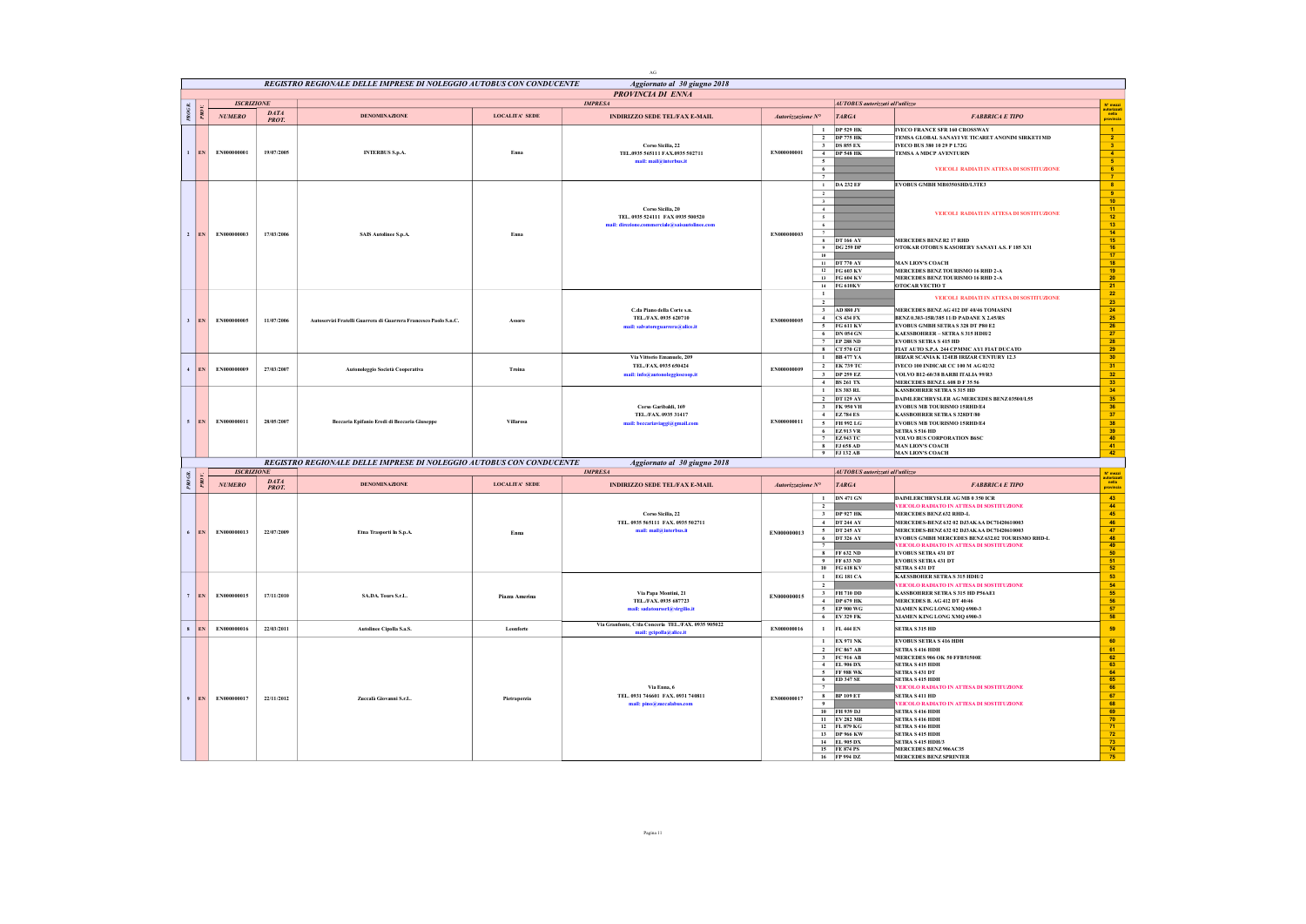|        |                       |                   |                     |                                                                     |                       | AG                                                                                                        |                                                                                                                                                                             |                                                                                                                                                                                                                                                                   |                                                                                                                                                                                                                                                                                                                                                                                                                                             |                                                                                                                                                                                                                              |
|--------|-----------------------|-------------------|---------------------|---------------------------------------------------------------------|-----------------------|-----------------------------------------------------------------------------------------------------------|-----------------------------------------------------------------------------------------------------------------------------------------------------------------------------|-------------------------------------------------------------------------------------------------------------------------------------------------------------------------------------------------------------------------------------------------------------------|---------------------------------------------------------------------------------------------------------------------------------------------------------------------------------------------------------------------------------------------------------------------------------------------------------------------------------------------------------------------------------------------------------------------------------------------|------------------------------------------------------------------------------------------------------------------------------------------------------------------------------------------------------------------------------|
|        |                       |                   |                     | REGISTRO REGIONALE DELLE IMPRESE DI NOLEGGIO AUTOBUS CON CONDUCENTE |                       | Aggiornato al 30 giugno 2018                                                                              |                                                                                                                                                                             |                                                                                                                                                                                                                                                                   |                                                                                                                                                                                                                                                                                                                                                                                                                                             |                                                                                                                                                                                                                              |
|        |                       | <b>ISCRIZIONE</b> |                     |                                                                     |                       | PROVINCIA DI ENNA<br><b>IMPRESA</b>                                                                       |                                                                                                                                                                             | AUTOBUS autorizzati all'utilizzo                                                                                                                                                                                                                                  |                                                                                                                                                                                                                                                                                                                                                                                                                                             | N" mozz                                                                                                                                                                                                                      |
| PROGR  |                       | NUMERO            | DATA<br>PROT.       | <b>DENOMINAZIONE</b>                                                | <b>LOCALITA' SEDE</b> | <b>INDIRIZZO SEDE TEL/FAX E-MAIL</b>                                                                      | Autorizzazione $N^{\circ}$                                                                                                                                                  | <b>TARGA</b>                                                                                                                                                                                                                                                      | <b>FABBRICA E TIPO</b>                                                                                                                                                                                                                                                                                                                                                                                                                      | nella<br>provincia                                                                                                                                                                                                           |
|        | EN                    | EN000000001       | 19/07/2005          | <b>INTERBUS S.p.A.</b>                                              | Enna                  | Corso Sicilia, 22<br>TEL.0935 565111 FAX.0935 502711<br>mail: mail@interbus.it                            | $\mathbf{1}$<br>$\overline{2}$<br>EN000000001<br>$\sqrt{5}$<br>6                                                                                                            | <b>DP 529 HK</b><br><b>DP 775 HK</b><br>3 DS 855 EX<br>4 DP 548 HK                                                                                                                                                                                                | <b>IVECO FRANCE SFR 160 CROSSWAY</b><br>TEMSA GLOBAL SANAYI VE TICARET ANONIM SIRKETI MD<br><b>IVECO BUS 380 10 29 P L72G</b><br>TEMSA A MDCP AVENTURIN<br>VEICOLI RADIATI IN ATTESA DI SOSTITUZIONE                                                                                                                                                                                                                                        | $\vert 1 \rangle$<br>$\frac{2}{3}$<br>$\frac{4}{5}$<br>6 <sup>2</sup>                                                                                                                                                        |
|        |                       |                   |                     |                                                                     |                       |                                                                                                           | $\overline{\tau}$<br>$\mathbf{1}$                                                                                                                                           | <b>DA 232 EF</b>                                                                                                                                                                                                                                                  | EVOBUS GMBH MB0350SHD/L3TE3                                                                                                                                                                                                                                                                                                                                                                                                                 | $\overline{7}$<br>8 <sub>1</sub>                                                                                                                                                                                             |
|        | $\overline{2}$<br>EN  | EN000000003       | 17/03/2006          | <b>SAIS Autolinee S.p.A.</b>                                        | Enna                  | Corso Sicilia, 20<br>TEL. 0935 524111 FAX 0935 500520<br>mail: direzione commerciale@saisant<br>linee.com | $\overline{2}$<br>$\overline{\mathbf{3}}$<br>$\,$ 4 $\,$<br>$\overline{\phantom{a}}$<br>6<br>$\overline{7}$<br>EN000000003<br>10                                            | 8 DT 166 AY<br>9 DG 259 DP<br>11 DT 770 AY<br>12 FG 603 KV<br>13 FG 604 KV<br>14 FG 610KV                                                                                                                                                                         | VEICOLI RADIATI IN ATTESA DI SOSTITUZIONE<br>MERCEDES BENZ R2 17 RHD<br>OTOKAR OTOBUS KASORERY SANAYI A.S. F 185 X31<br><b>MAN LION'S COACH</b><br>MERCEDES BENZ TOURISMO 16 RHD 2-A<br>MERCEDES BENZ TOURISMO 16 RHD 2-A<br>OTOCAR VECTIO T                                                                                                                                                                                                | $\overline{\phantom{a}}$<br>$-10$<br>$\begin{array}{c} \hline 11 \\ 12 \end{array}$<br>$-13$<br>$\frac{18}{15}$<br>$16 -$<br>17 <sub>1</sub><br>$-18$<br>$\begin{array}{ c c }\n\hline\n19 \\ \hline\n20\n\end{array}$<br>21 |
|        | 3 <sup>1</sup><br>EN. | EN000000005       | 11/07/2006          | Autoservizi Fratelli Guarrera di Guarrera Francesco Paolo S.n.C.    | Assore                | C.da Piano della Corte s.n.<br>TEL./FAX.0935 620710<br>nail: salvatoreguarrera@alice.it                   | $\mathbf{1}$<br>$\overline{2}$<br>EN000000005<br>6                                                                                                                          | 3 AD 880 JY<br>$4$ CS 434 FX<br>5 FG 611 KV<br><b>DN 054 GN</b><br>7 EP 288 ND<br>8 CT 570 GT                                                                                                                                                                     | VEICOLI RADIATI IN ATTESA DI SOSTITUZIONE<br>MERCEDES BENZ AG 412 DE 40/46 TOMASINI<br>BENZ 0.303-15R/385 11/D PADANE X 2.45/RS<br>EVOBUS GMBH SETRAS 328 DT P80 E2<br>KAESSROHRER - SETRA S 315 HDH/2<br><b>EVOBUS SETRA S 415 HD</b><br>FIAT AUTO S.P.A 244 CPMMC AY1 FIAT DUCATO                                                                                                                                                         | 22<br>23<br>24<br>25<br>26<br>27<br>28<br>29                                                                                                                                                                                 |
|        | $\overline{4}$<br>EN  | EN000000009       | 27/03/2007          | Autonoleggio Società Cooperativa                                    | Troing                | Via Vittorio Emanuele, 209<br>TEL./FAX.0935 650424<br>mail: info@autonoleggioscoop.i                      | $\mathbf{1}$<br>EN000000009                                                                                                                                                 | <b>BB 477 YA</b><br>$2$ EK 739 TC<br>3 DP 259 EZ<br>4 BS 261 TX                                                                                                                                                                                                   | IRIZAR SCANIA K 124EB IRIZAR CENTURY 12.3<br>IVECO 100 INDICAR CC 100 M AG 02/32<br>VOLVO B12-60/38 BARBI ITALIA 99/R3<br>MERCEDES BENZL 608 D F 35 56                                                                                                                                                                                                                                                                                      | 30 <sub>2</sub><br>31<br>32<br>33                                                                                                                                                                                            |
|        | 5<br>EN               | EN000000011       | 28/05/2007          | Beccaria Epifanio Eredi di Beccaria Giuseppe                        | Villarosa             | Corso Garibaldi, 169<br>TEL./FAX.0935 31417<br>mail: beccariaviaggi@gmail.com                             | $\mathbf{1}$<br>EN000000011<br>5<br>$\mathbf{g}$                                                                                                                            | <b>ES 383 RL</b><br>2 DT 129 AY<br>3 FK 950 VH<br>4 EZ 784 ES<br>FH 992 LG<br>6 EZ913 VR<br>7 EZ943 TC<br><b>FJ 658 AD</b>                                                                                                                                        | <b>KASSBOHRER SETRA S 315 HD</b><br>DAIMLERCHRYSLER AG MERCEDES BENZ 03500/L55<br><b>EVOBUS MB TOURISMO 15RHD/E4</b><br><b>KASSBOHRER SETRA S 328DT/80</b><br>EVOBUS MB TOURISMO 15RHD/E4<br>SETRA S 516 HD<br>VOLVO BUS CORPORATION B6SC<br><b>MAN LION'S COACH</b>                                                                                                                                                                        | 34 <sub>1</sub><br>35<br>36<br>37 <sup>°</sup><br>38<br>39<br>40<br>$-41$                                                                                                                                                    |
|        |                       |                   |                     | REGISTRO REGIONALE DELLE IMPRESE DI NOLEGGIO AUTOBUS CON CONDUCENTE |                       | Aggiornato al 30 giugno 2018                                                                              |                                                                                                                                                                             | 9 FJ 132 AB                                                                                                                                                                                                                                                       | <b>MAN LION'S COACH</b>                                                                                                                                                                                                                                                                                                                                                                                                                     | 42                                                                                                                                                                                                                           |
|        |                       | <b>ISCRIZIONE</b> |                     |                                                                     |                       | <b>IMPRESA</b>                                                                                            |                                                                                                                                                                             | AUTOBUS autorizzati all'utilizzo                                                                                                                                                                                                                                  |                                                                                                                                                                                                                                                                                                                                                                                                                                             | N° mezz                                                                                                                                                                                                                      |
| PROGR. | DМ                    | NUMERO            | DATA<br><b>PROT</b> | <b>DENOMINAZIONE</b>                                                | LOCALITA' SEDE        | <b>INDIRIZZO SEDE TEL/FAX E-MAIL</b>                                                                      | Autorizzazione N°                                                                                                                                                           | <b>TARGA</b>                                                                                                                                                                                                                                                      | <b>FABBRICA E TIPO</b>                                                                                                                                                                                                                                                                                                                                                                                                                      | autorizzat<br>nella<br>provincia                                                                                                                                                                                             |
|        | 6<br>EN               | EN000000013       | 22/07/2009          | Etna Trasporti In S.p.A.                                            | Enna                  | Corso Sicilia, 22<br>TEL. 0935 565111 FAX. 0935 502711<br>mail: mail@interbus.it                          | $\mathbf{1}$<br>$\overline{2}$<br>3<br>$\sim$<br>$\overline{\phantom{a}}$<br>EN000000013<br>6<br>$\overline{7}$<br>$\overline{9}$<br>10                                     | <b>DN 471 GN</b><br><b>DP 927 HK</b><br><b>DT 244 AY</b><br><b>DT 245 AY</b><br>DT 326 AY<br>8 FF 632 ND<br>FF 633 ND<br>$G$ 618 KV                                                                                                                               | <b>DAIMLERCHRYSLER AG MB 0 350 ICR</b><br>VEICOLO RADIATO IN ATTESA DI SOSTITUZIONE<br><b>MERCEDES BENZ 632 RHD-L</b><br>MERCEDES-BENZ 632 02 DJ3AKAA DC7I420610003<br>MERCEDES-BENZ 632 02 DJ3AKAA DC7I420610003<br>EVOBUS GMBH MERCEDES BENZ 632.02 TOURISMO RHD-L<br>VEICOLO RADIATO IN ATTESA DI SOSTITUZIONE<br><b>EVOBUS SETRA 431 DT</b><br><b>EVOBUS SETRA 431 DT</b><br><b>SETRA S 431 DT</b>                                      | 43<br>$-44$<br>45<br>46<br>$-47$<br>48<br>49<br>50 <sub>2</sub><br>$-51$<br>52                                                                                                                                               |
|        | EN.                   | EN000000015       | 17/11/2010          | SA.DA. Tours S.r.L.                                                 | Piazza Amerina        | Via Papa Montini, 21<br>TEL./FAX. 0935 687723<br>mail: sadatourssrl@virgilio.it                           | $\mathbf{1}$<br>$\overline{2}$<br>$\mathbf{3}$<br>EN000000015<br>$\,$ 4 $\,$<br>5<br>6 <sup>2</sup>                                                                         | <b>EG 181 CA</b><br>FH 710 DD<br><b>DP 679 HK</b><br><b>EP 900 WG</b><br><b>EV 329 FK</b>                                                                                                                                                                         | <b>KAESSBOHER SETRA S 315 HDH/2</b><br>VEICOLO RADIATO IN ATTESA DI SOSTITUZIONE<br><b>KASSBOHRER SETRA S 315 HD P56AE1</b><br>MERCEDES B. AG 412 DT 40/46<br>XIAMEN KING LONG XMO 6900-3<br>XIAMEN KING LONG XMQ 6900-3                                                                                                                                                                                                                    | 53<br>54<br>55<br>56<br>57<br>58                                                                                                                                                                                             |
|        | <b>EN</b>             | EN000000016       | 22/03/2011          | <b>Autolinee Cipolla S.a.S.</b>                                     | Leonforte             | Via Granfonte, C/da Conceria TEL./FAX. 0935 905022<br>mail: gcipolla@alice.it                             | EN000000016<br>$\mathbf{1}$                                                                                                                                                 | <b>FL 444 EN</b>                                                                                                                                                                                                                                                  | SETRA S 315 HD                                                                                                                                                                                                                                                                                                                                                                                                                              | 59                                                                                                                                                                                                                           |
|        |                       | EN000000017       | 22/11/2012          | Zuccalà Giovanni S.r.L.                                             | Pietraperzia          | Via Enna, 6<br>TEL. 0931 746601 FAX. 0931 740811<br>mail: pino@zuccalabus.com                             | $\mathbf{1}$<br>$\overline{2}$<br>$\overline{\mathbf{3}}$<br>$\sim$ 4<br>$5 -$<br>6<br>$\overline{7}$<br>$\bf{8}$<br>EN000000017<br>$\overline{9}$<br>$\overline{11}$<br>12 | <b>EX 971 NK</b><br><b>FC 867 AB</b><br><b>FC 916 AB</b><br><b>EL. 906 DX</b><br><b>FF 988 WK</b><br><b>ED 347 SE</b><br><b>BP 109 ET</b><br>10 FH 939 D.I<br><b>EV 282 MR</b><br><b>L 879 KG</b><br>13 DP 966 KW<br>14 EL 905 DX<br>15 FE 874 PS<br>16 FP 994 DZ | <b>EVOBUS SETRA S 416 HDH</b><br>SETRA S 416 HDH<br>MERCEDES 906 OK 50 FFB51500E<br>SETRA S 415 HDH<br><b>SETRA S 431 DT</b><br><b>SETRA S 415 HDH</b><br>VEICOLO RADIATO IN ATTESA DI SOSTITUZIONE<br>SETRA S 411 HD<br>VEICOLO RADIATO IN ATTESA DI SOSTITUZIONE<br><b>SETRA S 416 HDH</b><br><b>SETRA S 416 HDH</b><br>SETRA S 416 HDH<br><b>SETRA S 415 HDH</b><br>SETRA S 415 HDH/3<br>MERCEDES BENZ 906AC35<br>MERCEDES BENZ SPRINTER | 60<br>61<br>62<br>$\begin{array}{c} 63 \\ 64 \end{array}$<br>65<br>66<br>67<br>68<br>69<br>70<br>71<br>72<br>73<br>74<br>75                                                                                                  |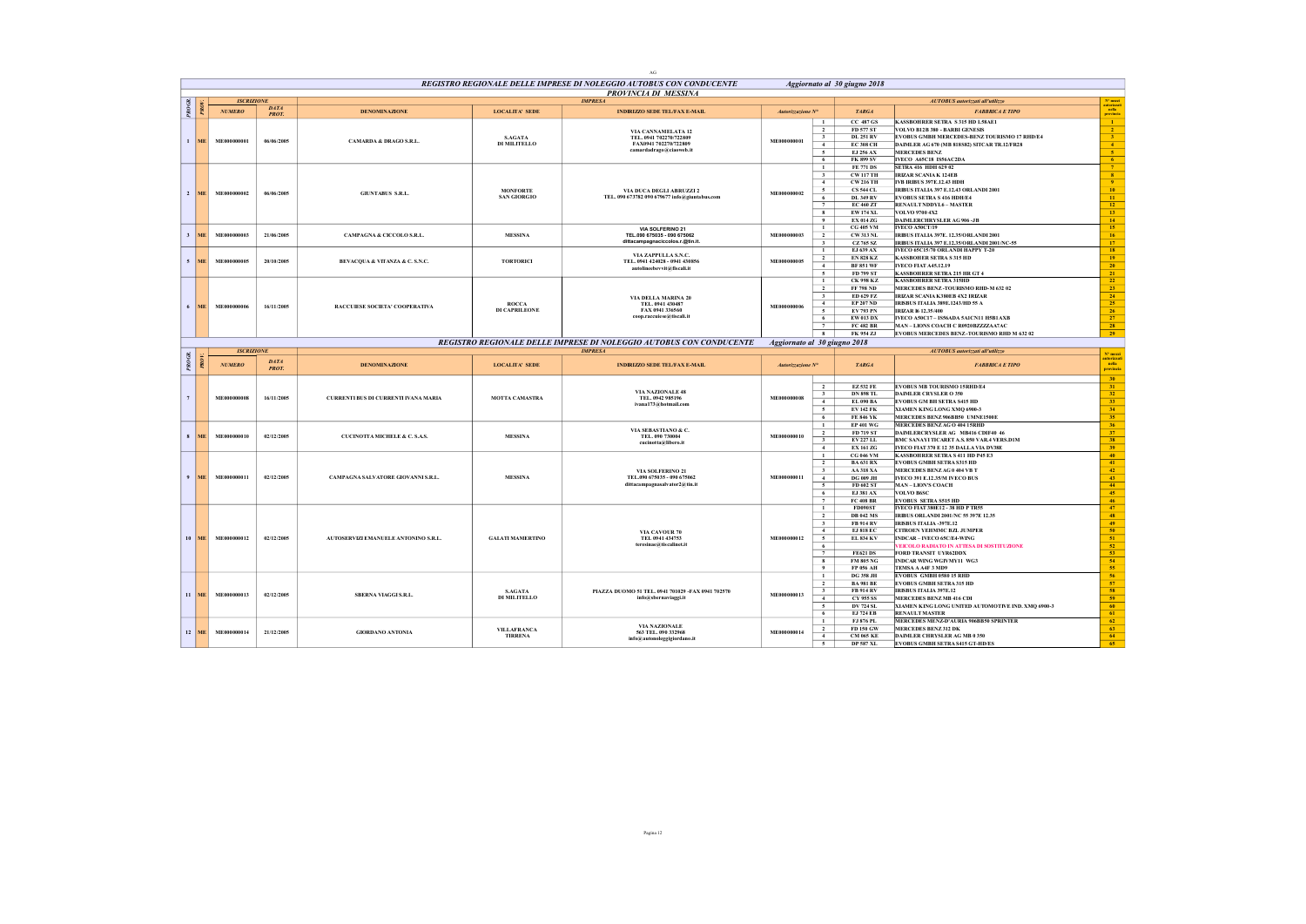|                         |                 |                   |                             |                                      |                         | $\Delta G$                                                                            |                              |                                           |                                      |                                                                                        |                                                             |
|-------------------------|-----------------|-------------------|-----------------------------|--------------------------------------|-------------------------|---------------------------------------------------------------------------------------|------------------------------|-------------------------------------------|--------------------------------------|----------------------------------------------------------------------------------------|-------------------------------------------------------------|
|                         |                 |                   |                             |                                      |                         | REGISTRO REGIONALE DELLE IMPRESE DI NOLEGGIO AUTOBUS CON CONDUCENTE                   |                              |                                           | Aggiornato al 30 giugno 2018         |                                                                                        |                                                             |
|                         |                 | <b>ISCRIZIONE</b> |                             |                                      |                         | PROVINCIA DI MESSINA<br><b>IMPRESA</b>                                                |                              |                                           |                                      | <b>AUTOBUS</b> autorizzati all'utilizzo                                                |                                                             |
|                         |                 | <b>NUMERO</b>     | DATA                        | <b>DENOMINAZIONE</b>                 | <b>LOCALITA' SEDE</b>   | <b>INDIRIZZO SEDE TEL/FAX E-MAIL</b>                                                  | Autorizzazione Nº            |                                           | <b>TARGA</b>                         | <b>FABBRICA E TIPO</b>                                                                 | $N^0$ mazi<br>utorizza<br>-<br>- milia                      |
| š                       |                 |                   | PROT.                       |                                      |                         |                                                                                       |                              |                                           |                                      |                                                                                        |                                                             |
|                         |                 |                   |                             |                                      |                         |                                                                                       |                              | $\mathbf{1}$<br>$\overline{2}$            | $CC$ 487 $GS$<br>FD 577 ST           | KASSBOHRER SETRA S315 HD L58AE1<br>VOLVO B12B 380 - BARBI GENESIS                      | $\mathbf{1}$                                                |
|                         |                 |                   |                             |                                      | <b>S.AGATA</b>          | VIA CANNAMELATA 12<br>TEL. 0941 702270/722809                                         |                              | $\overline{\mathbf{3}}$                   | <b>DL 251 RV</b>                     | EVOBUS GMBH MERCEDES-BENZ TOURISMO 17 RHD/E4                                           | $\frac{2}{3}$                                               |
|                         | $1$ ME          | ME000000001       | 06/06/2005                  | <b>CAMARDA &amp; DRAGO S.R.L.</b>    | DI MILITELLO            | FAX0941 702270/722809                                                                 | ME000000001                  | $\overline{4}$                            | <b>EC 308 CH</b>                     | DAIMLER AG 670 (MB 818S82) SITCAR TR.12/FR28                                           | $\overline{4}$                                              |
|                         |                 |                   |                             |                                      |                         | camardadrago@ciaoweb.it                                                               |                              | $\overline{5}$                            | EJ 256 AX                            | <b>MERCEDES BENZ</b>                                                                   | $\overline{5}$                                              |
|                         |                 |                   |                             |                                      |                         |                                                                                       |                              | 6<br>$\mathbf{1}$                         | <b>FK 899 SV</b><br><b>FE 771 DS</b> | IVECO A65C18 IS56AC2DA<br>SETRA 416 HDH 629 02                                         | $-6$<br>$-7$                                                |
|                         |                 |                   |                             |                                      |                         |                                                                                       |                              | $\overline{\mathbf{3}}$                   | <b>CW117 TH</b>                      | <b>IRIZAR SCANIA K 124EB</b>                                                           | 8 <sub>1</sub>                                              |
|                         |                 |                   |                             |                                      |                         |                                                                                       |                              | $\sim$                                    | <b>CW 216 TH</b>                     | <b>IVB IRIBUS 397E.12.43 HDH</b>                                                       | $\frac{9}{10}$                                              |
|                         | $2$ ME          | ME000000002       | 06/06/2005                  | <b>GIUNTABUS S.R.L.</b>              | <b>MONFORTE</b>         | VIA DUCA DEGLI ABRUZZI 2                                                              | ME000000002                  | 5                                         | <b>CS 544 CL</b>                     | IRIBUS ITALIA 397 E.12.43 ORLANDI 2001                                                 |                                                             |
|                         |                 |                   |                             |                                      | <b>SAN GIORGIO</b>      | TEL. 090 673782 090 679677 info@giuntabus.com                                         |                              | 6                                         | <b>DL 349 RV</b>                     | <b>EVOBUS SETRA S 416 HDH/E4</b>                                                       | $\,$ 11 $\,$                                                |
|                         |                 |                   |                             |                                      |                         |                                                                                       |                              | 7<br>8                                    | <b>EC 460 ZT</b><br><b>EW174 XL</b>  | <b>RENAULT NDDYL6 - MASTER</b><br>VOLVO 9700 4X2                                       | 12 <sub>12</sub><br>13                                      |
|                         |                 |                   |                             |                                      |                         |                                                                                       |                              | $\bullet$                                 | <b>EX 014 ZG</b>                     | <b>DAIMLERCHRYSLER AG 906 -JB</b>                                                      | 14                                                          |
|                         |                 |                   |                             |                                      |                         | VIA SOLFERINO 21                                                                      |                              | $\mathbf{1}$                              | <b>CG 405 VM</b>                     | <b>IVECO A50CT/19</b>                                                                  | $15\,$                                                      |
| $\overline{\mathbf{3}}$ | ME.             | ME000000003       | 21/06/2005                  | CAMPAGNA & CICCOLO S.R.L.            | <b>MESSINA</b>          | TEL.090 675035 - 090 675062<br>dittacampagnaciccolos.r.@tin.it.                       | ME000000003                  | $\overline{2}$                            | <b>CW313 NL</b>                      | IRIBUS ITALIA 397E. 12.35/ORLANDI 2001                                                 | 16                                                          |
|                         |                 |                   |                             |                                      |                         |                                                                                       |                              | $\mathbf{3}$<br>$\mathbf{1}$              | CZ 765 SZ<br>EJ 639 AX               | IRIBUS ITALIA 397 E.12.35/ORLANDI 2001/NC-55<br>IVECO 65C15/70 ORLANDI HAPPY T-20      | 17 <sup>2</sup><br>18                                       |
|                         |                 |                   |                             |                                      |                         | VIA ZAPPULLA S.N.C.                                                                   |                              | $\overline{2}$                            | <b>EN 828 KZ</b>                     | <b>KASSBOHER SETRA S 315 HD</b>                                                        | 19                                                          |
|                         | $5$ ME          | ME000000005       | 20/10/2005                  | BEVACQUA & VITANZA & C. S.N.C.       | <b>TORTORICI</b>        | TEL. 0941 424028 - 0941 430856<br>autolineebevvit@fiscali.it                          | ME000000005                  | $\sim$                                    | <b>BF 851 WF</b>                     | <b>IVECO FIAT A45.12.19</b>                                                            | 20                                                          |
|                         |                 |                   |                             |                                      |                         |                                                                                       |                              | $\overline{5}$                            | FD 799 ST                            | <b>KASSBOHRER SETRA 215 HR GT 4</b>                                                    | $\overline{21}$                                             |
|                         |                 |                   |                             |                                      |                         |                                                                                       |                              | $\mathbf{1}$                              | <b>CK 998 KZ</b>                     | <b>KASSBOHRER SETRA 315HD</b>                                                          | $\overline{22}$                                             |
|                         |                 |                   |                             |                                      |                         |                                                                                       |                              | $\overline{2}$<br>$\overline{\mathbf{3}}$ | <b>FF 798 ND</b><br>ED 629 FZ        | MERCEDES BENZ-TOURISMO RHD-M 632 02<br>IRIZAR SCANIA K380EB 4X2 IRIZAR                 | $\overline{23}$<br>$-24$                                    |
|                         |                 |                   |                             |                                      | <b>ROCCA</b>            | VIA DELLA MARINA 20<br>TEL. 0941 430487                                               |                              | 4                                         | <b>EP 207 ND</b>                     | IRISBUS ITALIA 389E.1243/HD 55 A                                                       | 25                                                          |
| 6                       | <b>ME</b>       | ME000000006       | 16/11/2005                  | RACCUIESE SOCIETA' COOPERATIVA       | DI CAPRILEONE           | FAX 0941 336560                                                                       | ME000000006                  | $\sim$                                    | EV 793 PN                            | <b>IRIZAR I6 12.35/400</b>                                                             | $\frac{26}{27}$                                             |
|                         |                 |                   |                             |                                      |                         | coop.raccuiese@tiscali.it                                                             |                              | 6                                         | EW 013 DX                            | IVECO A50C17 - IS56ADA 5A1CN11 H5B1 AXB                                                |                                                             |
|                         |                 |                   |                             |                                      |                         |                                                                                       |                              | 7                                         | <b>FC 482 BR</b>                     | MAN-LIONS COACH C R0920BZZZZAA7AC                                                      | 28                                                          |
|                         |                 |                   |                             |                                      |                         |                                                                                       |                              | 8                                         | FK 954 ZJ                            | EVOBUS MERCEDES BENZ-TOURISMO RHD M 632 02                                             | 29                                                          |
|                         |                 | <b>ISCRIZIONE</b> |                             |                                      |                         | REGISTRO REGIONALE DELLE IMPRESE DI NOLEGGIO AUTOBUS CON CONDUCENTE<br><b>IMPRESA</b> | Aggiornato al 30 giugno 2018 |                                           |                                      | <b>AUTOBUS</b> autorizzati all'utilizzo                                                |                                                             |
| PR OGR.                 |                 |                   |                             |                                      |                         |                                                                                       |                              |                                           |                                      |                                                                                        | N° mezz                                                     |
|                         |                 |                   |                             |                                      |                         |                                                                                       |                              |                                           |                                      |                                                                                        |                                                             |
|                         |                 | <b>NUMERO</b>     | <b>DATA</b><br><b>PROT.</b> | <b>DENOMINAZIONE</b>                 | <b>LOCALITA' SEDE</b>   | <b>INDIRIZZO SEDE TEL/FAX E-MAIL</b>                                                  | Autorizzazione Nº            |                                           | <b>TARGA</b>                         | <b>FABBRICA E TIPO</b>                                                                 |                                                             |
|                         |                 |                   |                             |                                      |                         |                                                                                       |                              |                                           |                                      |                                                                                        | provinci                                                    |
|                         |                 |                   |                             |                                      |                         |                                                                                       |                              |                                           |                                      |                                                                                        | 30                                                          |
|                         |                 |                   |                             |                                      |                         | VIA NAZIONALE 48                                                                      |                              | $\overline{2}$<br>$\overline{\mathbf{3}}$ | <b>EZ532 FE</b><br><b>DN 898 TL</b>  | <b>EVOBUS MB TOURISMO 15RHD/E4</b><br><b>DAIMLER CRYSLER O 350</b>                     | 31<br>32                                                    |
|                         |                 | ME000000008       | 16/11/2005                  | CURRENTI BUS DI CURRENTI IVANA MARIA | <b>MOTTA CAMASTRA</b>   | TEL. 0942 985196<br>ivana173@hotmail.com                                              | ME000000008                  | $\sim$                                    | EL 090 BA                            | <b>EVOBUS GM BH SETRA S415 HD</b>                                                      | 33                                                          |
|                         |                 |                   |                             |                                      |                         |                                                                                       |                              | $\overline{\phantom{0}}$                  | <b>EV142 FK</b>                      | XIAMEN KING LONG XMQ 6900-3                                                            | 34                                                          |
|                         |                 |                   |                             |                                      |                         |                                                                                       |                              | 6                                         | <b>FE 846 YK</b>                     | MERCEDES BENZ 906BB50 UMNE1500E                                                        | 35                                                          |
|                         |                 |                   |                             |                                      |                         | VIA SEBASTIANO & C.                                                                   |                              | $\mathbf{1}$<br>$\overline{2}$            | <b>EP 401 WG</b><br>FD 719 ST        | MERCEDES BENZAGO 404 15RHD<br>DAIMLERCRYSLER AG MR416 CDIE40 46                        | 36                                                          |
|                         | $8$ MF          | ME000000010       | 02/12/2005                  | CUCINOTTA MICHELE & C. S.A.S.        | <b>MESSINA</b>          | TEL. 090 730004                                                                       | ME000000010                  | $\overline{\mathbf{3}}$                   | EV 227 LL                            | BMC SANAYI TICARET A.S. 850 VAR.4 VERS.D1M                                             | 37<br>38                                                    |
|                         |                 |                   |                             |                                      |                         | cucinotta@libero.it                                                                   |                              | $\overline{4}$                            | <b>EX 161 ZG</b>                     | IVECO FIAT 370 E 12 35 DALLA VIA DV38E                                                 | 39                                                          |
|                         |                 |                   |                             |                                      |                         |                                                                                       |                              | $\overline{1}$                            | <b>CG 046 VM</b>                     | KASSBOHRER SETRA S 411 HD P45 E3                                                       | 40                                                          |
|                         |                 |                   |                             |                                      |                         |                                                                                       |                              | $\overline{2}$                            | <b>BA 631 RX</b>                     | <b>EVOBUS GMBH SETRA S315 HD</b>                                                       | $-41$                                                       |
| 9                       | <b>ME</b>       | ME000000011       | 02/12/2005                  | CAMPAGNA SALVATORE GIOVANNI S.R.L.   | <b>MESSINA</b>          | VIA SOLFERINO 21<br>TEL.090 675035 - 090 675062                                       | ME000000011                  | $\overline{\mathbf{3}}$<br>4              | <b>AA318 XA</b><br><b>DG 009 JH</b>  | MERCEDES BENZAG 0 404 VB T<br><b>IVECO 391 E.12.35/M IVECO BUS</b>                     | $\frac{42}{43}$                                             |
|                         |                 |                   |                             |                                      |                         | dittacampagnasalvator2@tin.it                                                         |                              | 5                                         | FD 602 ST                            | <b>MAN-LION'S COACH</b>                                                                | 44                                                          |
|                         |                 |                   |                             |                                      |                         |                                                                                       |                              | 6                                         | EJ 381 AX                            | <b>VOLVO B6SC</b>                                                                      | 45                                                          |
|                         |                 |                   |                             |                                      |                         |                                                                                       |                              | $\overline{7}$                            | <b>FC 408 BR</b>                     | <b>EVOBUS SETRA S515 HD</b>                                                            | 46                                                          |
|                         |                 |                   |                             |                                      |                         |                                                                                       |                              | $\mathbf{1}$<br>$\overline{2}$            | <b>FD090ST</b><br><b>DB 042 MS</b>   | <b>IVECO FIAT 380E12 - 38 HD P TR55</b><br><b>IRIBUS ORLANDI 2001/NC 55 397E 12.35</b> | 47<br>48                                                    |
|                         |                 |                   |                             |                                      |                         |                                                                                       |                              | $\overline{\mathbf{3}}$                   | <b>FB 914 RV</b>                     | <b>IRISBUS ITALIA -397E.12</b>                                                         | 49                                                          |
|                         |                 |                   |                             |                                      |                         | VIA CAVOUR 70                                                                         |                              | 4                                         | <b>EJ 818 EC</b>                     | CITROEN YEHMMC BZL JUMPER                                                              |                                                             |
| 10                      | ME <sup>1</sup> | ME000000012       | 02/12/2005                  | AUTOSERVIZI EMANUELE ANTONINO S.R.L. | <b>GALATI MAMERTINO</b> | TEL 0941 434753                                                                       | ME000000012                  | $\overline{5}$                            | EL 834 KV                            | INDCAR - IVECO 65C/E4-WING                                                             |                                                             |
|                         |                 |                   |                             |                                      |                         | teresinae@tiscalinet.it                                                               |                              | 6                                         |                                      | EICOLO RADIATO IN ATTESA DI SOSTITUZIONE                                               | $\begin{array}{r} 50 \\ \hline 51 \\ \hline 52 \end{array}$ |
|                         |                 |                   |                             |                                      |                         |                                                                                       |                              | $\overline{7}$<br>$\overline{\mathbf{8}}$ | <b>FE621DS</b><br><b>FM 805 NG</b>   | FORD TRANSIT UYR62DDX<br><b>INDCAR WING WGIVMY11 WG3</b>                               |                                                             |
|                         |                 |                   |                             |                                      |                         |                                                                                       |                              | $\overline{9}$                            | FP 056 AH                            | TEMSA A A4F 3 MD9                                                                      | $\frac{53}{54}$<br>55                                       |
|                         |                 |                   |                             |                                      |                         |                                                                                       |                              | $\mathbf{1}$                              | <b>DG 358 JH</b>                     | <b>EVOBUS GMBH 0580 15 RHD</b>                                                         | 56                                                          |
|                         |                 |                   |                             |                                      |                         |                                                                                       |                              | $\overline{2}$                            | <b>BA 981 BE</b>                     | <b>EVOBUS GMBH SETRA315 HD</b>                                                         | $\sqrt{57}$                                                 |
|                         | $11$ ME         | ME000000013       | 02/12/2005                  | SBERNA VIAGGI S.R.L.                 | <b>S.AGATA</b>          | PIAZZA DUOMO 51 TEL. 0941 701029 -FAX 0941 702570                                     | ME000000013                  | $\overline{\mathbf{3}}$                   | <b>FB 914 RV</b>                     | <b>IRISBUS ITALIA 397E.12</b>                                                          |                                                             |
|                         |                 |                   |                             |                                      | <b>DI MILITELLO</b>     | info@sbernaviaggi.it                                                                  |                              | 4                                         | <b>CY 955 SS</b>                     | <b>MERCEDES BENZ MB 416 CDI</b>                                                        | $\frac{58}{59}$                                             |
|                         |                 |                   |                             |                                      |                         |                                                                                       |                              | 5<br>6                                    | <b>DV 724 SL</b><br><b>EJ 724 EB</b> | XIAMEN KING LONG UNITED AUTOMOTIVE IND. XMQ 6900-3<br><b>RENAULT MASTER</b>            | 60<br>61                                                    |
|                         |                 |                   |                             |                                      |                         |                                                                                       |                              | $\mathbf{1}$                              | FJ 876 PL                            | MERCEDES MENZ-D'AURIA 906BB50 SPRINTER                                                 | 62                                                          |
|                         | $12$ ME         | ME000000014       | 21/12/2005                  | <b>GIORDANO ANTONIA</b>              | <b>VILLAFRANCA</b>      | VIA NAZIONALE<br>563 TEL. 090 332968                                                  | ME000000014                  | $\overline{2}$                            | FD 150 GW                            | <b>MERCEDES BENZ312 DK</b>                                                             | 63                                                          |
|                         |                 |                   |                             |                                      | <b>TIRRENA</b>          | info@autonoleggigiordano.it                                                           |                              | 4<br>$\sim$                               | <b>CM 065 KE</b><br><b>DP 587 XL</b> | <b>DAIMLER CHRYSLER AG MB 0 350</b><br><b>EVOBUS GMBH SETRA S415 GT-HD/ES</b>          | 64<br>65                                                    |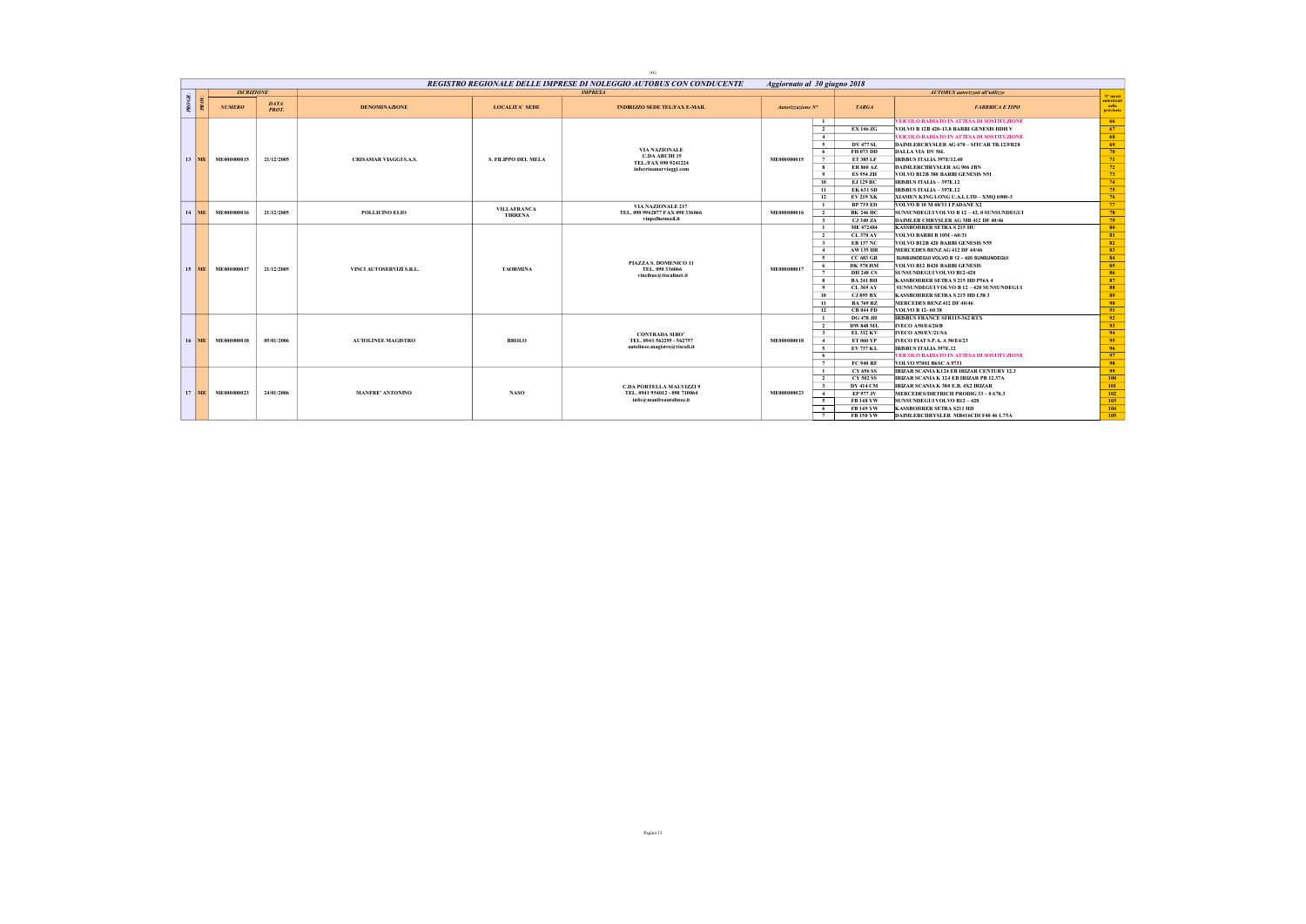|        |         |                   |                             |                               |                            | REGISTRO REGIONALE DELLE IMPRESE DI NOLEGGIO AUTOBUS CON CONDUCENTE |                   | Aggiornato al 30 giugno 2018                |                                                  |                                 |
|--------|---------|-------------------|-----------------------------|-------------------------------|----------------------------|---------------------------------------------------------------------|-------------------|---------------------------------------------|--------------------------------------------------|---------------------------------|
|        |         | <b>ISCRIZIONE</b> |                             |                               |                            | <b>IMPRESA</b>                                                      |                   |                                             | <b>AUTOBUS</b> autorizzati all'utilizzo          | N° mezzi                        |
| PROGR. |         | <b>NUMERO</b>     | <b>DATA</b><br><b>PROT.</b> | <b>DENOMINAZIONE</b>          | <b>LOCALITA' SEDE</b>      | <b>INDIRIZZO SEDE TEL/FAX E-MAIL</b>                                | Autorizzazione N° | <b>TARGA</b>                                | <b>FABBRICA E TIPO</b>                           | autorizzat<br>nella<br>provinci |
|        |         |                   |                             |                               |                            |                                                                     |                   | $\mathbf{1}$                                | <b>VEICOLO RADIATO IN ATTESA DI SOSTITUZIONE</b> | 66                              |
|        |         |                   |                             |                               |                            |                                                                     |                   | $\overline{2}$<br><b>EX 146 ZG</b>          | VOLVO B 12B 420-13.8 BARBI GENESIS HDH V         | - 67                            |
|        |         |                   |                             |                               |                            |                                                                     |                   | $-4$                                        | <b>VEICOLO RADIATO IN ATTESA DI SOSTITUZIONE</b> | 68                              |
|        |         |                   |                             |                               |                            |                                                                     |                   | $\sim$<br><b>DV 477 SL</b>                  | DAIMLERCRYSLER AG 670 – SITCAR TR.12/FR28        | 69                              |
|        |         |                   |                             |                               |                            | <b>VIA NAZIONALE</b><br><b>C.DA ARCHI 15</b>                        |                   | FH 073 DD<br>- 6                            | DALLA VIA DV 56L                                 | 70                              |
|        | $13$ ME | ME000000015       | 21/12/2005                  | <b>CRISAMAR VIAGGI S.A.S.</b> | <b>S. FILIPPO DEL MELA</b> | TEL./FAX 090 9241224                                                | ME000000015       | ET 385 LF<br>7                              | <b>IRISBUS ITALIA 397E/12.40</b>                 | 71                              |
|        |         |                   |                             |                               |                            | infocrisamarviaggi.com                                              |                   | <b>ER 860 AZ</b><br>8                       | DAIMLERCHRYSLER AG 906 JBN                       | 72                              |
|        |         |                   |                             |                               |                            |                                                                     |                   | $\overline{9}$<br><b>ES 954 ZH</b>          | VOLVO B12B 380 BARBI GENESIS N51                 | 73                              |
|        |         |                   |                             |                               |                            |                                                                     |                   | 10<br><b>EJ 129 RC</b>                      | IRISBUS ITALIA - 397E.12                         | 74                              |
|        |         |                   |                             |                               |                            |                                                                     |                   | <b>EK 631 SD</b><br>11                      | IRISBUS ITALIA - 397E.12                         | 75                              |
|        |         |                   |                             |                               |                            |                                                                     |                   | 12<br><b>EV 219 XK</b>                      | XIAMEN KING LONG U.A.L LTD - XMO 6900-3          | 76                              |
|        |         |                   |                             |                               | <b>VILLAFRANCA</b>         | VIA NAZIONALE 217                                                   |                   | <b>BP 739 ED</b><br>$\mathbf{1}$            | VOLVO B 10 M 60/31 I PADANE X2                   | 77                              |
|        | 14 ME   | ME000000016       | 21/12/2005                  | <b>POLLICINO ELIO</b>         | <b>TIRRENA</b>             | TEL. 090 9962877 FAX 090 336066                                     | ME000000016       | <b>BK 246 HC</b><br><sup>2</sup>            | SUNSUNDEGUI VOLVO B 12 - 42. 0 SUNSUNDEGUI       | 78                              |
|        |         |                   |                             |                               |                            | vinpolhotmail.it                                                    |                   | $\overline{\mathbf{3}}$<br><b>CJ 340 ZA</b> | DAIMLER CHRYSLER AG MB 412 DF 40/46              | 79                              |
|        |         |                   |                             |                               |                            |                                                                     |                   | ME 472484<br>$\mathbf{1}$                   | <b>KASSBOHRER SETRA S 215 HU</b>                 | 80                              |
|        |         |                   |                             |                               |                            |                                                                     |                   | $\overline{2}$<br><b>CL 370 AY</b>          | <b>VOLVO BARBI B 10M - 60/31</b>                 | 81                              |
|        |         |                   |                             |                               |                            |                                                                     |                   | <b>EB 137 NC</b><br>$\overline{\mathbf{3}}$ | VOLVO B12B 420 BARBI GENESIS N55                 | 82                              |
|        |         |                   |                             |                               |                            |                                                                     |                   | <b>AW135 HR</b><br>$-4$                     | MERCEDES BENZAG 412 DF 40/46                     | 83                              |
|        |         |                   |                             |                               |                            | PIAZZA S. DOMENICO 11                                               |                   | $\sim$<br><b>CC 683 GR</b>                  | SUNSUNDEGUI VOLVO B 12 - 420 SUNSUNDEGUI         | 84                              |
|        | $15$ ME | ME000000017       | 21/12/2005                  | VINCI AUTOSERVIZI S.R.L.      | <b>TAORMINA</b>            | TEL. 090 33 6066                                                    | ME000000017       | <b>DK 578 HM</b><br>6                       | <b>VOLVO B12 B420 BARBI GENESIS</b>              | 85                              |
|        |         |                   |                             |                               |                            | vincibus@tiscalinet.it                                              |                   | 7<br><b>DH 248 CS</b>                       | <b>SUNSUNDEGUI VOLVO B12-420</b>                 | 86                              |
|        |         |                   |                             |                               |                            |                                                                     |                   | 8<br><b>BA 241 BH</b>                       | KASSBOHRER SETRA S 215 HD P56A 4                 | 87                              |
|        |         |                   |                             |                               |                            |                                                                     |                   | <b>CL 369 AY</b><br>$^{9}$                  | SUNSUNDEGUI VOLVO B 12 - 420 SUNSUNDEGUI         | 88                              |
|        |         |                   |                             |                               |                            |                                                                     |                   | <b>CJ 895 BX</b><br>10                      | KASSBOHRER SETRA S 215 HD L58 3                  | 89                              |
|        |         |                   |                             |                               |                            |                                                                     |                   | 11<br><b>BA 769 RZ</b>                      | MERCEDES BENZ 412 DF 40/46                       | 90                              |
|        |         |                   |                             |                               |                            |                                                                     |                   | 12<br><b>CB 044 FD</b>                      | <b>VOLVO B 12-6038</b>                           | 91                              |
|        |         |                   |                             |                               |                            |                                                                     |                   | <b>DG 478 JH</b><br>$\mathbf{1}$            | <b>IRISBUS FRANCE SFR115-362 RTX</b>             | 92                              |
|        |         |                   |                             |                               |                            |                                                                     |                   | $\overline{2}$<br><b>DW 848 ML</b>          | <b>IVECO A50/E4/20/B</b>                         | 93                              |
|        |         |                   |                             |                               |                            | <b>CONTRADA SIRO'</b>                                               |                   | $\overline{\mathbf{3}}$<br><b>EL 312 KV</b> | IVECO A50/EV/21/SA                               | 94                              |
|        | $16$ ME | ME000000018       | 05/01/2006                  | <b>AUTOLINEE MAGISTRO</b>     | <b>BROLO</b>               | TEL. 0941 562295 - 562757                                           | ME000000018       | <b>ET 060 YP</b><br>$-4$                    | <b>IVECO FIAT S.P.A. A 50/E4/23</b>              | 95                              |
|        |         |                   |                             |                               |                            | autolinee.magistro@tiscali.it                                       |                   | EV 737 KL<br>5                              | <b>IRISBUS ITALIA 397E.12</b>                    | 96                              |
|        |         |                   |                             |                               |                            |                                                                     |                   | 6                                           | EICOLO RADIATO IN ATTESA DI SOSTITUZIONE         | 97                              |
|        |         |                   |                             |                               |                            |                                                                     |                   | <b>FC 940 RF</b><br>7                       | VOLVO 97001 B6SC A 9731                          | 98                              |
|        |         |                   |                             |                               |                            |                                                                     |                   | CY 656 SS<br>$\mathbf{1}$                   | IRIZAR SCANIA K124 EB IRIZAR CENTURY 12.3        | -99                             |
|        |         |                   |                             |                               |                            |                                                                     |                   | $\overline{2}$<br><b>CY 502 SS</b>          | IRIZAR SCANIA K 124 EB IRIZAR PB 12.37A          | 100                             |
|        |         |                   |                             |                               |                            | <b>C.DA PORTELLA MALVIZZI 9</b>                                     |                   | $\overline{\mathbf{3}}$<br><b>DY 414 CM</b> | IRIZAR SCANIA K 380 E.B. 4X2 IRIZAR              | 101                             |
|        | $17$ ME | ME000000023       | 24/01/2006                  | <b>MANFRE' ANTONINO</b>       | <b>NASO</b>                | TEL, 0941 954012 - 090 710064<br>info@manfreautolinee.it            | ME000000023       | EP 977 JV<br>$\sim$                         | MERCEDES/DIETRICH PRODIG 33-0 670.3              | 102                             |
|        |         |                   |                             |                               |                            |                                                                     |                   | $\sim$<br><b>FB148YW</b>                    | <b>SUNSUNDEGUI VOLVO B12 - 420</b>               | 103                             |
|        |         |                   |                             |                               |                            |                                                                     |                   | <b>FB149YW</b><br>- 6                       | <b>KASSBOHRER SETRA S211 HD</b>                  | 104                             |
|        |         |                   |                             |                               |                            |                                                                     |                   | FB 150 YW<br>7                              | DAIMLERCHRYSLER MB416CDI F40 46 1.75A            | 105                             |

AG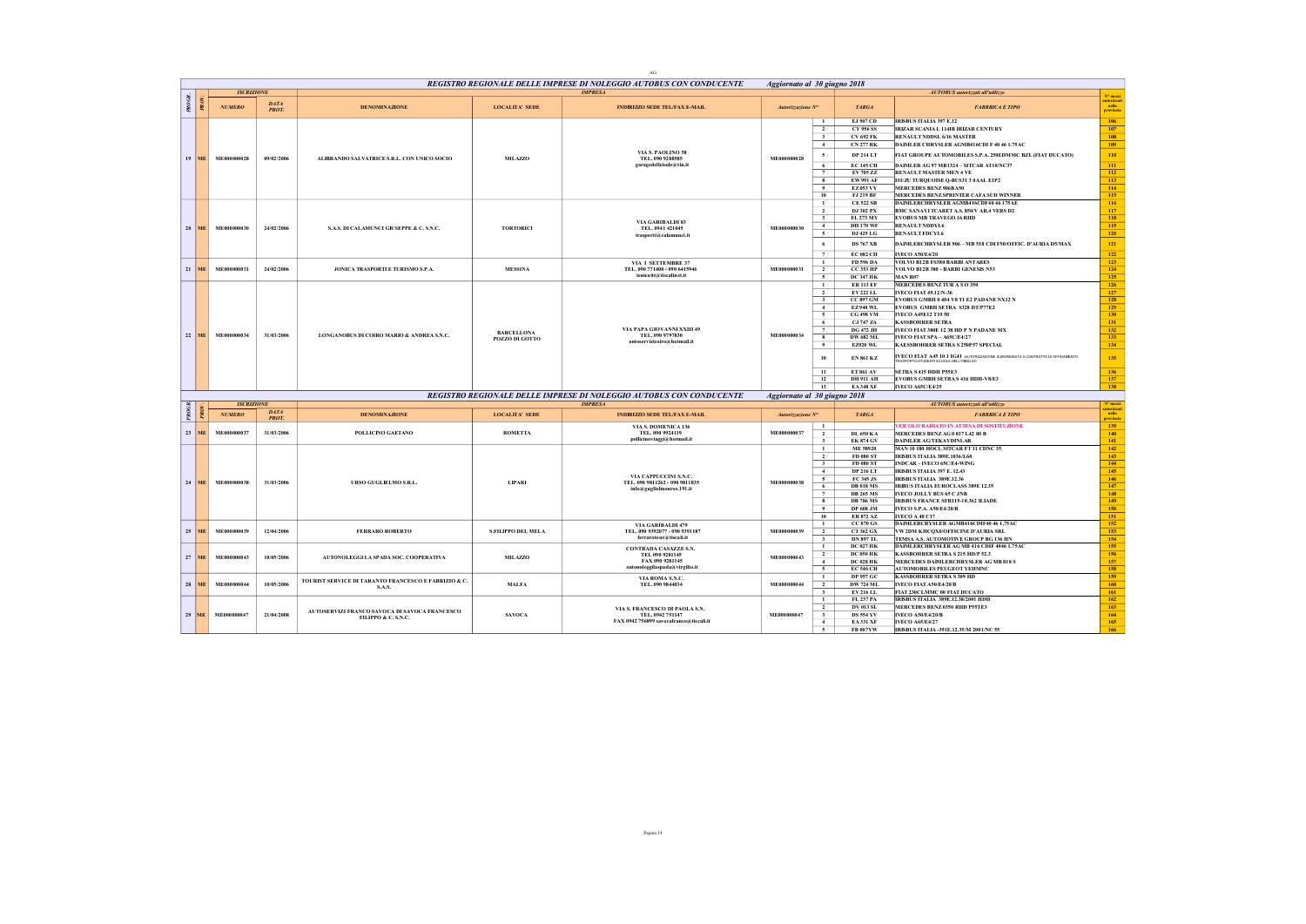|                        |                   |                             |                                                                      |                                     | AG                                                                                                   |                            |                                                                                                                                                                                                                                                                                                                                                                 |                                                                                                                                                                                                                                                                                                                                                                                                                                                                                                  |                                                                                         |
|------------------------|-------------------|-----------------------------|----------------------------------------------------------------------|-------------------------------------|------------------------------------------------------------------------------------------------------|----------------------------|-----------------------------------------------------------------------------------------------------------------------------------------------------------------------------------------------------------------------------------------------------------------------------------------------------------------------------------------------------------------|--------------------------------------------------------------------------------------------------------------------------------------------------------------------------------------------------------------------------------------------------------------------------------------------------------------------------------------------------------------------------------------------------------------------------------------------------------------------------------------------------|-----------------------------------------------------------------------------------------|
|                        |                   |                             |                                                                      |                                     | REGISTRO REGIONALE DELLE IMPRESE DI NOLEGGIO AUTOBUS CON CONDUCENTE                                  |                            | Aggiornato al 30 giugno 2018                                                                                                                                                                                                                                                                                                                                    |                                                                                                                                                                                                                                                                                                                                                                                                                                                                                                  |                                                                                         |
|                        | <b>ISCRIZIONE</b> |                             |                                                                      |                                     | <b>IMPRESA</b>                                                                                       |                            |                                                                                                                                                                                                                                                                                                                                                                 | AUTOBUS autorizzati all'utilizzo                                                                                                                                                                                                                                                                                                                                                                                                                                                                 | $N^*$ mezz                                                                              |
| PROGR.<br>PRO          | <b>NUMERO</b>     | <b>DATA</b><br><b>PROT.</b> | <b>DENOMINAZIONE</b>                                                 | <b>LOCALITA' SEDE</b>               | <b>INDIRIZZO SEDE TEL/FAX E-MAIL</b>                                                                 | Autorizzazione N°          | <b>TARGA</b>                                                                                                                                                                                                                                                                                                                                                    | <b>FABBRICA E TIPO</b>                                                                                                                                                                                                                                                                                                                                                                                                                                                                           | nella<br>provincia                                                                      |
| 19 ME                  | ME000000028       | 09/02/2006                  | ALIBRANDO SALVATRICE S.R.L. CON UNICO SOCIO                          | MILAZZO                             | VIA S. PAOLINO 58<br>TEL. 090 9288585<br>garagedelleisole@tin.it                                     | ME000000028                | EJ 907 CD<br>$\mathbf{1}$<br>$\overline{2}$<br>CY 956 SS<br>$\overline{\mathbf{3}}$<br>CV 692 FK<br>$\overline{4}$<br><b>CN 277 RK</b><br>$\sim$<br><b>DP 214 LT</b><br><b>EC 145 CH</b><br>6<br>$\overline{7}$<br>EV 705 ZZ<br>8<br>EW 991 AF<br>$\bullet$<br>EZ 053 VY<br>10 <sub>10</sub><br><b>EJ 219 RF</b>                                                | <b>IRISBUS ITALIA 397 E.12</b><br>IRIZAR SCANIA L 114IB IRIZAR CENTURY<br>RENAULT NDDSL 6/16 MASTER<br>DAIMLER CHRYSLER AGMB416CDI F 40 46 1.75 AC<br>FIAT GROUPE AUTOMOBILES S.P.A. 250EDMMC BZL (FIAT DUCATO)<br>DAIMLER AG 97 MB1324 - SITCAR AT10/NC37<br>RENAULT MASTER MEN 4 VE<br>ISUZU TURQUOISE Q-BUS31 3 0 AAL E1P2<br>MERCEDES BENZ 906BA50<br>MERCEDES BENZ SPRINTER CAFA SUD WINNER                                                                                                 | 106<br>107<br>108<br>109<br>110<br>111<br>112<br>113<br>114<br>115                      |
| 20 <sub>1</sub><br>ME. | ME000000030       | 24/02/2006                  | S.A.S. DI CALAMUNCI GIUSEPPE & C. S.N.C.                             | <b>TORTORICI</b>                    | VIA GARIBALDI 83<br>TEL. 0941 421045<br>trasporti@calamunci.it                                       | ME000000030                | $\mathbf{1}$<br><b>CE 522 SB</b><br>$\overline{2}$<br>DJ 302 PX<br>$\overline{\mathbf{3}}$<br>FL 273 MY<br><b>DH170 WF</b><br>4<br>DJ 425 LG<br>$\sim$<br><b>DS 767 XB</b><br>6<br><b>EC 082 CH</b><br>$\overline{7}$                                                                                                                                           | DAIMLERCHRYSLER AGMB416CDF40 46 175AE<br>BMC SANAYI TCARET A.S. 850/V AR.4 VERS D2<br><b>EVOBUS MB TRAVEGO 16 RHD</b><br>RENAULT NDDYL6<br>RENAULT FDCYL6<br>DAIMLERCHRYSLER 906 - MB 518 CDI F50/OFFIC. D'AURIA D5/MAX<br><b>IVECO A50/E4/20</b>                                                                                                                                                                                                                                                | 116<br>117<br>118<br>119<br>120<br>121<br>122                                           |
| 21<br><b>ME</b>        | ME000000031       | 24/02/2006                  | JONICA TRASPORTI E TURISMO S.P.A.                                    | <b>MESSINA</b>                      | VIA I SETTEMBRE 37<br>TEL. 090 771400 - 090 6415946<br>ionica itt@tiscalinet.it                      | ME000000031                | $\mathbf{1}$<br>FD 596 DA<br>$\overline{2}$<br><b>CC 353 HP</b><br>5<br><b>DC 347 HK</b>                                                                                                                                                                                                                                                                        | <b>VOLVO B12B FS380 BARBI ANTARES</b><br>VOLVO B12B 380 - BARBI GENESIS N53<br>MAN R07                                                                                                                                                                                                                                                                                                                                                                                                           | 123<br>124<br>125                                                                       |
| 22<br>ME               | ME000000034       | 31/03/2006                  | LONGANOBUS DI COIRO MARIO & ANDREA S.N.C.                            | <b>BARCELLONA</b><br>POZZO DI GOTTO | VIA PAPA GIOVANNI XXIII 49<br>TEL. 090 9797830<br>autoservizicoiro@hotmail.it                        | ME000000034                | $\mathbf{1}$<br><b>ER 113 EF</b><br>$\overline{2}$<br>EV 222 LL<br>$\overline{\mathbf{3}}$<br><b>CC 897 GM</b><br><b>EZ940 WL</b><br>4<br><b>CG 498 VM</b><br>$\sim$<br>CJ 747 ZA<br>6<br>7<br><b>DG 472 JH</b><br><b>DW 682 ML</b><br>8<br>9<br>EZ920 WL<br>10<br><b>EN 861 KZ</b><br>11<br><b>ET 861 AV</b><br>12<br><b>DH911 AH</b><br>13<br><b>EA348 XF</b> | MERCEDES BENZ TURASO 350<br><b>IVECO FIAT 49.12/N-36</b><br>EVOBUS GMBH 0 404 V8 T1 E2 PADANE NX12 N<br>EVOBUS GMBH SETRA S328 DT/P77E2<br>IVECO A45E12 T19 50<br><b>KASSBOHRER SETRA</b><br>IVECO FIAT 380E 12 38 HD P N PADANE MX<br>IVECO FIAT SPA - A65C/E4/27<br>KAESSBOHRER SETRA S 250P57 SPECIAL<br><b>IVECO FIAT A45 10 1 IG41 AUTORIZZAZIONE SUBORDINATA A CONTRATTO DI AFFIDAMENTO</b><br><b>SETRA S 415 HDH P55E3</b><br>EVOBUS GMBH SETRAS 416 HDH-V8/E3<br><b>IVECO A65C/E4/25</b> | 126<br>127<br>128<br>129<br>130<br>131<br>132<br>133<br>134<br>135<br>136<br>137<br>138 |
|                        |                   |                             |                                                                      |                                     | REGISTRO REGIONALE DELLE IMPRESE DI NOLEGGIO AUTOBUS CON CONDUCENTE                                  |                            | Aggiornato al 30 giugno 2018                                                                                                                                                                                                                                                                                                                                    |                                                                                                                                                                                                                                                                                                                                                                                                                                                                                                  |                                                                                         |
|                        | <b>ISCRIZIONE</b> |                             |                                                                      |                                     | <b>IMPRESA</b>                                                                                       |                            |                                                                                                                                                                                                                                                                                                                                                                 | AUTOBUS autorizzati all'utilizzo                                                                                                                                                                                                                                                                                                                                                                                                                                                                 | N° mezzi                                                                                |
| PROGR.                 | <b>NUMERO</b>     | <b>DATA</b><br><b>PROT</b>  | <b>DENOMINAZIONE</b>                                                 | <b>LOCALITA' SEDE</b>               | <b>INDIRIZZO SEDE TEL/FAX E-MAIL</b>                                                                 | Autorizzazione $N^{\circ}$ | <b>TARGA</b>                                                                                                                                                                                                                                                                                                                                                    | <b>FABBRICA E TIPO</b>                                                                                                                                                                                                                                                                                                                                                                                                                                                                           | nella<br>rovine                                                                         |
| 23<br><b>ME</b>        | ME000000037       | 31/03/2006                  | POLLICINO GAETANO                                                    | <b>ROMETTA</b>                      | VIA S. DOMENICA 136<br>TEL. 090 9924119<br>pollicinoviaggi@hotmail.it                                | ME000000037                | $\mathbf{1}$<br>$\overline{2}$<br><b>DL 650 KA</b><br><b>EK 874 GV</b><br>$\mathbf{3}$                                                                                                                                                                                                                                                                          | <b>EICOLO RADIATO IN ATTESA DI SOSTITUZIONE</b><br>MERCEDES BENZAG 0 817 L42 80 B<br>DAIMLER AGTEKAYDINLAR                                                                                                                                                                                                                                                                                                                                                                                       | 139<br>140<br>141                                                                       |
| 24 ME                  | ME000000038       | 31/03/2006                  | URSO GUGLIELMO S.R.L.                                                | <b>LIPART</b>                       | VIA CAPPUCCINI S.N.C.<br>TEL. 090 9811262 - 090 9811835<br>info@guglielmourso.191.it                 | ME000000038                | ME 58920<br>$\mathbf{1}$<br>$\overline{2}$<br><b>FD 080 ST</b><br>FD 080 ST<br>$\overline{\mathbf{3}}$<br>$\overline{4}$<br>DP 216 LT<br>$\sim$<br>FC 345 JS<br><b>DB 018 MS</b><br>6<br><b>DB 265 MS</b><br>$7\phantom{.0}$<br><b>DB 786 MS</b><br>8<br>$\overline{9}$<br><b>DP 608 JM</b><br>10 <sup>10</sup><br>ER 872 AZ                                    | MAN 10 180 HOCL SITCAR FT 11 CDNC 35<br><b>IRISBUS ITALIA 389E.1036/L60</b><br><b>INDCAR-IVECO 65C/E4-WING</b><br><b>IRISBUS ITALIA 397 E. 12.43</b><br>IRISBUS ITALIA 389E.12.36<br><b>IRIBUS ITALIA EUROCLASS 389E 12.35</b><br>IVECO JOLLY BUS 65 C JNB<br><b>IRISBUS FRANCE SFR115-10.362 ILIADE</b><br>IVECO S.P.A. A50/E4/20/B<br><b>IVECO A 40 C17</b>                                                                                                                                    | 142<br>143<br>$144 -$<br>145<br>146<br>147<br>148<br>149<br>150<br>151                  |
| 25<br><b>ME</b>        | ME000000039       | 12/04/2006                  | <b>FERRARO ROBERTO</b>                                               | S.FILIPPO DEL MELA                  | VIA GARIBALDI 479<br>TEL. 090 9392077 - 090 9391187<br>ferrarotour@tiscali.it                        | ME000000039                | CC 870 GS<br>$\mathbf{1}$<br>$\overline{2}$<br>CT 362 GX<br><b>DN 897 TL</b><br>$\mathbf{3}$                                                                                                                                                                                                                                                                    | DAIMLERCRYSLER AGMB416CDIF40 46 1.75AC<br>VW 2DM KHCQX0/OFFICINE D'AURIA SRL<br>TEMSA A.S. AUTOMOTIVE GROUP BG 136 HN                                                                                                                                                                                                                                                                                                                                                                            | 152<br>153<br>154                                                                       |
| 27<br><b>ME</b>        | ME000000043       | 10/05/2006                  | AUTONOLEGGILA SPADA SOC. COOPERATIVA                                 | MILAZZO                             | <b>CONTRADA CASAZZE S.N.</b><br>TEL 090 9281145<br>FAX 090 9281145<br>autonoleggilaspada@virgilio.it | ME000000043                | <b>DC 027 HK</b><br>$\mathbf{1}$<br>$\overline{2}$<br><b>DC 050 HK</b><br>$\sim$<br><b>DC 028 HK</b><br>5<br><b>EC 546 CH</b>                                                                                                                                                                                                                                   | DAIMLERCHRYSLER AG MB 416 CDIF 4046 1.75AC<br>KASSBOHRER SETRA S 215 HD/P 52.3<br>MERCEDES DAIMLERCHRYSLER AG MB 818 S<br><b>AUTOMOBILES PEUGEOT YEHMNC</b>                                                                                                                                                                                                                                                                                                                                      | 155<br>156<br>157<br>158                                                                |
| 28<br>MË               | ME000000044       | 10/05/2006                  | TOURIST SERVICE DI TARANTO FRANCESCO E FABRIZIO & C.<br>S.A.S.       | <b>MALFA</b>                        | VIA ROMA S.N.C.<br>TEL. 090 9844034                                                                  | ME000000044                | <b>DP 957 GC</b><br>$\mathbf{1}$<br>$\overline{2}$<br><b>DW 724 ML</b><br>$\overline{\mathbf{3}}$<br>EV 216 LL                                                                                                                                                                                                                                                  | <b>KASSBOHRER SETRA S 309 HD</b><br>IVECO FIAT A50/E4/20/B<br>FIAT 230CLMMC 00 FIAT DUCATO                                                                                                                                                                                                                                                                                                                                                                                                       | 159<br>160<br>161                                                                       |
| 29<br><b>ME</b>        | ME000000047       | 21/04/2008                  | AUTOSERVIZI FRANCO SAVOCA DI SAVOCA FRANCESCO<br>FILIPPO & C. S.N.C. | <b>SAVOCA</b>                       | VIA S. FRANCESCO DI PAOLA S.N.<br>TEL. 0942 751147<br>FAX 0942 756899 savocafranco@tiscali.it        | ME000000047                | FL 237 PA<br>$\mathbf{1}$<br>$\overline{2}$<br><b>DV 013 SL</b><br><b>DS 554 YV</b><br>$\mathbf{3}$<br>4<br><b>EA 331 XF</b><br>$\sim$<br>FB 007YW                                                                                                                                                                                                              | <b>IRISBUS ITALIA 389E.12.38/2001 HDH</b><br>MERCEDES BENZ 0350 RHD P55TE3<br>IVECO A50/E4/20/B<br><b>IVECO A65/E4/27</b><br>IRISBUS ITALIA -391E.12.35/M 2001/NC 55                                                                                                                                                                                                                                                                                                                             | 162<br>163<br>164<br>165<br>166                                                         |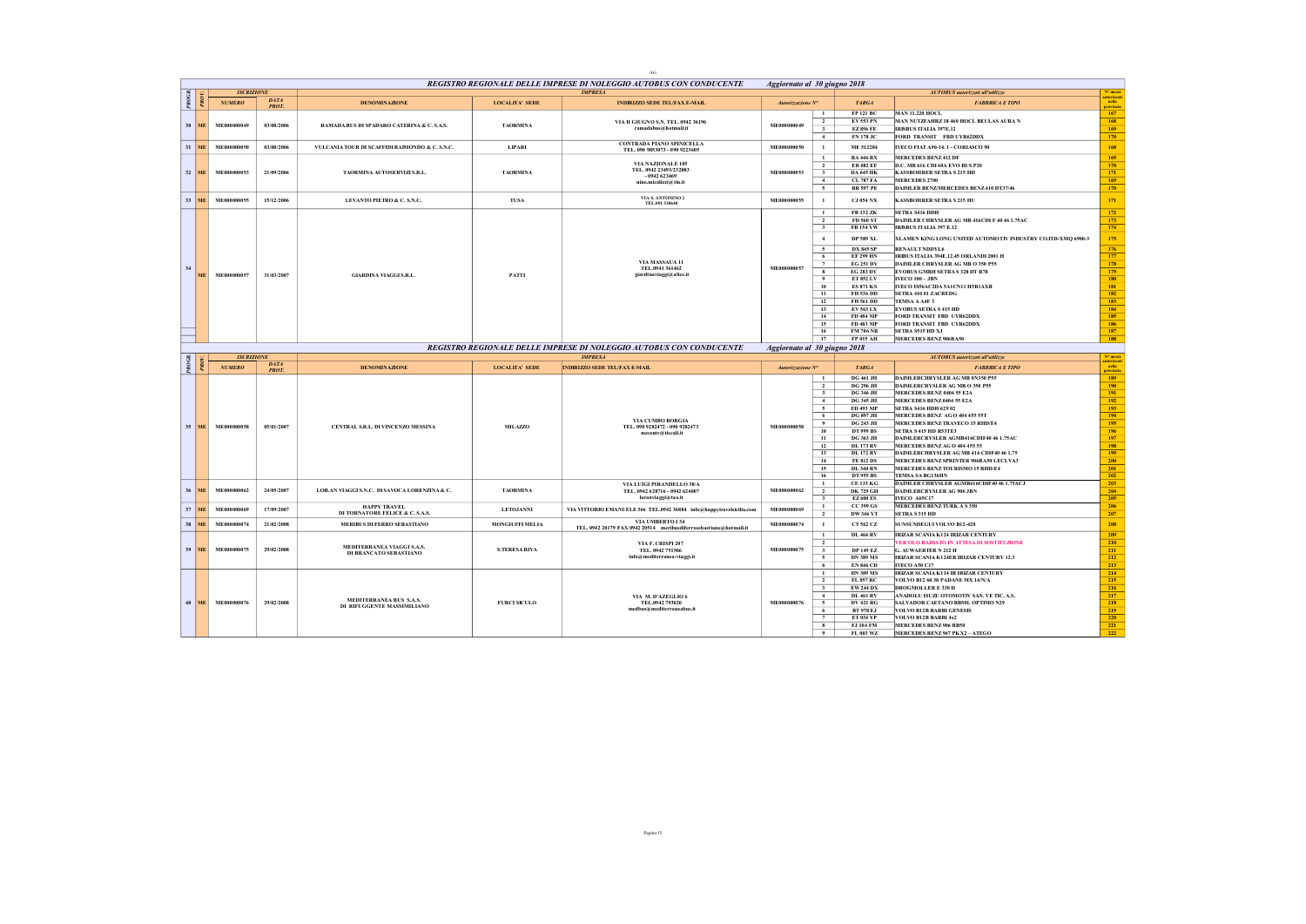|                 |                 |                   |                     |                                                |                       | AG                                                                   |                              |                                           |                                      |                                                                         |                     |
|-----------------|-----------------|-------------------|---------------------|------------------------------------------------|-----------------------|----------------------------------------------------------------------|------------------------------|-------------------------------------------|--------------------------------------|-------------------------------------------------------------------------|---------------------|
|                 |                 |                   |                     |                                                |                       | REGISTRO REGIONALE DELLE IMPRESE DI NOLEGGIO AUTOBUS CON CONDUCENTE  | Aggiornato al 30 giugno 2018 |                                           |                                      |                                                                         | N° mezzi            |
| PROGR.          |                 | <b>ISCRIZIONE</b> | <b>DATA</b>         |                                                |                       | <b>IMPRESA</b>                                                       |                              |                                           |                                      | AUTOBUS autorizzati all'utilizzo                                        | utorizza<br>  nella |
|                 |                 | <b>NUMERO</b>     | <b>PROT</b>         | <b>DENOMINAZIONE</b>                           | <b>LOCALITA' SEDE</b> | <b>INDIRIZZO SEDE TEL/FAX E-MAIL</b>                                 | Autorizzazione N°            |                                           | <b>TARGA</b>                         | <b>FABBRICA E TIPO</b>                                                  |                     |
|                 |                 |                   |                     |                                                |                       |                                                                      |                              | $\mathbf{1}$                              | <b>FP 121 BC</b>                     | <b>MAN 11.220 HOCL</b><br>MAN NUTZFAHRZ 18 460 HOCL BEULAS AURA N       | 167<br>168          |
| 30 <sub>1</sub> | MF.             | ME000000049       | 03/08/2006          | RAMADA BUS DI SPADARO CATERINA & C. S.A.S.     | <b>TAORMINA</b>       | VIA II GIUGNO S.N. TEL. 0942 36196<br>ramadabus@hotmail.it           | ME000000049                  | $\overline{2}$<br>$\overline{\mathbf{3}}$ | EV 553 PN<br><b>EZ856 FE</b>         | <b>IRISBUS ITALIA 397E.12</b>                                           | 169                 |
|                 |                 |                   |                     |                                                |                       |                                                                      |                              | $\overline{4}$                            | <b>FN 178 JC</b>                     | FORD TRANSIT FBD UYR62DDX                                               | 170                 |
|                 | $31$ ME         | ME000000050       | 03/08/2006          | VULCANIA TOUR DI SCAFFIDI RAIMONDO & C. S.N.C. | <b>LIPARI</b>         | <b>CONTRADA PIANO SPINICELLA</b>                                     | ME000000050                  | $\mathbf{1}$                              | ME 512284                            | IVECO FIAT A90-14.1 - CORIASCO 90                                       | 168                 |
|                 |                 |                   |                     |                                                |                       | TEL. 090 9853073 - 090 9223605                                       |                              | $\mathbf{1}$                              | <b>BA 446 RX</b>                     | <b>MERCEDES BENZ 412 DF</b>                                             | 169                 |
|                 |                 |                   |                     |                                                |                       | VIA NAZIONALE 105                                                    |                              | $\overline{2}$                            | <b>ER 082 EF</b>                     | D.C. MB 616 CDI 60A EVO BUS P20                                         | 170                 |
|                 | 32 ME           | ME000000053       | 21/09/2006          | TAORMINA AUTOSERVIZI S.R.L.                    | <b>TAORMINA</b>       | TEL. 0942 23493/232883<br>$-0942623469$                              | ME000000053                  | $\overline{\mathbf{3}}$                   | <b>DA 645 HK</b>                     | <b>KASSBOHRER SETRA S 215 HD</b>                                        | 171                 |
|                 |                 |                   |                     |                                                |                       | nino.micalizzi@tin.it                                                |                              | 4                                         | <b>CL 787 FA</b>                     | <b>MERCEDES 2700</b>                                                    | 169                 |
|                 |                 |                   |                     |                                                |                       |                                                                      |                              | 5                                         | <b>BR 597 PE</b>                     | DAIMLER BENZ/MERCEDES BENZ 410 DT37/46                                  | 170                 |
|                 | 33 ME           | ME000000055       | 15/12/2006          | LEVANTO PIETRO & C. S.N.C.                     | TUSA                  | VIA S. ANTONINO 2<br>TEL.091 330640                                  | ME000000055                  | $\mathbf{1}$                              | <b>CJ 054 NX</b>                     | <b>KASSBOHRER SETRA S 215 HU</b>                                        | 171                 |
|                 |                 |                   |                     |                                                |                       |                                                                      |                              | $\mathbf{1}$                              | FB 132 ZK                            | SETRA S416 HDH                                                          | 172                 |
|                 |                 |                   |                     |                                                |                       |                                                                      |                              | $\overline{2}$                            | <b>FD 560 ST</b>                     | DAIMLER CHRYSLER AG MB 416CDI F 40 46 1.75AC                            | 173                 |
|                 |                 |                   |                     |                                                |                       |                                                                      |                              | $\overline{\mathbf{3}}$                   | <b>FB154YW</b>                       | IRISBUS ITALIA 397 E.12                                                 | 174                 |
|                 |                 |                   |                     |                                                |                       |                                                                      |                              | $-4$                                      | <b>DP 589 XL</b>                     | XLAMEN KING LONG UNITED AUTOMOTIV INDUSTRY CO.ITD-XMQ 6900-3            | 175                 |
|                 |                 |                   |                     |                                                |                       |                                                                      |                              | 5                                         | <b>DX 845 SP</b>                     | <b>RENAULT NDDVL6</b>                                                   | 176                 |
|                 |                 |                   |                     |                                                |                       |                                                                      |                              | 6                                         | <b>EF 299 HN</b>                     | IRIBUS ITALIA 394E.12.45 ORLANDI 2001 H                                 | 177                 |
| 34              |                 |                   |                     |                                                |                       | VIA MASSAUA 11<br>TEL.0941 361462                                    | ME000000057                  | $\tau$                                    | <b>EG 251 DY</b>                     | DAIMLER CHRYSLER AG MB O 350 P55                                        | 178                 |
|                 | <b>ME</b>       | ME000000057       | 31/03/2007          | <b>GIARDINA VIAGGI S.R.L.</b>                  | <b>PATTI</b>          | giardinaviaggi@alice.it                                              |                              | $\overline{\mathbf{8}}$<br>9              | <b>EG 283 DY</b><br>ET 852 LV        | <b>EVOBUS GMBH SETRAS 328 DT R78</b><br><b>IVECO 100 - JBN</b>          | 179<br>180          |
|                 |                 |                   |                     |                                                |                       |                                                                      |                              | 10                                        | <b>ES 871 KS</b>                     | IVECO IS56AC2DA 5A1CN11 H5B1AXB                                         | 181                 |
|                 |                 |                   |                     |                                                |                       |                                                                      |                              | 11                                        | FH 536 DD                            | SETRA 410 01 ZACREDG                                                    | 182                 |
|                 |                 |                   |                     |                                                |                       |                                                                      |                              | 12                                        | FH 561 DD                            | TEMSA A A4F 3                                                           | 183                 |
|                 |                 |                   |                     |                                                |                       |                                                                      |                              | 13                                        | EV 563 LX                            | <b>EVOBUS SETRA S 415 HD</b>                                            | 184                 |
|                 |                 |                   |                     |                                                |                       |                                                                      |                              | 14<br>15                                  | FD 484 MP<br>FD 483 MP               | FORD TRANSIT FBD UYR62DDX<br>FORD TRANSIT FBD UYR62DDX                  | 185<br>186          |
|                 |                 |                   |                     |                                                |                       |                                                                      |                              | 16                                        | <b>FM 706 NR</b>                     | <b>SETRA S515 HD XJ</b>                                                 | 187                 |
|                 |                 |                   |                     |                                                |                       |                                                                      |                              | 17                                        | <b>FP 015 AH</b>                     | MERCEDES BENZ 906BA50                                                   | 188                 |
|                 |                 |                   |                     |                                                |                       | REGISTRO REGIONALE DELLE IMPRESE DI NOLEGGIO AUTOBUS CON CONDUCENTE  | Aggiornato al 30 giugno 2018 |                                           |                                      |                                                                         |                     |
|                 |                 | <b>ISCRIZIONE</b> |                     |                                                |                       | <b>IMPRESA</b>                                                       |                              |                                           |                                      | AUTOBUS autorizzati all'utilizzo                                        | Nº mezz             |
|                 |                 |                   |                     |                                                |                       |                                                                      |                              |                                           |                                      |                                                                         | <b>stearizz</b> y   |
| PROGR.          |                 | <b>NUMERO</b>     | DATA<br><b>PROT</b> | <b>DENOMINAZIONE</b>                           | <b>LOCALITA' SEDE</b> | <b>INDIRIZZO SEDE TEL/FAX E-MAIL</b>                                 | Autorizzazione Nº            |                                           | <b>TARGA</b>                         | <b>FABBRICA E TIPO</b>                                                  | nella<br>rovinci    |
|                 |                 |                   |                     |                                                |                       |                                                                      |                              | $\mathbf{1}$                              | <b>DG 461 JH</b>                     | DAIMLERCHRYSLER AG MB 0N350 P55                                         | 189                 |
|                 |                 |                   |                     |                                                |                       |                                                                      |                              | $\overline{2}$                            | <b>DG 296 JH</b>                     | DAIMLERCRYSLER AG MB O 350 P55                                          | 190                 |
|                 |                 |                   |                     |                                                |                       |                                                                      |                              | $\overline{\mathbf{3}}$                   | <b>DG 346 JH</b>                     | MERCEDES BENZ 0404 55 E2A                                               | 191                 |
|                 |                 |                   |                     |                                                |                       |                                                                      |                              | 4                                         | <b>DG 345 JH</b>                     | MERCEDES BENZ 0404 55 E2A                                               | 192                 |
|                 |                 |                   |                     |                                                |                       |                                                                      |                              | $\sim$<br>6                               | FD 493 MP<br><b>DG 897 JH</b>        | <b>SETRA S416 HDH 629 02</b><br>MERCEDES BENZ AG O 404 455 55T          | 193<br>194          |
| 35              | <b>ME</b>       | ME000000058       | 05/01/2007          |                                                |                       | VIA CUMBO BORGIA                                                     | ME000000058                  | 9                                         | <b>DG 243 JH</b>                     | MERCEDES BENZ TRAVECO 15 RHD/E4                                         | 195                 |
|                 |                 |                   |                     | CENTRAL S.R.L. DI VINCENZO MESSINA             | MILAZZO               | TEL. 090 9282472 - 090 9282473<br>mecentr@tiscali.it                 |                              | 10                                        | <b>DT 999 BS</b>                     | SETRA S 415 HD R53TE3                                                   | 196                 |
|                 |                 |                   |                     |                                                |                       |                                                                      |                              | 11<br>12                                  | <b>DG 363 JH</b><br><b>DL 173 RV</b> | DAIMLERCRYSLER AGMB416CDIF40 46 1.75AC<br>MERCEDES BENZAGO 404 455 55   | 197                 |
|                 |                 |                   |                     |                                                |                       |                                                                      |                              | 13                                        | <b>DL 172 RV</b>                     | DAIMLERCHRYSLER AG MB 416 CDIF40 46 1.75                                | 198<br>199          |
|                 |                 |                   |                     |                                                |                       |                                                                      |                              | 14                                        | <b>FE 812 DS</b>                     | MERCEDES BENZ SPRINTER 906BA50 LECLVA3                                  | 200                 |
|                 |                 |                   |                     |                                                |                       |                                                                      |                              | 15                                        | <b>DL 340 RN</b>                     | MERCEDES BENZ TOURISMO 15 RHD/E4<br>TEMSA SA RG136HN                    | 201                 |
|                 |                 |                   |                     |                                                |                       |                                                                      |                              | 16<br>$\mathbf{1}$                        | <b>DT 955 BS</b><br><b>CE 133 KG</b> | DAIMLER CHRYSLER AGMB416CDIF40 46 1.75ACJ                               | 202<br>203          |
| 36              | MF.             | ME000000062       | 24/05/2007          | LORAN VIAGGIS.N.C. DISAVOCA LORENZINA & C.     | <b>TAORMINA</b>       | VIA LUIGI PIRANDELLO 38/A<br>TEL. 0942 628716 - 0942 624007          | ME000000062                  | $\overline{2}$                            | <b>DK 729 GH</b>                     | <b>DAIMLERCRYSLER AG 906 JBN</b>                                        | 204                 |
|                 |                 |                   |                     |                                                |                       | loranviaggi@tao.it                                                   |                              | $\overline{\phantom{a}3}$                 | <b>EZ 600 ES</b>                     | <b>IVECO A65C17</b>                                                     | 205                 |
|                 | $37$ ME         | ME000000069       | 17/09/2007          | <b>HAPPY TRAVEL</b>                            | <b>LETOJANNI</b>      | VIA VITTORIO EMANUELE 366 TEL.0942 36884 info@happytravelsicilia.com | ME000000069                  | $\mathbf{1}$                              | CC 399 GS                            | <b>MERCEDES BENZ TURK A S 350</b>                                       | 206                 |
|                 |                 |                   |                     | DI TORNATORE FELICE & C. S.A.S.                |                       | VIA UMBERTO L34                                                      |                              | $\overline{2}$                            | DW 346 VT                            | <b>SETRA S315 HD</b>                                                    | 207                 |
|                 | 38 ME           | ME000000074       | 21/02/2008          | MERIBUS DI FERRO SEBASTIANO                    | MONGIUFFI MELIA       | TEL. 0942 20179 FAX 0942 20514 meribusdiferrosebastiano@hotmail.it   | ME000000074                  | $\mathbf{1}$                              | CT 562 CZ                            | <b>SUNSUNDEGUI VOLVO B12-420</b>                                        | 208                 |
|                 |                 |                   |                     |                                                |                       |                                                                      |                              | $\mathbf{1}$                              | <b>DL 466 RV</b>                     | IRIZAR SCANIA K124 IRIZAR CENTURY                                       | 209                 |
|                 | <b>ME</b>       | ME000000075       | 29/02/2008          | MEDITERRANEA VIAGGI S.A.S.                     |                       | VIA F. CRISPI 207<br>TEL. 0942 751506                                | ME000000075                  | $\overline{2}$                            |                                      | VEICOLO RADIATO IN ATTESA DI SOSTITUZIONE                               | 210                 |
| 39              |                 |                   |                     | DI BRANCATO SEBASTIANO                         | <b>S.TERESA RIVA</b>  | info@mediterranea-viaggi.it                                          |                              | $\overline{\mathbf{3}}$<br>5              | <b>DP 149 EZ</b><br><b>DN 389 MS</b> | <b>G. AUWAERTER N 212 H</b><br>IRIZAR SCANIA K124EB IRIZAR CENTURY 12.3 | 211<br>212          |
|                 |                 |                   |                     |                                                |                       |                                                                      |                              | 6                                         | <b>EN 846 CD</b>                     | <b>IVECO A50 C17</b>                                                    | 213                 |
|                 |                 |                   |                     |                                                |                       |                                                                      |                              | $\mathbf{1}$                              | <b>DN 389 MS</b>                     | IRIZAR SCANIA K114 IB IRIZAR CENTURY                                    | 214                 |
|                 |                 |                   |                     |                                                |                       |                                                                      |                              | $\overline{2}$                            | FL 057 RC                            | VOLVO B12 60 38 PADANE MX 14/N/A                                        | 215                 |
|                 |                 |                   |                     |                                                |                       |                                                                      |                              | $\overline{\mathbf{3}}$                   | <b>EW 244 DX</b><br><b>DL 461 RV</b> | <b>DROGMOLLER E 330 H</b><br>ANADOLU ISUZU OTOMOTIV SAN, VE TIC, A.S.   | 216                 |
| 40              | ME <sup> </sup> | ME000000076       | 29/02/2008          | MEDITERRANEA BUS S.A.S.                        | <b>FURCI SICULO</b>   | VIA M. D'AZEGLIO 6<br>TEL.0942 793020                                | ME000000076                  | 4<br>$\overline{5}$                       | <b>DV 421 RG</b>                     | SALVADOR CAETANO BB50L OPTIMO N29                                       | 217<br>218          |
|                 |                 |                   |                     | DI RIFUGGENTE MASSIMILIANO                     |                       | medbus@mediterraneabus.it                                            |                              | 6                                         | <b>BT 978 EJ</b>                     | <b>VOLVO B12B BARBI GENESIS</b>                                         | 219                 |
|                 |                 |                   |                     |                                                |                       |                                                                      |                              | 7                                         | ET 034 YP                            | VOLVO B12B BARBI 4x2                                                    | 220                 |
|                 |                 |                   |                     |                                                |                       |                                                                      |                              | 8<br>$\ddot{\mathbf{q}}$                  | <b>FJ 104 FM</b><br>FL 003 WZ        | <b>MERCEDES BENZ 906 BB50</b><br>MERCEDES BENZ 967 PKX2 - ATEGO         | 221<br>222          |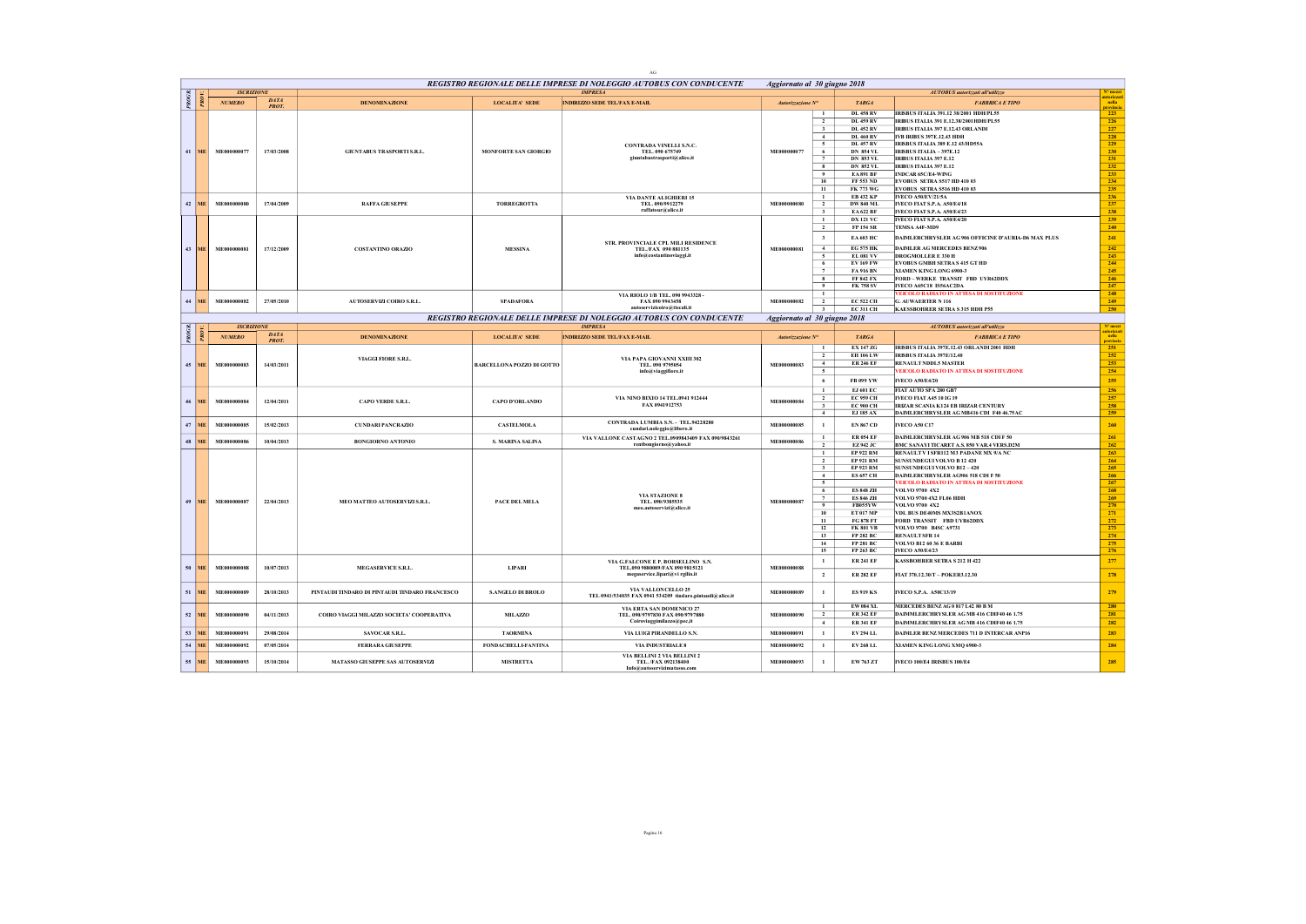|        |           |                   |              |                                                |                            | AG                                                                                    |                              |                                |                                      |                                                                                      |                                 |
|--------|-----------|-------------------|--------------|------------------------------------------------|----------------------------|---------------------------------------------------------------------------------------|------------------------------|--------------------------------|--------------------------------------|--------------------------------------------------------------------------------------|---------------------------------|
|        |           | <b>ISCRIZIONE</b> |              |                                                |                            | REGISTRO REGIONALE DELLE IMPRESE DI NOLEGGIO AUTOBUS CON CONDUCENTE<br><b>IMPRESA</b> | Aggiornato al 30 giugno 2018 |                                |                                      |                                                                                      | $N^o$ mezzi                     |
| PROGR. |           |                   | <b>DATA</b>  |                                                |                            |                                                                                       |                              |                                |                                      | <b>AUTOBUS</b> autorizzati all'utilizzo                                              | utorizzat                       |
|        |           | <b>NUMERO</b>     | <b>PROT</b>  | <b>DENOMINAZIONE</b>                           | <b>LOCALITA' SEDE</b>      | <b>INDIRIZZO SEDE TEL/FAX E-MAIL</b>                                                  | Autorizzazione Nº            |                                | <b>TARGA</b>                         | <b>FABBRICA E TIPO</b>                                                               | nella<br>$rac{1}{223}$          |
|        |           |                   |              |                                                |                            |                                                                                       |                              | $\mathbf{1}$                   | DL 458 RV                            | <b>IRISBUS ITALIA 391.12 38/2001 HDH/PL55</b>                                        |                                 |
|        |           |                   |              |                                                |                            |                                                                                       |                              | $\overline{2}$                 | DL 459 RV                            | <b>IRIRUS ITALIA 391 F.12.38/2001HDH/PL55</b>                                        | 226<br>227                      |
|        |           |                   |              |                                                |                            |                                                                                       |                              | $\mathbf{3}$<br>4              | <b>DL 452 RV</b><br><b>DL 460 RV</b> | IRIBUS ITALIA 397 E.12.43 ORLANDI<br><b>IVB IRIBUS 397E.12.43 HDH</b>                | 228                             |
|        |           |                   |              |                                                |                            | CONTRADA VINELLI S.N.C.                                                               |                              | -5                             | <b>DL 457 RV</b>                     | IRISBUS ITALIA 389 E.12 43/HD55A                                                     | 229                             |
|        | $41$ ME   | ME000000077       | 17/03/2008   | <b>GIUNTABUS TRASPORTI S.R.L.</b>              | MONFORTE SAN GIORGIO       | TEL. 090 675749                                                                       | ME000000077                  | 6                              | <b>DN 854 VL</b>                     | IRISBUS ITALIA - 397E.12                                                             | 230                             |
|        |           |                   |              |                                                |                            | giuntabus trasporti@alice.it                                                          |                              | $\overline{7}$                 | <b>DN 853 VL</b>                     | <b>IRIBUS ITALIA 397 E.12</b>                                                        | 231                             |
|        |           |                   |              |                                                |                            |                                                                                       |                              | 8                              | <b>DN 852 VL</b>                     | <b>IRIBUS ITALIA 397 E.12</b>                                                        | 232                             |
|        |           |                   |              |                                                |                            |                                                                                       |                              | $^{9}$                         | <b>EA891 BF</b>                      | <b>INDCAR 65C/E4-WING</b>                                                            | 233                             |
|        |           |                   |              |                                                |                            |                                                                                       |                              | 10<br>11                       | FF 553 ND<br><b>FK 773 WG</b>        | EVOBUS SETRA S517 HD 410 03<br>EVOBUS SETRA S516 HD 410 03                           | 234<br>235                      |
|        |           |                   |              |                                                |                            | VIA DANTE ALIGHIERI 15                                                                |                              | $\mathbf{1}$                   | <b>EB 432 KP</b>                     | <b>IVECO A50/EV/21/5A</b>                                                            | 236                             |
|        | $42$ ME   | ME000000080       | 17/04/2009   | <b>RAFFA GIUSEPPE</b>                          | <b>TORREGROTTA</b>         | TEL. 090/9912279                                                                      | ME000000080                  | $\overline{2}$                 | <b>DW 840 ML</b>                     | IVECO FIAT S.P.A. A50/E4/18                                                          | 237                             |
|        |           |                   |              |                                                |                            | raffatour@alice.it                                                                    |                              | $\overline{\mathbf{3}}$        | EA 622 BF                            | IVECO FIAT S.P.A. A50/E4/23                                                          | 238                             |
|        |           |                   |              |                                                |                            |                                                                                       |                              | $\mathbf{1}$                   | <b>DX 121 VC</b>                     | IVECO FIAT S.P.A. A50/E4/20                                                          | 239                             |
|        |           |                   |              |                                                |                            |                                                                                       |                              | $\overline{2}$                 | <b>FP 154 SR</b>                     | TEMSA A4F-MD9                                                                        | 240                             |
|        |           |                   |              |                                                |                            |                                                                                       |                              | $\overline{\mathbf{3}}$        | <b>EA 603 HC</b>                     | DAIMLERCHRYSLER AG 906 OFFICINE D'AURIA-D6 MAX PLUS                                  | 241                             |
|        | 43 ME     | ME000000081       | 17/12/2009   | <b>COSTANTINO ORAZIO</b>                       | <b>MESSINA</b>             | STR. PROVINCIALE CPL MILI RESIDENCE<br>TEL./FAX 090 881135                            | ME000000081                  | $\overline{4}$                 | <b>EG 575 HK</b>                     | <b>DAIMLER AG MERCEDES BENZ 906</b>                                                  | 242                             |
|        |           |                   |              |                                                |                            | info@costantinoviaggi.it                                                              |                              | $\sim$                         | <b>EL 081 VV</b>                     | <b>DROGMOLLER E 330 H</b>                                                            | 243                             |
|        |           |                   |              |                                                |                            |                                                                                       |                              | 6                              | <b>EV169 FW</b>                      | <b>EVOBUS GMBH SETRAS 415 GT HD</b>                                                  | 244                             |
|        |           |                   |              |                                                |                            |                                                                                       |                              | $\overline{7}$                 | <b>FA 916 BN</b>                     | XTAMEN KING LONG 6900-3                                                              | 245                             |
|        |           |                   |              |                                                |                            |                                                                                       |                              | $\bf{8}$<br>$\cdot$            | <b>FF 842 FX</b>                     | FORD-WERKE TRANSIT FBD UYR62DDX                                                      | 246                             |
|        |           |                   |              |                                                |                            |                                                                                       |                              | $\mathbf{1}$                   | FK 758 SV                            | IVECO A65C18 IS56AC2DA                                                               | 247                             |
| 44     | ME        | ME000000082       | 27/05/2010   | AUTOSERVIZI COIRO S.R.L.                       | <b>SPADAFORA</b>           | VIA RIOLO 1/B TEL. 090 9943328 -<br>FAX 090 9943458                                   | ME000000082                  | $\overline{2}$                 | <b>EC 522 CH</b>                     | VEICOLO RADIATO IN ATTESA DI SOSTITUZIONE<br><b>G. AUWAERTER N 116</b>               | 248<br>249                      |
|        |           |                   |              |                                                |                            | autoservizicoiro@tiscali.it                                                           |                              | $\overline{3}$                 | <b>EC 311 CH</b>                     | <b>KAESSBOHRER SETRA S 315 HDH P55</b>                                               | 250                             |
|        |           |                   |              |                                                |                            | REGISTRO REGIONALE DELLE IMPRESE DI NOLEGGIO AUTOBUS CON CONDUCENTE                   | Aggiornato al 30 giugno 2018 |                                |                                      |                                                                                      |                                 |
|        |           | <b>ISCRIZIONE</b> |              |                                                |                            | <b>IMPRESA</b>                                                                        |                              |                                |                                      | <b>AUTOBUS</b> autorizzati all'utilizzo                                              | $N^{\circ}$ mezzi<br>autorizzat |
| PROGR. |           | <b>NUMERO</b>     | <b>DATA</b>  | <b>DENOMINAZIONE</b>                           | <b>LOCALITA' SEDE</b>      | <b>INDIRIZZO SEDE TEL/FAX E-MAIL</b>                                                  | Autorizzazione N°            |                                | <b>TARGA</b>                         | <b>FABBRICA E TIPO</b>                                                               | nella                           |
|        |           |                   | <b>PROT.</b> |                                                |                            |                                                                                       |                              |                                | EX 147 ZG                            |                                                                                      | 251                             |
|        |           |                   |              |                                                |                            |                                                                                       |                              | $\mathbf{1}$<br>$\overline{2}$ | <b>EH 106 LW</b>                     | IRISBUS ITALIA 397E.12.43 ORLANDI 2001 HDH<br><b>IRISBUS ITALIA 397E/12.40</b>       | 252                             |
|        |           |                   |              | VIAGGI FIORE S.R.L.                            |                            | VIA PAPA GIOVANNI XXIII 302                                                           |                              | $\sim$                         | <b>ER 246 EF</b>                     | <b>RENAULT NDDL5 MASTER</b>                                                          | 253                             |
|        | 45 ME     | ME000000083       | 14/03/2011   |                                                | BARCELLONA POZZO DI GOTTO  | TEL. 090 9795054<br>info@viaggifiore.it                                               | ME000000083                  | $\sim$                         |                                      | VEICOLO RADIATO IN ATTESA DI SOSTITUZIONE                                            | 254                             |
|        |           |                   |              |                                                |                            |                                                                                       |                              | 6                              | FR 099 YW                            | <b>IVECO A50/E4/20</b>                                                               | 255                             |
|        |           |                   |              |                                                |                            |                                                                                       |                              | $\mathbf{1}$                   | EJ 601 EC                            | FIAT AUTO SPA 280 GB7                                                                | 256                             |
|        |           |                   |              |                                                |                            | VIA NINO BIXIO 14 TEL.0941 912444                                                     |                              | $\overline{2}$                 | <b>EC 959 CH</b>                     | <b>IVECO FIAT A45 10 IG 19</b>                                                       | 257                             |
|        | 46 ME     | ME000000084       | 12/04/2011   | <b>CAPO VERDE S.R.L.</b>                       | <b>CAPO D'ORLANDO</b>      | FAX 0941912753                                                                        | ME000000084                  | $\overline{\mathbf{3}}$        | <b>EC 900 CH</b>                     | IRIZAR SCANIA K124 EB IRIZAR CENTURY                                                 | 258                             |
|        |           |                   |              |                                                |                            |                                                                                       |                              | 4                              | <b>EJ 185 AX</b>                     | DAIMLERCHRYSLER AG MB416 CDI F40 46.75AC                                             | 259                             |
| 47     | ME.       | ME000000085       | 15/02/2013   | <b>CUNDARI PANCRAZIO</b>                       | <b>CASTELMOLA</b>          | CONTRADA LUMBIA S.N. - TEL.94228280                                                   | ME000000085                  | $\mathbf{1}$                   | <b>EN 867 CD</b>                     | <b>IVECO A50 C17</b>                                                                 | 260                             |
|        |           |                   |              |                                                |                            | cundari.noleggio@libero.it                                                            |                              |                                |                                      |                                                                                      |                                 |
|        | 48 ME     | ME000000086       | 10/04/2013   | <b>BONGIORNO ANTONIO</b>                       | S. MARINA SALINA           | VIA VALLONE CASTAGNO 2 TEL.0909843409 FAX 090/9843261<br>rentbongiorno@yahoo.it       | ME000000086                  | -1                             | <b>ER 054 EF</b>                     | DAIMLERCHRYSLER AG 906 MB 518 CDIF 50                                                | 261                             |
|        |           |                   |              |                                                |                            |                                                                                       |                              | $\overline{2}$<br>$\mathbf{1}$ | EZ942 JC<br><b>EP 922 RM</b>         | BMC SANAYI TICARET A.S. 850 VAR.4 VERS.D2M<br>RENAULT V I SFR112 M3 PADANE MX 9/A NC | 262<br>263                      |
|        |           |                   |              |                                                |                            |                                                                                       |                              | $\overline{2}$                 | <b>EP 921 RM</b>                     | <b>SUNSUNDEGUI VOLVO B 12 420</b>                                                    | 264                             |
|        |           |                   |              |                                                |                            |                                                                                       |                              | $\overline{\mathbf{3}}$        | <b>EP 923 RM</b>                     | <b>SUNSUNDEGUI VOLVO B12 - 420</b>                                                   | 265                             |
|        |           |                   |              |                                                |                            |                                                                                       |                              | $-4$                           | <b>ES 657 CH</b>                     | DAIMLERCHRYSLER AG906 518 CDI F 50                                                   | 266                             |
|        |           |                   |              |                                                |                            |                                                                                       |                              | $\overline{5}$                 |                                      | <b>FEICOLO RADIATO IN ATTESA DI SOSTITUZIONE</b>                                     | 267                             |
|        |           |                   |              |                                                |                            | <b>VIA STAZIONE 8</b>                                                                 |                              | 6                              | <b>ES 848 ZH</b>                     | VOLVO 9700 4X2                                                                       | 268                             |
| 49     | ME.       | ME000000087       | 22/04/2013   | MEO MATTEO AUTOSERVIZI S.R.L.                  | PACE DEL MELA              | TEL. 090/9385535                                                                      | ME000000087                  | $\tau$<br>9                    | <b>ES 846 ZH</b><br><b>FB055YW</b>   | VOLVO 9700 4X2 FL06 HDH<br>VOLVO 9700 4X2                                            | 269                             |
|        |           |                   |              |                                                |                            | meo.autoservizi@alice.it                                                              |                              | 10                             | <b>ET 017 MP</b>                     | VDL BUS DE40MS MX3S2B1ANOX                                                           | $\frac{270}{271}$               |
|        |           |                   |              |                                                |                            |                                                                                       |                              | 11                             | <b>FG 878 FT</b>                     | FORD TRANSIT FBD UYR62DDX                                                            | 272                             |
|        |           |                   |              |                                                |                            |                                                                                       |                              | 12                             | <b>FK 801 VB</b>                     | VOLVO 9700 B4SC A9731                                                                | 273                             |
|        |           |                   |              |                                                |                            |                                                                                       |                              | 13                             | FP 282 BC                            | <b>RENAULT SFR 14</b>                                                                | 274                             |
|        |           |                   |              |                                                |                            |                                                                                       |                              | 14                             | <b>FP 281 BC</b>                     | <b>VOLVO B12 60 36 E BARBI</b>                                                       | 275                             |
|        |           |                   |              |                                                |                            |                                                                                       |                              | 15                             | FP 263 BC                            | <b>IVECO A50/E4/23</b>                                                               | 276                             |
|        |           |                   |              |                                                |                            | VIA G.FALCONE E P. BORSELLINO S.N.                                                    |                              | $\mathbf{1}$                   | <b>ER 241 EF</b>                     | <b>KASSBOHRER SETRA S 212 H 422</b>                                                  | 277                             |
| 50     | ME.       | ME000000088       | 10/07/2013   | MEGASERVICE S.R.L.                             | LIPARI                     | TEL.090 9880089/FAX 090 9815121<br>megaservice.lipari@vi rgilio.it                    | ME000000088                  | $\overline{2}$                 | <b>ER 282 EF</b>                     | FIAT 370.12.30/T - POKER3.12.30                                                      | 278                             |
|        |           |                   |              |                                                |                            |                                                                                       |                              |                                |                                      |                                                                                      |                                 |
| 51     | <b>ME</b> | ME000000089       | 28/10/2013   | PINTAUDI TINDARO DI PINTAUDI TINDARO FRANCESCO | <b>S.ANGELO DI BROLO</b>   | VIA VALLONCELLO 25<br>TEL 0941/534035 FAX 0941 534209 tindaro.pintaudi@alice.it       | ME000000089                  | $\mathbf{1}$                   | <b>ES 919 KS</b>                     | IVECO S.P.A. A50C13/19                                                               | 279                             |
|        |           |                   |              |                                                |                            |                                                                                       |                              |                                | EW 084 XL                            | MERCEDES BENZAG 0 817 L42 80 B M                                                     | 280                             |
|        | 52 ME     | ME000000090       | 04/11/2013   | COIRO VIAGGI MILAZZO SOCIETA' COOPERATIVA      | MILAZZO                    | VIA ERTA SAN DOMENICO 27<br>TEL. 090/9797830 FAX 090/9797880                          | ME000000090                  | $\overline{2}$                 | <b>ER 342 EF</b>                     | DAIMMLERCHRYSLER AG MB 416 CDIF40 46 1.75                                            | 281                             |
|        |           |                   |              |                                                |                            | Coiroviaggimilazzo@pec,it                                                             |                              | 4                              | <b>ER 341 EF</b>                     | DAIMMLERCHRYSLER AG MB 416 CDIF40 46 1.75                                            | 282                             |
|        | 53 ME     |                   | 29/08/2014   |                                                |                            | VIA LUIGI PIRANDELLO S.N.                                                             | ME000000091                  | $\mathbf{1}$                   | EV 294 LL                            | DAIMLER BENZ MERCEDES 711 D INTERCAR ANP16                                           | 283                             |
|        |           | ME000000091       |              | <b>SAVOCAR S.R.L.</b>                          | <b>TAORMINA</b>            |                                                                                       |                              |                                |                                      |                                                                                      |                                 |
|        | $54$ ME   | ME000000092       | 07/05/2014   | FERRARA GIUSEPPE                               | <b>FONDACHELLI-FANTINA</b> | VIA INDUSTRIALE 8<br>VIA BELLINI 2 VIA BELLINI 2                                      | ME000000092                  | $\mathbf{1}$                   | <b>EV 268 LL</b>                     | XIAMEN KING LONG XMO 6900-3                                                          | 284                             |
|        | 55 ME     | ME000000093       | 15/10/2014   | MATASSO GIUSEPPE SAS AUTOSERVIZI               | <b>MISTRETTA</b>           | TEL. /FAX 092138400<br>Info@autoservizimatasso.com                                    | ME000000093                  | $\mathbf{1}$                   | EW 763 ZT                            | <b>IVECO 100/E4 IRISBUS 100/E4</b>                                                   | 285                             |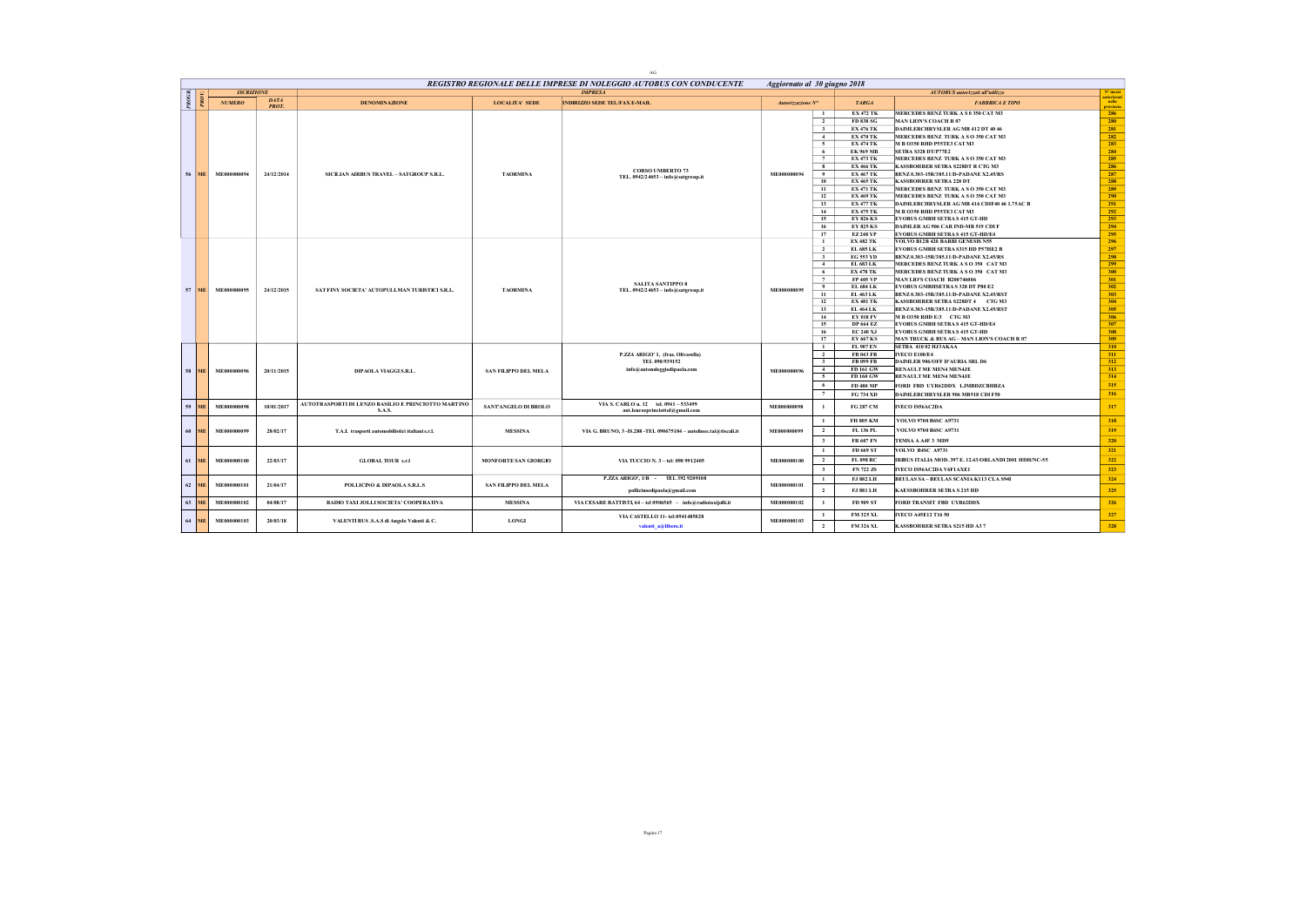|                 |                 |                   |                             |                                                     |                             | $\rm{AG}$                                                           |                              |                                |                                      |                                                                            |                      |
|-----------------|-----------------|-------------------|-----------------------------|-----------------------------------------------------|-----------------------------|---------------------------------------------------------------------|------------------------------|--------------------------------|--------------------------------------|----------------------------------------------------------------------------|----------------------|
|                 |                 |                   |                             |                                                     |                             | REGISTRO REGIONALE DELLE IMPRESE DI NOLEGGIO AUTOBUS CON CONDUCENTE | Aggiornato al 30 giugno 2018 |                                |                                      |                                                                            |                      |
|                 |                 | <b>ISCRIZIONE</b> |                             |                                                     |                             | <b>IMPRESA</b>                                                      |                              |                                |                                      | <b>AUTOBUS</b> autorizzati all'utilizzo                                    | Nº mezzi<br>uterizza |
| PROGR.          |                 | <b>NUMERO</b>     | <b>DATA</b><br><b>PROT.</b> | <b>DENOMINAZIONE</b>                                | <b>LOCALITA' SEDE</b>       | <b>INDIRIZZO SEDE TEL/FAX E-MAIL</b>                                | Autorizzazione N°            |                                | <b>TARGA</b>                         | <b>FABBRICA E TIPO</b>                                                     | nella<br>provincia   |
|                 |                 |                   |                             |                                                     |                             |                                                                     |                              | $\mathbf{1}$<br>$\overline{2}$ | <b>EX 472 TK</b><br><b>FD 838 SG</b> | MERCEDES BENZ TURK A S 0 350 CAT M3<br><b>MAN LION'S COACH R 07</b>        | 286<br>280           |
|                 |                 |                   |                             |                                                     |                             |                                                                     |                              | $\overline{\mathbf{3}}$        | <b>EX 476 TK</b>                     | DAIMLERCHRYSLER AG MB 412 DT 40 46                                         | 281                  |
|                 |                 |                   |                             |                                                     |                             |                                                                     |                              | 4                              | <b>EX 470 TK</b>                     | MERCEDES BENZ TURK A SO 350 CAT M3                                         | 282                  |
|                 |                 |                   |                             |                                                     |                             |                                                                     |                              | $\sim$                         | <b>EX 474 TK</b>                     | M B O350 RHD P55TE3 CAT M3                                                 | 283                  |
|                 |                 |                   |                             |                                                     |                             |                                                                     |                              | 6                              | <b>EK 969 MR</b>                     | SETRA S328 DT/P77E2                                                        | 284                  |
|                 |                 |                   |                             |                                                     |                             |                                                                     |                              | $\overline{7}$                 | <b>EX 473 TK</b>                     | <b>MERCEDES BENZ TURK A S O 350 CAT M3</b>                                 | 285                  |
|                 |                 |                   |                             |                                                     |                             | <b>CORSO UMBERTO 73</b>                                             |                              | 8                              | <b>EX 466 TK</b>                     | KASSBOHRER SETRA S228DT R CTG M3                                           | 286                  |
|                 | 56 ME           | ME000000094       | 24/12/2014                  | SICILIAN AIRBUS TRAVEL - SATGROUP S.R.L.            | <b>TAORMINA</b>             | TEL. 0942/24653 - info@satgroup.it                                  | ME000000094                  | 9                              | <b>EX 467 TK</b>                     | BENZ 0.303-15R/385.11/D-PADANE X2.45/RS                                    | 287                  |
|                 |                 |                   |                             |                                                     |                             |                                                                     |                              | 10                             | <b>EX 465 TK</b>                     | <b>KASSBOHRER SETRA 228 DT</b>                                             | 288                  |
|                 |                 |                   |                             |                                                     |                             |                                                                     |                              | 11                             | <b>EX 471 TK</b>                     | MERCEDES BENZ TURK A SO 350 CAT M3                                         | 289                  |
|                 |                 |                   |                             |                                                     |                             |                                                                     |                              | 12                             | <b>EX 469 TK</b>                     | MERCEDES BENZ TURK A SO 350 CAT M3                                         | 290                  |
|                 |                 |                   |                             |                                                     |                             |                                                                     |                              | 13                             | <b>EX 477 TK</b>                     | DAIMLERCHRYSLER AG MB 416 CDIF40 46 1.75AC B                               | 291                  |
|                 |                 |                   |                             |                                                     |                             |                                                                     |                              | 14                             | <b>EX 475 TK</b>                     | M B 0350 RHD P55TE3 CAT M3                                                 | 292                  |
|                 |                 |                   |                             |                                                     |                             |                                                                     |                              | 15                             | <b>EY 826 KS</b>                     | <b>EVOBUS GMBH SETRAS 415 GT-HD</b>                                        | 293                  |
|                 |                 |                   |                             |                                                     |                             |                                                                     |                              | 16<br>17                       | <b>EY 825 KS</b><br><b>EZ248 YP</b>  | DAIMLER AG 906 CAR IND-MB 519 CDI F                                        | 294<br>295           |
|                 |                 |                   |                             |                                                     |                             |                                                                     |                              | $\mathbf{1}$                   | <b>EX 482 TK</b>                     | <b>EVOBUS GMBH SETRAS 415 GT-HD/E4</b><br>VOLVO B12B 420 BARBI GENESIS N55 | 296                  |
|                 |                 |                   |                             |                                                     |                             |                                                                     |                              | $\overline{2}$                 | EL 685 LK                            | EVOBUS GMBH SETRA \$315 HD P57HE2 B                                        | 297                  |
|                 |                 |                   |                             |                                                     |                             |                                                                     |                              | $\overline{\mathbf{3}}$        | <b>EG 553 YD</b>                     | BENZ 0.303-15R/385.11/D-PADANE X2.45/RS                                    | 298                  |
|                 |                 |                   |                             |                                                     |                             |                                                                     |                              | 4                              | EL 683 LK                            | MERCEDES BENZ TURK A SO 350 CAT M3                                         | 299                  |
|                 |                 |                   |                             |                                                     |                             |                                                                     |                              | 6                              | <b>EX 478 TK</b>                     | MERCEDES BENZ TURK A SO 350 CAT M3                                         | 300                  |
|                 |                 |                   |                             |                                                     |                             |                                                                     |                              | $\tau$                         | FP 405 VP                            | <b>MAN LIO'S COACH B200746006</b>                                          | 301                  |
|                 |                 |                   |                             |                                                     |                             | <b>SALITA SANTIPPO 8</b>                                            |                              | $\ddot{\mathbf{Q}}$            | <b>EL 684 LK</b>                     | EVOBUS GMBHSETRA S 328 DT P80 E2                                           | 302                  |
| 57              | <b>ME</b>       | ME000000095       | 24/12/2015                  | SAT FINY SOCIETA' AUTOPULLMAN TURISTICI S.R.L.      | <b>TAORMINA</b>             | TEL. 0942/24653 - info@satgroup.it                                  | ME000000095                  | 11                             | EL 463 LK                            | BENZ 0.303-15R/385.11/D-PADANE X2.45/RST                                   | 303                  |
|                 |                 |                   |                             |                                                     |                             |                                                                     |                              | 12                             | <b>EX 481 TK</b>                     | KASSBOHRER SETRA S228DT 4 CTG M3                                           | 304                  |
|                 |                 |                   |                             |                                                     |                             |                                                                     |                              | 13                             | <b>EL 464 LK</b>                     | BENZ 0.303-15R/385.11/D-PADANE X2.45/RST                                   | 305                  |
|                 |                 |                   |                             |                                                     |                             |                                                                     |                              | 14                             | <b>EY 018 FV</b>                     | M B 0350 RHD E/3 CTG M3                                                    | 306                  |
|                 |                 |                   |                             |                                                     |                             |                                                                     |                              | 15                             | <b>DP 664 EZ</b>                     | EVOBUS GMBH SETRAS 415 GT-HD/E4                                            | 307                  |
|                 |                 |                   |                             |                                                     |                             |                                                                     |                              | 16                             | <b>EC 240 XJ</b>                     | <b>EVOBUS GMBH SETRAS 415 GT-HD</b>                                        | 308                  |
|                 |                 |                   |                             |                                                     |                             |                                                                     |                              | 17<br>$\mathbf{1}$             | EY 667 KS<br>FL 907 EN               | MAN TRUCK & BUS AG - MAN LION'S COACH R 07<br><b>SETRA 410 02 HJ3AKAA</b>  | 309<br>310           |
|                 |                 |                   |                             |                                                     |                             | P.ZZA ARIGO' 1, (fraz. Olivarella)                                  |                              | $\overline{2}$                 | <b>FB 043 FB</b>                     | <b>IVECO E100/E4</b>                                                       | 311                  |
|                 |                 |                   |                             |                                                     |                             | TEL 090/939152                                                      |                              | $\overline{\mathbf{3}}$        | <b>FB 099 FB</b>                     | DAIMLER 906/OFF D'AURIA SRL D6                                             | 312                  |
| 58 <sup>1</sup> | ME <sup>1</sup> | ME000000096       | 20/11/2015                  | DIPAOLA VIAGGIS.R.L.                                | <b>SAN FILIPPO DEL MELA</b> | info@autonoleggiodipaola.com                                        | ME000000096                  | $-4$                           | FD 161 GW                            | RENAULT ME MEN4 MEN4JE                                                     | 313                  |
|                 |                 |                   |                             |                                                     |                             |                                                                     |                              | 5                              | FD 160 GW                            | RENAULT ME MEN4 MEN4JE                                                     | 314                  |
|                 |                 |                   |                             |                                                     |                             |                                                                     |                              | 6                              | FD 480 MP                            | FORD FBD UYR62DDX LJMBDZCBHBZA                                             | 315                  |
|                 |                 |                   |                             |                                                     |                             |                                                                     |                              | 7                              | <b>FG 734 XD</b>                     | DAIMLERCHRYSLER 906 MB518 CDI F50                                          | 316                  |
|                 |                 |                   |                             | AUTOTRASPORTI DI LENZO BASILIO E PRINCIOTTO MARTINO |                             | VIA S. CARLO n. 12 tel. 0941-533499                                 |                              |                                |                                      |                                                                            |                      |
| 59              | ME              | ME000000098       | 10/01/2017                  | S.A.S.                                              | SANTANGELO DI BROLO         | aut.lenzoeprinciottol@gmail.com                                     | ME000000098                  | $\overline{1}$                 | FG 287 CM                            | <b>IVECO IS56AC2DA</b>                                                     | 317                  |
|                 |                 |                   |                             |                                                     |                             |                                                                     |                              | $\overline{1}$                 | FH 805 KM                            | VOLVO 9700 B6SC A9731                                                      | 318                  |
|                 | 60 ME           | ME000000099       | 28/02/17                    | T.A.I. trasporti automobilistici italiani s.r.l.    | <b>MESSINA</b>              | VIA G. BRUNO, 3 - IS.288 - TEL 090675184 - autolinee.tai@tiscali.it | ME000000099                  | $\overline{2}$                 | FL 136 PL                            | VOLVO 9700 B6SC A9731                                                      | 319                  |
|                 |                 |                   |                             |                                                     |                             |                                                                     |                              | $\overline{\mathbf{3}}$        | <b>FR 607 FN</b>                     | TEMSA A A4F 3 MD9                                                          | 320                  |
|                 |                 |                   |                             |                                                     |                             |                                                                     |                              | $\mathbf{1}$                   | FD 669 ST                            | VOLVO B4SC A9731                                                           | 321                  |
| 61              | ME.             | ME000000100       | 22/03/17                    | <b>GLOBAL TOUR s.r.l</b>                            | <b>MONFORTE SAN GIORGIO</b> | VIA TUCCIO N. 3 - tel: 090 9912405                                  | ME000000100                  | $\overline{2}$                 | FL 098 RC                            | IRIBUS ITALIA MOD. 397 E. 12.43/ORLANDI 2001 HDH/NC-55                     | 322                  |
|                 |                 |                   |                             |                                                     |                             |                                                                     |                              | $\overline{\mathbf{3}}$        | FN 722 ZS                            | IVECO IS56AC2DA V6F1AXE1                                                   | 323                  |
|                 |                 |                   |                             |                                                     |                             | P.ZZA ARIGO', 1/B - TEL 392 9209108                                 |                              | $\mathbf{1}$                   | <b>FJ 882 LH</b>                     | BEULAS SA - BEULAS SCANIA K113 CLA S94I                                    | 324                  |
| 62              | ME.             | ME000000101       | 21/04/17                    | POLLICINO & DIPAOLA S.R.L.S                         | <b>SAN FILIPPO DEL MELA</b> |                                                                     | ME000000101                  |                                |                                      |                                                                            |                      |
|                 |                 |                   |                             |                                                     |                             | pollicinoedipaola@gmail.com                                         |                              | $\overline{2}$                 | <b>FJ 881 LH</b>                     | <b>KAESSBOHRER SETRA S 215 HD</b>                                          | 325                  |
|                 | 63 ME           | ME000000102       | 04/08/17                    | RADIO TAXI JOLLI SOCIETA' COOPERATIVA               | <b>MESSINA</b>              | VIA CESARE BATTISTI, 64 - tel 0906565 - info@radiotaxijolli.it      | ME000000102                  | $\mathbf{1}$                   | FD 909 ST                            | FORD TRANSIT FBD UYR62DDX                                                  | 326                  |
|                 |                 |                   |                             |                                                     |                             | VIA CASTELLO 11-tel:0941485028                                      |                              |                                | FM 325 XL                            | <b>IVECO A45E12 T16 50</b>                                                 | 327                  |
| 64              | <b>ME</b>       | ME000000103       | 20/03/18                    | VALENTI BUS .S.A.S di Angelo Valenti & C.           | <b>LONGI</b>                | valenti a@libero.it                                                 | ME000000103                  | $\overline{2}$                 | FM 326 XL                            | KASSBOHRER SETRA S215 HD A3 7                                              | 328                  |
|                 |                 |                   |                             |                                                     |                             |                                                                     |                              |                                |                                      |                                                                            |                      |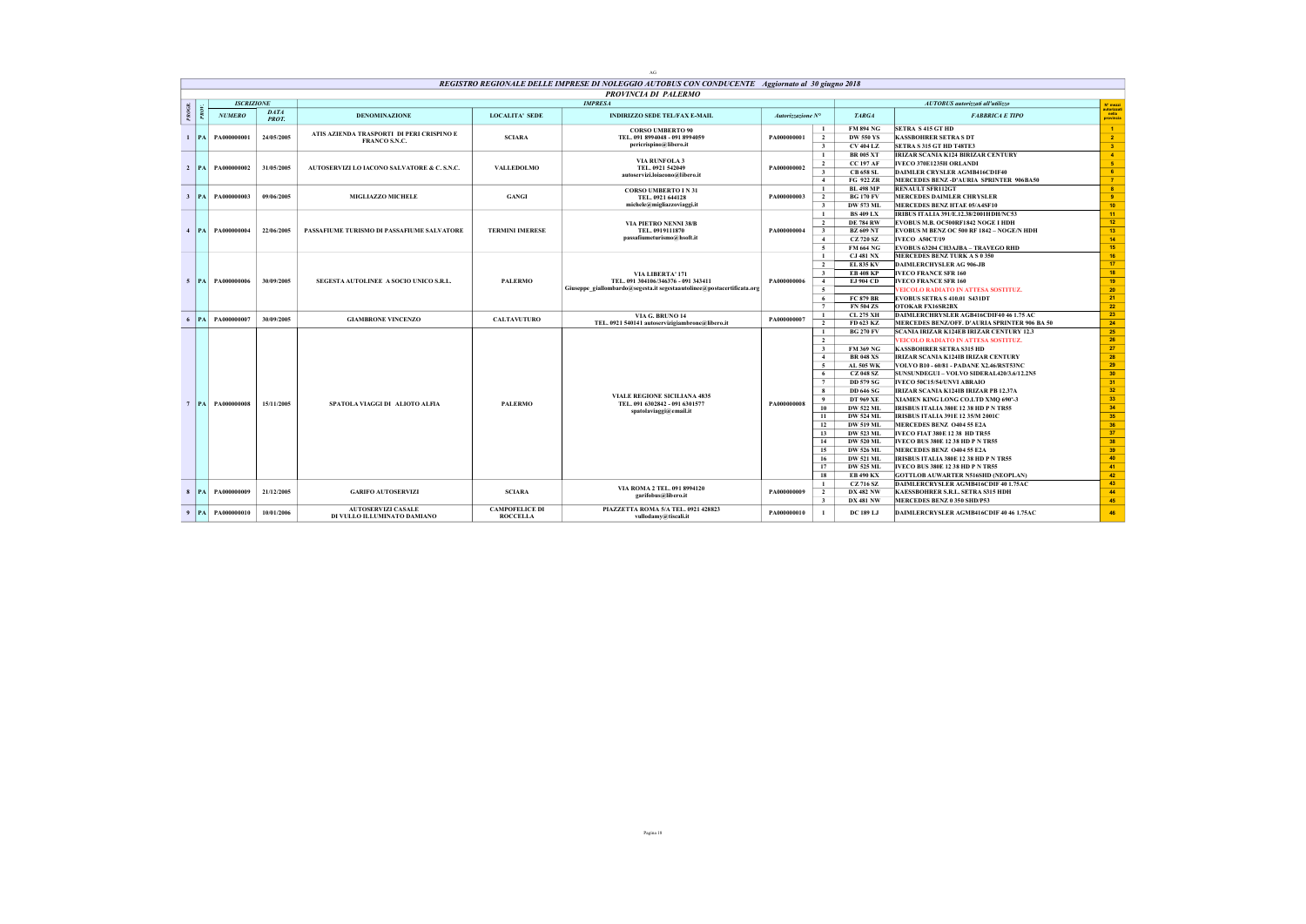|              |           |                       |                      |                                                          |                                          | REGISTRO REGIONALE DELLE IMPRESE DI NOLEGGIO AUTOBUS CON CONDUCENTE Aggiornato al 30 giugno 2018 |                   |                                                                |                                                                               |                                  |
|--------------|-----------|-----------------------|----------------------|----------------------------------------------------------|------------------------------------------|--------------------------------------------------------------------------------------------------|-------------------|----------------------------------------------------------------|-------------------------------------------------------------------------------|----------------------------------|
|              |           |                       |                      |                                                          |                                          | <b>PROVINCIA DI PALERMO</b>                                                                      |                   |                                                                |                                                                               |                                  |
|              |           | <b>ISCRIZIONE</b>     |                      |                                                          |                                          | <b>IMPRESA</b>                                                                                   |                   |                                                                | AUTOBUS autorizzati all'utilizzo                                              | N' mezzi                         |
| PROG         |           | <b>NUMERO</b>         | DATA<br><b>PROT.</b> | <b>DENOMINAZIONE</b>                                     | <b>LOCALITA' SEDE</b>                    | <b>INDIRIZZO SEDE TEL/FAX E-MAIL</b>                                                             | Autorizzazione N° | <b>TARGA</b>                                                   | <b>FABBRICA E TIPO</b>                                                        | autorizzat<br>nella<br>provincia |
|              |           |                       |                      | ATIS AZIENDA TRASPORTI DI PERI CRISPINO E                |                                          | <b>CORSO UMBERTO 90</b>                                                                          |                   | <b>FM 894 NG</b><br>$\mathbf{1}$                               | <b>SETRA S 415 GT HD</b>                                                      | $\blacksquare$                   |
| $\mathbf{1}$ |           | <b>PA PA000000001</b> | 24/05/2005           | FRANCO S.N.C.                                            | <b>SCIARA</b>                            | TEL. 091 8994048 - 091 8994059                                                                   | PA000000001       | $\overline{2}$<br><b>DW 550 YS</b>                             | <b>KASSBOHRER SETRA S DT</b>                                                  | $\overline{2}$                   |
|              |           |                       |                      |                                                          |                                          | pericrispino@libero.it                                                                           |                   | $\overline{\mathbf{3}}$<br><b>CV 404 LZ</b>                    | SETRA S 315 GT HD T48TE3                                                      | $\overline{\mathbf{3}}$          |
|              |           |                       |                      |                                                          |                                          | <b>VIA RUNFOLA 3</b>                                                                             |                   | <b>BR 005 XT</b><br>-1                                         | IRIZAR SCANIA K124 BIRIZAR CENTURY                                            | $\overline{4}$                   |
|              |           | 2   PA   PA000000002  | 31/05/2005           | AUTOSERVIZI LO IACONO SALVATORE & C. S.N.C.              | <b>VALLEDOLMO</b>                        | TEL. 0921 542049                                                                                 | PA000000002       | $\overline{2}$<br><b>CC 197 AF</b>                             | IVECO 370E1235H ORLANDI                                                       | $-5$                             |
|              |           |                       |                      |                                                          |                                          | autoservizi.loiacono@libero.it                                                                   |                   | $\overline{\mathbf{3}}$<br><b>CB 658 SL</b>                    | <b>DAIMLER CRYSLER AGMB416CDIF40</b>                                          | 6 <sup>°</sup>                   |
|              |           |                       |                      |                                                          |                                          |                                                                                                  |                   | $\overline{4}$<br>FG 922 ZR                                    | MERCEDES BENZ-D'AURIA SPRINTER 906BA50                                        | $\overline{7}$                   |
|              |           |                       |                      |                                                          |                                          | <b>CORSO UMBERTO IN 31</b>                                                                       |                   | <b>BL 498 MP</b><br>$\mathbf{1}$                               | <b>RENAULT SFR112GT</b>                                                       | $\bullet$                        |
|              |           | 3   PA   PA000000003  | 09/06/2005           | MIGLIAZZO MICHELE                                        | <b>GANGI</b>                             | TEL. 0921 644128<br>michele@migliazzoviaggi.it                                                   | PA000000003       | <b>BG 170 FV</b><br>$\overline{2}$                             | <b>MERCEDES DAIMLER CHRYSLER</b>                                              | $\overline{9}$<br>10             |
|              |           |                       |                      |                                                          |                                          |                                                                                                  |                   | $\overline{\mathbf{3}}$<br>DW 573 ML<br><b>BS 409 LX</b><br>-1 | MERCEDES BENZ HTAE 05/A4SF10<br>IRIBUS ITALIA 391/E.12.38/2001HDH/NC53        | 11                               |
|              |           |                       |                      |                                                          |                                          | <b>VIA PIETRO NENNI 38/B</b>                                                                     |                   | $\overline{2}$<br><b>DE 784 RW</b>                             | EVOBUS M.B. OC500RF1842 NOGE I HDH                                            | 12                               |
|              |           | 4   PA   PA000000004  | 22/06/2005           | PASSAFIUME TURISMO DI PASSAFIUME SALVATORE               | <b>TERMINI IMERESE</b>                   | TEL. 0919111870                                                                                  | PA000000004       | <b>BZ 609 NT</b><br>$\overline{\mathbf{3}}$                    | EVOBUS M BENZ OC 500 RF 1842 - NOGE/N HDH                                     | 13                               |
|              |           |                       |                      |                                                          |                                          | passafiumeturismo@hsoft.it                                                                       |                   | <b>CZ 720 SZ</b><br>$\overline{4}$                             | IVECO A50CT/19                                                                | 14                               |
|              |           |                       |                      |                                                          |                                          |                                                                                                  |                   | $\sim$<br><b>FM 664 NG</b>                                     | EVOBUS 63204 CH3AJBA - TRAVEGO RHD                                            | 15                               |
|              |           |                       |                      |                                                          |                                          |                                                                                                  |                   | <b>CJ 481 NX</b><br>$\mathbf{1}$                               | MERCEDES BENZ TURK A S 0 350                                                  | 16                               |
|              |           |                       |                      |                                                          |                                          |                                                                                                  |                   | <b>EL 835 KV</b><br>$\overline{2}$                             | <b>DAIMLERCHYSLER AG 906-JB</b>                                               | 17 <sup>2</sup>                  |
|              |           |                       |                      |                                                          |                                          | VIA LIBERTA' 171                                                                                 |                   | <b>EB 408 KP</b><br>$\overline{\mathbf{3}}$                    | <b>IVECO FRANCE SFR 160</b>                                                   | 18                               |
|              |           | 5   PA   PA000000006  | 30/09/2005           | SEGESTA AUTOLINEE A SOCIO UNICO S.R.L.                   | <b>PALERMO</b>                           | TEL. 091 304106/346376 - 091 343411                                                              | PA000000006       | $\overline{4}$<br>EJ 904 CD                                    | <b>IVECO FRANCE SFR 160</b>                                                   | 19                               |
|              |           |                       |                      |                                                          |                                          | Giuseppe giallombardo@segesta.it segestaautolinee@postacertificata.org                           |                   | 5                                                              | <b>VEICOLO RADIATO IN ATTESA SOSTITUZ.</b>                                    | 20                               |
|              |           |                       |                      |                                                          |                                          |                                                                                                  |                   | <b>FC 879 BR</b><br>6                                          | <b>EVOBUS SETRA S 410.01 S431DT</b>                                           | 21                               |
|              |           |                       |                      |                                                          |                                          |                                                                                                  |                   | <b>FN 504 ZS</b><br>7                                          | OTOKAR FX16SR2BX                                                              | 22                               |
| 6            |           | PA PA000000007        | 30/09/2005           | <b>GIAMBRONE VINCENZO</b>                                | <b>CALTAVUTURO</b>                       | VIA G. BRUNO 14                                                                                  | PA000000007       | <b>CL 275 XH</b><br>$\mathbf{1}$                               | DAIMLERCHRYSLER AGB416CDIF40 46 1.75 AC                                       | 23                               |
|              |           |                       |                      |                                                          |                                          | TEL. 0921 540141 autoservizigiambrone@libero.it                                                  |                   | $\overline{2}$<br>FD 623 KZ                                    | MERCEDES BENZ/OFF. D'AURIA SPRINTER 906 BA 50                                 | 24                               |
|              |           |                       |                      |                                                          |                                          |                                                                                                  |                   | <b>BG 270 FV</b><br>$\mathbf{1}$                               | <b>SCANIA IRIZAR K124EB IRIZAR CENTURY 12.3</b>                               | 25<br>26                         |
|              |           |                       |                      |                                                          |                                          |                                                                                                  |                   | $\overline{2}$<br>$\overline{\mathbf{3}}$<br><b>FM 369 NG</b>  | <b>VEICOLO RADIATO IN ATTESA SOSTITUZ.</b><br><b>KASSBOHRER SETRA S315 HD</b> | 27                               |
|              |           |                       |                      |                                                          |                                          |                                                                                                  |                   | <b>BR 048 XS</b><br>$\overline{4}$                             | IRIZAR SCANIA K124IB IRIZAR CENTURY                                           | 28                               |
|              |           |                       |                      |                                                          |                                          |                                                                                                  |                   | 5<br>AL 505 WK                                                 | VOLVO B10 - 60/81 - PADANE X2.46/RST53NC                                      | 29                               |
|              |           |                       |                      |                                                          |                                          |                                                                                                  |                   | <b>CZ 048 SZ</b><br>6                                          | SUNSUNDEGUI - VOLVO SIDERAL420/3.6/12.2N5                                     | 30                               |
|              |           |                       |                      |                                                          |                                          |                                                                                                  |                   | 7<br><b>DD 579 SG</b>                                          | IVECO 50C15/54/UNVI ABRAIO                                                    | 31                               |
|              |           |                       |                      |                                                          |                                          |                                                                                                  |                   | 8<br><b>DD 646 SG</b>                                          | IRIZAR SCANIA K124IB IRIZAR PB 12.37A                                         | 32 <sup>°</sup>                  |
|              |           |                       |                      |                                                          |                                          | <b>VIALE REGIONE SICILIANA 4835</b>                                                              |                   | DT 969 XE<br>- 9                                               | XIAMEN KING LONG CO.LTD XMQ 690°-3                                            | 33 <sup>°</sup>                  |
|              |           | 7 PA PA000000008      | 15/11/2005           | SPATOLA VIAGGI DI ALIOTO ALFIA                           | <b>PALERMO</b>                           | TEL. 091 6302842 - 091 6301577<br>spatolaviaggi@email.it                                         | PA000000008       | 10<br><b>DW 522 ML</b>                                         | IRISBUS ITALIA 380E 12 38 HD P N TR55                                         | 34                               |
|              |           |                       |                      |                                                          |                                          |                                                                                                  |                   | 11<br><b>DW 524 ML</b>                                         | <b>IRISBUS ITALIA 391E 12 35/M 2001C</b>                                      | 35                               |
|              |           |                       |                      |                                                          |                                          |                                                                                                  |                   | <b>DW 519 ML</b><br>12                                         | MERCEDES BENZ 0404 55 E2A                                                     | 36                               |
|              |           |                       |                      |                                                          |                                          |                                                                                                  |                   | DW 523 ML<br>13                                                | IVECO FIAT 380E 12 38 HD TR55                                                 | 37                               |
|              |           |                       |                      |                                                          |                                          |                                                                                                  |                   | 14<br><b>DW 520 ML</b>                                         | <b>IVECO BUS 380E 12 38 HD P N TR55</b>                                       | 38                               |
|              |           |                       |                      |                                                          |                                          |                                                                                                  |                   | 15<br><b>DW 526 ML</b>                                         | MERCEDES BENZ 0404 55 E2A                                                     | 39                               |
|              |           |                       |                      |                                                          |                                          |                                                                                                  |                   | 16<br><b>DW 521 ML</b>                                         | IRISBUS ITALIA 380E 12 38 HD P N TR55                                         | 40                               |
|              |           |                       |                      |                                                          |                                          |                                                                                                  |                   | <b>DW 525 ML</b><br>17                                         | <b>IVECO BUS 380E 12 38 HD P N TR55</b>                                       | 41                               |
|              |           |                       |                      |                                                          |                                          |                                                                                                  |                   | 18<br><b>EB 490 KX</b>                                         | <b>GOTTLOB AUWARTER N516SHD (NEOPLAN)</b>                                     | 42                               |
|              |           |                       |                      |                                                          |                                          | VIA ROMA 2 TEL. 091 8994120                                                                      |                   | CZ 716 SZ<br>-1                                                | DAIMLERCRYSLER AGMB416CDIF 40 1.75AC                                          | 43                               |
| $\mathbf{R}$ | <b>PA</b> | PA000000009           | 21/12/2005           | <b>GARIFO AUTOSERVIZI</b>                                | <b>SCIARA</b>                            | garifobus@libero.it                                                                              | PA000000009       | $\overline{2}$<br><b>DX 482 NW</b>                             | KAESSBOHRER S.R.L. SETRA S315 HDH                                             | 44<br>45                         |
|              |           |                       |                      |                                                          |                                          |                                                                                                  |                   | $\overline{\mathbf{3}}$<br><b>DX 481 NW</b>                    | MERCEDES BENZ 0 350 SHD/P53                                                   |                                  |
| 9            |           | PA PA000000010        | 10/01/2006           | <b>AUTOSERVIZI CASALE</b><br>DI VULLO ILLUMINATO DAMIANO | <b>CAMPOFELICE DI</b><br><b>ROCCELLA</b> | PIAZZETTA ROMA 5/A TEL. 0921 428823<br>vullodamv@tiscali.it                                      | PA000000010       | <b>DC 189 LJ</b><br>$\mathbf{1}$                               | DAIMLERCRYSLER AGMB416CDIF 40 46 1.75AC                                       | 46                               |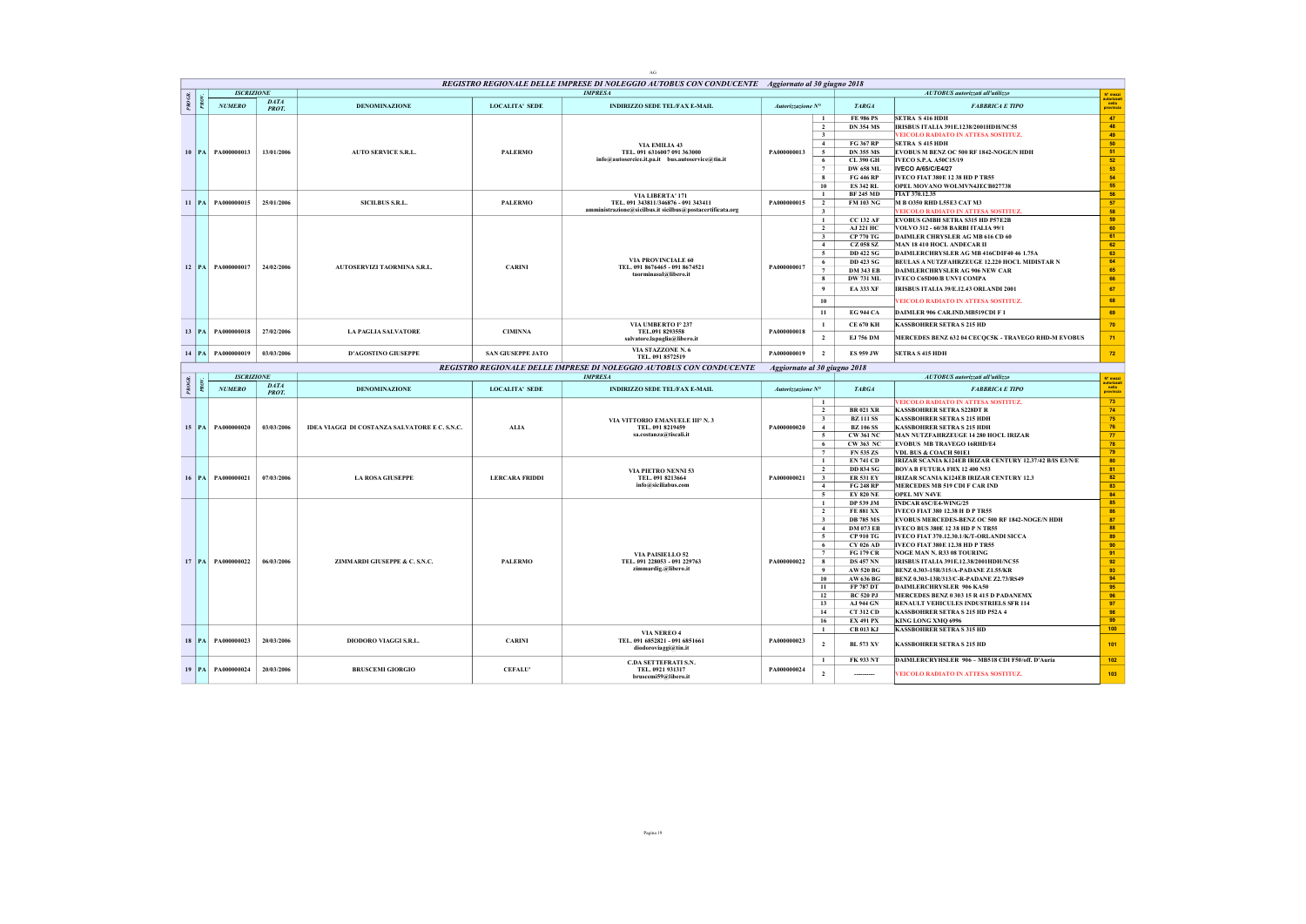|        |         |                       |                      |                                               |                          | REGISTRO REGIONALE DELLE IMPRESE DI NOLEGGIO AUTOBUS CON CONDUCENTE Aggiornato al 30 giugno 2018 |                              |                                           |                                      |                                                                                         |                                   |
|--------|---------|-----------------------|----------------------|-----------------------------------------------|--------------------------|--------------------------------------------------------------------------------------------------|------------------------------|-------------------------------------------|--------------------------------------|-----------------------------------------------------------------------------------------|-----------------------------------|
|        |         | <b>ISCRIZIONE</b>     |                      |                                               |                          | <b>IMPRESA</b>                                                                                   |                              |                                           |                                      | <b>AUTOBUS</b> autorizzati all'utilizzo                                                 | N° mezzi                          |
| PROGR. |         | <b>NUMERO</b>         | <b>DATA</b><br>PROT. | <b>DENOMINAZIONE</b>                          | <b>LOCALITA' SEDE</b>    | <b>INDIRIZZO SEDE TEL/FAX E-MAIL</b>                                                             | Autorizzazione N°            |                                           | <b>TARGA</b>                         | <b>FABBRICA E TIPO</b>                                                                  | utorizza<br>  nella<br>provincia  |
|        |         |                       |                      |                                               |                          |                                                                                                  |                              | $\mathbf{1}$                              | <b>FE 986 PS</b>                     | <b>SETRA S 416 HDH</b>                                                                  | 47                                |
|        |         |                       |                      |                                               |                          |                                                                                                  |                              | $\overline{2}$                            | <b>DN 354 MS</b>                     | IRISBUS ITALIA 391E.1238/2001HDH/NC55                                                   | 48                                |
|        |         |                       |                      |                                               |                          |                                                                                                  |                              | $\overline{\mathbf{3}}$<br>$\overline{4}$ | FG 367 RP                            | VEICOLO RADIATO IN ATTESA SOSTITUZ.<br><b>SETRA S 415 HDH</b>                           | 49<br>50                          |
|        |         | 10   PA   PA000000013 | 13/01/2006           | <b>AUTO SERVICE S.R.L.</b>                    | <b>PALERMO</b>           | VIA EMILIA 43<br>TEL. 091 6316007 091 363000                                                     | PA000000013                  | $\sim$                                    | <b>DN 355 MS</b>                     | EVOBUS M BENZ OC 500 RF 1842-NOGE/N HDH                                                 | 51                                |
|        |         |                       |                      |                                               |                          | info@autosercice.it.pa.it bus.autoservice@tin.it                                                 |                              | 6                                         | CL 390 GH                            | <b>IVECO S.P.A. A50C15/19</b>                                                           | 52                                |
|        |         |                       |                      |                                               |                          |                                                                                                  |                              | $\tau$                                    | <b>DW 658 ML</b>                     | <b>IVECO A/65/C/E4/27</b>                                                               | 53                                |
|        |         |                       |                      |                                               |                          |                                                                                                  |                              | 8                                         | <b>FG 446 RP</b>                     | <b>IVECO FIAT 380E 12 38 HD P TR55</b>                                                  | 54                                |
|        |         |                       |                      |                                               |                          |                                                                                                  |                              | 10                                        | <b>ES 342 RL</b>                     | <b>OPEL MOVANO WOLMVN4JECB027738</b>                                                    | 55                                |
|        |         |                       |                      |                                               |                          | VIA LIBERTA' 171                                                                                 |                              | $\mathbf{1}$                              | <b>BF 245 MD</b>                     | FIAT 370.12.35                                                                          | 56                                |
|        |         | 11   PA   PA000000015 | 25/01/2006           | SICILBUS S.R.L.                               | <b>PALERMO</b>           | TEL. 091 343811/346876 - 091 343411<br>amministrazione@sicilbus.it sicilbus@postacertificata.org | PA000000015                  | $\overline{2}$                            | FM 103 NG                            | M B O350 RHD L55E3 CAT M3                                                               | 57<br>58                          |
|        |         |                       |                      |                                               |                          |                                                                                                  |                              | $\overline{\mathbf{3}}$<br>$\mathbf{1}$   | <b>CC 132 AF</b>                     | VEICOLO RADIATO IN ATTESA SOSTITUZ.<br>EVOBUS GMBH SETRA S315 HD P57E2B                 | 59                                |
|        |         |                       |                      |                                               |                          |                                                                                                  |                              | $\overline{2}$                            | AJ 221 HC                            | VOLVO 312 - 60/38 BARBI ITALIA 99/1                                                     | 60                                |
|        |         |                       |                      |                                               |                          |                                                                                                  |                              | $\overline{\mathbf{3}}$                   | <b>CP 770 TG</b>                     | DAIMLER CHRYSLER AG MB 616 CD 60                                                        | 61                                |
|        |         |                       |                      |                                               |                          |                                                                                                  |                              | $\overline{4}$                            | <b>CZ 058 SZ</b>                     | MAN 18410 HOCL ANDECAR II                                                               | 62                                |
|        |         |                       |                      |                                               |                          |                                                                                                  |                              | $\overline{5}$                            | <b>DD 422 SG</b>                     | DAIMLERCHRYSLER AG MB 416CDIF40 46 1.75A                                                | 63                                |
|        |         | 12 PA PA000000017     | 24/02/2006           | AUTOSERVIZI TAORMINA S.R.L.                   | <b>CARINI</b>            | VIA PROVINCIALE 60<br>TEL. 091 8676465 - 091 8674521                                             | PA000000017                  | 6                                         | <b>DD 423 SG</b>                     | BEULAS A NUTZFAHRZEUGE 12.220 HOCL MIDISTAR N                                           | 64                                |
|        |         |                       |                      |                                               |                          | taorminasal@libero.it                                                                            |                              | $7\phantom{.0}$                           | <b>DM 343 EB</b>                     | <b>DAIMLERCHRYSLER AG 906 NEW CAR</b>                                                   | 65                                |
|        |         |                       |                      |                                               |                          |                                                                                                  |                              | 8                                         | <b>DW 731 ML</b>                     | IVECO C65D00/B UNVI COMPA                                                               | 66                                |
|        |         |                       |                      |                                               |                          |                                                                                                  |                              | 9                                         | <b>EA 333 XF</b>                     | IRISBUS ITALIA 39/E.12.43 ORLANDI 2001                                                  | 67                                |
|        |         |                       |                      |                                               |                          |                                                                                                  |                              | 10                                        |                                      | <b>VEICOLO RADIATO IN ATTESA SOSTITUZ.</b>                                              | 68                                |
|        |         |                       |                      |                                               |                          |                                                                                                  |                              | 11                                        | <b>EG 944 CA</b>                     | DAIMLER 906 CAR, IND, MB519CDI F 1                                                      | 69                                |
|        |         |                       |                      |                                               |                          | VIA UMBERTO Iº 237                                                                               |                              | $\mathbf{1}$                              | <b>CE 670 KH</b>                     | <b>KASSBOHRER SETRA S 215 HD</b>                                                        | 70                                |
|        |         | 13   PA   PA000000018 | 27/02/2006           | <b>LA PAGLIA SALVATORE</b>                    | <b>CIMINNA</b>           | TEL.091 8293558<br>salvatore.lapaglia@libero.it                                                  | PA000000018                  | $\overline{\mathbf{2}}$                   | EJ 756 DM                            | MERCEDES BENZ 632 04 CECQC5K - TRAVEGO RHD-M EVOBUS                                     | 71                                |
|        |         |                       |                      |                                               |                          | VIA STAZZONE N. 6                                                                                |                              |                                           |                                      |                                                                                         |                                   |
|        | $14$ PA | PA000000019           | 03/03/2006           | <b>D'AGOSTINO GIUSEPPE</b>                    | <b>SAN GIUSEPPE JATO</b> | TEL. 091 8572519                                                                                 | PA000000019                  | $\overline{2}$                            | <b>ES 959 JW</b>                     | <b>SETRA S 415 HDH</b>                                                                  | 72                                |
|        |         | <b>ISCRIZIONE</b>     |                      |                                               |                          | REGISTRO REGIONALE DELLE IMPRESE DI NOLEGGIO AUTOBUS CON CONDUCENTE<br><b>IMPRESA</b>            | Aggiornato al 30 giugno 2018 |                                           |                                      |                                                                                         |                                   |
| PROGR  |         |                       | <b>DATA</b>          |                                               |                          |                                                                                                  |                              |                                           |                                      | AUTOBUS autorizzati all'utilizzo                                                        | N° mezzi                          |
|        |         | <b>NUMERO</b>         | PROT.                | <b>DENOMINAZIONE</b>                          | <b>LOCALITA' SEDE</b>    | <b>INDIRIZZO SEDE TEL/FAX E-MAIL</b>                                                             | Autorizzazione N°            |                                           | <b>TARGA</b>                         | <b>FABBRICA E TIPO</b>                                                                  | utorizzat<br>  nella<br>provincia |
|        |         |                       |                      |                                               |                          |                                                                                                  |                              | $\mathbf{1}$                              |                                      | VEICOLO RADIATO IN ATTESA SOSTITUZ.                                                     | 73                                |
|        |         |                       |                      |                                               |                          |                                                                                                  |                              | $\overline{2}$                            | <b>BR 021 XR</b>                     | <b>KASSBOHRER SETRA S228DT R</b>                                                        | 74                                |
|        |         |                       | 03/03/2006           |                                               |                          | VIA VITTORIO EMANUELE IIIº N. 3<br>TEL. 091 8219459                                              |                              | $\overline{\mathbf{3}}$                   | <b>BZ 111 SS</b>                     | <b>KASSBOHRER SETRA S 215 HDH</b>                                                       | 75<br>76                          |
|        |         | 15   PA   PA000000020 |                      | IDEA VIAGGI DI COSTANZA SALVATORE E C. S.N.C. | <b>ALIA</b>              | sa.costanza@tiscali.it                                                                           | PA000000020                  | $\overline{4}$<br>$\sim$                  | <b>BZ 106 SS</b><br><b>CW 361 NC</b> | KASSBOHRER SETRA S 215 HDH<br>MAN NUTZFAHRZEUGE 14 280 HOCL IRIZAR                      | 77                                |
|        |         |                       |                      |                                               |                          |                                                                                                  |                              | 6                                         | CW 363 NC                            | EVOBUS MB TRAVEGO 16RHD/E4                                                              | 78                                |
|        |         |                       |                      |                                               |                          |                                                                                                  |                              | $\tau$                                    | FN 535 ZS                            | VDL BUS & COACH 501E1                                                                   | 79                                |
|        |         |                       |                      |                                               |                          |                                                                                                  |                              | $\bf 1$                                   | <b>EN 741 CD</b>                     | IRIZAR SCANIA K124EB IRIZAR CENTURY 12.37/42 B/IS E3/N/E                                | 80                                |
|        |         |                       |                      |                                               |                          | <b>VIA PIETRO NENNI 53</b>                                                                       |                              | $\overline{2}$                            | <b>DD 834 SG</b>                     | <b>BOVA B FUTURA FHX 12 400 N53</b>                                                     | 81                                |
|        |         | 16 PA PA000000021     | 07/03/2006           | <b>LA ROSA GIUSEPPE</b>                       | <b>LERCARA FRIDDI</b>    | TEL. 091 8213664<br>info@siciliabus.com                                                          | PA000000021                  | $\overline{\mathbf{3}}$                   | <b>ER 531 EY</b>                     | IRIZAR SCANIA K124EB IRIZAR CENTURY 12.3                                                | 82                                |
|        |         |                       |                      |                                               |                          |                                                                                                  |                              | $\overline{4}$<br>5 <sup>5</sup>          | <b>FG 248 RP</b><br><b>EY 820 NE</b> | MERCEDES MB 519 CDI F CAR IND<br><b>OPEL MV N4VE</b>                                    | 83<br>84                          |
|        |         |                       |                      |                                               |                          |                                                                                                  |                              | $\mathbf{1}$                              | DP 539 JM                            | INDCAR 6SC/E4-WING/25                                                                   | 85                                |
|        |         |                       |                      |                                               |                          |                                                                                                  |                              | $\overline{2}$                            | <b>FE 881 XX</b>                     | IVECO FIAT 380 12.38 H D P TR55                                                         | 86                                |
|        |         |                       |                      |                                               |                          |                                                                                                  |                              | $\overline{\mathbf{3}}$                   | <b>DB 785 MS</b>                     | EVOBUS MERCEDES-BENZ OC 500 RF 1842-NOGE/N HDH                                          | 87                                |
|        |         |                       |                      |                                               |                          |                                                                                                  |                              | $\overline{4}$                            | <b>DM 073 EB</b>                     | <b>IVECO BUS 380E 12 38 HD P N TR55</b>                                                 | 88                                |
|        |         |                       |                      |                                               |                          |                                                                                                  |                              | $\overline{5}$                            | <b>CP 910 TG</b>                     | IVECO FIAT 370.12.30.1/K/T-ORLANDI SICCA                                                | 89                                |
|        |         |                       |                      |                                               |                          |                                                                                                  |                              | 6                                         | CY 026 AD                            | IVECO FIAT 380E 12.38 HD P TR55                                                         | 90                                |
|        |         |                       |                      |                                               |                          | VIA PAISIELLO 52                                                                                 |                              | $7\phantom{.0}$                           | <b>FG 179 CR</b>                     | NOGE MAN N. R33 08 TOURING                                                              | 91<br>92                          |
|        |         | 17 PA PA000000022     | 06/03/2006           | ZIMMARDI GIUSEPPE & C. S.N.C.                 | <b>PALERMO</b>           | TEL. 091 228053 - 091 229763<br>zimmardig.@libero.it                                             | PA000000022                  | 8<br>9                                    | <b>DS 457 NN</b><br><b>AW 520 BG</b> | IRISBUS ITALIA 391E.12.38/2001HDH/NC55<br>BENZ 0.303-15R/315/A-PADANE Z1.55/KR          | 93                                |
|        |         |                       |                      |                                               |                          |                                                                                                  |                              | 10                                        | AW 636 BG                            | BENZ 0.303-13R/313/C-R-PADANE Z2.73/RS49                                                | 94                                |
|        |         |                       |                      |                                               |                          |                                                                                                  |                              | 11                                        | FP 787 DT                            | <b>DAIMLERCHRYSLER 906 KA50</b>                                                         | 95                                |
|        |         |                       |                      |                                               |                          |                                                                                                  |                              | 12                                        | <b>BC 520 PJ</b>                     | MERCEDES BENZ 0 303 15 R 415 D PADANEMX                                                 | 96                                |
|        |         |                       |                      |                                               |                          |                                                                                                  |                              | 13                                        | AJ 944 GN                            | RENAULT VEHICULES INDUSTRIELS SFR 114                                                   | 97                                |
|        |         |                       |                      |                                               |                          |                                                                                                  |                              | 14                                        | <b>CT 312 CD</b>                     | KASSBOHRER SETRA S 215 HD P52A 4                                                        | 98                                |
|        |         |                       |                      |                                               |                          |                                                                                                  |                              | 16                                        | <b>EX 491 PX</b>                     | KING LONG XMQ 6996                                                                      | 99                                |
|        |         |                       |                      |                                               |                          | VIA NEREO 4                                                                                      |                              | $\mathbf{1}$                              | <b>CB 013 KJ</b>                     | <b>KASSBOHRER SETRA S 315 HD</b>                                                        | 100                               |
|        |         | 18   PA   PA000000023 | 20/03/2006           | DIODORO VIAGGI S.R.L.                         | <b>CARINI</b>            | TEL. 091 6852821 - 091 6851661<br>diodoroviaggi@tin.it                                           | PA000000023                  | $\overline{2}$                            | <b>BL 573 XV</b>                     | <b>KASSBOHRER SETRA S 215 HD</b>                                                        | 101                               |
|        |         |                       |                      |                                               |                          |                                                                                                  |                              |                                           |                                      |                                                                                         |                                   |
|        |         |                       |                      |                                               |                          |                                                                                                  |                              |                                           |                                      |                                                                                         |                                   |
|        |         | 19   PA   PA000000024 | 20/03/2006           | <b>BRUSCEMI GIORGIO</b>                       | <b>CEFALU</b>            | C.DA SETTEFRATI S.N.<br>TEL. 0921 931317                                                         | PA000000024                  | $\mathbf{1}$<br>$\overline{2}$            | FK 933 NT                            | DAIMLERCRYHSLER 906 - MB518 CDI F50/off. D'Auria<br>VEICOLO RADIATO IN ATTESA SOSTITUZ. | 102<br>103                        |

AG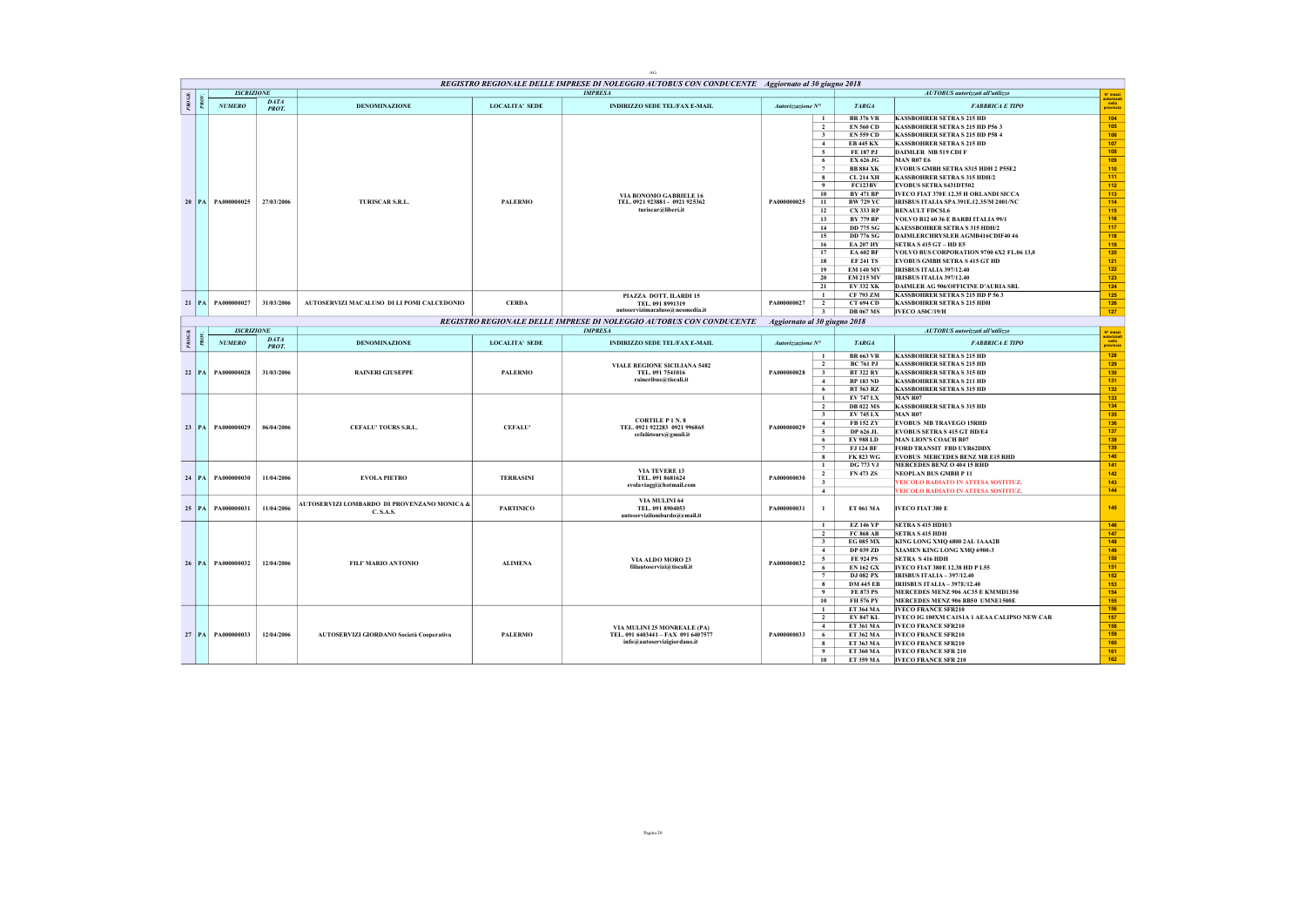|        |                       |                      |                                                 |                       | REGISTRO REGIONALE DELLE IMPRESE DI NOLEGGIO AUTOBUS CON CONDUCENTE Aggiornato al 30 giugno 2018 |                   |                                               |                                                                        |                                 |
|--------|-----------------------|----------------------|-------------------------------------------------|-----------------------|--------------------------------------------------------------------------------------------------|-------------------|-----------------------------------------------|------------------------------------------------------------------------|---------------------------------|
|        | <b>ISCRIZIONE</b>     |                      |                                                 |                       | <b>IMPRESA</b>                                                                                   |                   |                                               | AUTOBUS autorizzati all'utilizzo                                       | N° mezzi<br>autorizzat          |
| PROGR. | NUMERO                | <b>DATA</b><br>PROT. | <b>DENOMINAZIONE</b>                            | <b>LOCALITA' SEDE</b> | <b>INDIRIZZO SEDE TEL/FAX E-MAIL</b>                                                             | Autorizzazione N° | <b>TARGA</b>                                  | <b>FABBRICA E TIPO</b>                                                 | nella<br>provincia              |
|        |                       |                      |                                                 |                       |                                                                                                  |                   | <b>BR 376 VR</b><br>$\mathbf{1}$              | <b>KASSBOHRER SETRA S 215 HD</b>                                       | 104                             |
|        |                       |                      |                                                 |                       |                                                                                                  |                   | $\overline{2}$<br><b>EN 560 CD</b>            | KASSBOHRER SETRA S 215 HD P56 3                                        | 105                             |
|        |                       |                      |                                                 |                       |                                                                                                  |                   | 3<br><b>EN 559 CD</b>                         | <b>KASSBOHRER SETRA S 215 HD P58 4</b>                                 | 106                             |
|        |                       |                      |                                                 |                       |                                                                                                  |                   | <b>EB 445 KX</b><br>4                         | <b>KASSBOHRER SETRA S 215 HD</b>                                       | 107                             |
|        |                       |                      |                                                 |                       |                                                                                                  |                   | 5<br><b>FE 187 PJ</b>                         | DAIMLER MB 519 CDI F                                                   | 108                             |
|        |                       |                      |                                                 |                       |                                                                                                  |                   | 6<br>EX 626 JG<br>$\overline{7}$              | <b>MAN R07 E6</b>                                                      | 109                             |
|        |                       |                      |                                                 |                       |                                                                                                  |                   | <b>BB 884 XK</b>                              | EVOBUS GMBH SETRA S315 HDH 2 P55E2                                     | 110                             |
|        |                       |                      |                                                 |                       |                                                                                                  |                   | 8<br><b>CL 214 XH</b>                         | <b>KASSBOHRER SETRA S 315 HDH/2</b>                                    | 111<br>112                      |
|        |                       |                      |                                                 |                       |                                                                                                  |                   | 9<br><b>FC123BV</b><br>10<br><b>BY 471 BP</b> | <b>EVOBUS SETRA S431DT502</b><br>IVECO FIAT 370E 12.35 H ORLANDI SICCA | 113                             |
|        | 20   PA   PA000000025 | 27/03/2006           |                                                 | <b>PALERMO</b>        | VIA BONOMO GABRIELE 16<br>TEL. 0921 923881 - 0921 925362                                         | PA000000025       | 11<br><b>BW 729 YC</b>                        | IRISBUS ITALIA SPA 391E.12.35/M 2001/NC                                | 114                             |
|        |                       |                      | TURISCAR S.R.L.                                 |                       | turiscar@liberi.it                                                                               |                   | 12<br><b>CX 333 RP</b>                        | <b>RENAULT FDCSL6</b>                                                  | 115                             |
|        |                       |                      |                                                 |                       |                                                                                                  |                   | 13<br><b>BY 779 BP</b>                        | VOLVO B12 60 36 E BARBI ITALIA 99/1                                    | 116                             |
|        |                       |                      |                                                 |                       |                                                                                                  |                   | 14<br><b>DD 775 SG</b>                        | KAESSBOHRER SETRA S 315 HDH/2                                          | 117                             |
|        |                       |                      |                                                 |                       |                                                                                                  |                   | 15<br><b>DD 776 SG</b>                        | DAIMLERCHRYSLER AGMB416CDIF40 46                                       | 118                             |
|        |                       |                      |                                                 |                       |                                                                                                  |                   | 16<br><b>EA 207 HY</b>                        | SETRA S 415 GT - HD E5                                                 | 119                             |
|        |                       |                      |                                                 |                       |                                                                                                  |                   | 17<br><b>EA 602 BF</b>                        | VOLVO BUS CORPORATION 9700 6X2 FL.06 13,0                              | 120                             |
|        |                       |                      |                                                 |                       |                                                                                                  |                   | 18<br><b>EF 241 TS</b>                        | <b>EVOBUS GMBH SETRA S 415 GT HD</b>                                   | 121                             |
|        |                       |                      |                                                 |                       |                                                                                                  |                   | 19<br><b>EM 140 MV</b>                        | <b>IRISBUS ITALIA 397/12.40</b>                                        | 122                             |
|        |                       |                      |                                                 |                       |                                                                                                  |                   | 20<br><b>EM 215 MV</b>                        | IRISBUS ITALIA 397/12.40                                               | 123                             |
|        |                       |                      |                                                 |                       |                                                                                                  |                   | 21<br><b>EV 332 XK</b>                        | DAIMLER AG 906/OFFICINE D'AURIA SRL                                    | 124                             |
|        |                       |                      |                                                 |                       |                                                                                                  |                   | CF 793 ZM<br>$\mathbf{1}$                     | KASSBOHRER SETRA S 215 HD P 563                                        | 125                             |
|        | 21 PA PA000000027     | 31/03/2006           | AUTOSERVIZI MACALUSO DI LI POMI CALCEDONIO      | <b>CERDA</b>          | PIAZZA DOTT. ILARDI 15<br>TEL. 091 8991319                                                       | PA000000027       | <b>CT 694 CD</b><br>$\overline{2}$            | <b>KASSBOHRER SETRA S 215 HDH</b>                                      | 126                             |
|        |                       |                      |                                                 |                       | autoservizimacaluso@neomedia.it                                                                  |                   | <b>DB 067 MS</b><br>$\overline{\mathbf{3}}$   | <b>IVECO A50C/19/H</b>                                                 | 127                             |
|        |                       |                      |                                                 |                       | REGISTRO REGIONALE DELLE IMPRESE DI NOLEGGIO AUTOBUS CON CONDUCENTE                              |                   | Aggiornato al 30 giugno 2018                  |                                                                        |                                 |
|        | <b>ISCRIZIONE</b>     |                      |                                                 |                       | <b>IMPRESA</b>                                                                                   |                   |                                               | AUTOBUS autorizzati all'utilizzo                                       |                                 |
| PROGR. |                       | DATA                 |                                                 |                       |                                                                                                  |                   |                                               |                                                                        | N° mezzi<br>utorizza<br>  nella |
|        | NUMERO                | PROT.                | <b>DENOMINAZIONE</b>                            | <b>LOCALITA' SEDE</b> | <b>INDIRIZZO SEDE TEL/FAX E-MAIL</b>                                                             | Autorizzazione N° | <b>TARGA</b>                                  | <b>FABBRICA E TIPO</b>                                                 | provincia                       |
|        |                       |                      |                                                 |                       |                                                                                                  |                   | <b>BR 663 VR</b><br>$\mathbf{1}$              | <b>KASSBOHRER SETRA S 215 HD</b>                                       | 128                             |
|        |                       |                      |                                                 |                       | VIALE REGIONE SICILIANA 5482                                                                     |                   | $\overline{2}$<br><b>BC 761 PJ</b>            | <b>KASSBOHRER SETRA S 215 HD</b>                                       | 129                             |
|        | 22   PA   PA000000028 | 31/03/2006           | <b>RAINERI GIUSEPPE</b>                         | <b>PALERMO</b>        | TEL. 091 7541016                                                                                 | PA000000028       | $\overline{\mathbf{3}}$<br><b>BT 322 RY</b>   | <b>KASSBOHRER SETRA S 315 HD</b>                                       | 130                             |
|        |                       |                      |                                                 |                       | raineribus@tiscali.it                                                                            |                   | $\overline{4}$<br><b>BP 183 ND</b>            | <b>KASSBOHRER SETRA S 211 HD</b>                                       | 131                             |
|        |                       |                      |                                                 |                       |                                                                                                  |                   | 6<br><b>BT 563 RZ</b>                         | <b>KASSBOHRER SETRA S 315 HD</b>                                       | 132                             |
|        |                       |                      |                                                 |                       |                                                                                                  |                   | <b>EV 747 LX</b><br>$\mathbf{1}$              | MAN R07                                                                | 133                             |
|        |                       |                      |                                                 |                       |                                                                                                  |                   | $\overline{2}$<br><b>DB 022 MS</b>            | <b>KASSBOHRER SETRA S 315 HD</b>                                       | 134                             |
|        |                       |                      |                                                 |                       |                                                                                                  |                   | 3<br><b>EV 745 LX</b>                         | <b>MAN R07</b>                                                         | 135                             |
|        |                       |                      |                                                 |                       | <b>CORTILE P 1 N.8</b>                                                                           |                   | 4<br>FB 152 ZY                                | <b>EVOBUS MB TRAVEGO ISRHD</b>                                         | 136                             |
|        | 23 PA PA000000029     | 06/04/2006           | <b>CEFALU' TOURS S.R.L.</b>                     | <b>CEFALU</b>         | TEL. 0921 922283 0921 996865                                                                     | PA000000029       | $\sim$<br>DP 626 JL                           | <b>EVOBUS SETRA S 415 GT HD/E4</b>                                     | 137                             |
|        |                       |                      |                                                 |                       | cefalùtours@gmail.it                                                                             |                   | 6<br><b>EY 988 LD</b>                         | <b>MAN LION'S COACH R07</b>                                            | 138                             |
|        |                       |                      |                                                 |                       |                                                                                                  |                   | FJ 124 BF<br>$\tau$                           | FORD TRANSIT FBD UYR62DDX                                              | 139                             |
|        |                       |                      |                                                 |                       |                                                                                                  |                   | 8<br><b>FK 823 WG</b>                         | <b>EVOBUS MERCEDES BENZ MB E15 RHD</b>                                 | 140                             |
|        |                       |                      |                                                 |                       |                                                                                                  |                   | <b>DG 773 VJ</b><br>$\mathbf{1}$              | MERCEDES BENZ O 404 15 RHD                                             | 141                             |
|        |                       |                      |                                                 |                       | <b>VIA TEVERE 13</b>                                                                             |                   | $\overline{\mathbf{2}}$<br>FN 473 ZS          | NEOPLAN BUS GMBH P 11                                                  | 142                             |
|        | 24 PA PA000000030     | 11/04/2006           | <b>EVOLA PIETRO</b>                             | <b>TERRASINI</b>      | TEL. 091 8681624                                                                                 | PA000000030       | $\overline{\mathbf{3}}$                       | VEICOLO RADIATO IN ATTESA SOSTITUZ.                                    | 143                             |
|        |                       |                      |                                                 |                       | evolaviaggi@hotmail.com                                                                          |                   | 4                                             | VEICOLO RADIATO IN ATTESA SOSTITUZ.                                    | 144                             |
|        |                       |                      |                                                 |                       | VIA MULINI 64                                                                                    |                   |                                               |                                                                        |                                 |
|        | 25 PA PA000000031     | 11/04/2006           | AUTOSERVIZI LOMBARDO DI PROVENZANO MONICA &     | <b>PARTINICO</b>      | TEL. 091 8904053                                                                                 | PA000000031       | ET 061 MA<br>$\mathbf{1}$                     | <b>IVECO FIAT 380 E</b>                                                | 145                             |
|        |                       |                      | C.S.A.S.                                        |                       | autoservizilombardo@email.it                                                                     |                   |                                               |                                                                        |                                 |
|        |                       |                      |                                                 |                       |                                                                                                  |                   | $\overline{1}$<br><b>EZ 146 YP</b>            | SETRA S 415 HDH/3                                                      | 146                             |
|        |                       |                      |                                                 |                       |                                                                                                  |                   | $\overline{2}$<br><b>FC 868 AB</b>            | <b>SETRA S 415 HDH</b>                                                 | 147                             |
|        |                       |                      |                                                 |                       |                                                                                                  |                   | $\mathbf{3}$<br><b>EG 085 MX</b>              | KING LONG XMQ 6800 2AL 1AAA2B                                          | 148                             |
|        |                       |                      |                                                 |                       |                                                                                                  |                   | 4<br>DP 039 ZD                                | XIAMEN KING LONG XMQ 6900-3                                            | 149                             |
|        |                       |                      |                                                 |                       | VIA ALDO MORO 23                                                                                 |                   | 5<br><b>FE 924 PS</b>                         | <b>SETRA S 416 HDH</b>                                                 | 150                             |
|        | 26   PA   PA000000032 | 12/04/2006           | FILI' MARIO ANTONIO                             | <b>ALIMENA</b>        | filiautoservizi@tiscali.it                                                                       | PA000000032       | 6<br><b>EN 162 GX</b>                         | IVECO FIAT 380E 12.38 HD P L55                                         | 151                             |
|        |                       |                      |                                                 |                       |                                                                                                  |                   | $\tau$<br><b>DJ 082 PX</b>                    | <b>IRISBUS ITALIA - 397/12.40</b>                                      | 152                             |
|        |                       |                      |                                                 |                       |                                                                                                  |                   | 8<br><b>DM 445 EB</b>                         | <b>IRIISBUS ITALIA - 397E/12.40</b>                                    | $153$                           |
|        |                       |                      |                                                 |                       |                                                                                                  |                   | $\overline{9}$<br><b>FE 873 PS</b>            | MERCEDES MENZ 906 AC35 E KMMD1350                                      | 154                             |
|        |                       |                      |                                                 |                       |                                                                                                  |                   | 10<br><b>FH 576 PY</b>                        | MERCEDES MENZ 906 BB50 UMNE1500E                                       | 155                             |
|        |                       |                      |                                                 |                       |                                                                                                  |                   | ET 364 MA<br>$\mathbf{1}$                     | <b>IVECO FRANCE SFR210</b>                                             | 156                             |
|        |                       |                      |                                                 |                       |                                                                                                  |                   | $\overline{2}$<br><b>EV 847 KL</b>            | IVECO IG 100XM CA1S1A 1 AEAA CALIPSO NEW CAR                           | 157                             |
|        |                       |                      |                                                 |                       |                                                                                                  |                   |                                               |                                                                        |                                 |
|        |                       |                      |                                                 |                       | VIA MULINI 25 MONREALE (PA)                                                                      |                   | 4<br>ET 361 MA                                | <b>IVECO FRANCE SFR210</b>                                             | 158                             |
|        | 27 PA PA000000033     | 12/04/2006           | <b>AUTOSERVIZI GIORDANO Società Cooperativa</b> | <b>PALERMO</b>        | TEL. 091 6403441 - FAX 091 6407577<br>info@autoservizigiordano.it                                | PA000000033       | ET 362 MA<br>-6                               | <b>IVECO FRANCE SFR210</b>                                             | 159                             |
|        |                       |                      |                                                 |                       |                                                                                                  |                   | 8<br>ET 363 MA                                | <b>IVECO FRANCE SFR210</b>                                             | 160                             |
|        |                       |                      |                                                 |                       |                                                                                                  |                   | 9<br>ET 360 MA                                | <b>IVECO FRANCE SFR 210</b>                                            | 161                             |
|        |                       |                      |                                                 |                       |                                                                                                  |                   | 10<br>ET 359 MA                               | <b>IVECO FRANCE SFR 210</b>                                            | 162                             |

AG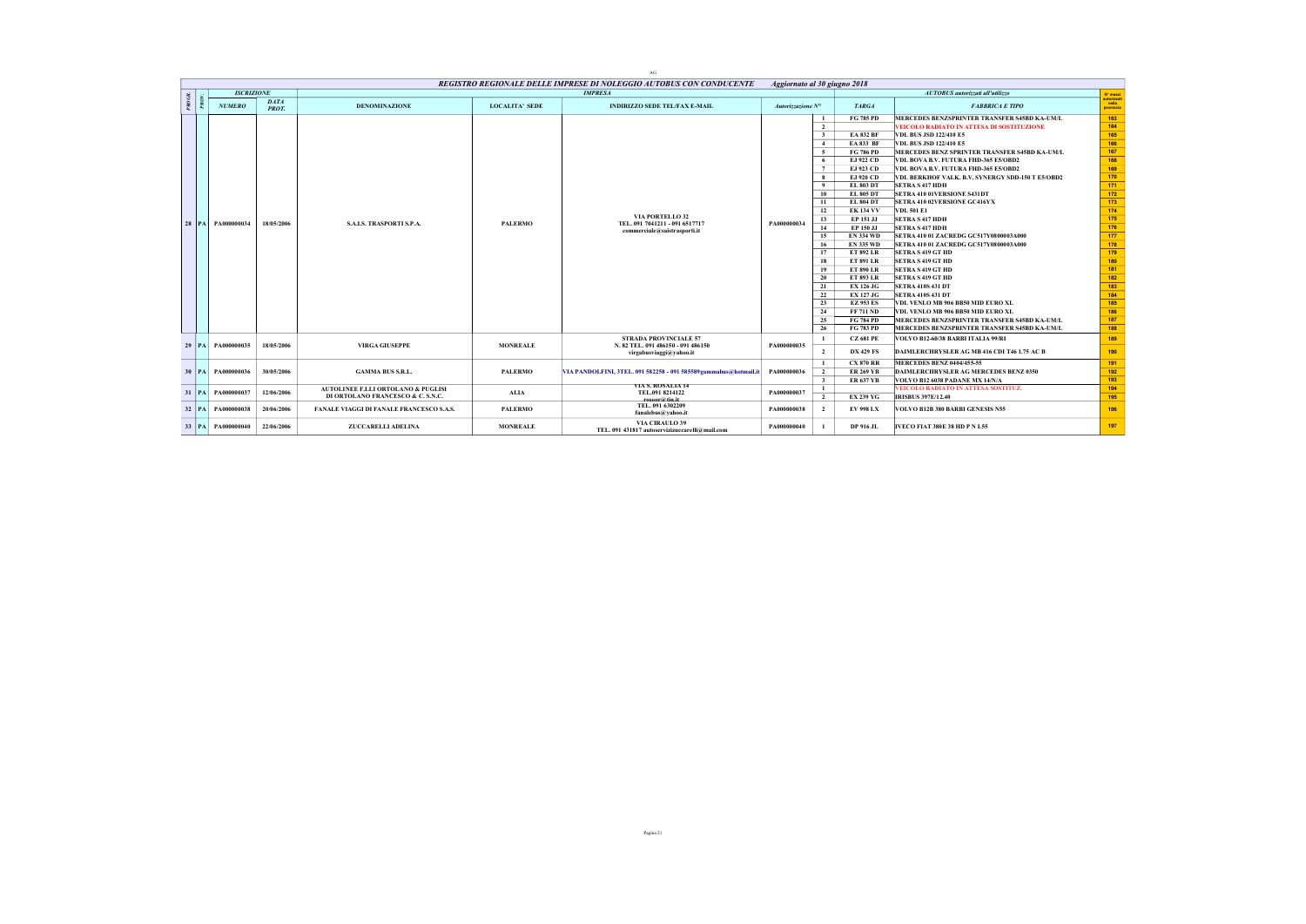|    |                 |                       |                      |                                                                         |                       | AG.                                                                                           |                   |                                                                                                                                                                                                                                                                                                                                                                                                                                                                                                                                                                                                                                                   |                                                                                                                                                                                                                                                                                                                                                                                                                                                                                                                                                                                                                                                                                                                                                                                                                                                                               |                                                                                                                                                                      |
|----|-----------------|-----------------------|----------------------|-------------------------------------------------------------------------|-----------------------|-----------------------------------------------------------------------------------------------|-------------------|---------------------------------------------------------------------------------------------------------------------------------------------------------------------------------------------------------------------------------------------------------------------------------------------------------------------------------------------------------------------------------------------------------------------------------------------------------------------------------------------------------------------------------------------------------------------------------------------------------------------------------------------------|-------------------------------------------------------------------------------------------------------------------------------------------------------------------------------------------------------------------------------------------------------------------------------------------------------------------------------------------------------------------------------------------------------------------------------------------------------------------------------------------------------------------------------------------------------------------------------------------------------------------------------------------------------------------------------------------------------------------------------------------------------------------------------------------------------------------------------------------------------------------------------|----------------------------------------------------------------------------------------------------------------------------------------------------------------------|
|    |                 |                       |                      |                                                                         |                       | REGISTRO REGIONALE DELLE IMPRESE DI NOLEGGIO AUTOBUS CON CONDUCENTE                           |                   | Aggiornato al 30 giugno 2018                                                                                                                                                                                                                                                                                                                                                                                                                                                                                                                                                                                                                      |                                                                                                                                                                                                                                                                                                                                                                                                                                                                                                                                                                                                                                                                                                                                                                                                                                                                               |                                                                                                                                                                      |
|    |                 | <b>ISCRIZIONE</b>     |                      |                                                                         |                       | <b>IMPRESA</b>                                                                                |                   |                                                                                                                                                                                                                                                                                                                                                                                                                                                                                                                                                                                                                                                   | AUTOBUS autorizzati all'utilizzo                                                                                                                                                                                                                                                                                                                                                                                                                                                                                                                                                                                                                                                                                                                                                                                                                                              | N' mezzi                                                                                                                                                             |
|    | PROG.           | <b>NUMERO</b>         | <b>DATA</b><br>PROT. | <b>DENOMINAZIONE</b>                                                    | <b>LOCALITA' SEDE</b> | <b>INDIRIZZO SEDE TEL/FAX E-MAIL</b>                                                          | Autorizzazione N° | <b>TARGA</b>                                                                                                                                                                                                                                                                                                                                                                                                                                                                                                                                                                                                                                      | <b>FABBRICA E TIPO</b>                                                                                                                                                                                                                                                                                                                                                                                                                                                                                                                                                                                                                                                                                                                                                                                                                                                        | autorizzati<br>nella<br>provincia                                                                                                                                    |
|    |                 | 28   PA   PA000000034 | 18/05/2006           | <b>S.A.L.S. TRASPORTI S.P.A.</b>                                        | <b>PALERMO</b>        | VIA PORTELLO <sub>32</sub><br>TEL. 091 7041211 - 091 6517717<br>commerciale@saistrasporti.it  | PA000000034       | <b>FG 785 PD</b><br>1<br>$\overline{2}$<br><b>EA 832 BF</b><br>$\overline{\mathbf{3}}$<br><b>EA 833 BF</b><br>$\overline{4}$<br>-5<br><b>FG 786 PD</b><br>EJ 922 CD<br>6<br>$\tau$<br>EJ 923 CD<br>EJ 920 CD<br>-8<br>$\overline{9}$<br><b>EL 803 DT</b><br>10<br><b>EL 805 DT</b><br>-11<br><b>EL 804 DT</b><br>12<br><b>EK 134 VV</b><br>13<br>EP 151 JJ<br>14<br>EP 150 JJ<br>15<br><b>EN 334 WD</b><br>16<br><b>EN 335 WD</b><br>17<br><b>ET 892 LR</b><br>18<br><b>ET 891 LR</b><br>19<br><b>ET 890 LR</b><br>20<br><b>ET 893 LR</b><br>21<br><b>EX 126 JG</b><br>22<br><b>EX 127 JG</b><br>23<br><b>EZ 953 ES</b><br>24<br><b>FF 711 ND</b> | MERCEDES BENZSPRINTER TRANSFER S45BD KA-UM/L<br><b>VEICOLO RADIATO IN ATTESA DI SOSTITUZIONE</b><br><b>VDL BUS JSD 122/410 E5</b><br><b>VDL BUS JSD 122/410 E5</b><br>MERCEDES BENZ SPRINTER TRANSFER S45BD KA-UM/L<br>VDL BOVA B.V. FUTURA FHD-365 E5/OBD2<br>VDL BOVA B.V. FUTURA FHD-365 E5/OBD2<br>VDL BERKHOF VALK. B.V. SYNERGY SDD-150 T E5/OBD2<br><b>SETRA S 417 HDH</b><br><b>SETRA 410 01VERSIONE S431DT</b><br><b>SETRA 410 02VERSIONE GC416YX</b><br><b>VDL 501 E1</b><br><b>SETRA S 417 HDH</b><br><b>SETRA S 417 HDH</b><br>SETRA 410 01 ZACREDG GC517Y0800003A000<br>SETRA 410 01 ZACREDG GC517Y0800003A000<br><b>SETRA S 419 GT HD</b><br><b>SETRA S 419 GT HD</b><br><b>SETRA S 419 GT HD</b><br><b>SETRA S 419 GT HD</b><br><b>SETRA 410S 431 DT</b><br><b>SETRA 410S 431 DT</b><br>VDL VENLO MB 906 BB50 MID EURO XL<br>VDL VENLO MB 906 BB50 MID EURO XL | 163<br>164<br>165<br>166<br>167<br>168<br>169<br>170<br>171<br>172<br>173<br>174<br>175<br>176<br>177<br>178<br>179<br>180<br>181<br>182<br>183<br>184<br>185<br>186 |
|    |                 |                       |                      |                                                                         |                       |                                                                                               |                   | 25<br><b>FG 784 PD</b><br>26<br><b>FG 783 PD</b>                                                                                                                                                                                                                                                                                                                                                                                                                                                                                                                                                                                                  | MERCEDES BENZSPRINTER TRANSFER S45BD KA-UM/L<br>MERCEDES BENZSPRINTER TRANSFER S45BD KA-UM/L                                                                                                                                                                                                                                                                                                                                                                                                                                                                                                                                                                                                                                                                                                                                                                                  | 187<br>188                                                                                                                                                           |
|    | $29$ $PA$       | PA000000035           | 18/05/2006           | <b>VIRGA GIUSEPPE</b>                                                   | <b>MONREALE</b>       | <b>STRADA PROVINCIALE 57</b><br>N. 82 TEL. 091 486150 - 091 486150<br>virgabusviaggi@vahoo.it | PA000000035       | <b>CZ 681 PE</b><br>$\overline{2}$<br><b>DX 429 FS</b>                                                                                                                                                                                                                                                                                                                                                                                                                                                                                                                                                                                            | VOLVO B12-60/38 BARBI ITALIA 99/RI<br>DAIMLERCHRYSLER AG MB 416 CDI T46 1.75 AC B                                                                                                                                                                                                                                                                                                                                                                                                                                                                                                                                                                                                                                                                                                                                                                                             | 189<br>190                                                                                                                                                           |
|    | 30 <sup>1</sup> | PA PA000000036        | 30/05/2006           | <b>GAMMA BUS S.R.L.</b>                                                 | <b>PALERMO</b>        | VIA PANDOLFINI, 3TEL. 091 582258 - 091 585589 gammabus@hotmail.it                             | PA000000036       | <b>CX 870 RR</b><br>$\mathbf{I}$<br>$\overline{2}$<br><b>ER 269 YB</b><br>$\overline{\mathbf{3}}$<br><b>ER 637 YB</b>                                                                                                                                                                                                                                                                                                                                                                                                                                                                                                                             | <b>MERCEDES BENZ 0404/455-55</b><br><b>DAIMLERCHRYSLER AG MERCEDES BENZ 0350</b><br>VOLVO B12 6038 PADANE MX 14/N/A                                                                                                                                                                                                                                                                                                                                                                                                                                                                                                                                                                                                                                                                                                                                                           | 191<br>192<br>193                                                                                                                                                    |
| 31 |                 | PA PA000000037        | 12/06/2006           | AUTOLINEE F.LLI ORTOLANO & PUGLISI<br>DI ORTOLANO FRANCESCO & C. S.N.C. | ALIA                  | VIA S. KOSALIA 14<br>TEL.091 8214122<br>rosoor@tin.it                                         | PA000000037       | $\mathbf{1}$<br>$\overline{2}$<br><b>EX 239 YG</b>                                                                                                                                                                                                                                                                                                                                                                                                                                                                                                                                                                                                | VEICOLO RADIATO IN ATTESA SOSTITUZ.<br><b>IRISBUS 397E/12.40</b>                                                                                                                                                                                                                                                                                                                                                                                                                                                                                                                                                                                                                                                                                                                                                                                                              | 194<br>195                                                                                                                                                           |
|    |                 | 32 PA PA000000038     | 20/06/2006           | FANALE VIAGGI DI FANALE FRANCESCO S.A.S.                                | <b>PALERMO</b>        | TEL. 091 6302209<br>fanalebus@vahoo.it                                                        | PA000000038       | <b>EV 998 LX</b><br>$\overline{2}$                                                                                                                                                                                                                                                                                                                                                                                                                                                                                                                                                                                                                | VOLVO B12B 380 BARBI GENESIS N55                                                                                                                                                                                                                                                                                                                                                                                                                                                                                                                                                                                                                                                                                                                                                                                                                                              | 196                                                                                                                                                                  |
|    |                 | 33   PA   PA000000040 | 22/06/2006           | <b>ZUCCARELLI ADELINA</b>                                               | <b>MONREALE</b>       | <b>VIA CIRAULO 39</b><br>TEL, 091 431817 autoservizizuccarelli@mail.com                       | PA000000040       | DP 916 JL                                                                                                                                                                                                                                                                                                                                                                                                                                                                                                                                                                                                                                         | <b>IVECO FIAT 380E 38 HD P N L55</b>                                                                                                                                                                                                                                                                                                                                                                                                                                                                                                                                                                                                                                                                                                                                                                                                                                          | 197                                                                                                                                                                  |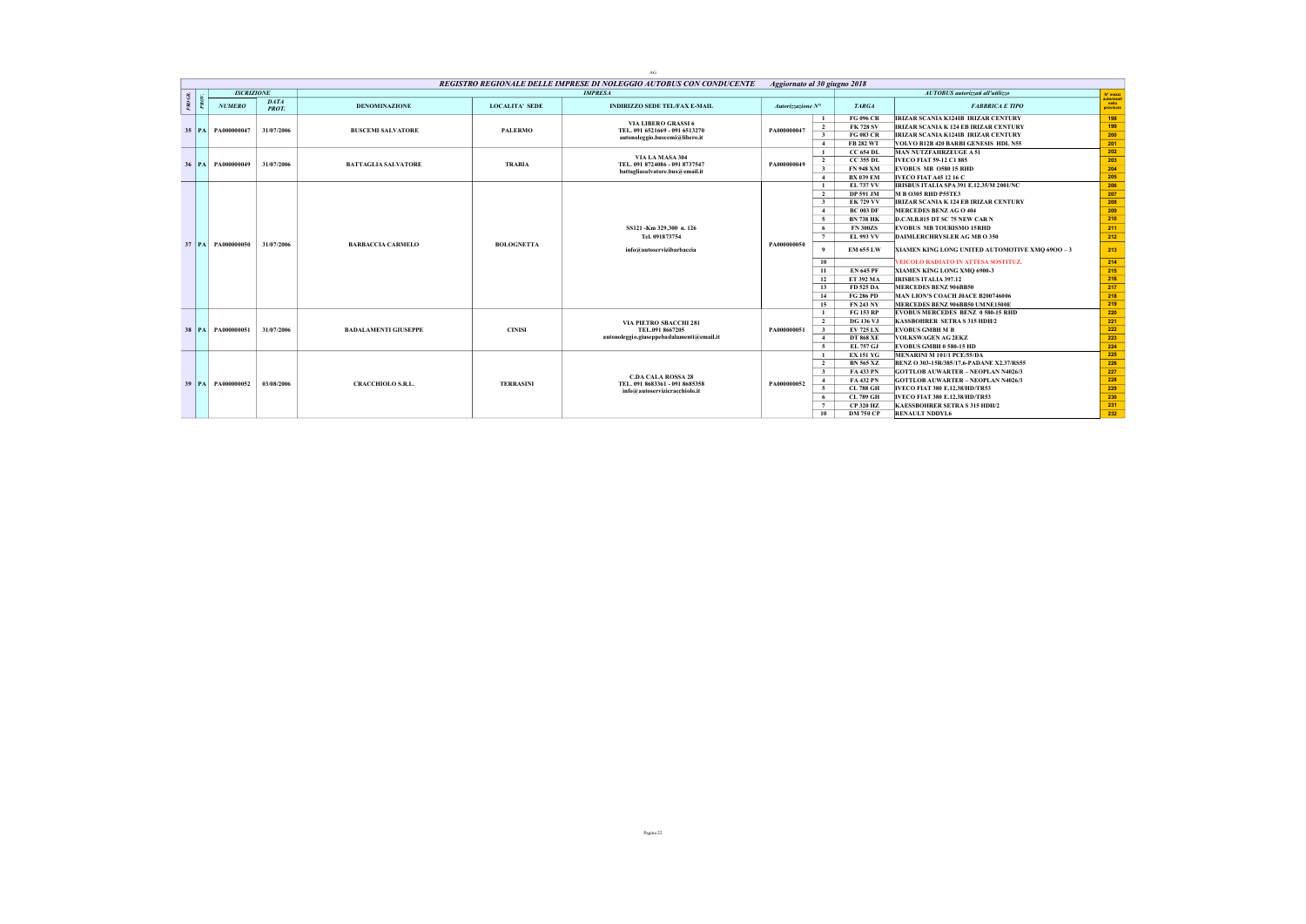|        |                       |                             |                             |                       | AG                                                                  |                            |                                             |                                                 |                                  |
|--------|-----------------------|-----------------------------|-----------------------------|-----------------------|---------------------------------------------------------------------|----------------------------|---------------------------------------------|-------------------------------------------------|----------------------------------|
|        |                       |                             |                             |                       | REGISTRO REGIONALE DELLE IMPRESE DI NOLEGGIO AUTOBUS CON CONDUCENTE |                            | Aggiornato al 30 giugno 2018                |                                                 |                                  |
|        | <b>ISCRIZIONE</b>     |                             |                             |                       | <b>IMPRESA</b>                                                      |                            |                                             | <b>AUTOBUS</b> autorizzati all'utilizzo         | N° mezzi                         |
| PROGR. | <b>NUMERO</b>         | <b>DATA</b><br><b>PROT.</b> | <b>DENOMINAZIONE</b>        | <b>LOCALITA' SEDE</b> | <b>INDIRIZZO SEDE TEL/FAX E-MAIL</b>                                | Autorizzazione $N^{\circ}$ | <b>TARGA</b>                                | <b>FABBRICA E TIPO</b>                          | autorizzat<br>nella<br>provincia |
|        |                       |                             |                             |                       |                                                                     |                            | <b>FG 096 CR</b>                            | IRIZAR SCANIA K124IB IRIZAR CENTURY             | 198                              |
|        | 35 PA PA000000047     | 31/07/2006                  | <b>BUSCEMI SALVATORE</b>    | <b>PALERMO</b>        | VIA LIBERO GRASSI 6<br>TEL. 091 6521669 - 091 6513270               | PA000000047                | $\overline{2}$<br><b>FK 728 SV</b>          | IRIZAR SCANIA K 124 EB IRIZAR CENTURY           | 199                              |
|        |                       |                             |                             |                       | autonoleggio, buscemi@libero.it                                     |                            | <b>FG 083 CR</b><br>$\overline{\mathbf{3}}$ | IRIZAR SCANIA K124IB IRIZAR CENTURY             | 200                              |
|        |                       |                             |                             |                       |                                                                     |                            | <b>FB 282 WT</b><br>$\overline{4}$          | VOLVO B12B 420 BARBI GENESIS HDL N55            | 201                              |
|        |                       |                             |                             |                       |                                                                     |                            | <b>CC 654 DL</b><br>-1                      | <b>MAN NUTZFAHRZEUGE A 51</b>                   | 202                              |
|        | 36   PA   PA000000049 | 31/07/2006                  | <b>BATTAGLIA SALVATORE</b>  | <b>TRABIA</b>         | VIA LA MASA 304<br>TEL. 091 8724086 - 091 8737547                   | PA000000049                | CC 355 DL<br>$\overline{2}$                 | <b>IVECO FIAT 59-12 C1 885</b>                  | 203                              |
|        |                       |                             |                             |                       | battagliasalvatore.bus@email.it                                     |                            | $\overline{\mathbf{3}}$<br><b>FN 948 XM</b> | <b>EVOBUS MB O580 15 RHD</b>                    | 204                              |
|        |                       |                             |                             |                       |                                                                     |                            | <b>BX 039 EM</b><br>$\overline{4}$          | <b>IVECO FIAT A45 12 16 C</b>                   | 205                              |
|        |                       |                             |                             |                       |                                                                     |                            | <b>EL 737 VV</b><br>-1                      | IRISBUS ITALIA SPA 391 E.12.35/M 2001/NC        | 206                              |
|        |                       |                             |                             |                       |                                                                     |                            | $\overline{2}$<br><b>DP 591 JM</b>          | <b>M B O305 RHD P55TE3</b>                      | 207                              |
|        |                       |                             |                             |                       |                                                                     |                            | <b>EK 729 VV</b><br>$\overline{\mathbf{3}}$ | IRIZAR SCANIA K 124 EB IRIZAR CENTURY           | 208                              |
|        |                       |                             |                             |                       |                                                                     |                            | <b>BC 003 DF</b><br>$\overline{4}$          | <b>MERCEDES BENZ AG O 404</b>                   | 209                              |
|        |                       |                             |                             |                       |                                                                     |                            | <b>BN 738 HK</b><br>$\sim$                  | D.C.M.B.815 DT SC 75 NEW CAR N                  | 210                              |
|        |                       |                             |                             |                       | SS121 -Km 329.300 n.126                                             |                            | <b>FN 300ZS</b><br>- 6                      | <b>EVOBUS MB TOURISMO 15RHD</b>                 | 211                              |
|        |                       |                             |                             |                       | Tel. 091873754                                                      |                            | $7^{\circ}$<br><b>EL 993 VV</b>             | <b>DAIMLERCHRYSLER AG MB O 350</b>              | 212                              |
|        | 37   PA   PA000000050 | 31/07/2006                  | <b>BARBACCIA CARMELO</b>    | <b>BOLOGNETTA</b>     | info@autoservizibarbaccia                                           | PA000000050                | <b>EM 655 LW</b>                            | XIAMEN KING LONG UNITED AUTOMOTIVE XMQ 6900 - 3 | 213                              |
|        |                       |                             |                             |                       |                                                                     |                            | 10                                          | VEICOLO RADIATO IN ATTESA SOSTITUZ.             | 214                              |
|        |                       |                             |                             |                       |                                                                     |                            | <b>EN 645 PF</b><br>11                      | XIAMEN KING LONG XMQ 6900-3                     | 215                              |
|        |                       |                             |                             |                       |                                                                     |                            | 12<br>ET 392 MA                             | <b>IRISBUS ITALIA 397.12</b>                    | 216                              |
|        |                       |                             |                             |                       |                                                                     |                            | 13<br><b>FD 525 DA</b>                      | <b>MERCEDES BENZ 906BB50</b>                    | 217                              |
|        |                       |                             |                             |                       |                                                                     |                            | 14<br><b>FG 286 PD</b>                      | MAN LION'S COACH J0ACE B200746006               | 218                              |
|        |                       |                             |                             |                       |                                                                     |                            | 15<br><b>FN 243 NY</b>                      | MERCEDES BENZ 906BB50 UMNE1500E                 | 219                              |
|        |                       |                             |                             |                       |                                                                     |                            | <b>FG 153 RP</b><br>-1                      | <b>EVOBUS MERCEDES BENZ 0 580-15 RHD</b>        | 220                              |
|        |                       |                             |                             |                       | <b>VIA PIETRO SBACCHI 281</b>                                       |                            | $\overline{2}$<br><b>DG 136 VJ</b>          | <b>KASSBOHRER SETRA S 315 HDH/2</b>             | 221                              |
|        | 38   PA   PA000000051 | 31/07/2006                  | <b>BADALAMENTI GIUSEPPE</b> | <b>CINISI</b>         | TEL.091 8667205                                                     | PA000000051                | $\overline{\mathbf{3}}$<br><b>EV 725 LX</b> | <b>EVOBUS GMBH M B</b>                          | 222                              |
|        |                       |                             |                             |                       | autonoleggio.giuseppebadalamenti@email.it                           |                            | <b>DT 868 XE</b><br>$\overline{4}$          | VOLKSWAGEN AG 2EKZ                              | 223                              |
|        |                       |                             |                             |                       |                                                                     |                            | -5<br>EL 757 GJ                             | <b>EVOBUS GMBH 0 580-15 HD</b>                  | 224                              |
|        |                       |                             |                             |                       |                                                                     |                            | <b>EX 151 YG</b><br>$\mathbf{1}$            | MENARINI M 101/1 PCE/55/DA                      | 225                              |
|        |                       |                             |                             |                       |                                                                     |                            | <b>BN 565 XZ</b><br>$\overline{2}$          | BENZ O 303-15R/385/17.6-PADANE X2.37/RS55       | 226                              |
|        |                       |                             |                             |                       | <b>C.DA CALA ROSSA 28</b>                                           |                            | FA 433 PN<br>$\overline{\mathbf{3}}$        | <b>GOTTLOB AUWARTER - NEOPLAN N4026/3</b>       | 227                              |
|        | 39   PA   PA000000052 | 03/08/2006                  | <b>CRACCHIOLO S.R.L.</b>    | <b>TERRASINI</b>      | TEL. 091 8683361 - 091 8685358                                      | PA000000052                | FA 432 PN<br>$\overline{4}$                 | <b>GOTTLOB AUWARTER - NEOPLAN N4026/3</b>       | 228                              |
|        |                       |                             |                             |                       | info@autoservizicracchiolo.it                                       |                            | <b>CL 788 GH</b><br>-5                      | <b>IVECO FIAT 380 E.12.38/HD/TR53</b>           | 229                              |
|        |                       |                             |                             |                       |                                                                     |                            | <b>CL 789 GH</b><br>6                       | IVECO FIAT 380 E.12.38/HD/TR53                  | 230                              |
|        |                       |                             |                             |                       |                                                                     |                            | <b>CP 320 HZ</b><br>7                       | <b>KAESSBOHRER SETRA S 315 HDH/2</b>            | 231                              |
|        |                       |                             |                             |                       |                                                                     |                            | 10<br><b>DM 750 CP</b>                      | <b>RENAULT NDDYL6</b>                           | 232                              |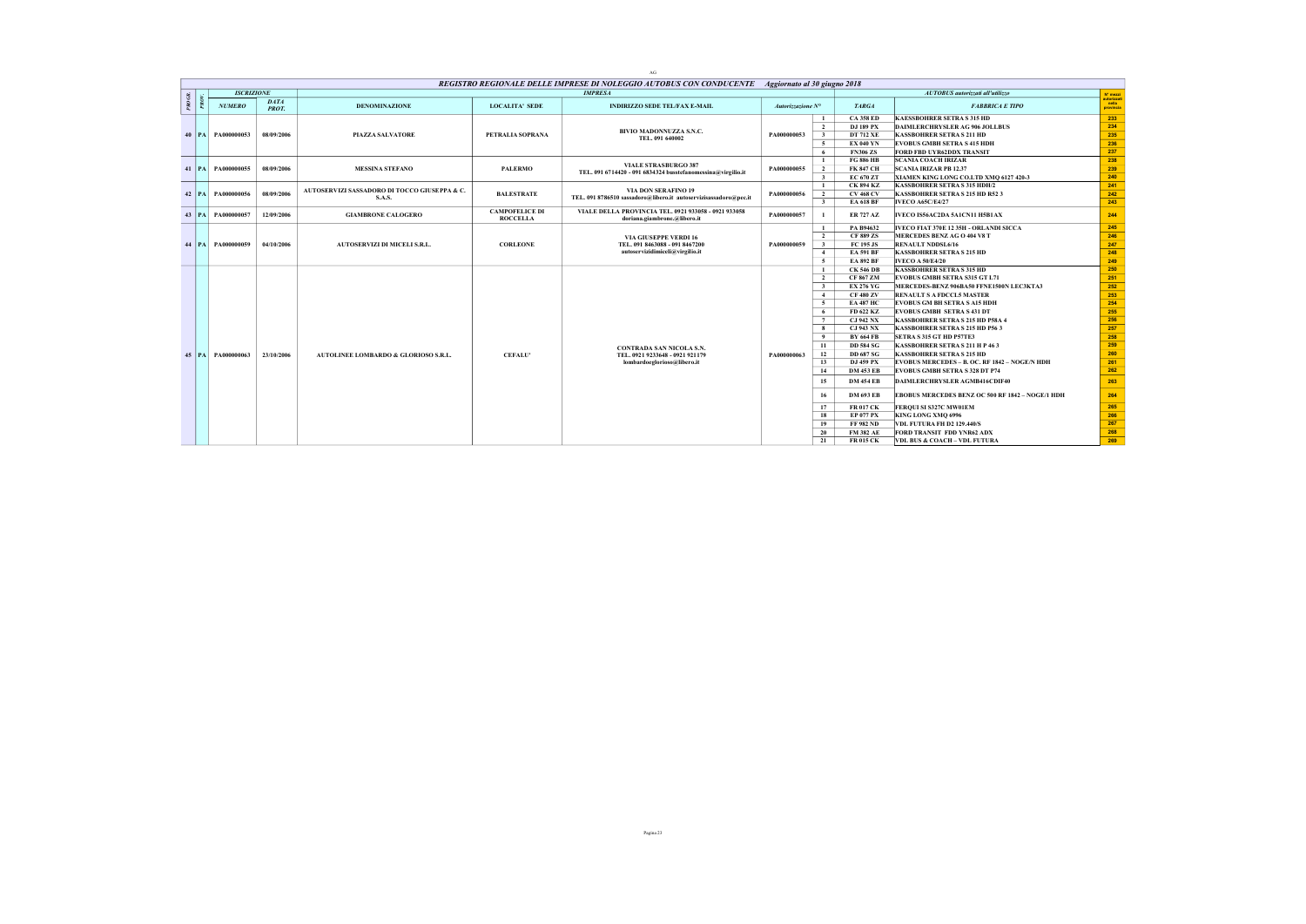|            |           |                       |                      |                                              |                                          | AG                                                                                               |                   |                         |                  |                                                      |                                   |
|------------|-----------|-----------------------|----------------------|----------------------------------------------|------------------------------------------|--------------------------------------------------------------------------------------------------|-------------------|-------------------------|------------------|------------------------------------------------------|-----------------------------------|
|            |           |                       |                      |                                              |                                          | REGISTRO REGIONALE DELLE IMPRESE DI NOLEGGIO AUTOBUS CON CONDUCENTE Aggiornato al 30 giugno 2018 |                   |                         |                  |                                                      |                                   |
|            |           | <b>ISCRIZIONE</b>     |                      |                                              |                                          | <b>IMPRESA</b>                                                                                   |                   |                         |                  | AUTOBUS autorizzati all'utilizzo                     | $N^*$ mezzi                       |
| $^{pqOGR}$ |           | <b>NUMERO</b>         | DATA<br><b>PROT.</b> | <b>DENOMINAZIONE</b>                         | <b>LOCALITA' SEDE</b>                    | <b>INDIRIZZO SEDE TEL/FAX E-MAIL</b>                                                             | Autorizzazione N° |                         | <b>TARGA</b>     | <b>FABBRICA E TIPO</b>                               | autorizzati<br>nella<br>provincia |
|            |           |                       |                      |                                              |                                          |                                                                                                  |                   | -1                      | <b>CA 358 ED</b> | <b>KAESSBOHRER SETRA S 315 HD</b>                    | 233                               |
|            |           |                       |                      |                                              |                                          |                                                                                                  |                   | $\overline{2}$          | DJ 189 PX        | DAIMLERCHRYSLER AG 906 JOLLBUS                       | 234                               |
|            |           | 40   PA   PA000000053 | 08/09/2006           | <b>PIAZZA SALVATORE</b>                      | PETRALIA SOPRANA                         | BIVIO MADONNUZZA S.N.C.<br>TEL. 091 640002                                                       | PA000000053       | $\overline{\mathbf{3}}$ | <b>DT 712 XE</b> | <b>KASSBOHRER SETRA S 211 HD</b>                     | 235                               |
|            |           |                       |                      |                                              |                                          |                                                                                                  |                   | -5                      | <b>EX 040 YN</b> | <b>EVOBUS GMBH SETRA S 415 HDH</b>                   | 236                               |
|            |           |                       |                      |                                              |                                          |                                                                                                  |                   | - 6                     | <b>FN306 ZS</b>  | FORD FBD UYR62DDX TRANSIT                            | 237                               |
|            |           |                       |                      |                                              |                                          | <b>VIALE STRASBURGO 387</b>                                                                      |                   | -1                      | <b>FG 886 HB</b> | <b>SCANIA COACH IRIZAR</b>                           | 238                               |
|            |           | 41   PA   PA000000055 | 08/09/2006           | <b>MESSINA STEFANO</b>                       | <b>PALERMO</b>                           | TEL. 091 6714420 - 091 6834324 busstefanomessina@virgilio.it                                     | PA000000055       | $\overline{2}$          | <b>FK 847 CH</b> | <b>SCANIA IRIZAR PB 12.37</b>                        | 239                               |
|            |           |                       |                      |                                              |                                          |                                                                                                  |                   | $\overline{\mathbf{3}}$ | EC 670 ZT        | XIAMEN KING LONG CO.LTD XMO 6127 420-3               | 240                               |
|            |           |                       |                      | AUTOSERVIZI SASSADORO DI TOCCO GIUSEPPA & C. |                                          | <b>VIA DON SERAFINO 19</b>                                                                       |                   | $\mathbf{1}$            | <b>CK 894 KZ</b> | <b>KASSBOHRER SETRA S 315 HDH/2</b>                  | 241                               |
|            | $42$   PA | PA000000056           | 08/09/2006           | <b>S.A.S.</b>                                | <b>BALESTRATE</b>                        | TEL, 091 8786510 sassadoro@libero.it autoservizisassadoro@pec.it                                 | PA000000056       | $\overline{2}$          | <b>CV 468 CV</b> | <b>KASSBOHRER SETRA S 215 HD R52 3</b>               | 242                               |
|            |           |                       |                      |                                              |                                          |                                                                                                  |                   | $\overline{\mathbf{3}}$ | <b>EA 618 BF</b> | <b>IVECO A65C/E4/27</b>                              | 243                               |
|            | $43$   PA | PA000000057           | 12/09/2006           | <b>GIAMBRONE CALOGERO</b>                    | <b>CAMPOFELICE DI</b><br><b>ROCCELLA</b> | VIALE DELLA PROVINCIA TEL. 0921 933058 - 0921 933058<br>doriana.giambrone.@libero.it             | PA000000057       |                         | <b>ER 727 AZ</b> | IVECO IS56AC2DA 5A1CN11 H5B1AX                       | 244                               |
|            |           |                       |                      |                                              |                                          |                                                                                                  |                   | -1                      | PA B94632        | IVECO FIAT 370E 12 35H - ORLANDI SICCA               | 245                               |
|            |           |                       |                      |                                              |                                          | <b>VIA GIUSEPPE VERDI 16</b>                                                                     |                   | $\overline{2}$          | <b>CF 889 ZS</b> | MERCEDES BENZ AG O 404 V8 T                          | 246                               |
|            |           | 44 PA PA000000059     | 04/10/2006           | <b>AUTOSERVIZI DI MICELI S.R.L.</b>          | <b>CORLEONE</b>                          | TEL. 091 8463088 - 091 8467200                                                                   | PA000000059       | $\overline{\mathbf{3}}$ | FC 195 JS        | <b>RENAULT NDDSL6/16</b>                             | 247                               |
|            |           |                       |                      |                                              |                                          | autoservizidimiceli@virgilio.it                                                                  |                   | $\overline{4}$          | <b>EA 591 BF</b> | <b>KASSBOHRER SETRA S 215 HD</b>                     | 248                               |
|            |           |                       |                      |                                              |                                          |                                                                                                  |                   | $\overline{5}$          | <b>EA 892 BF</b> | <b>IVECO A 50/E4/20</b>                              | 249                               |
|            |           |                       |                      |                                              |                                          |                                                                                                  |                   | -1                      | <b>CK 546 DB</b> | <b>KASSBOHRER SETRA S 315 HD</b>                     | 250                               |
|            |           |                       |                      |                                              |                                          |                                                                                                  |                   | $\overline{2}$          | <b>CF 867 ZM</b> | <b>EVOBUS GMBH SETRA S315 GT L71</b>                 | 251                               |
|            |           |                       |                      |                                              |                                          |                                                                                                  |                   | $\overline{\mathbf{3}}$ | <b>EX 276 YG</b> | MERCEDES-BENZ 906BA50 FFNE1500N LEC3KTA3             | 252                               |
|            |           |                       |                      |                                              |                                          |                                                                                                  |                   | $\overline{4}$          | <b>CF 480 ZV</b> | <b>RENAULT S AFDCCL5 MASTER</b>                      | 253                               |
|            |           |                       |                      |                                              |                                          |                                                                                                  |                   | $\sim$                  | <b>EA 487 HC</b> | <b>EVOBUS GM BH SETRA S A15 HDH</b>                  | 254                               |
|            |           |                       |                      |                                              |                                          |                                                                                                  |                   | - 6                     | FD 622 KZ        | <b>EVOBUS GMBH SETRA S 431 DT</b>                    | 255                               |
|            |           |                       |                      |                                              |                                          |                                                                                                  |                   | $7\phantom{.0}$         | <b>CJ 942 NX</b> | KASSBOHRER SETRA S 215 HD P58A 4                     | 256                               |
|            |           |                       |                      |                                              |                                          |                                                                                                  |                   | - 8                     | <b>CJ 943 NX</b> | KASSBOHRER SETRA S 215 HD P56 3                      | 257                               |
|            |           |                       |                      |                                              |                                          |                                                                                                  |                   | 9                       | <b>BY 664 FB</b> | SETRA S 315 GT HD P57TE3                             | 258                               |
|            |           |                       |                      |                                              |                                          | <b>CONTRADA SAN NICOLA S.N.</b>                                                                  |                   | 11                      | <b>DD 584 SG</b> | <b>KASSBOHRER SETRA S 211 H P 463</b>                | 259                               |
|            |           | 45 PA PA000000063     | 23/10/2006           | AUTOLINEE LOMBARDO & GLORIOSO S.R.L.         | <b>CEFALU'</b>                           | TEL. 0921 9233648 - 0921 921179                                                                  | PA000000063       | 12                      | <b>DD 687 SG</b> | <b>KASSBOHRER SETRA S 215 HD</b>                     | 260                               |
|            |           |                       |                      |                                              |                                          | lombardoeglorioso@libero.it                                                                      |                   | 13                      | DJ 459 PX        | <b>EVOBUS MERCEDES - B. OC. RF 1842 - NOGE/N HDH</b> | 261                               |
|            |           |                       |                      |                                              |                                          |                                                                                                  |                   | 14                      | <b>DM 453 EB</b> | EVOBUS GMBH SETRA S 328 DT P74                       | 262                               |
|            |           |                       |                      |                                              |                                          |                                                                                                  |                   | 15                      | <b>DM 454 EB</b> | DAIMLERCHRYSLER AGMB416CDIF40                        | 263                               |
|            |           |                       |                      |                                              |                                          |                                                                                                  |                   | 16                      | <b>DM 693 EB</b> | EBOBUS MERCEDES BENZ OC 500 RF 1842 - NOGE/I HDH     | 264                               |
|            |           |                       |                      |                                              |                                          |                                                                                                  |                   | 17                      | <b>FR 017 CK</b> | FERQUI SI S327C MW01EM                               | 265                               |
|            |           |                       |                      |                                              |                                          |                                                                                                  |                   | 18                      | <b>EP 077 PX</b> | KING LONG XMQ 6996                                   | 266                               |
|            |           |                       |                      |                                              |                                          |                                                                                                  |                   | 19                      | <b>FF 982 ND</b> | <b>VDL FUTURA FH D2 129.440/S</b>                    | 267                               |
|            |           |                       |                      |                                              |                                          |                                                                                                  |                   | 20                      | <b>FM 382 AE</b> | <b>FORD TRANSIT FDD YNR62 ADX</b>                    | 268                               |
|            |           |                       |                      |                                              |                                          |                                                                                                  |                   | 21                      | <b>FR 015 CK</b> | <b>VDL BUS &amp; COACH - VDL FUTURA</b>              | 269                               |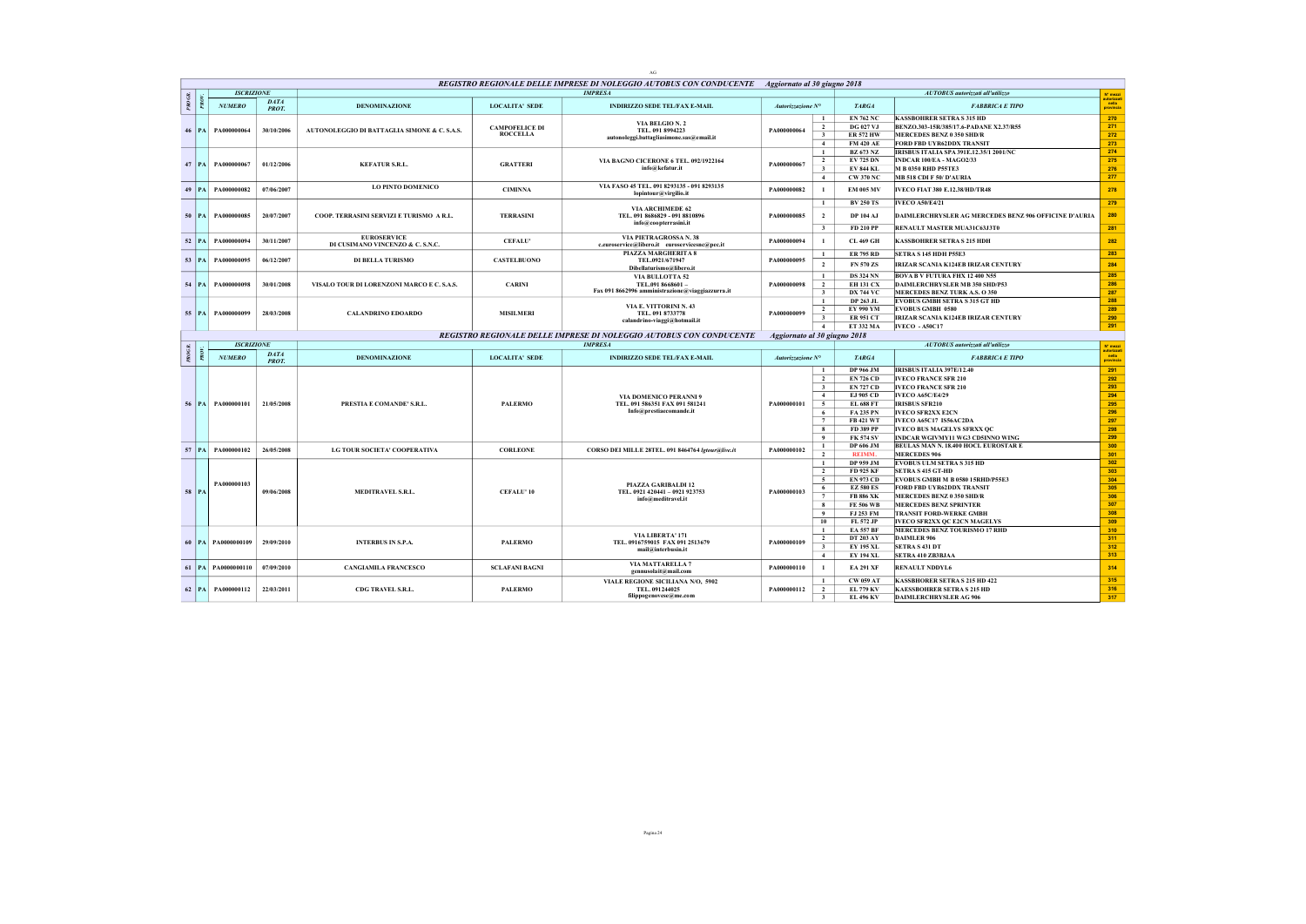|           |           |                        |                             |                                                        |                                          | AG                                                                                               |                              |                                                                                                                                |                                                                                                                                                             |                                                                                                                                                                                                                                                                            |                                                             |
|-----------|-----------|------------------------|-----------------------------|--------------------------------------------------------|------------------------------------------|--------------------------------------------------------------------------------------------------|------------------------------|--------------------------------------------------------------------------------------------------------------------------------|-------------------------------------------------------------------------------------------------------------------------------------------------------------|----------------------------------------------------------------------------------------------------------------------------------------------------------------------------------------------------------------------------------------------------------------------------|-------------------------------------------------------------|
|           |           |                        |                             |                                                        |                                          | REGISTRO REGIONALE DELLE IMPRESE DI NOLEGGIO AUTOBUS CON CONDUCENTE Aggiornato al 30 giugno 2018 |                              |                                                                                                                                |                                                                                                                                                             |                                                                                                                                                                                                                                                                            |                                                             |
|           |           | <b>ISCRIZIONE</b>      |                             |                                                        |                                          | <b>IMPRESA</b>                                                                                   |                              |                                                                                                                                |                                                                                                                                                             | AUTOBUS autorizzati all'utilizzo                                                                                                                                                                                                                                           | N° mezzi<br>utorizza                                        |
| $PROGR$ . |           | <b>NUMERO</b>          | DATA<br><b>PROT.</b>        | <b>DENOMINAZIONE</b>                                   | <b>LOCALITA' SEDE</b>                    | <b>INDIRIZZO SEDE TEL/FAX E-MAIL</b>                                                             | Autorizzazione N°            |                                                                                                                                | <b>TARGA</b>                                                                                                                                                | <b>FABBRICA E TIPO</b>                                                                                                                                                                                                                                                     | nella<br>provincia                                          |
|           | $46$   PA | PA000000064            | 30/10/2006                  | AUTONOLEGGIO DI BATTAGLIA SIMONE & C. S.A.S.           | <b>CAMPOFELICE DI</b><br><b>ROCCELLA</b> | VIA BELGIO N. 2<br>TEL. 091 8994223<br>autonoleggi.battagliasimone.sas@email.it                  | PA000000064                  | $\mathbf{1}$<br>$\overline{2}$<br>$\overline{\mathbf{3}}$<br>$\overline{4}$                                                    | <b>EN 762 NC</b><br><b>DG 027 VJ</b><br><b>ER 572 HW</b><br><b>FM 420 AE</b>                                                                                | <b>KASSBOHRER SETRA S 315 HD</b><br>BENZO.303-15R/385/17.6-PADANE X2.37/R55<br>MERCEDES BENZ 0 350 SHD/R<br>FORD FBD UYR62DDX TRANSIT                                                                                                                                      | 270<br>271<br>272<br>273                                    |
|           |           | 47 PA PA000000067      | 01/12/2006                  | <b>KEFATUR S.R.L.</b>                                  | <b>GRATTERI</b>                          | VIA BAGNO CICERONE 6 TEL. 092/1922164<br>info@kefatur.it                                         | PA000000067                  | $\mathbf{1}$<br>$\overline{2}$<br>$\overline{\mathbf{3}}$<br>$\overline{4}$                                                    | <b>BZ 673 NZ</b><br><b>EV 725 DN</b><br><b>EV 844 KL</b><br>CW 370 NC                                                                                       | IRISBUS ITALIA SPA 391E.12.35/1 2001/NC<br>INDCAR 100/EA - MAGO2/33<br>M B 0350 RHD P55TE3<br>MB 518 CDI F 50/ D'AURIA                                                                                                                                                     | 274<br>275<br>276<br>277                                    |
|           | $49$   PA | PA000000082            | 07/06/2007                  | LO PINTO DOMENICO                                      | <b>CIMINNA</b>                           | VIA FASO 45 TEL. 091 8293135 - 091 8293135<br>lopintour@virgilio.it                              | PA000000082                  | $\mathbf{1}$                                                                                                                   | <b>EM 005 MV</b>                                                                                                                                            | IVECO FIAT 380 E.12.38/HD/TR48                                                                                                                                                                                                                                             | 278                                                         |
|           | $50$   PA | PA000000085            | 20/07/2007                  | COOP. TERRASINI SERVIZI E TURISMO A R.L.               | <b>TERRASINI</b>                         | <b>VIA ARCHIMEDE 62</b><br>TEL. 091 8686829 - 091 8810896<br>info@coopterrasini.it               | PA000000085                  | $\mathbf{1}$<br>$\overline{2}$<br>$\overline{\mathbf{3}}$                                                                      | <b>BV 250 TS</b><br><b>DP 104 AJ</b><br>FD 210 PP                                                                                                           | <b>IVECO A50/E4/21</b><br>DAIMLERCHRYSLER AG MERCEDES BENZ 906 OFFICINE D'AURIA<br>RENAULT MASTER MUA31C63J3T0                                                                                                                                                             | 279<br>280<br>281                                           |
| 52        | PA        | PA000000094            | 30/11/2007                  | <b>EUROSERVICE</b><br>DI CUSIMANO VINCENZO & C. S.N.C. | <b>CEFALU'</b>                           | <b>VIA PIETRAGROSSA N. 38</b><br>c.euroservice@libero.it euroservicesnc@pec.it                   | PA000000094                  | $\mathbf{1}$                                                                                                                   | <b>CL 469 GH</b>                                                                                                                                            | <b>KASSBOHRER SETRA S 215 HDH</b>                                                                                                                                                                                                                                          | 282                                                         |
|           | 53 PA     | PA000000095            | 06/12/2007                  | <b>DI BELLA TURISMO</b>                                | <b>CASTELBUONO</b>                       | PIAZZA MARGHERITA 8<br>TEL.0921/671947<br>Dibellaturismo@libero.it                               | PA000000095                  | $\mathbf{1}$<br>$\overline{2}$                                                                                                 | <b>ER 795 RD</b><br>FN 570 ZS                                                                                                                               | SETRA S 145 HDH P55E3<br><b>IRIZAR SCANIA K124EB IRIZAR CENTURY</b>                                                                                                                                                                                                        | 283<br>284                                                  |
| 54        | PA        | PA000000098            | 30/01/2008                  | VISALO TOUR DI LORENZONI MARCO E C. S.A.S.             | <b>CARINI</b>                            | VIA BULLOTTA 52<br>TEL.091 8668601-<br>Fax 091 8662996 amministrazione@viaggiazzurra.it          | PA000000098                  | $\mathbf{1}$<br>$\overline{2}$<br>$\overline{\mathbf{3}}$                                                                      | <b>DS 324 NN</b><br><b>EH 131 CX</b><br><b>DX 744 VC</b>                                                                                                    | <b>BOVA B V FUTURA FHX 12 400 N55</b><br>DAIMLERCHRYSLER MB 350 SHD/P53<br>MERCEDES BENZ TURK A.S. O 350                                                                                                                                                                   | 285<br>286<br>287                                           |
|           | 55   PA   | PA000000099            | 28/03/2008                  | <b>CALANDRINO EDOARDO</b>                              | <b>MISILMERI</b>                         | VIA E. VITTORINI N. 43<br>TEL. 091 8733778<br>calandrino-viaggi@hotmail.it                       | PA000000099                  | $\overline{1}$<br>$\overline{2}$<br>$\overline{\mathbf{3}}$<br>$\overline{4}$                                                  | DP 263 JL<br>EY 990 YM<br><b>ER 951 CT</b><br>ET 332 MA                                                                                                     | <b>EVOBUS GMBH SETRA S 315 GT HD</b><br><b>EVOBUS GMBH 0580</b><br><b>IRIZAR SCANIA K124EB IRIZAR CENTURY</b><br>IVECO - A50C17                                                                                                                                            | 288<br>289<br>290<br>291                                    |
|           |           |                        |                             |                                                        |                                          | REGISTRO REGIONALE DELLE IMPRESE DI NOLEGGIO AUTOBUS CON CONDUCENTE                              | Aggiornato al 30 giugno 2018 |                                                                                                                                |                                                                                                                                                             |                                                                                                                                                                                                                                                                            |                                                             |
|           |           |                        |                             |                                                        |                                          |                                                                                                  |                              |                                                                                                                                |                                                                                                                                                             |                                                                                                                                                                                                                                                                            |                                                             |
|           |           | <b>ISCRIZIONE</b>      |                             |                                                        |                                          | <b>IMPRESA</b>                                                                                   |                              |                                                                                                                                |                                                                                                                                                             | AUTOBUS autorizzati all'utilizzo                                                                                                                                                                                                                                           | N° mezzi                                                    |
| $^{p}$    |           | <b>NUMERO</b>          | <b>DATA</b><br><b>PROT.</b> | DENOMINAZIONE                                          | <b>LOCALITA' SEDE</b>                    | <b>INDIRIZZO SEDE TEL/FAX E-MAIL</b>                                                             | Autorizzazione N°            |                                                                                                                                | <b>TARGA</b>                                                                                                                                                | <b>FABBRICA E TIPO</b>                                                                                                                                                                                                                                                     | utorizza<br>nella<br>provincia                              |
|           |           | 56 PA PA000000101      | 21/05/2008                  | PRESTIA E COMANDE' S.R.L.                              | <b>PALERMO</b>                           | VIA DOMENICO PER ANNI 9<br>TEL. 091 586351 FAX 091 581241<br>Info@prestiaecomande.it             | PA000000101                  | $\mathbf{1}$<br>$\overline{2}$<br>$\overline{\mathbf{3}}$<br>$\overline{4}$<br>$\sim$<br>6<br>$7\phantom{.0}$<br>$\bf{8}$<br>9 | DP 966 JM<br><b>EN 726 CD</b><br><b>EN 727 CD</b><br>EJ 905 CD<br><b>EL 688 FT</b><br><b>FA 235 PN</b><br><b>FB 421 WT</b><br>FD 389 PP<br><b>FK 574 SV</b> | <b>IRISBUS ITALIA 397E/12.40</b><br><b>IVECO FRANCE SFR 210</b><br><b>IVECO FRANCE SFR 210</b><br><b>IVECO A65C/E4/29</b><br><b>IRISBUS SFR210</b><br><b>IVECO SFR2XX E2CN</b><br>IVECO A65C17 IS56AC2DA<br>IVECO BUS MAGELYS SFRXX QC<br>INDCAR WGIVMY11 WG3 CD5INNO WING | 291<br>292<br>293<br>294<br>295<br>296<br>297<br>298<br>299 |
|           |           | 57   PA   PA000000102  | 26/05/2008                  | LG TOUR SOCIETA' COOPERATIVA                           | <b>CORLEONE</b>                          | CORSO DEI MILLE 28TEL. 091 8464764 Igtour@live.it                                                | PA000000102                  | $\mathbf{1}$<br>$\overline{2}$                                                                                                 | DP 606 JM<br><b>REIMM.</b>                                                                                                                                  | BEULAS MAN N. 18.400 HOCL EUROSTAR E<br><b>MERCEDES 906</b>                                                                                                                                                                                                                | 300<br>301                                                  |
|           | 58 PA     | PA000000103            | 09/06/2008                  | MEDITRAVEL S.R.L.                                      | <b>CEFALU' 10</b>                        | PIAZZA GARIBALDI 12<br>TEL. 0921 420441 - 0921 923753<br>info@meditravel.it                      | PA000000103                  | $\mathbf{1}$<br>$\overline{2}$<br>$\overline{\phantom{0}}$<br>6<br>7<br>$\bf{8}$<br>9<br>10                                    | DP 959 JM<br>FD 925 KF<br><b>EN 973 CD</b><br><b>EZ 580 ES</b><br><b>FB 886 XK</b><br><b>FE 506 WB</b><br>FJ 253 FM<br>FL 572 JP                            | <b>EVOBUS ULM SETRA S 315 HD</b><br><b>SETRA S 415 GT-HD</b><br>EVOBUS GMBH M B 0580 15RHD/P55E3<br>FORD FBD UYR62DDX TRANSIT<br>MERCEDES BENZ 0 350 SHD/R<br><b>MERCEDES BENZ SPRINTER</b><br>TRANSIT FORD-WERKE GMBH<br>IVECO SFR2XX QC E2CN MAGELYS                     | 302<br>303<br>304<br>305<br>306<br>307<br>308<br>309        |
|           |           | 60 PA PA0000000109     | 29/09/2010                  | <b>INTERBUS IN S.P.A.</b>                              | <b>PALERMO</b>                           | VIA LIBERTA' 171<br>TEL. 0916759015 FAX 091 2513679<br>mail@interbusin.it                        | PA000000109                  | $\mathbf{1}$<br>$\overline{2}$<br>$\overline{\mathbf{3}}$<br>$\overline{4}$                                                    | <b>EA 557 BF</b><br><b>DT 203 AY</b><br><b>EY 195 XL</b><br><b>EY 194 XL</b>                                                                                | MERCEDES BENZ TOURISMO 17 RHD<br>DAIMLER 906<br><b>SETRA S 431 DT</b><br>SETRA 410 ZB3BJAA                                                                                                                                                                                 | 310<br>311<br>312<br>313                                    |
|           |           | 61   PA   PA0000000110 | 07/09/2010                  | <b>CANGIAMILA FRANCESCO</b>                            | <b>SCLAFANI BAGNI</b>                    | <b>VIA MATTARELLA 7</b><br>gennusolait@mail.com                                                  | PA000000110                  | $\mathbf{1}$                                                                                                                   | <b>EA 291 XF</b>                                                                                                                                            | <b>RENAULT NDDYL6</b>                                                                                                                                                                                                                                                      | 314                                                         |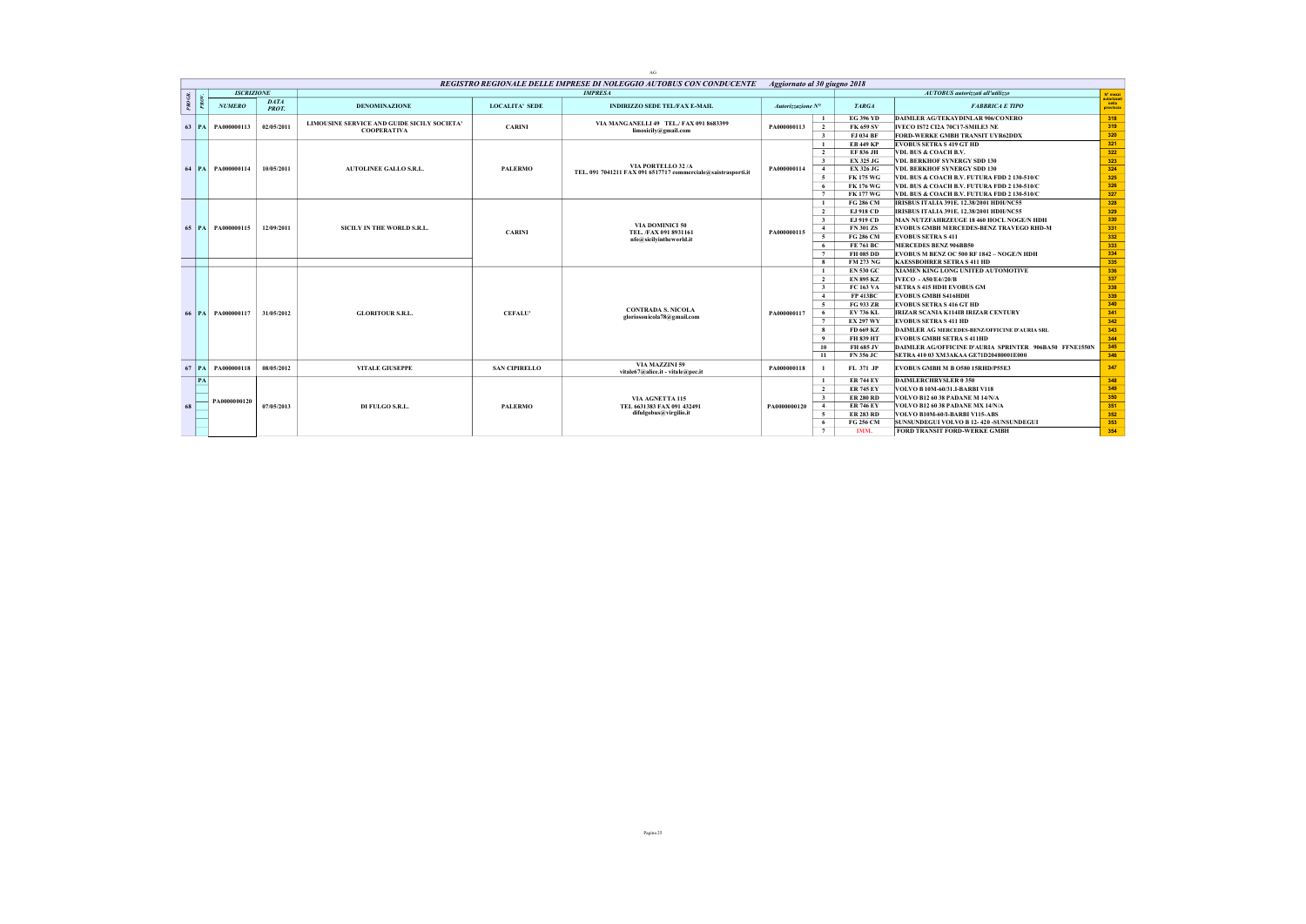|        |         |                       |                             |                                                                   |                       | AG                                                                  |                              |                         |                  |                                                        |                                   |
|--------|---------|-----------------------|-----------------------------|-------------------------------------------------------------------|-----------------------|---------------------------------------------------------------------|------------------------------|-------------------------|------------------|--------------------------------------------------------|-----------------------------------|
|        |         |                       |                             |                                                                   |                       | REGISTRO REGIONALE DELLE IMPRESE DI NOLEGGIO AUTOBUS CON CONDUCENTE | Aggiornato al 30 giugno 2018 |                         |                  |                                                        |                                   |
|        |         | <b>ISCRIZIONE</b>     |                             |                                                                   |                       | <b>IMPRESA</b>                                                      |                              |                         |                  | AUTOBUS autorizzati all'utilizzo                       | N' mezzi                          |
| PROGR. |         | <b>NUMERO</b>         | <b>DATA</b><br><b>PROT.</b> | <b>DENOMINAZIONE</b>                                              | <b>LOCALITA' SEDE</b> | <b>INDIRIZZO SEDE TEL/FAX E-MAIL</b>                                | Autorizzazione N°            |                         | <b>TARGA</b>     | <b>FABBRICA E TIPO</b>                                 | autorizzati<br>nella<br>provincia |
|        |         |                       |                             |                                                                   |                       |                                                                     |                              | -1                      | <b>EG 396 YD</b> | DAIMLER AG/TEKAYDINLAR 906/CONERO                      | 318                               |
|        | 63   PA | PA000000113           | 02/05/2011                  | LIMOUSINE SERVICE AND GUIDE SICILY SOCIETA'<br><b>COOPERATIVA</b> | <b>CARINI</b>         | VIA MANGANELLI 49 TEL./ FAX 091 8683399<br>limosicily@gmail.com     | PA000000113                  | $\overline{2}$          | <b>FK 659 SV</b> | IVECO IS72 CI2A 70C17-SMILE3 NE                        | 319                               |
|        |         |                       |                             |                                                                   |                       |                                                                     |                              | 3 <sup>1</sup>          | FJ 034 BF        | FORD-WERKE GMBH TRANSIT UYR62DDX                       | 320                               |
|        |         |                       |                             |                                                                   |                       |                                                                     |                              | $\mathbf{1}$            | <b>EB 449 KP</b> | <b>EVOBUS SETRA S 419 GT HD</b>                        | 321                               |
|        |         |                       |                             |                                                                   |                       |                                                                     |                              | $\overline{2}$          | EF 836 JH        | <b>VDL BUS &amp; COACH B.V.</b>                        | 322                               |
|        |         |                       |                             |                                                                   |                       | VIA PORTELLO 32/A                                                   |                              | $\overline{\mathbf{3}}$ | <b>EX 325 JG</b> | VDL BERKHOF SYNERGY SDD 130                            | 323                               |
|        |         | 64   PA   PA000000114 | 10/05/2011                  | <b>AUTOLINEE GALLO S.R.L.</b>                                     | <b>PALERMO</b>        | TEL. 091 7041211 FAX 091 6517717 commerciale@saistrasporti.it       | PA000000114                  | $\overline{4}$          | <b>EX 326 JG</b> | VDL BERKHOF SYNERGY SDD 130                            | 324                               |
|        |         |                       |                             |                                                                   |                       |                                                                     |                              | 5                       | <b>FK 175 WG</b> | VDL BUS & COACH B.V. FUTURA FDD 2 130-510/C            | 325                               |
|        |         |                       |                             |                                                                   |                       |                                                                     |                              | -6                      | <b>FK 176 WG</b> | VDL BUS & COACH B.V. FUTURA FDD 2 130-510/C            | 326                               |
|        |         |                       |                             |                                                                   |                       |                                                                     |                              | 7                       | <b>FK 177 WG</b> | VDL BUS & COACH B.V. FUTURA FDD 2 130-510/C            | 327                               |
|        |         |                       |                             |                                                                   |                       |                                                                     |                              | $\mathbf{1}$            | <b>FG 286 CM</b> | IRISBUS ITALIA 391E, 12,38/2001 HDH/NC55               | 328                               |
|        |         |                       |                             |                                                                   |                       |                                                                     |                              | $\overline{2}$          | <b>EJ 918 CD</b> | IRISBUS ITALIA 391E, 12.38/2001 HDH/NC55               | 329                               |
|        |         |                       |                             |                                                                   |                       |                                                                     |                              | $\overline{\mathbf{3}}$ | <b>EJ 919 CD</b> | MAN NUTZFAHRZEUGE 18 460 HOCL NOGE/N HDH               | 330                               |
|        |         | 65   PA   PA000000115 | 12/09/2011                  | SICILY IN THE WORLD S.R.L.                                        | <b>CARINI</b>         | VIA DOMINICI 50<br>TEL. /FAX 091 8931161                            | PA000000115                  | $\overline{4}$          | <b>FN 301 ZS</b> | EVOBUS GMBH MERCEDES-BENZ TRAVEGO RHD-M                | 331                               |
|        |         |                       |                             |                                                                   |                       | nfo@sicilyintheworld.it                                             |                              | 5                       | <b>FG 286 CM</b> | <b>EVOBUS SETRA S 411</b>                              | 332                               |
|        |         |                       |                             |                                                                   |                       |                                                                     |                              | 6                       | FE 761 BC        | <b>MERCEDES BENZ 906BB50</b>                           | 333                               |
|        |         |                       |                             |                                                                   |                       |                                                                     |                              | $\tau$                  | <b>FH 085 DD</b> | EVOBUS M BENZ OC 500 RF 1842 - NOGE/N HDH              | 334                               |
|        |         |                       |                             |                                                                   |                       |                                                                     |                              | -8                      | <b>FM 273 NG</b> | <b>KAESSBOHRER SETRA S 411 HD</b>                      | 335                               |
|        |         |                       |                             |                                                                   |                       |                                                                     |                              | $\mathbf{1}$            | <b>EN 530 GC</b> | XIAMEN KING LONG UNITED AUTOMOTIVE                     | 336                               |
|        |         |                       |                             |                                                                   |                       |                                                                     |                              | $\overline{2}$          | <b>EN 895 KZ</b> | <b>IVECO - A50/E4//20/B</b>                            | 337                               |
|        |         |                       |                             |                                                                   |                       |                                                                     |                              | $\overline{\mathbf{3}}$ | <b>FC 163 VA</b> | <b>SETRA S 415 HDH EVOBUS GM</b>                       | 338                               |
|        |         |                       |                             |                                                                   |                       |                                                                     |                              | $\overline{4}$          | <b>FP 413BC</b>  | <b>EVOBUS GMBH S416HDH</b>                             | 339                               |
|        |         |                       |                             |                                                                   |                       | <b>CONTRADA S. NICOLA</b>                                           |                              | 5 <sup>5</sup>          | FG 933 ZR        | <b>EVOBUS SETRA S 416 GT HD</b>                        | 340                               |
|        |         | 66   PA   PA000000117 | 31/05/2012                  | <b>GLORITOUR S.R.L.</b>                                           | <b>CEFALU'</b>        | gloriosonicola78@gmail.com                                          | PA000000117                  | 6                       | <b>EV 736 KL</b> | IRIZAR SCANIA K114IB IRIZAR CENTURY                    | 341                               |
|        |         |                       |                             |                                                                   |                       |                                                                     |                              | $\overline{7}$          | <b>EX 297 WY</b> | <b>EVOBUS SETRA S 411 HD</b>                           | 342                               |
|        |         |                       |                             |                                                                   |                       |                                                                     |                              | 8                       | FD 669 KZ        | DAIMLER AG MERCEDES-BENZ/OFFICINE D'AURIA SRL          | 343                               |
|        |         |                       |                             |                                                                   |                       |                                                                     |                              | - 9                     | FH 839 HT        | <b>EVOBUS GMBH SETRA S 411HD</b>                       | 344                               |
|        |         |                       |                             |                                                                   |                       |                                                                     |                              | 10                      | FH 685 JV        | DAIMLER AG/OFFICINE D'AURIA SPRINTER 906BA50 FFNE1550N | 345                               |
|        |         |                       |                             |                                                                   |                       |                                                                     |                              | 11                      | <b>FN 356 JC</b> | SETRA 410 03 XM3AKAA GE71D20480001E000                 | 346                               |
|        | $67$ PA | PA000000118           | 08/05/2012                  | <b>VITALE GIUSEPPE</b>                                            | <b>SAN CIPIRELLO</b>  | VIA MAZZINI 59<br>vitale67@alice.it - vitale@pec.it                 | PA000000118                  |                         | FL 371 JP        | EVOBUS GMBH M B O580 15RHD/P55E3                       | 347                               |
|        | PA      |                       |                             |                                                                   |                       |                                                                     |                              | -1                      | <b>ER 744 EY</b> | <b>DAIMLERCHRYSLER 0350</b>                            | 348                               |
|        |         |                       |                             |                                                                   |                       |                                                                     |                              | $\overline{2}$          | <b>ER 745 EY</b> | VOLVO B 10M-60/31.I-BARBI V118                         | 349                               |
|        |         |                       |                             |                                                                   |                       | VIA AGNETTA 115                                                     |                              | $\overline{\mathbf{3}}$ | <b>ER 280 RD</b> | VOLVO B12 60 38 PADANE M 14/N/A                        | 350                               |
| 68     |         | PA0000000120          | 07/05/2013                  | DI FULGO S.R.L.                                                   | <b>PALERMO</b>        | TEL 6631383 FAX 091 432491                                          | PA0000000120                 | $\overline{4}$          | <b>ER 746 EY</b> | VOLVO B12 60 38 PADANE MX 14/N/A                       | 351                               |
|        |         |                       |                             |                                                                   |                       | difulgobus@virgilio.it                                              |                              | $\sim$                  | <b>ER 283 RD</b> | VOLVO B10M-60/I-BARBI V115-ABS                         | 352                               |
|        |         |                       |                             |                                                                   |                       |                                                                     |                              | 6                       | FG 256 CM        | <b>SUNSUNDEGUI VOLVO B 12- 420 -SUNSUNDEGUI</b>        | 353                               |
|        |         |                       |                             |                                                                   |                       |                                                                     |                              | $\tau$                  | IMM.             | <b>FORD TRANSIT FORD-WERKE GMBH</b>                    | 354                               |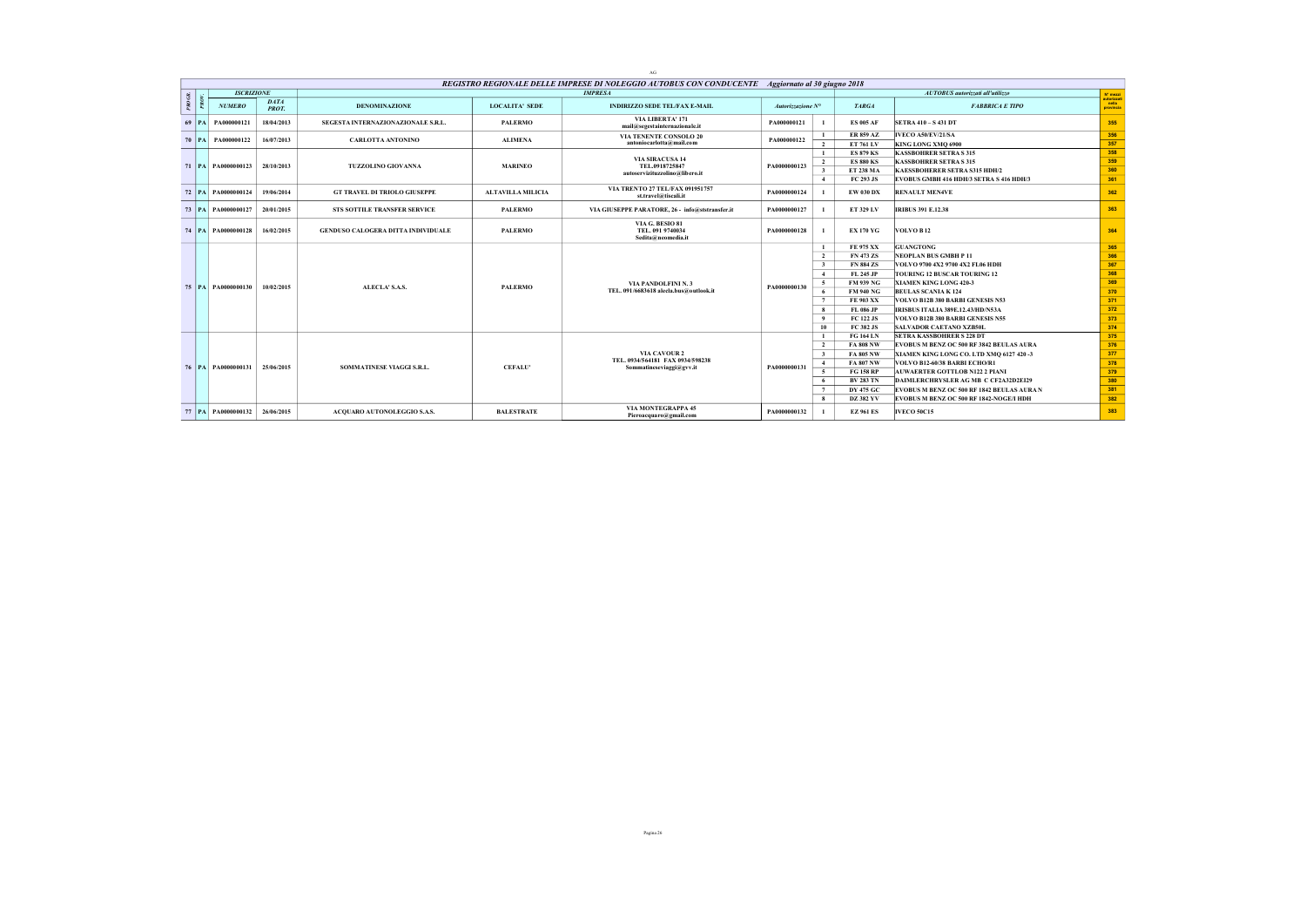|        |           |                        |                      |                                           |                          | AG                                                                                               |                   |                         |                                      |                                            |                                  |
|--------|-----------|------------------------|----------------------|-------------------------------------------|--------------------------|--------------------------------------------------------------------------------------------------|-------------------|-------------------------|--------------------------------------|--------------------------------------------|----------------------------------|
|        |           |                        |                      |                                           |                          | REGISTRO REGIONALE DELLE IMPRESE DI NOLEGGIO AUTOBUS CON CONDUCENTE Aggiornato al 30 giugno 2018 |                   |                         |                                      |                                            |                                  |
|        |           | <b>ISCRIZIONE</b>      |                      |                                           |                          | <b>IMPRESA</b>                                                                                   |                   |                         |                                      | <b>AUTOBUS</b> autorizzati all'utilizzo    | N° mezzi                         |
| PROGR. |           | <b>NUMERO</b>          | <b>DATA</b><br>PROT. | <b>DENOMINAZIONE</b>                      | <b>LOCALITA' SEDE</b>    | <b>INDIRIZZO SEDE TEL/FAX E-MAIL</b>                                                             | Autorizzazione N° |                         | <b>TARGA</b>                         | <b>FABBRICA E TIPO</b>                     | autorizzat<br>nella<br>provincia |
|        | $69$   PA | PA000000121            | 18/04/2013           | SEGESTA INTERNAZIONAZIONALE S.R.L.        | <b>PALERMO</b>           | VIA LIBERTA' 171<br>mail@segestainternazionale.it                                                | PA000000121       |                         | <b>ES 005 AF</b>                     | <b>SETRA 410 - S 431 DT</b>                | 355                              |
|        | $70$   PA | PA000000122            | 16/07/2013           | <b>CARLOTTA ANTONINO</b>                  | <b>ALIMENA</b>           | <b>VIA TENENTE CONSOLO 20</b><br>antonio carlotta@mail.com                                       | PA000000122       | $\overline{2}$          | <b>ER 859 AZ</b><br><b>ET 761 LV</b> | IVECO A50/EV/21/SA<br>KING LONG XMO 6900   | 356<br>357                       |
|        |           |                        |                      |                                           |                          |                                                                                                  |                   |                         | <b>ES 879 KS</b>                     | <b>KASSBOHRER SETRA S 315</b>              | 358                              |
|        |           |                        |                      |                                           |                          | <b>VIA SIRACUSA 14</b>                                                                           |                   | $\overline{2}$          | <b>ES 880 KS</b>                     | <b>KASSBOHRER SETRA S 315</b>              | 359                              |
|        |           | 71   PA   PA0000000123 | 28/10/2013           | <b>TUZZOLINO GIOVANNA</b>                 | <b>MARINEO</b>           | TEL.0918725847                                                                                   | PA0000000123      | $\overline{\mathbf{3}}$ | <b>ET 238 MA</b>                     | <b>KAESSBOHERER SETRA S315 HDH/2</b>       | 360                              |
|        |           |                        |                      |                                           |                          | autoservizituzzolino@libero.it                                                                   |                   | $\overline{4}$          | FC 293 JS                            | EVOBUS GMBH 416 HDH/3 SETRA S 416 HDH/3    | 361                              |
|        |           | 72   PA   PA0000000124 | 19/06/2014           | <b>GT TRAVEL DI TRIOLO GIUSEPPE</b>       | <b>ALTAVILLA MILICIA</b> | VIA TRENTO 27 TEL/FAX 091951757<br>st.travel@tiscali.it                                          | PA0000000124      |                         | <b>EW 030 DX</b>                     | <b>RENAULT MEN4VE</b>                      | 362                              |
|        |           | 73   PA   PA0000000127 | 20/01/2015           | STS SOTTILE TRANSFER SERVICE              | <b>PALERMO</b>           | VIA GIUSEPPE PARATORE, 26 - info@ststransfer.it                                                  | PA0000000127      |                         | ET 329 LV                            | <b>IRIBUS 391 E.12.38</b>                  | 363                              |
|        |           | 74   PA   PA0000000128 | 16/02/2015           | <b>GENDUSO CALOGERA DITTA INDIVIDUALE</b> | <b>PALERMO</b>           | VIA G. BESIO 81<br>TEL. 091 9740034<br>Sedita@neomedia.it                                        | PA0000000128      |                         | <b>EX 170 YG</b>                     | VOLVO B <sub>12</sub>                      | 364                              |
|        |           |                        |                      |                                           |                          |                                                                                                  |                   |                         | FE 975 XX                            | <b>GUANGTONG</b>                           | 365                              |
|        |           |                        |                      |                                           |                          |                                                                                                  |                   | $\overline{2}$          | <b>FN 473 ZS</b>                     | <b>NEOPLAN BUS GMBH P 11</b>               | 366                              |
|        |           |                        |                      |                                           |                          |                                                                                                  |                   | $\overline{\mathbf{3}}$ | <b>FN 884 ZS</b>                     | VOLVO 9700 4X2 9700 4X2 FL06 HDH           | 367                              |
|        |           |                        |                      |                                           |                          |                                                                                                  |                   | $\overline{4}$          | FL 245 JP                            | <b>TOURING 12 BUSCAR TOURING 12</b>        | 368                              |
|        |           | 75   PA   PA0000000130 | 10/02/2015           | ALECLA' S.A.S.                            | <b>PALERMO</b>           | VIA PANDOLFINI N. 3                                                                              | PA0000000130      | -5                      | <b>FM 939 NG</b>                     | XIAMEN KING LONG 420-3                     | 369                              |
|        |           |                        |                      |                                           |                          | TEL. 091/6683618 alecla.bus@outlook.it                                                           |                   | 6                       | <b>FM 940 NG</b>                     | <b>BEULAS SCANIA K 124</b>                 | 370                              |
|        |           |                        |                      |                                           |                          |                                                                                                  |                   | $7^{\circ}$             | <b>FE 903 XX</b>                     | VOLVO B12B 380 BARBI GENESIS N53           | 371                              |
|        |           |                        |                      |                                           |                          |                                                                                                  |                   | $\mathbf{8}$            | FL 086 JP                            | <b>IRISBUS ITALIA 389E.12.43/HD/N53A</b>   | 372                              |
|        |           |                        |                      |                                           |                          |                                                                                                  |                   | $\overline{9}$          | <b>FC 122 JS</b>                     | VOLVO B12B 380 BARBI GENESIS N55           | 373                              |
|        |           |                        |                      |                                           |                          |                                                                                                  |                   | 10                      | FC 382 JS                            | <b>SALVADOR CAETANO XZB50L</b>             | 374                              |
|        |           |                        |                      |                                           |                          |                                                                                                  |                   | -1                      | <b>FG 164 LN</b>                     | <b>SETRA KASSBOHRER S 228 DT</b>           | 375                              |
|        |           |                        |                      |                                           |                          |                                                                                                  |                   | $\overline{2}$          | <b>FA 808 NW</b>                     | EVOBUS M BENZ OC 500 RF 3842 BEULAS AURA   | 376                              |
|        |           |                        |                      |                                           |                          | <b>VIA CAVOUR 2</b><br>TEL. 0934/564181 FAX 0934/598238                                          |                   | $\overline{\mathbf{3}}$ | <b>FA 805 NW</b>                     | XIAMEN KING LONG CO. LTD XMQ 6127 420 -3   | 377                              |
|        |           | 76   PA   PA0000000131 | 25/06/2015           | SOMMATINESE VIAGGI S.R.L.                 | <b>CEFALU'</b>           | Sommatineseviaggi@gvv.it                                                                         | PA0000000131      | $\overline{4}$          | <b>FA 807 NW</b>                     | VOLVO B12-60/38 BARBI ECHO/R1              | 378                              |
|        |           |                        |                      |                                           |                          |                                                                                                  |                   | -5                      | <b>FG 158 RP</b>                     | <b>AUWAERTER GOTTLOB N122 2 PIANI</b>      | 379                              |
|        |           |                        |                      |                                           |                          |                                                                                                  |                   | - 6                     | <b>BV 283 TN</b>                     | DAIMLERCHRYSLER AG MB C CF2A32D2EI29       | 380                              |
|        |           |                        |                      |                                           |                          |                                                                                                  |                   | $7^{\circ}$             | <b>DY 475 GC</b>                     | EVOBUS M BENZ OC 500 RF 1842 BEULAS AURA N | 381                              |
|        |           |                        |                      |                                           |                          |                                                                                                  |                   | -8                      | <b>DZ 382 YV</b>                     | EVOBUS M BENZ OC 500 RF 1842-NOGE/I HDH    | 382                              |
|        |           | 77 PA PA0000000132     | 26/06/2015           | <b>ACOUARO AUTONOLEGGIO S.A.S.</b>        | <b>BALESTRATE</b>        | <b>VIA MONTEGRAPPA 45</b><br>Pieroacquaro@gmail.com                                              | PA0000000132      |                         | <b>EZ 961 ES</b>                     | <b>IVECO 50C15</b>                         | 383                              |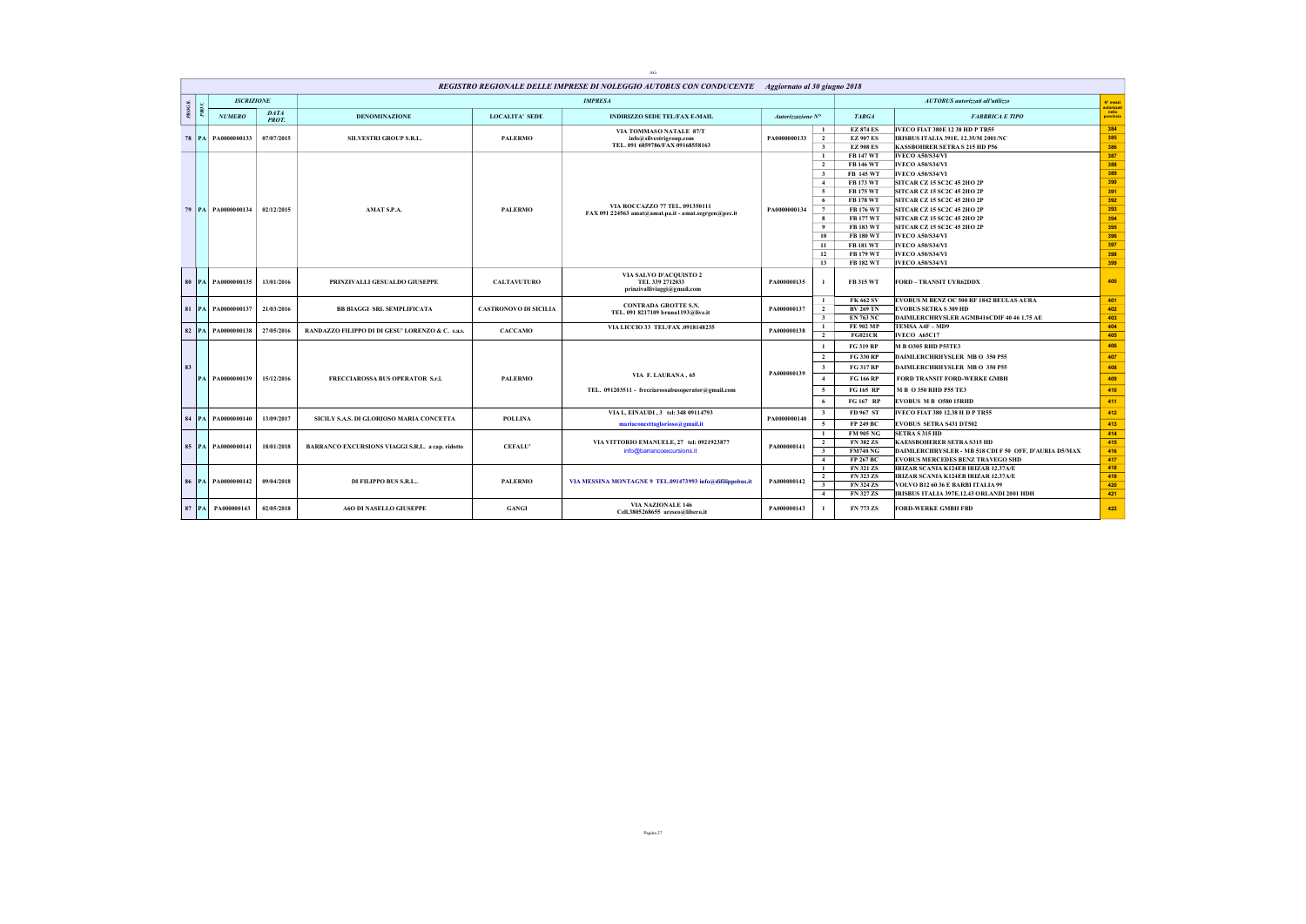| REGISTRO REGIONALE DELLE IMPRESE DI NOLEGGIO AUTOBUS CON CONDUCENTE Aggiornato al 30 giugno 2018<br><b>ISCRIZIONE</b><br><b>IMPRESA</b><br>PROGR.<br>DATA<br><b>NUMERO</b><br><b>LOCALITA' SEDE</b><br><b>DENOMINAZIONE</b><br><b>INDIRIZZO SEDE TEL/FAX E-MAIL</b><br>PROT.<br>VIA TOMMASO NATALE 87/T<br>07/07/2015<br><b>PALERMO</b><br>78 PA PA0000000133<br><b>SILVESTRI GROUP S.R.L.</b><br>info@silvestrigroup.com<br>TEL. 091 6859786/FAX 09168558163<br>VIA ROCCAZZO 77 TEL. 091350111<br>79   PA   PA0000000134<br>02/12/2015<br>AMAT S.P.A.<br><b>PALERMO</b><br>FAX 091 224563 amat@amat.pa.it - amat.segrgen@pec.it<br>VIA SALVO D'ACOUISTO 2<br>13/01/2016<br><b>CALTAVUTURO</b><br>80<br>PA PA0000000135<br>PRINZIVALLI GESUALDO GIUSEPPE<br>TEL 339 2712033<br>prinzivalliviaggi@gmail.com<br><b>CONTRADA GROTTE S.N.</b><br>PA0000000137<br>81<br>21/03/2016<br><b>BB BIAGGI SRL SEMPLIFICATA</b><br><b>CASTRONOVO DI SICILIA</b><br>TEL. 091 8217109 bruna1193@live.it<br>VIA LICCIO 33 TEL/FAX .0918148235<br>27/05/2016<br>CACCAMO<br>82 PA PA0000000138<br>RANDAZZO FILIPPO DI DI GESU' LORENZO & C. s.a.s. | Autorizzazione N°<br>PA0000000133<br>PA0000000134 | $\mathbf{1}$<br>$\overline{2}$<br>$\mathbf{3}$<br>$\mathbf{1}$<br>$\overline{2}$<br>$\overline{\mathbf{3}}$<br>$\overline{4}$<br>$\sim$<br>6<br>$7\phantom{.0}$<br>$\bf{8}$ | <b>TARGA</b><br><b>EZ 874 ES</b><br><b>EZ 907 ES</b><br><b>EZ 908 ES</b><br><b>FB 147 WT</b><br><b>FB 146 WT</b><br><b>FB 145 WT</b><br><b>FB 173 WT</b><br><b>FB 175 WT</b><br><b>FB 178 WT</b><br><b>FB 176 WT</b> | AUTOBUS autorizzati all'utilizzo<br><b>FABBRICA E TIPO</b><br>IVECO FIAT 380E 12 38 HD P TR55<br><b>IRISBUS ITALIA 391E, 12.35/M 2001/NC</b><br><b>KASSBOHRER SETRA S 215 HD P56</b><br>IVECO A50/S34/VI<br><b>IVECO A50/S34/VI</b><br>IVECO A50/S34/VI<br><b>SITCAR CZ 15 SC2C 45 2HO 2P</b><br><b>SITCAR CZ 15 SC2C 45 2HO 2P</b> | N° mezzi<br>autorizzat<br>  nella<br>provincia<br>384<br>385<br>386<br>387<br>388<br>389<br>390 |
|----------------------------------------------------------------------------------------------------------------------------------------------------------------------------------------------------------------------------------------------------------------------------------------------------------------------------------------------------------------------------------------------------------------------------------------------------------------------------------------------------------------------------------------------------------------------------------------------------------------------------------------------------------------------------------------------------------------------------------------------------------------------------------------------------------------------------------------------------------------------------------------------------------------------------------------------------------------------------------------------------------------------------------------------------------------------------------------------------------------------------------|---------------------------------------------------|-----------------------------------------------------------------------------------------------------------------------------------------------------------------------------|----------------------------------------------------------------------------------------------------------------------------------------------------------------------------------------------------------------------|-------------------------------------------------------------------------------------------------------------------------------------------------------------------------------------------------------------------------------------------------------------------------------------------------------------------------------------|-------------------------------------------------------------------------------------------------|
|                                                                                                                                                                                                                                                                                                                                                                                                                                                                                                                                                                                                                                                                                                                                                                                                                                                                                                                                                                                                                                                                                                                                  |                                                   |                                                                                                                                                                             |                                                                                                                                                                                                                      |                                                                                                                                                                                                                                                                                                                                     |                                                                                                 |
|                                                                                                                                                                                                                                                                                                                                                                                                                                                                                                                                                                                                                                                                                                                                                                                                                                                                                                                                                                                                                                                                                                                                  |                                                   |                                                                                                                                                                             |                                                                                                                                                                                                                      |                                                                                                                                                                                                                                                                                                                                     |                                                                                                 |
|                                                                                                                                                                                                                                                                                                                                                                                                                                                                                                                                                                                                                                                                                                                                                                                                                                                                                                                                                                                                                                                                                                                                  |                                                   |                                                                                                                                                                             |                                                                                                                                                                                                                      |                                                                                                                                                                                                                                                                                                                                     |                                                                                                 |
|                                                                                                                                                                                                                                                                                                                                                                                                                                                                                                                                                                                                                                                                                                                                                                                                                                                                                                                                                                                                                                                                                                                                  |                                                   |                                                                                                                                                                             |                                                                                                                                                                                                                      |                                                                                                                                                                                                                                                                                                                                     |                                                                                                 |
|                                                                                                                                                                                                                                                                                                                                                                                                                                                                                                                                                                                                                                                                                                                                                                                                                                                                                                                                                                                                                                                                                                                                  |                                                   |                                                                                                                                                                             |                                                                                                                                                                                                                      |                                                                                                                                                                                                                                                                                                                                     |                                                                                                 |
|                                                                                                                                                                                                                                                                                                                                                                                                                                                                                                                                                                                                                                                                                                                                                                                                                                                                                                                                                                                                                                                                                                                                  |                                                   |                                                                                                                                                                             |                                                                                                                                                                                                                      |                                                                                                                                                                                                                                                                                                                                     |                                                                                                 |
|                                                                                                                                                                                                                                                                                                                                                                                                                                                                                                                                                                                                                                                                                                                                                                                                                                                                                                                                                                                                                                                                                                                                  |                                                   |                                                                                                                                                                             |                                                                                                                                                                                                                      |                                                                                                                                                                                                                                                                                                                                     |                                                                                                 |
|                                                                                                                                                                                                                                                                                                                                                                                                                                                                                                                                                                                                                                                                                                                                                                                                                                                                                                                                                                                                                                                                                                                                  |                                                   |                                                                                                                                                                             |                                                                                                                                                                                                                      |                                                                                                                                                                                                                                                                                                                                     |                                                                                                 |
|                                                                                                                                                                                                                                                                                                                                                                                                                                                                                                                                                                                                                                                                                                                                                                                                                                                                                                                                                                                                                                                                                                                                  |                                                   |                                                                                                                                                                             |                                                                                                                                                                                                                      |                                                                                                                                                                                                                                                                                                                                     |                                                                                                 |
|                                                                                                                                                                                                                                                                                                                                                                                                                                                                                                                                                                                                                                                                                                                                                                                                                                                                                                                                                                                                                                                                                                                                  |                                                   |                                                                                                                                                                             |                                                                                                                                                                                                                      |                                                                                                                                                                                                                                                                                                                                     | 391                                                                                             |
|                                                                                                                                                                                                                                                                                                                                                                                                                                                                                                                                                                                                                                                                                                                                                                                                                                                                                                                                                                                                                                                                                                                                  |                                                   |                                                                                                                                                                             |                                                                                                                                                                                                                      | SITCAR CZ 15 SC2C 45 2HO 2P                                                                                                                                                                                                                                                                                                         | 392                                                                                             |
|                                                                                                                                                                                                                                                                                                                                                                                                                                                                                                                                                                                                                                                                                                                                                                                                                                                                                                                                                                                                                                                                                                                                  |                                                   |                                                                                                                                                                             |                                                                                                                                                                                                                      | SITCAR CZ 15 SC2C 45 2HO 2P                                                                                                                                                                                                                                                                                                         | 393                                                                                             |
|                                                                                                                                                                                                                                                                                                                                                                                                                                                                                                                                                                                                                                                                                                                                                                                                                                                                                                                                                                                                                                                                                                                                  |                                                   |                                                                                                                                                                             | <b>FB 177 WT</b>                                                                                                                                                                                                     | <b>SITCAR CZ 15 SC2C 45 2HO 2P</b>                                                                                                                                                                                                                                                                                                  | 394                                                                                             |
|                                                                                                                                                                                                                                                                                                                                                                                                                                                                                                                                                                                                                                                                                                                                                                                                                                                                                                                                                                                                                                                                                                                                  |                                                   | 9                                                                                                                                                                           | <b>FB 183 WT</b>                                                                                                                                                                                                     | <b>SITCAR CZ 15 SC2C 45 2HO 2P</b>                                                                                                                                                                                                                                                                                                  | 395                                                                                             |
|                                                                                                                                                                                                                                                                                                                                                                                                                                                                                                                                                                                                                                                                                                                                                                                                                                                                                                                                                                                                                                                                                                                                  |                                                   | 10                                                                                                                                                                          | <b>FB 180 WT</b>                                                                                                                                                                                                     | IVECO A50/S34/VI                                                                                                                                                                                                                                                                                                                    | 396                                                                                             |
|                                                                                                                                                                                                                                                                                                                                                                                                                                                                                                                                                                                                                                                                                                                                                                                                                                                                                                                                                                                                                                                                                                                                  |                                                   | 11                                                                                                                                                                          | <b>FB 181 WT</b>                                                                                                                                                                                                     | IVECO A50/S34/VI                                                                                                                                                                                                                                                                                                                    | 397                                                                                             |
|                                                                                                                                                                                                                                                                                                                                                                                                                                                                                                                                                                                                                                                                                                                                                                                                                                                                                                                                                                                                                                                                                                                                  |                                                   | 12                                                                                                                                                                          | FB 179 WT                                                                                                                                                                                                            | <b>IVECO A50/S34/VI</b>                                                                                                                                                                                                                                                                                                             | 398                                                                                             |
|                                                                                                                                                                                                                                                                                                                                                                                                                                                                                                                                                                                                                                                                                                                                                                                                                                                                                                                                                                                                                                                                                                                                  |                                                   | 13                                                                                                                                                                          | <b>FB 182 WT</b>                                                                                                                                                                                                     | <b>IVECO A50/S34/VI</b>                                                                                                                                                                                                                                                                                                             | 399                                                                                             |
|                                                                                                                                                                                                                                                                                                                                                                                                                                                                                                                                                                                                                                                                                                                                                                                                                                                                                                                                                                                                                                                                                                                                  | PA000000135                                       | -1                                                                                                                                                                          | <b>FB 315 WT</b>                                                                                                                                                                                                     | <b>FORD - TRANSIT UYR62DDX</b>                                                                                                                                                                                                                                                                                                      | 400                                                                                             |
|                                                                                                                                                                                                                                                                                                                                                                                                                                                                                                                                                                                                                                                                                                                                                                                                                                                                                                                                                                                                                                                                                                                                  |                                                   | $\mathbf{1}$                                                                                                                                                                | <b>FK 662 SV</b>                                                                                                                                                                                                     | EVOBUS M BENZ OC 500 RF 1842 BEULAS AURA                                                                                                                                                                                                                                                                                            | 401                                                                                             |
|                                                                                                                                                                                                                                                                                                                                                                                                                                                                                                                                                                                                                                                                                                                                                                                                                                                                                                                                                                                                                                                                                                                                  | PA000000137                                       | $\overline{2}$                                                                                                                                                              | <b>BV 269 TN</b>                                                                                                                                                                                                     | <b>EVOBUS SETRA S 309 HD</b>                                                                                                                                                                                                                                                                                                        | 402                                                                                             |
|                                                                                                                                                                                                                                                                                                                                                                                                                                                                                                                                                                                                                                                                                                                                                                                                                                                                                                                                                                                                                                                                                                                                  |                                                   | $\overline{3}$                                                                                                                                                              | <b>EN 763 NC</b>                                                                                                                                                                                                     | DAIMLERCHRYSLER AGMB416CDIF 40 46 1.75 AE                                                                                                                                                                                                                                                                                           | 403                                                                                             |
|                                                                                                                                                                                                                                                                                                                                                                                                                                                                                                                                                                                                                                                                                                                                                                                                                                                                                                                                                                                                                                                                                                                                  | PA000000138                                       | $\mathbf{1}$                                                                                                                                                                | FE 902 MP                                                                                                                                                                                                            | TEMSA A4F - MD9                                                                                                                                                                                                                                                                                                                     | 404                                                                                             |
|                                                                                                                                                                                                                                                                                                                                                                                                                                                                                                                                                                                                                                                                                                                                                                                                                                                                                                                                                                                                                                                                                                                                  |                                                   | $\overline{2}$                                                                                                                                                              | <b>FG021CR</b>                                                                                                                                                                                                       | <b>IVECO A65C17</b>                                                                                                                                                                                                                                                                                                                 | 405                                                                                             |
|                                                                                                                                                                                                                                                                                                                                                                                                                                                                                                                                                                                                                                                                                                                                                                                                                                                                                                                                                                                                                                                                                                                                  |                                                   | $\mathbf{1}$                                                                                                                                                                | FG 319 RP                                                                                                                                                                                                            | <b>M B O305 RHD P55TE3</b>                                                                                                                                                                                                                                                                                                          | 406                                                                                             |
|                                                                                                                                                                                                                                                                                                                                                                                                                                                                                                                                                                                                                                                                                                                                                                                                                                                                                                                                                                                                                                                                                                                                  |                                                   | $\overline{2}$                                                                                                                                                              | FG 330 RP                                                                                                                                                                                                            | DAIMLERCHRHYSLER MB O 350 P55                                                                                                                                                                                                                                                                                                       | 407                                                                                             |
| 83<br>VIA F. LAURANA, 65                                                                                                                                                                                                                                                                                                                                                                                                                                                                                                                                                                                                                                                                                                                                                                                                                                                                                                                                                                                                                                                                                                         | PA000000139                                       | $\overline{\mathbf{3}}$                                                                                                                                                     | <b>FG 317 RP</b>                                                                                                                                                                                                     | DAIMLERCHRHYSLER MB O 350 P55                                                                                                                                                                                                                                                                                                       | 408                                                                                             |
| 15/12/2016<br><b>PALERMO</b><br>PA PA0000000139<br><b>FRECCIAROSSA BUS OPERATOR S.r.L</b>                                                                                                                                                                                                                                                                                                                                                                                                                                                                                                                                                                                                                                                                                                                                                                                                                                                                                                                                                                                                                                        |                                                   | $\overline{4}$                                                                                                                                                              | <b>FG 166 RP</b>                                                                                                                                                                                                     | <b>FORD TRANSIT FORD-WERKE GMBH</b>                                                                                                                                                                                                                                                                                                 | 409                                                                                             |
| TEL. 091203511 - frecciarossabusoperator@gmail.com                                                                                                                                                                                                                                                                                                                                                                                                                                                                                                                                                                                                                                                                                                                                                                                                                                                                                                                                                                                                                                                                               |                                                   | $\sim$                                                                                                                                                                      | FG 165 RP                                                                                                                                                                                                            | M B O 350 RHD P55 TE3                                                                                                                                                                                                                                                                                                               | 410                                                                                             |
|                                                                                                                                                                                                                                                                                                                                                                                                                                                                                                                                                                                                                                                                                                                                                                                                                                                                                                                                                                                                                                                                                                                                  |                                                   | 6                                                                                                                                                                           | FG 167 RP                                                                                                                                                                                                            | <b>EVOBUS M B O580 15RHD</b>                                                                                                                                                                                                                                                                                                        | 411                                                                                             |
| VIA L. EINAUDI, 3 tel: 348 09114793<br>13/09/2017<br>84<br><b>PA PA0000000140</b><br>SICILY S.A.S. DI GLORIOSO MARIA CONCETTA<br><b>POLLINA</b>                                                                                                                                                                                                                                                                                                                                                                                                                                                                                                                                                                                                                                                                                                                                                                                                                                                                                                                                                                                  | PA0000000140                                      | $\overline{\mathbf{3}}$                                                                                                                                                     | FD 967 ST                                                                                                                                                                                                            | IVECO FIAT 380 12.38 H D P TR55                                                                                                                                                                                                                                                                                                     | 412                                                                                             |
| mariaconcettaglorioso@gmail.it                                                                                                                                                                                                                                                                                                                                                                                                                                                                                                                                                                                                                                                                                                                                                                                                                                                                                                                                                                                                                                                                                                   |                                                   | 5                                                                                                                                                                           | <b>FP 249 BC</b>                                                                                                                                                                                                     | <b>EVOBUS SETRA S431 DT502</b>                                                                                                                                                                                                                                                                                                      | 413                                                                                             |
|                                                                                                                                                                                                                                                                                                                                                                                                                                                                                                                                                                                                                                                                                                                                                                                                                                                                                                                                                                                                                                                                                                                                  |                                                   | $\mathbf{1}$                                                                                                                                                                | <b>FM 905 NG</b>                                                                                                                                                                                                     | <b>SETRA S 315 HD</b>                                                                                                                                                                                                                                                                                                               | 414                                                                                             |
| VIA VITTORIO EMANUELE, 27 tel: 0921923877<br>85   PA   PA0000000141<br>18/01/2018<br><b>CEFALU'</b><br>BARRANCO EXCURSIONS VIAGGI S.R.L. a cap. ridotto                                                                                                                                                                                                                                                                                                                                                                                                                                                                                                                                                                                                                                                                                                                                                                                                                                                                                                                                                                          | PA000000141                                       | $\overline{2}$                                                                                                                                                              | <b>FN 382 ZS</b>                                                                                                                                                                                                     | KAESSBOHERER SETRA S315 HD                                                                                                                                                                                                                                                                                                          | 415                                                                                             |
| info@barrancoexcursions.it                                                                                                                                                                                                                                                                                                                                                                                                                                                                                                                                                                                                                                                                                                                                                                                                                                                                                                                                                                                                                                                                                                       |                                                   | $\overline{\mathbf{3}}$                                                                                                                                                     | <b>FM740 NG</b>                                                                                                                                                                                                      | DAIMLERCHRYSLER - MB 518 CDI F 50 OFF. D'AURIA D5/MAX                                                                                                                                                                                                                                                                               | 416                                                                                             |
|                                                                                                                                                                                                                                                                                                                                                                                                                                                                                                                                                                                                                                                                                                                                                                                                                                                                                                                                                                                                                                                                                                                                  |                                                   | 4                                                                                                                                                                           | <b>FP 267 BC</b>                                                                                                                                                                                                     | <b>EVOBUS MERCEDES BENZ TRAVEGO SHD</b>                                                                                                                                                                                                                                                                                             | 417                                                                                             |
|                                                                                                                                                                                                                                                                                                                                                                                                                                                                                                                                                                                                                                                                                                                                                                                                                                                                                                                                                                                                                                                                                                                                  |                                                   | $\mathbf{1}$<br>$\overline{2}$                                                                                                                                              | <b>FN 321 ZS</b><br><b>FN 323 ZS</b>                                                                                                                                                                                 | IRIZAR SCANIA K124EB IRIZAR 12.37A/E<br>IRIZAR SCANIA K124EB IRIZAR 12.37A/E                                                                                                                                                                                                                                                        | 418<br>419                                                                                      |
| 09/04/2018<br>86   PA   PA0000000142<br>DI FILIPPO BUS S.R.L<br><b>PALERMO</b><br>VIA MESSINA MONTAGNE 9 TEL.091473993 info@difilippobus.it                                                                                                                                                                                                                                                                                                                                                                                                                                                                                                                                                                                                                                                                                                                                                                                                                                                                                                                                                                                      | PA000000142                                       | $\overline{\mathbf{3}}$                                                                                                                                                     | <b>FN 324 ZS</b>                                                                                                                                                                                                     | VOLVO B12 60 36 E BARBI ITALIA 99                                                                                                                                                                                                                                                                                                   | 420                                                                                             |
|                                                                                                                                                                                                                                                                                                                                                                                                                                                                                                                                                                                                                                                                                                                                                                                                                                                                                                                                                                                                                                                                                                                                  |                                                   | $\overline{4}$                                                                                                                                                              | <b>FN 327 ZS</b>                                                                                                                                                                                                     | IRISBUS ITALIA 397E.12.43 ORLANDI 2001 HDH                                                                                                                                                                                                                                                                                          | 421                                                                                             |
| <b>VIA NAZIONALE 146</b><br>$87$   PA<br>PA000000143<br>02/05/2018<br><b>A6O DI NASELLO GIUSEPPE</b><br><b>GANGI</b><br>Cell.3805268655 areseo@libero.it                                                                                                                                                                                                                                                                                                                                                                                                                                                                                                                                                                                                                                                                                                                                                                                                                                                                                                                                                                         | PA000000143                                       | $\mathbf{1}$                                                                                                                                                                | <b>FN 773 ZS</b>                                                                                                                                                                                                     | <b>FORD-WERKE GMBH FBD</b>                                                                                                                                                                                                                                                                                                          | 422                                                                                             |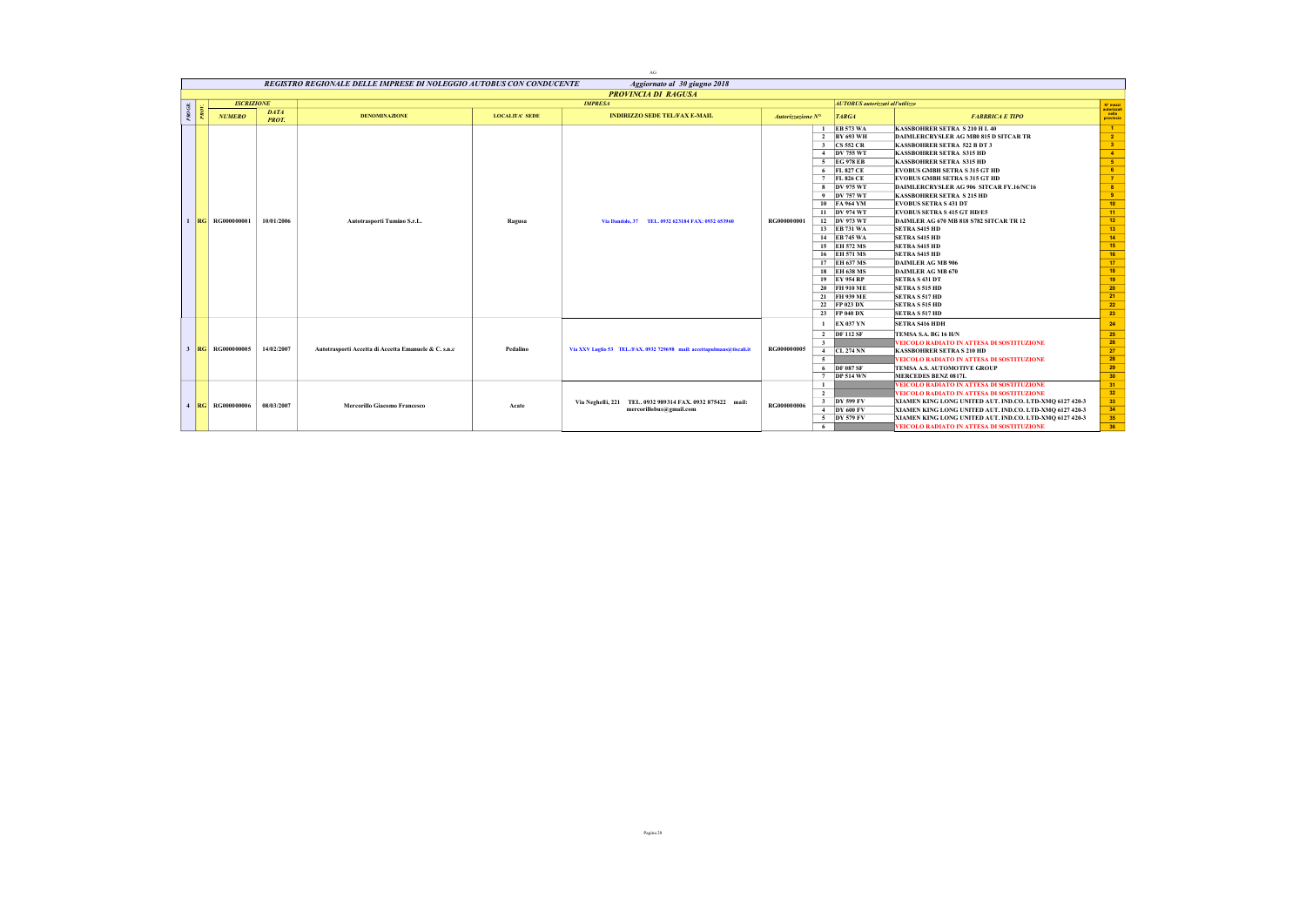|        |                       |                             |                                                                     |                       | AG                                                                                   |                    |                                                                                                                                                                                                                                                                                                                                                                          |                                                                                                                                                                                                                                                                                                                                                                                                                                                                                                                                                                                                                                                                                                                                                        |                                                                                                                                                                                                                   |
|--------|-----------------------|-----------------------------|---------------------------------------------------------------------|-----------------------|--------------------------------------------------------------------------------------|--------------------|--------------------------------------------------------------------------------------------------------------------------------------------------------------------------------------------------------------------------------------------------------------------------------------------------------------------------------------------------------------------------|--------------------------------------------------------------------------------------------------------------------------------------------------------------------------------------------------------------------------------------------------------------------------------------------------------------------------------------------------------------------------------------------------------------------------------------------------------------------------------------------------------------------------------------------------------------------------------------------------------------------------------------------------------------------------------------------------------------------------------------------------------|-------------------------------------------------------------------------------------------------------------------------------------------------------------------------------------------------------------------|
|        |                       |                             | REGISTRO REGIONALE DELLE IMPRESE DI NOLEGGIO AUTOBUS CON CONDUCENTE |                       | Aggiornato al 30 giugno 2018                                                         |                    |                                                                                                                                                                                                                                                                                                                                                                          |                                                                                                                                                                                                                                                                                                                                                                                                                                                                                                                                                                                                                                                                                                                                                        |                                                                                                                                                                                                                   |
|        |                       |                             |                                                                     |                       | <b>PROVINCIA DI RAGUSA</b>                                                           |                    |                                                                                                                                                                                                                                                                                                                                                                          |                                                                                                                                                                                                                                                                                                                                                                                                                                                                                                                                                                                                                                                                                                                                                        |                                                                                                                                                                                                                   |
|        | <b>ISCRIZIONE</b>     |                             |                                                                     |                       | <b>IMPRESA</b>                                                                       |                    | <b>AUTOBUS</b> autorizzati all'utilizzo                                                                                                                                                                                                                                                                                                                                  |                                                                                                                                                                                                                                                                                                                                                                                                                                                                                                                                                                                                                                                                                                                                                        | N° mezzi                                                                                                                                                                                                          |
| PROGR. | <b>NUMERO</b>         | <b>DATA</b><br><b>PROT.</b> | <b>DENOMINAZIONE</b>                                                | <b>LOCALITA' SEDE</b> | <b>INDIRIZZO SEDE TEL/FAX E-MAIL</b>                                                 | Autorizzazione N°  | <b>TARGA</b>                                                                                                                                                                                                                                                                                                                                                             | <b>FABBRICA E TIPO</b>                                                                                                                                                                                                                                                                                                                                                                                                                                                                                                                                                                                                                                                                                                                                 | autorizzati<br>nella<br>provincia                                                                                                                                                                                 |
|        | <b>RG</b> RG000000001 | 10/01/2006                  | Autotrasporti Tumino S.r.L.                                         | Ragusa                | Via Dandolo, 37<br>TEL. 0932 623184 FAX: 0932 653960                                 | RG000000001        | <b>EB 573 WA</b><br>2 BY 693 WH<br>3 CS 552 CR<br>4 DV 755 WT<br>5 EG 978 EB<br>6 FL 827 CE<br>7 FL 826 CE<br>8 DV 975 WT<br>9 DV 757 WT<br>10 FA 964 YM<br>11 DV 974 WT<br>12 DV 973 WT<br>13 EB 731 WA<br>14 EB 745 WA<br>15 EH 572 MS<br>16 EH 571 MS<br>17 EH 637 MS<br>18 EH 638 MS<br>19 EY 954 RP<br>20 FH 910 ME<br>21 FH 939 ME<br>22 FP 023 DX<br>23 FP 040 DX | <b>KASSBOHRER SETRA S 210 H L 40</b><br>DAIMLERCRYSLER AG MB0 815 D SITCAR TR<br><b>KASSBOHRER SETRA 522 B DT 3</b><br><b>KASSBOHRER SETRA S315 HD</b><br><b>KASSBOHRER SETRA S315 HD</b><br><b>EVOBUS GMBH SETRA S 315 GT HD</b><br><b>EVOBUS GMBH SETRA S 315 GT HD</b><br>DAIMLERCRYSLER AG 906 SITCAR FY.16/NC16<br><b>KASSBOHRER SETRA S 215 HD</b><br><b>EVOBUS SETRA S 431 DT</b><br><b>EVOBUS SETRA S 415 GT HD/E5</b><br>DAIMLER AG 670 MB 818 S782 SITCAR TR 12<br><b>SETRA S415 HD</b><br><b>SETRA S415 HD</b><br><b>SETRA S415 HD</b><br><b>SETRA S415 HD</b><br><b>DAIMLER AG MB 906</b><br>DAIMLER AG MB 670<br><b>SETRA S 431 DT</b><br><b>SETRA S 515 HD</b><br><b>SETRA S 517 HD</b><br><b>SETRA S515 HD</b><br><b>SETRA S 517 HD</b> | $\blacksquare$<br>$\overline{2}$<br>3 <sup>2</sup><br>$-4$<br>$-5$<br>$-6$<br>$-7$<br>$8 -$<br>$-9$<br>$10-10$<br>$11 -$<br>12 <sub>12</sub><br>13<br>14<br>15<br>16<br>$-17$<br>18<br>19<br>20<br>21<br>22<br>23 |
|        | 3 RG RG000000005      | 14/02/2007                  | Autotrasporti Accetta di Accetta Emanuele & C. s.n.c                | Pedalino              | Via XXV Luglio 53 TEL./FAX. 0932 729698 mail: accettapulmans@tiscali.it              | RG000000005        | 1 EX 037 YN<br>2 DF 112 SF<br>$\overline{\mathbf{3}}$<br>4 CL 274 NN<br>5<br>6 DF 087 SF<br>7 DP 514 WN                                                                                                                                                                                                                                                                  | <b>SETRA S416 HDH</b><br>TEMSA S.A. BG 16 H/N<br>VEICOLO RADIATO IN ATTESA DI SOSTITUZIONE<br><b>KASSBOHRER SETRA S 210 HD</b><br>VEICOLO RADIATO IN ATTESA DI SOSTITUZIONE<br>TEMSA A.S. AUTOMOTIVE GROUP<br><b>MERCEDES BENZ 0817L</b>                                                                                                                                                                                                                                                                                                                                                                                                                                                                                                               | 24<br>25<br>26<br>27<br>28<br>29<br>30 <sub>2</sub>                                                                                                                                                               |
|        | 4 RG RG000000006      | 08/03/2007                  | <b>Mercorillo Giacomo Francesco</b>                                 | Acate                 | Via Neghelli, 221 TEL. 0932 989314 FAX. 0932 875422 mail:<br>mercorillobus@gmail.com | <b>RG000000006</b> | -1<br>$\overline{2}$<br>3 DY 599 FV<br>$4$ DY 600 FV<br>5 DY 579 FV<br>6                                                                                                                                                                                                                                                                                                 | VEICOLO RADIATO IN ATTESA DI SOSTITUZIONE<br>VEICOLO RADIATO IN ATTESA DI SOSTITUZIONE<br>XIAMEN KING LONG UNITED AUT. IND.CO. LTD-XMQ 6127 420-3<br>XIAMEN KING LONG UNITED AUT. IND.CO. LTD-XMO 6127 420-3<br>XIAMEN KING LONG UNITED AUT. IND.CO. LTD-XMQ 6127 420-3<br>VEICOLO RADIATO IN ATTESA DI SOSTITUZIONE                                                                                                                                                                                                                                                                                                                                                                                                                                   | 31<br>32<br>33<br>34<br>35<br>36                                                                                                                                                                                  |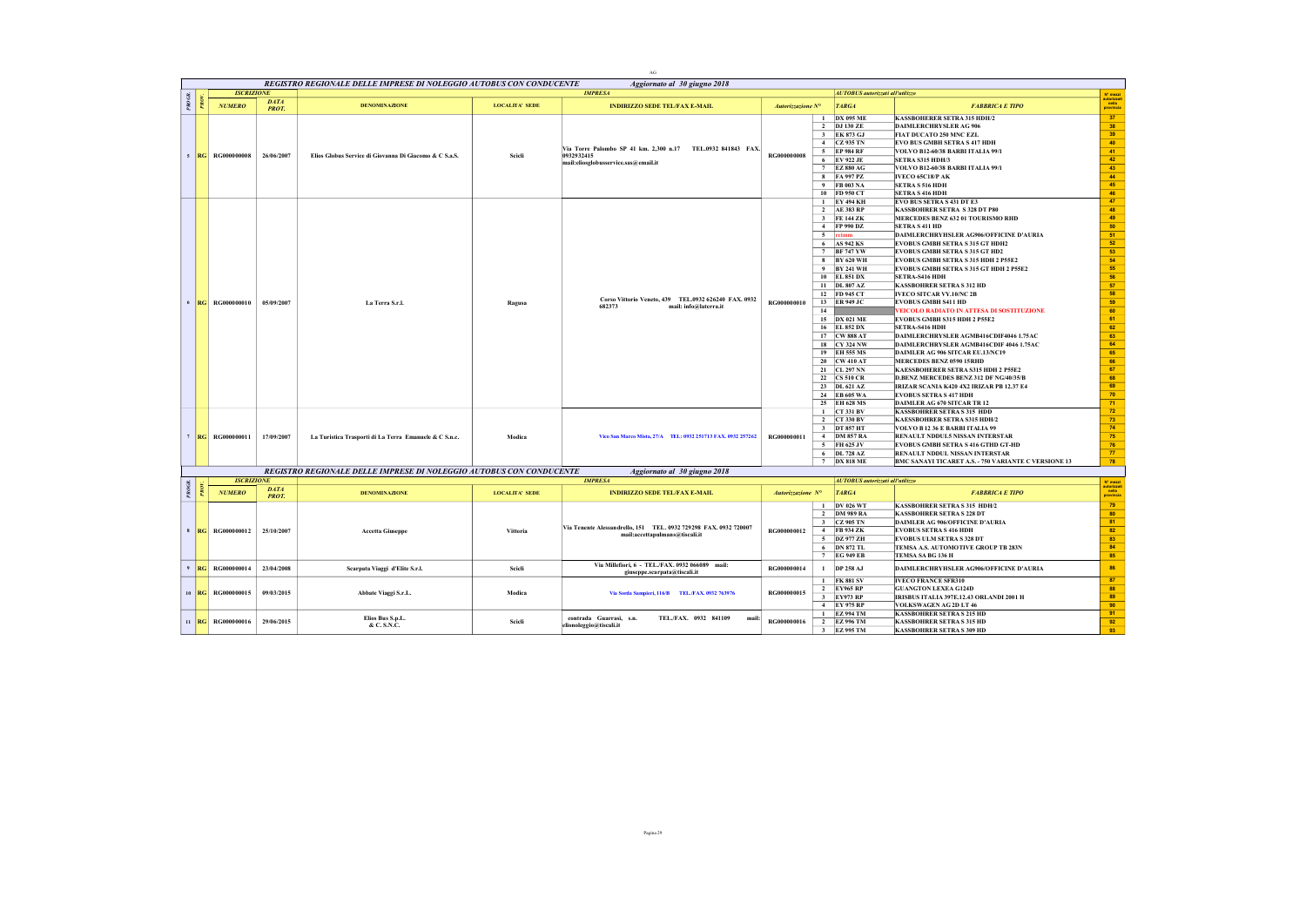|           |         |                       |                             |                                                                     |                       | $\rm{AG}$                                                                                          |                    |                         |                                         |                                                                                   |                                             |
|-----------|---------|-----------------------|-----------------------------|---------------------------------------------------------------------|-----------------------|----------------------------------------------------------------------------------------------------|--------------------|-------------------------|-----------------------------------------|-----------------------------------------------------------------------------------|---------------------------------------------|
|           |         |                       |                             | REGISTRO REGIONALE DELLE IMPRESE DI NOLEGGIO AUTOBUS CON CONDUCENTE |                       | Aggiornato al 30 giugno 2018                                                                       |                    |                         |                                         |                                                                                   |                                             |
|           |         | <b>ISCRIZIONE</b>     |                             |                                                                     |                       | <b>IMPRESA</b>                                                                                     |                    |                         | <b>AUTOBUS</b> autorizzati all'utilizzo |                                                                                   |                                             |
| $PROGR$ . |         | <b>NUMERO</b>         | <b>DATA</b><br><b>PROT.</b> | <b>DENOMINAZIONE</b>                                                | <b>LOCALITA' SEDE</b> | <b>INDIRIZZO SEDE TEL/FAX E-MAIL</b>                                                               | Autorizzazione N°  |                         | <b>TARGA</b>                            | <b>FABBRICA E TIPO</b>                                                            | N° mezzi<br>autorizza<br>nella<br>provincia |
|           |         |                       |                             |                                                                     |                       |                                                                                                    |                    | $\mathbf{1}$            | <b>DX 095 ME</b>                        | <b>KASSBOHERER SETRA 315 HDH/2</b>                                                | 37                                          |
|           |         |                       |                             |                                                                     |                       |                                                                                                    |                    |                         | 2 DJ 130 ZE                             | <b>DAIMLERCHRYSLER AG 906</b>                                                     | 38                                          |
|           |         |                       |                             |                                                                     |                       |                                                                                                    |                    |                         | 3 EK 873 GJ                             | FIAT DUCATO 250 MNC EZL                                                           | 39                                          |
|           |         |                       |                             |                                                                     |                       | Via Torre Palombo SP 41 km. 2,300 n.17 TEL.0932 841843 FAX.                                        |                    | 4                       | <b>CZ 935 TN</b>                        | <b>EVO BUS GMBH SETRA S 417 HDH</b>                                               | 40                                          |
|           | 5  RG   | <b>RG000000008</b>    | 26/06/2007                  | Elios Globus Service di Giovanna Di Giacomo & C S.a.S.              | Scicli                | 0932932415                                                                                         | <b>RG000000008</b> | 5                       | <b>EP 984 RF</b>                        | VOLVO B12-60/38 BARBI ITALIA 99/1                                                 | 41                                          |
|           |         |                       |                             |                                                                     |                       | mail:eliosglobusservice.sas@email.it                                                               |                    | 6                       | <b>EV 922 JE</b><br>7 EZ 880 AG         | <b>SETRA S315 HDH/3</b>                                                           | 42<br>43                                    |
|           |         |                       |                             |                                                                     |                       |                                                                                                    |                    |                         | 8 FA 997 PZ                             | VOLVO B12-60/38 BARBI ITALIA 99/1<br><b>IVECO 65C18/P AK</b>                      | 44                                          |
|           |         |                       |                             |                                                                     |                       |                                                                                                    |                    | $\mathbf{q}$            | FB 003 NA                               | <b>SETRA S 516 HDH</b>                                                            | 45                                          |
|           |         |                       |                             |                                                                     |                       |                                                                                                    |                    | 10                      | FD 950 CT                               | <b>SETRA S 416 HDH</b>                                                            | 46                                          |
|           |         |                       |                             |                                                                     |                       |                                                                                                    |                    | $\mathbf{1}$            | <b>EY 494 KH</b>                        | <b>EVO BUS SETRA S 431 DT E3</b>                                                  | 47                                          |
|           |         |                       |                             |                                                                     |                       |                                                                                                    |                    | $\overline{2}$          | AE 383 RP                               | <b>KASSBOHRER SETRA S 328 DT P80</b>                                              | 48                                          |
|           |         |                       |                             |                                                                     |                       |                                                                                                    |                    |                         | 3 FE 144 ZK                             | MERCEDES BENZ 632 01 TOURISMO RHD                                                 | 49                                          |
|           |         |                       |                             |                                                                     |                       |                                                                                                    |                    |                         | 4 FP 990 DZ                             | <b>SETRA S 411 HD</b>                                                             | 50                                          |
|           |         |                       |                             |                                                                     |                       |                                                                                                    |                    |                         | 5 reimm                                 | DAIMLERCHRYHSLER AG906/OFFICINE D'AURIA                                           | $-51$<br>52                                 |
|           |         |                       |                             |                                                                     |                       |                                                                                                    |                    | 6<br>7                  | <b>AS 942 KS</b><br><b>BF 747 YW</b>    | <b>EVOBUS GMBH SETRA S 315 GT HDH2</b><br><b>EVOBUS GMBH SETRA S 315 GT HD2</b>   | 53                                          |
|           |         |                       |                             |                                                                     |                       |                                                                                                    |                    | -8                      | <b>BY 620 WH</b>                        | EVOBUS GMBH SETRA S 315 HDH 2 P55E2                                               | 54                                          |
|           |         |                       |                             |                                                                     |                       |                                                                                                    |                    |                         | 9 BY 241 WH                             | <b>EVOBUS GMBH SETRA S 315 GT HDH 2 P55E2</b>                                     | 55                                          |
|           |         |                       |                             |                                                                     |                       |                                                                                                    |                    |                         | 10 EL 851 DX                            | SETRA-S416 HDH                                                                    | 56                                          |
|           |         |                       |                             |                                                                     |                       |                                                                                                    |                    |                         | 11 DL 807 AZ                            | <b>KASSBOHRER SETRA S 312 HD</b>                                                  | 57                                          |
|           |         |                       |                             |                                                                     |                       | Corso Vittorio Veneto, 439 TEL.0932 626240 FAX. 0932                                               |                    |                         | 12 FD 945 CT                            | <b>IVECO SITCAR VY.10/NC 2B</b>                                                   | 58                                          |
|           |         | 6 RG RG000000010      | 05/09/2007                  | La Terra S.r.l.                                                     | Ragusa                | 682373<br>mail: info@laterra.it                                                                    | RG000000010        |                         | 13 ER 949 JC                            | <b>EVOBUS GMBH S411 HD</b>                                                        | 59                                          |
|           |         |                       |                             |                                                                     |                       |                                                                                                    |                    | 14                      |                                         | VEICOLO RADIATO IN ATTESA DI SOSTITUZIONE                                         | 60                                          |
|           |         |                       |                             |                                                                     |                       |                                                                                                    |                    |                         | 15 DX 021 ME                            | <b>EVOBUS GMBH S315 HDH 2 P55E2</b>                                               | 61                                          |
|           |         |                       |                             |                                                                     |                       |                                                                                                    |                    |                         | 16 EL 852 DX                            | SETRA-S416 HDH                                                                    | 62<br>63                                    |
|           |         |                       |                             |                                                                     |                       |                                                                                                    |                    |                         | 17 CW 888 AT<br>18 CY 324 NW            | DAIMLERCHRYSLER AGMB416CDIF4046 1.75AC<br>DAIMLERCHRYSLER AGMB416CDIF 4046 1.75AC | 64                                          |
|           |         |                       |                             |                                                                     |                       |                                                                                                    |                    |                         | 19 EH 555 MS                            | DAIMLER AG 906 SITCAR EU.13/NC19                                                  | 65                                          |
|           |         |                       |                             |                                                                     |                       |                                                                                                    |                    |                         | 20 CW 410 AT                            | MERCEDES BENZ 0590 15RHD                                                          | 66                                          |
|           |         |                       |                             |                                                                     |                       |                                                                                                    |                    |                         | 21 CL 297 NN                            | KAESSBOHERER SETRA S315 HDH 2 P55E2                                               | $\sqrt{67}$                                 |
|           |         |                       |                             |                                                                     |                       |                                                                                                    |                    |                         | 22 CS 510 CR                            | D.BENZ MERCEDES BENZ 312 DF NG/40/35/B                                            | 68                                          |
|           |         |                       |                             |                                                                     |                       |                                                                                                    |                    |                         | 23 DL 621 AZ                            | IRIZAR SCANIA K420 4X2 IRIZAR PB 12.37 E4                                         | 69                                          |
|           |         |                       |                             |                                                                     |                       |                                                                                                    |                    |                         | 24 EB 605 WA                            | <b>EVOBUS SETRA S 417 HDH</b>                                                     | 70 <sub>2</sub>                             |
|           |         |                       |                             |                                                                     |                       |                                                                                                    |                    |                         | 25 EH 628 MS                            | DAIMLER AG 670 SITCAR TR 12                                                       | 71                                          |
|           |         |                       |                             |                                                                     |                       |                                                                                                    |                    |                         | 1 CT 331 BV<br>2 CT 330 BV              | <b>KASSBOHRER SETRA S 315 HDD</b><br><b>KAESSBOHRER SETRA S315 HDH/2</b>          | $72\,$<br>73                                |
|           |         |                       |                             |                                                                     |                       |                                                                                                    |                    | $\overline{\mathbf{3}}$ | <b>DT 857 HT</b>                        | VOLVO B 12 36 E BARBI ITALIA 99                                                   | 74                                          |
|           |         | 7 RG RG000000011      | 17/09/2007                  | La Turistica Trasporti di La Terra Emanuele & C S.n.c.              | Modica                | Vico San Marco Mista, 27/A TEL: 0932 251713 FAX. 0932 257262                                       | RG000000011        |                         | 4 DM 857 RA                             | RENAULT NDDUL5 NISSAN INTERSTAR                                                   | 75 <sub>2</sub>                             |
|           |         |                       |                             |                                                                     |                       |                                                                                                    |                    |                         | 5 FH 625 JV                             | EVOBUS GMBH SETRA S 416 GTHD GT-HD                                                | 76                                          |
|           |         |                       |                             |                                                                     |                       |                                                                                                    |                    |                         | 6 DL 728 AZ                             | RENAULT NDDUL NISSAN INTERSTAR                                                    | 77                                          |
|           |         |                       |                             |                                                                     |                       |                                                                                                    |                    |                         | 7 DX 818 ME                             | BMC SANAYI TICARET A.S. - 750 VARIANTE C VERSIONE 13                              | 78                                          |
|           |         |                       |                             | REGISTRO REGIONALE DELLE IMPRESE DI NOLEGGIO AUTOBUS CON CONDUCENTE |                       | Aggiornato al 30 giugno 2018                                                                       |                    |                         |                                         |                                                                                   |                                             |
|           |         | <b>ISCRIZIONE</b>     |                             |                                                                     |                       | <b>IMPRESA</b>                                                                                     |                    |                         | <b>AUTOBUS</b> autorizzati all'utilizzo |                                                                                   | $N^*$ mezzi                                 |
| PROGR.    |         | <b>NUMERO</b>         | <b>DATA</b><br><b>PROT.</b> | <b>DENOMINAZIONE</b>                                                | <b>LOCALITA' SEDE</b> | <b>INDIRIZZO SEDE TEL/FAX E-MAIL</b>                                                               | Autorizzazione N°  |                         | <b>TARGA</b>                            | <b>FABBRICA E TIPO</b>                                                            | nuovussa<br> <br> provinci                  |
|           |         |                       |                             |                                                                     |                       |                                                                                                    |                    | $\mathbf{1}$            | <b>DV 026 WT</b>                        | <b>KASSBOHRER SETRA S 315 HDH/2</b>                                               | 79                                          |
|           |         |                       |                             |                                                                     |                       |                                                                                                    |                    |                         | 2 DM 989 RA                             | <b>KASSBOHRER SETRA S 228 DT</b>                                                  | 80                                          |
|           |         |                       |                             |                                                                     |                       |                                                                                                    |                    |                         | 3 CZ 905 TN                             | DAIMLER AG 906/OFFICINE D'AURIA                                                   | 81                                          |
|           |         | 8 RG RG000000012      | 25/10/2007                  | <b>Accetta Giuseppe</b>                                             | Vittoria              | Via Tenente Alessandrello, 151 TEL. 0932 729298 FAX. 0932 720007<br>mail:accettapulmans@tiscali.it | RG000000012        |                         | 4 FB 934 ZK                             | <b>EVOBUS SETRA S 416 HDH</b>                                                     | 82                                          |
|           |         |                       |                             |                                                                     |                       |                                                                                                    |                    | 5                       | DZ 977 ZH                               | <b>EVOBUS ULM SETRA S 328 DT</b>                                                  | 83                                          |
|           |         |                       |                             |                                                                     |                       |                                                                                                    |                    |                         | 6 DN 872 TL                             | TEMSA A.S. AUTOMOTIVE GROUP TB 283N                                               | 84                                          |
|           |         |                       |                             |                                                                     |                       |                                                                                                    |                    |                         | 7 EG 949 EB                             | TEMSA SA BG 136 H                                                                 | 85                                          |
|           | 9  RG   | RG000000014           | 23/04/2008                  | Scarpata Viaggi d'Elite S.r.l.                                      | Scieli                | Via Millefiori, 6 - TEL./FAX, 0932 066089 mail:<br>giuseppe.scarpata@tiscali.it                    | RG000000014        |                         | 1 DP 258 AJ                             | DAIMLERCHRYHSLER AG906/OFFICINE D'AURIA                                           | 86                                          |
|           |         |                       |                             |                                                                     |                       |                                                                                                    |                    |                         | 1 FK 881 SV                             | <b>IVECO FRANCE SFR310</b>                                                        | 87                                          |
|           | $10$ RG | RG000000015           | 09/03/2015                  | Abbate Viaggi S.r.L.                                                | Modica                | Via Sorda Sampieri, 116/B TEL/FAX. 0932 763976                                                     | RG000000015        | $\overline{2}$          | <b>EY965 RP</b>                         | <b>GUANGTON LEXEA G124D</b>                                                       | 88                                          |
|           |         |                       |                             |                                                                     |                       |                                                                                                    |                    |                         | 3 EY973 RP                              | IRISBUS ITALIA 397E.12.43 ORLANDI 2001 H<br>VOLKSWAGEN AG 2D LT 46                | 89<br>90 <sup>°</sup>                       |
|           |         |                       |                             |                                                                     |                       |                                                                                                    |                    |                         | 4 EY 975 RP<br>1 EZ 994 TM              | <b>KASSBOHRER SETRA S 215 HD</b>                                                  | 91                                          |
|           |         | 11   RG   RG000000016 | 29/06/2015                  | Elios Bus S.p.L.                                                    | Scieli                | contrada Guarrasi, s.n.<br>TEL./FAX. 0932 841109<br>mail:                                          | RG000000016        |                         | 2 EZ 996 TM                             | <b>KASSBOHRER SETRA S 315 HD</b>                                                  | 92                                          |
|           |         |                       |                             | & C. S.N.C.                                                         |                       | elionoleggio@tiscali.it                                                                            |                    |                         | 3 EZ 995 TM                             | <b>KASSBOHRER SETRA S 309 HD</b>                                                  | 93                                          |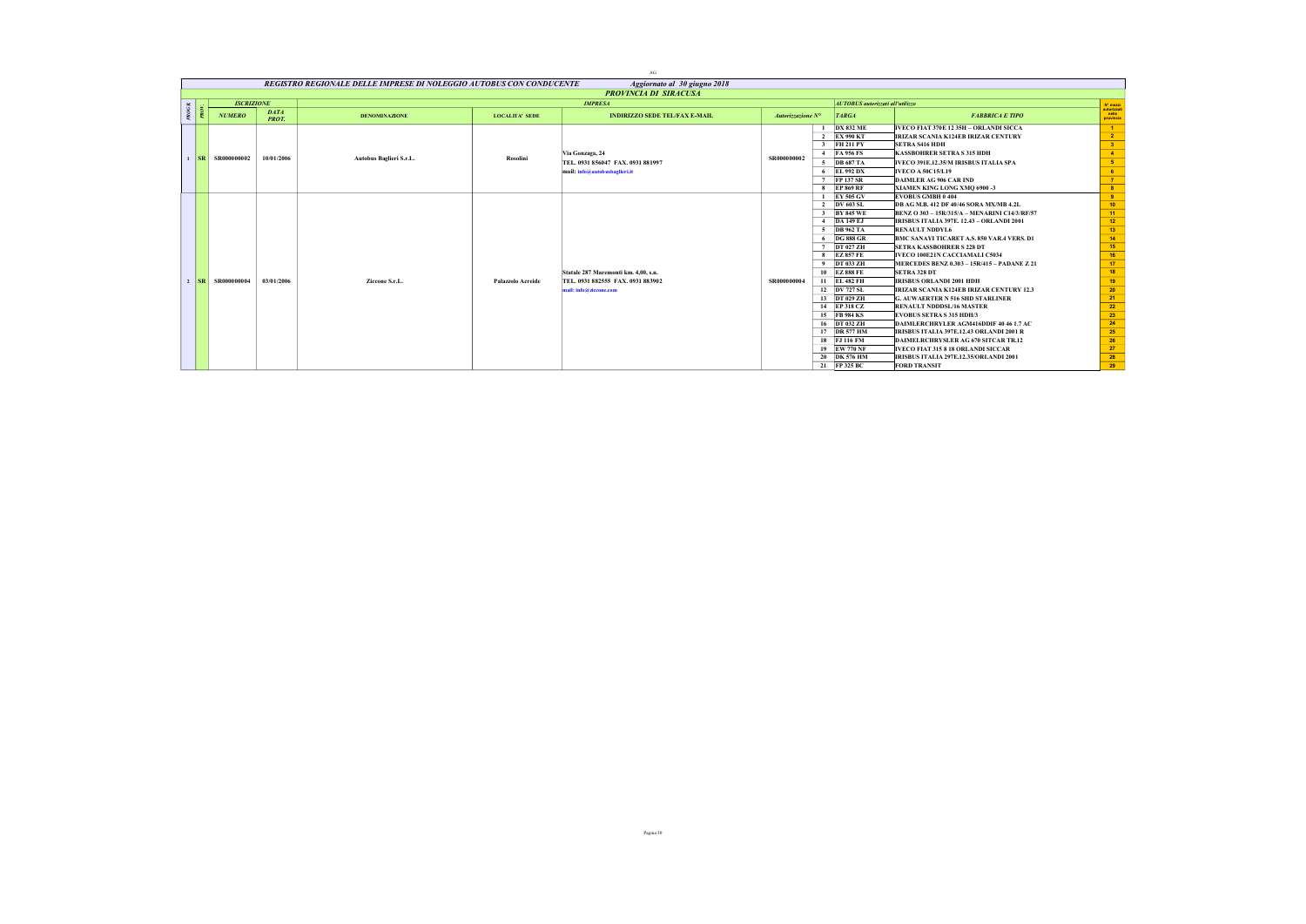|        |                                                                                                                                                                                                                                                                                                                                                                                                                                                         |                             |                                                                     |                       | AG                                   |                            |   |                                         |                                                  |                                   |
|--------|---------------------------------------------------------------------------------------------------------------------------------------------------------------------------------------------------------------------------------------------------------------------------------------------------------------------------------------------------------------------------------------------------------------------------------------------------------|-----------------------------|---------------------------------------------------------------------|-----------------------|--------------------------------------|----------------------------|---|-----------------------------------------|--------------------------------------------------|-----------------------------------|
|        |                                                                                                                                                                                                                                                                                                                                                                                                                                                         |                             | REGISTRO REGIONALE DELLE IMPRESE DI NOLEGGIO AUTOBUS CON CONDUCENTE |                       | Aggiornato al 30 giugno 2018         |                            |   |                                         |                                                  |                                   |
|        |                                                                                                                                                                                                                                                                                                                                                                                                                                                         |                             |                                                                     |                       | <b>PROVINCIA DI SIRACUSA</b>         |                            |   |                                         |                                                  |                                   |
|        | <b>ISCRIZIONE</b>                                                                                                                                                                                                                                                                                                                                                                                                                                       |                             |                                                                     |                       | <b>IMPRESA</b>                       |                            |   | <b>AUTOBUS</b> autorizzati all'utilizzo |                                                  | N° mezzi                          |
| $^{p}$ | <b>NUMERO</b>                                                                                                                                                                                                                                                                                                                                                                                                                                           | <b>DATA</b><br><b>PROT.</b> | <b>DENOMINAZIONE</b>                                                | <b>LOCALITA' SEDE</b> | <b>INDIRIZZO SEDE TEL/FAX E-MAIL</b> | Autorizzazione $N^{\circ}$ |   | <b>TARGA</b>                            | <b>FABBRICA E TIPO</b>                           | autorizzati<br>nella<br>provincia |
|        |                                                                                                                                                                                                                                                                                                                                                                                                                                                         |                             |                                                                     |                       |                                      |                            |   | <b>DX 832 ME</b>                        | IVECO FIAT 370E 12 35H - ORLANDI SICCA           | $\blacksquare$                    |
|        |                                                                                                                                                                                                                                                                                                                                                                                                                                                         |                             |                                                                     |                       |                                      |                            |   | 2 EX 990 KT                             | IRIZAR SCANIA K124EB IRIZAR CENTURY              | 2 <sup>7</sup>                    |
|        |                                                                                                                                                                                                                                                                                                                                                                                                                                                         |                             |                                                                     |                       |                                      |                            |   | 3 FH 211 PY                             | <b>SETRA S416 HDH</b>                            | 3 <sup>2</sup>                    |
|        |                                                                                                                                                                                                                                                                                                                                                                                                                                                         |                             |                                                                     |                       | Via Gonzaga, 24                      | SR000000002                |   | 4 FA 956 FS                             | <b>KASSBOHRER SETRA S 315 HDH</b>                | $-4$                              |
|        | $\overline{\text{S}}$ $\overline{\text{S}}$ $\overline{\text{S}}$ $\overline{\text{S}}$ $\overline{\text{R}}$ $\overline{\text{R}}$ $\overline{\text{R}}$ $\overline{\text{R}}$ $\overline{\text{R}}$ $\overline{\text{R}}$ $\overline{\text{R}}$ $\overline{\text{R}}$ $\overline{\text{R}}$ $\overline{\text{R}}$ $\overline{\text{R}}$ $\overline{\text{R}}$ $\overline{\text{R}}$ $\overline{\text{R}}$ $\overline{\text{R}}$ $\overline{\text{R}}$ | 10/01/2006                  | Autobus Baglieri S.r.L.                                             | Rosolini              | TEL. 0931 856047 FAX. 0931 881997    |                            |   | 5 DB 687 TA                             | IVECO 391E.12.35/M IRISBUS ITALIA SPA            | $-5$                              |
|        |                                                                                                                                                                                                                                                                                                                                                                                                                                                         |                             |                                                                     |                       | mail: info@autobusbaglieri.it        |                            |   | 6 EL 992 DX                             | <b>IVECO A 50C15/L19</b>                         | $-6$                              |
|        |                                                                                                                                                                                                                                                                                                                                                                                                                                                         |                             |                                                                     |                       |                                      |                            |   | 7 FP 137 SR                             | DAIMLER AG 906 CAR IND                           | 7 <sup>2</sup>                    |
|        |                                                                                                                                                                                                                                                                                                                                                                                                                                                         |                             |                                                                     |                       |                                      |                            |   | 8 EP 869 RF                             | XIAMEN KING LONG XMO 6900 -3                     | 8                                 |
|        |                                                                                                                                                                                                                                                                                                                                                                                                                                                         |                             |                                                                     |                       |                                      |                            |   | <b>EY 505 GV</b>                        | <b>EVOBUS GMBH 0 404</b>                         | -9                                |
|        |                                                                                                                                                                                                                                                                                                                                                                                                                                                         |                             |                                                                     |                       |                                      |                            |   | 2 DV 603 SL                             | <b>DB AG M.B. 412 DF 40/46 SORA MX/MB 4.2L</b>   | 10 <sub>1</sub>                   |
|        |                                                                                                                                                                                                                                                                                                                                                                                                                                                         |                             |                                                                     |                       |                                      |                            |   | 3 BY 845 WE                             | BENZ O 303 - 15R/315/A - MENARINI C14/3/RF/57    | 11 <sub>1</sub>                   |
|        |                                                                                                                                                                                                                                                                                                                                                                                                                                                         |                             |                                                                     |                       |                                      |                            |   | 4 DA 149 EJ                             | <b>IRISBUS ITALIA 397E. 12.43 - ORLANDI 2001</b> | 12                                |
|        |                                                                                                                                                                                                                                                                                                                                                                                                                                                         |                             |                                                                     |                       |                                      |                            |   | 5 DB 962 TA                             | <b>RENAULT NDDYL6</b>                            | 13                                |
|        |                                                                                                                                                                                                                                                                                                                                                                                                                                                         |                             |                                                                     |                       |                                      |                            | 6 | <b>DG 888 GR</b>                        | BMC SANAYI TICARET A.S. 850 VAR.4 VERS. D1       | 14                                |
|        |                                                                                                                                                                                                                                                                                                                                                                                                                                                         |                             |                                                                     |                       |                                      |                            |   | DT 027 ZH                               | <b>SETRA KASSBOHRER S 228 DT</b>                 | 15                                |
|        |                                                                                                                                                                                                                                                                                                                                                                                                                                                         |                             |                                                                     |                       |                                      |                            |   | 8 EZ 857 FE                             | IVECO 100E21N CACCIAMALI C5034                   | 16                                |
|        |                                                                                                                                                                                                                                                                                                                                                                                                                                                         |                             |                                                                     |                       |                                      |                            |   | 9 DT 033 ZH                             | MERCEDES BENZ 0.303 - 15R/415 - PADANE Z 21      | 17 <sup>2</sup>                   |
|        |                                                                                                                                                                                                                                                                                                                                                                                                                                                         |                             |                                                                     |                       | Statale 287 Maremonti km, 4,00, s.n. |                            |   | 10 EZ 888 FE                            | <b>SETRA 328 DT</b>                              | 18                                |
|        | $2$ SR SR000000004                                                                                                                                                                                                                                                                                                                                                                                                                                      | 03/01/2006                  | Ziccone S.r.L.                                                      | Palazzolo Acreide     | TEL. 0931 882555 FAX. 0931 883902    | SR000000004                |   | 11 EL 482 FH                            | <b>IRISBUS ORLANDI 2001 HDH</b>                  | 19                                |
|        |                                                                                                                                                                                                                                                                                                                                                                                                                                                         |                             |                                                                     |                       | mail: info@ziccone.com               |                            |   | 12 DV 727 SL                            | IRIZAR SCANIA K124EB IRIZAR CENTURY 12.3         | 20                                |
|        |                                                                                                                                                                                                                                                                                                                                                                                                                                                         |                             |                                                                     |                       |                                      |                            |   | 13 DT 029 ZH                            | <b>G. AUWAERTER N 516 SHD STARLINER</b>          | 21                                |
|        |                                                                                                                                                                                                                                                                                                                                                                                                                                                         |                             |                                                                     |                       |                                      |                            |   | 14 EP 318 CZ                            | <b>RENAULT NDDDSL/16 MASTER</b>                  | 22                                |
|        |                                                                                                                                                                                                                                                                                                                                                                                                                                                         |                             |                                                                     |                       |                                      |                            |   | 15 FB 984 KS                            | <b>EVOBUS SETRA S 315 HDH/3</b>                  | 23                                |
|        |                                                                                                                                                                                                                                                                                                                                                                                                                                                         |                             |                                                                     |                       |                                      |                            |   | 16 DT 032 ZH                            | DAIMLERCHRYLER AGM416DDIF 40 46 1.7 AC           | 24                                |
|        |                                                                                                                                                                                                                                                                                                                                                                                                                                                         |                             |                                                                     |                       |                                      |                            |   | 17 DR 577 HM                            | IRISBUS ITALIA 397E.12.43 ORLANDI 2001 R         | 25                                |
|        |                                                                                                                                                                                                                                                                                                                                                                                                                                                         |                             |                                                                     |                       |                                      |                            |   | 18 FJ 116 FM                            | DAIMELRCHRYSLER AG 670 SITCAR TR.12              | 26                                |
|        |                                                                                                                                                                                                                                                                                                                                                                                                                                                         |                             |                                                                     |                       |                                      |                            |   | 19 EW 770 NF                            | <b>IVECO FIAT 315 8 18 ORLANDI SICCAR</b>        | 27                                |
|        |                                                                                                                                                                                                                                                                                                                                                                                                                                                         |                             |                                                                     |                       |                                      |                            |   | 20 DK 576 HM                            | IRISBUS ITALIA 297E.12.35/ORLANDI 2001           | 28                                |
|        |                                                                                                                                                                                                                                                                                                                                                                                                                                                         |                             |                                                                     |                       |                                      |                            |   | 21 FP 325 BC                            | <b>FORD TRANSIT</b>                              | 29                                |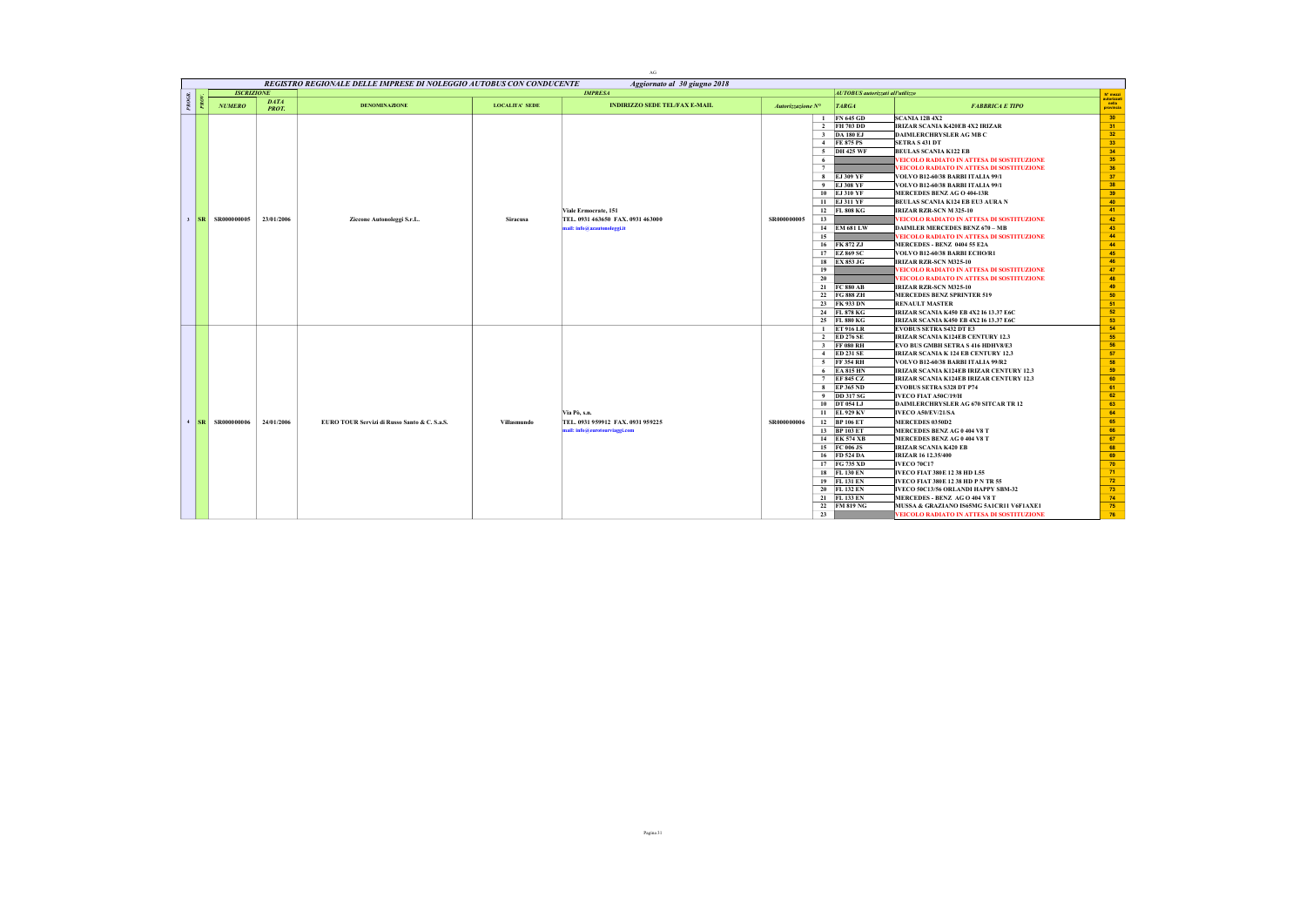|       |                      |                             |                                                                     |                       | AG                                                                                       |                   |                                                                                                                                                                                                                                                                                                                                                             |                                                                                                                                                                                                                                                                                                                                                                                                                                                                                                                                                                                                                                                                                                                                                                                                                                                                                                                               |                                                                                                                                                    |
|-------|----------------------|-----------------------------|---------------------------------------------------------------------|-----------------------|------------------------------------------------------------------------------------------|-------------------|-------------------------------------------------------------------------------------------------------------------------------------------------------------------------------------------------------------------------------------------------------------------------------------------------------------------------------------------------------------|-------------------------------------------------------------------------------------------------------------------------------------------------------------------------------------------------------------------------------------------------------------------------------------------------------------------------------------------------------------------------------------------------------------------------------------------------------------------------------------------------------------------------------------------------------------------------------------------------------------------------------------------------------------------------------------------------------------------------------------------------------------------------------------------------------------------------------------------------------------------------------------------------------------------------------|----------------------------------------------------------------------------------------------------------------------------------------------------|
|       |                      |                             | REGISTRO REGIONALE DELLE IMPRESE DI NOLEGGIO AUTOBUS CON CONDUCENTE |                       | Aggiornato al 30 giugno 2018                                                             |                   |                                                                                                                                                                                                                                                                                                                                                             |                                                                                                                                                                                                                                                                                                                                                                                                                                                                                                                                                                                                                                                                                                                                                                                                                                                                                                                               |                                                                                                                                                    |
|       | <b>ISCRIZIONE</b>    |                             |                                                                     |                       | <b>IMPRESA</b>                                                                           |                   | <b>AUTOBUS</b> autorizzati all'utilizzo                                                                                                                                                                                                                                                                                                                     |                                                                                                                                                                                                                                                                                                                                                                                                                                                                                                                                                                                                                                                                                                                                                                                                                                                                                                                               | N° mezzi<br>autorizzat                                                                                                                             |
| PROGR | <b>NUMERO</b>        | <b>DATA</b><br><b>PROT.</b> | <b>DENOMINAZIONE</b>                                                | <b>LOCALITA' SEDE</b> | <b>INDIRIZZO SEDE TEL/FAX E-MAIL</b>                                                     | Autorizzazione N° | <b>TARGA</b>                                                                                                                                                                                                                                                                                                                                                | <b>FABBRICA E TIPO</b>                                                                                                                                                                                                                                                                                                                                                                                                                                                                                                                                                                                                                                                                                                                                                                                                                                                                                                        | nella<br>provincia                                                                                                                                 |
|       | 3   SR   SR000000005 | 23/01/2006                  | Ziccone Autonoleggi S.r.L.                                          | <b>Siracusa</b>       | Viale Ermocrate, 151<br>TEL. 0931 463650 FAX. 0931 463000<br>nail: info@azautonoleggi.it | SR000000005       | <b>FN 645 GD</b><br>-1<br>2 FH 703 DD<br>3 DA 180 EJ<br>4 FE 875 PS<br>5 DH 425 WF<br>6<br>7<br>8 EJ 309 YF<br>9 EJ 308 YF<br>10 EJ 310 YF<br>11 EJ 311 YF<br>12 FL 808 KG<br>13<br>14 EM 681 LW<br>15<br>16 FK 872 ZJ<br>17 EZ 869 SC<br>18 EX 853 JG<br>19<br>20<br>21 FC 880 AB<br>22 FG 888 ZH<br>23 FK 933 DN<br>24 FL 878 KG<br>25 FL 880 KG          | <b>SCANIA 12B 4X2</b><br>IRIZAR SCANIA K420EB 4X2 IRIZAR<br><b>DAIMLERCHRYSLER AG MB C</b><br><b>SETRA S 431 DT</b><br><b>BEULAS SCANIA K122 EB</b><br>VEICOLO RADIATO IN ATTESA DI SOSTITUZIONE<br>VEICOLO RADIATO IN ATTESA DI SOSTITUZIONE<br>VOLVO B12-60/38 BARBI ITALIA 99/1<br>VOLVO B12-60/38 BARBI ITALIA 99/1<br>MERCEDES BENZ AG O 404-13R<br>BEULAS SCANIA K124 EB EU3 AURA N<br>IRIZAR RZR-SCN M 325-10<br>VEICOLO RADIATO IN ATTESA DI SOSTITUZIONE<br><b>DAIMLER MERCEDES BENZ 670 - MB</b><br>EICOLO RADIATO IN ATTESA DI SOSTITUZIONE<br>MERCEDES - BENZ 0404 55 E2A<br>VOLVO B12-60/38 BARBI ECHO/R1<br>IRIZAR RZR-SCN M325-10<br>VEICOLO RADIATO IN ATTESA DI SOSTITUZIONE<br>VEICOLO RADIATO IN ATTESA DI SOSTITUZIONE<br>IRIZAR RZR-SCN M325-10<br><b>MERCEDES BENZ SPRINTER 519</b><br><b>RENAULT MASTER</b><br><b>IRIZAR SCANIA K450 EB 4X2 16 13.37 E6C</b><br>IRIZAR SCANIA K450 EB 4X2 16 13.37 E6C | 30<br>31<br>32<br>33<br>34<br>35<br>36<br>37<br>38<br>39<br>40<br>41<br>42<br>43<br>44<br>44<br>45<br>46<br>47<br>48<br>49<br>50<br>51<br>52<br>53 |
|       | 4   SR   SR000000006 | 24/01/2006                  | EURO TOUR Servizi di Russo Santo & C. S.a.S.                        | Villasmundo           | Via Pò, s.n.<br>TEL. 0931 959912 FAX. 0931 959225<br>mail: info@eurotourviaggi.com       | SR000000006       | 1 ET 916 LR<br>2 ED 276 SE<br>3 FF 080 RH<br>4 ED 231 SE<br>5 FF 354 RH<br>$6$ EA 815 HN<br>7 EF 845 CZ<br>8 EP 365 ND<br>9 DD 317 SG<br>10 DT 054 LJ<br>11 EL 929 KV<br>12 BP 106 ET<br>13 BP 103 ET<br>14 EK 574 XB<br>15 FC 006 JS<br>16 FD 524 DA<br>17 FG 735 XD<br>18 FL 130 EN<br>19 FL 131 EN<br>20 FL 132 EN<br>21 FL 133 EN<br>22 FM 819 NG<br>23 | <b>EVOBUS SETRA S432 DT E3</b><br><b>IRIZAR SCANIA K124EB CENTURY 12.3</b><br>EVO BUS GMBH SETRA S 416 HDHV8/E3<br><b>IRIZAR SCANIA K 124 EB CENTURY 12.3</b><br>VOLVO B12-60/38 BARBI ITALIA 99/R2<br>IRIZAR SCANIA K124EB IRIZAR CENTURY 12.3<br>IRIZAR SCANIA K124EB IRIZAR CENTURY 12,3<br><b>EVOBUS SETRA S328 DT P74</b><br>IVECO FIAT A50C/19/H<br>DAIMLERCHRYSLER AG 670 SITCAR TR 12<br>IVECO A50/EV/21/SA<br><b>MERCEDES 0350D2</b><br>MERCEDES BENZ AG 0 404 V8 T<br>MERCEDES BENZ AG 0 404 V8 T<br><b>IRIZAR SCANIA K420 EB</b><br><b>IRIZAR 16 12.35/400</b><br><b>IVECO 70C17</b><br>IVECO FIAT 380E 12 38 HD L55<br><b>IVECO FIAT 380E 12 38 HD P N TR 55</b><br>IVECO 50C13/56 ORLANDI HAPPY SBM-32<br><b>MERCEDES - BENZ AGO 404 V8 T</b><br>MUSSA & GRAZIANO IS65MG 5A1CR11 V6F1AXE1<br>VEICOLO RADIATO IN ATTESA DI SOSTITUZIONE                                                                           | 54<br>55<br>56<br>57<br>58<br>59<br>60<br>61<br>62<br>63<br>64<br>65<br>66<br>67<br>68<br>69<br>70<br>71<br>72<br>73<br>74<br>75<br>76             |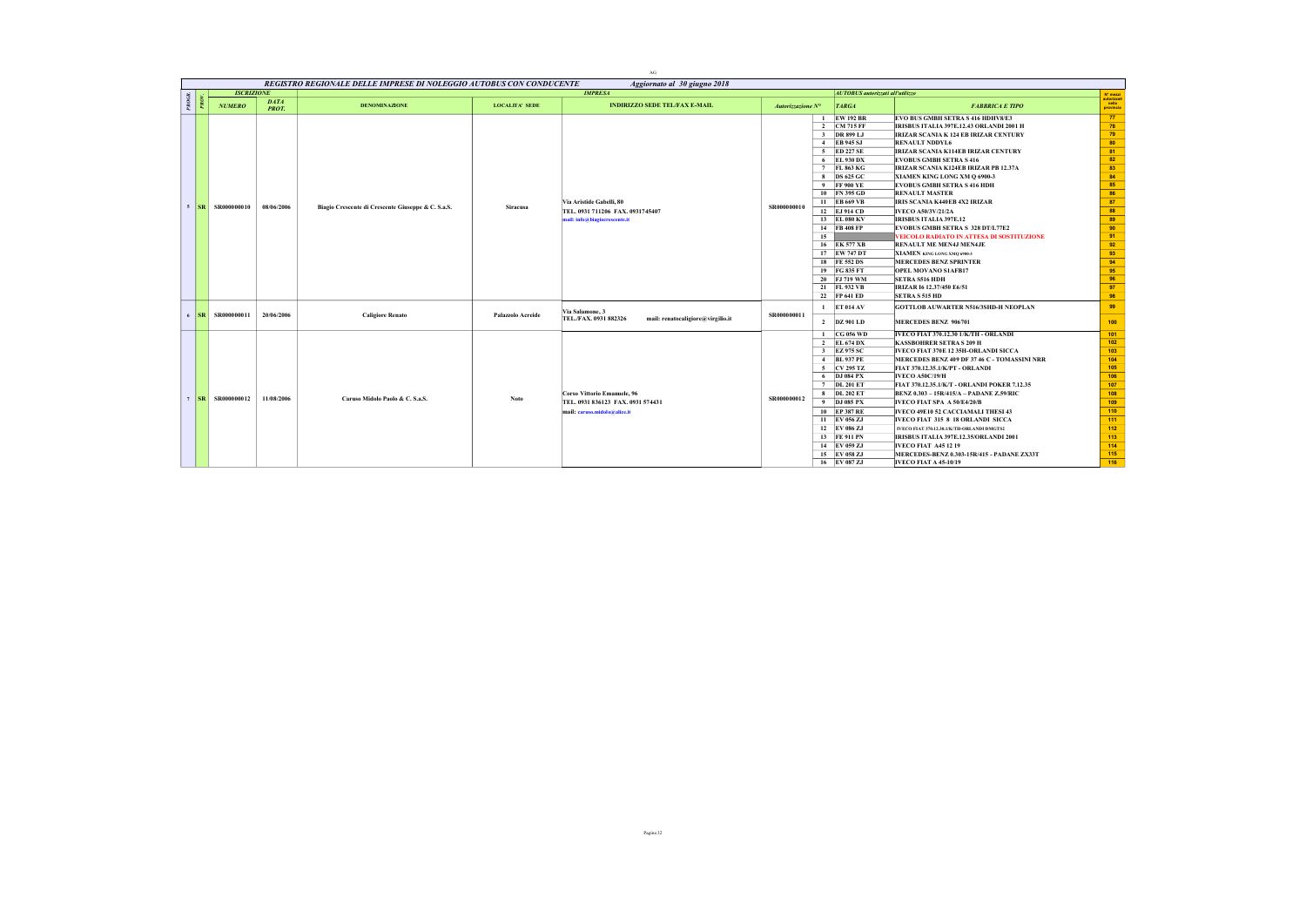|            |                   |                             | REGISTRO REGIONALE DELLE IMPRESE DI NOLEGGIO AUTOBUS CON CONDUCENTE |                       | AG                                                                                               |                   |    |                                                                                                                                                                                                                                                                                                                                     |                                                                                                                                                                                                                                                                                                                                                                                                                                                                                                                                                                                                                                                                                                                                                                                             |                                                                                                                                  |
|------------|-------------------|-----------------------------|---------------------------------------------------------------------|-----------------------|--------------------------------------------------------------------------------------------------|-------------------|----|-------------------------------------------------------------------------------------------------------------------------------------------------------------------------------------------------------------------------------------------------------------------------------------------------------------------------------------|---------------------------------------------------------------------------------------------------------------------------------------------------------------------------------------------------------------------------------------------------------------------------------------------------------------------------------------------------------------------------------------------------------------------------------------------------------------------------------------------------------------------------------------------------------------------------------------------------------------------------------------------------------------------------------------------------------------------------------------------------------------------------------------------|----------------------------------------------------------------------------------------------------------------------------------|
|            | <b>ISCRIZIONE</b> |                             |                                                                     |                       | Aggiornato al 30 giugno 2018<br><b>IMPRESA</b>                                                   |                   |    | <b>AUTOBUS</b> autorizzati all'utilizzo                                                                                                                                                                                                                                                                                             |                                                                                                                                                                                                                                                                                                                                                                                                                                                                                                                                                                                                                                                                                                                                                                                             | N' mezzi                                                                                                                         |
| PROGR      | <b>NUMERO</b>     | <b>DATA</b><br><b>PROT.</b> | <b>DENOMINAZIONE</b>                                                | <b>LOCALITA' SEDE</b> | <b>INDIRIZZO SEDE TEL/FAX E-MAIL</b>                                                             | Autorizzazione N° |    | <b>TARGA</b>                                                                                                                                                                                                                                                                                                                        | <b>FABBRICA E TIPO</b>                                                                                                                                                                                                                                                                                                                                                                                                                                                                                                                                                                                                                                                                                                                                                                      | autorizzat<br>nella<br>provincia                                                                                                 |
| $5$ $ SR $ | SR000000010       | 08/06/2006                  | Biagio Crescente di Crescente Giuseppe & C. S.a.S.                  | <b>Siracusa</b>       | Via Aristide Gabelli, 80<br>TEL. 0931 711206 FAX. 0931745407<br>mail: info@biagiocrescente.it    | SR000000010       | 15 | 1 EW 192 BR<br>2 CM 715 FF<br>3 DR 899 LJ<br>4 EB 945 SJ<br>5 ED 227 SE<br>6 EL 930 DX<br>7 FL 863 KG<br>8 DS 625 GC<br>9 FF 900 YE<br>10 FN 395 GD<br>11 EB 669 VB<br>12 EJ 914 CD<br>13 EL 080 KV<br>14 FB 408 FP<br>16 EK 577 XB<br>17 EW 747 DT<br>18 FE 552 DS<br>19 FG 835 FT<br>20 FJ 719 WM<br>21 FL 932 VB<br>22 FP 641 ED | EVO BUS GMBH SETRA S 416 HDHV8/E3<br>IRISBUS ITALIA 397E.12.43 ORLANDI 2001 H<br><b>IRIZAR SCANIA K 124 EB IRIZAR CENTURY</b><br><b>RENAULT NDDYL6</b><br><b>IRIZAR SCANIA K114EB IRIZAR CENTURY</b><br><b>EVOBUS GMBH SETRA S 416</b><br><b>IRIZAR SCANIA K124EB IRIZAR PB 12.37A</b><br>XIAMEN KING LONG XM Q 6900-3<br><b>EVOBUS GMBH SETRA S 416 HDH</b><br><b>RENAULT MASTER</b><br><b>IRIS SCANIA K440EB 4X2 IRIZAR</b><br>IVECO A50/3V/21/2A<br><b>IRISBUS ITALIA 397E.12</b><br><b>EVOBUS GMBH SETRA S 328 DT/L77E2</b><br>VEICOLO RADIATO IN ATTESA DI SOSTITUZIONE<br><b>RENAULT ME MEN4J MEN4JE</b><br>XIAMEN KING LONG XMO 6900-3<br><b>MERCEDES BENZ SPRINTER</b><br><b>OPEL MOVANO SIAFB17</b><br><b>SETRA S516 HDH</b><br>IRIZAR 16 12.37/450 E6/51<br><b>SETRA S 515 HD</b> | 77<br>78<br>79<br>80<br>81<br>82<br>83<br>84<br>85<br>86<br>87<br>88<br>89<br>90<br>91<br>92<br>93<br>94<br>95<br>96<br>97<br>98 |
| $6$ $ SR $ | SR000000011       | 20/06/2006                  | <b>Caligiore Renato</b>                                             | Palazzolo Acreide     | Via Salamone, 3<br>TEL./FAX. 0931 882326<br>mail: renatocaligiore@virgilio.it                    | SR000000011       |    | $1$ ET 014 AV<br>2 DZ 901 LD                                                                                                                                                                                                                                                                                                        | <b>GOTTLOB AUWARTER N516/3SHD-H NEOPLAN</b><br>MERCEDES BENZ 906701                                                                                                                                                                                                                                                                                                                                                                                                                                                                                                                                                                                                                                                                                                                         | 99<br>100                                                                                                                        |
| $7$ SR     | SR000000012       | 11/08/2006                  | Caruso Midolo Paolo & C. S.a.S.                                     | Noto                  | Corso Vittorio Emanuele, 96<br>TEL. 0931 836123 FAX. 0931 574431<br>mail: caruso.midolo@alice.it | SR000000012       |    | 1 CG 056 WD<br>2 EL 674 DX<br>3 EZ 975 SC<br>4 BL 937 PE<br>5 CV 295 TZ<br>6 DJ 084 PX<br>7 DL 201 ET<br>8 DL 202 ET<br>9 DJ 085 PX<br>10 EP 387 RE<br>11 EV 056 ZJ<br>12 EV 086 ZJ<br>13 FE 911 PN<br>14 EV 059 ZJ<br>15 EV 058 ZJ<br>16 EV 087 ZJ                                                                                 | IVECO FIAT 370.12.30 1/K/TH - ORLANDI<br><b>KASSBOHRER SETRA S 209 H</b><br>IVECO FIAT 370E 12 35H-ORLANDI SICCA<br>MERCEDES BENZ 409 DF 37 46 C - TOMASSINI NRR<br>FIAT 370.12.35.1/K/PT - ORLANDI<br><b>IVECO A50C/19/H</b><br>FIAT 370.12.35.1/K/T - ORLANDI POKER 7.12.35<br>BENZ 0.303 - 15R/415/A - PADANE Z.59/RIC<br>IVECO FIAT SPA A 50/E4/20/B<br>IVECO 49E10 52 CACCIAMALI THESI 43<br><b>IVECO FIAT 315 8 18 ORLANDI SICCA</b><br>IVECO FIAT 370.12.30.1/K/TH-ORLANDI DMGTS2<br>IRISBUS ITALIA 397E.12.35/ORLANDI 2001<br><b>IVECO FIAT A45 12 19</b><br>MERCEDES-BENZ 0.303-15R/415 - PADANE ZX33T<br><b>IVECO FIAT A 45-10/19</b>                                                                                                                                             | 101<br>102<br>103<br>104<br>105<br>106<br>107<br>108<br>109<br>110<br>111<br>112<br>113<br>114<br>115<br>116                     |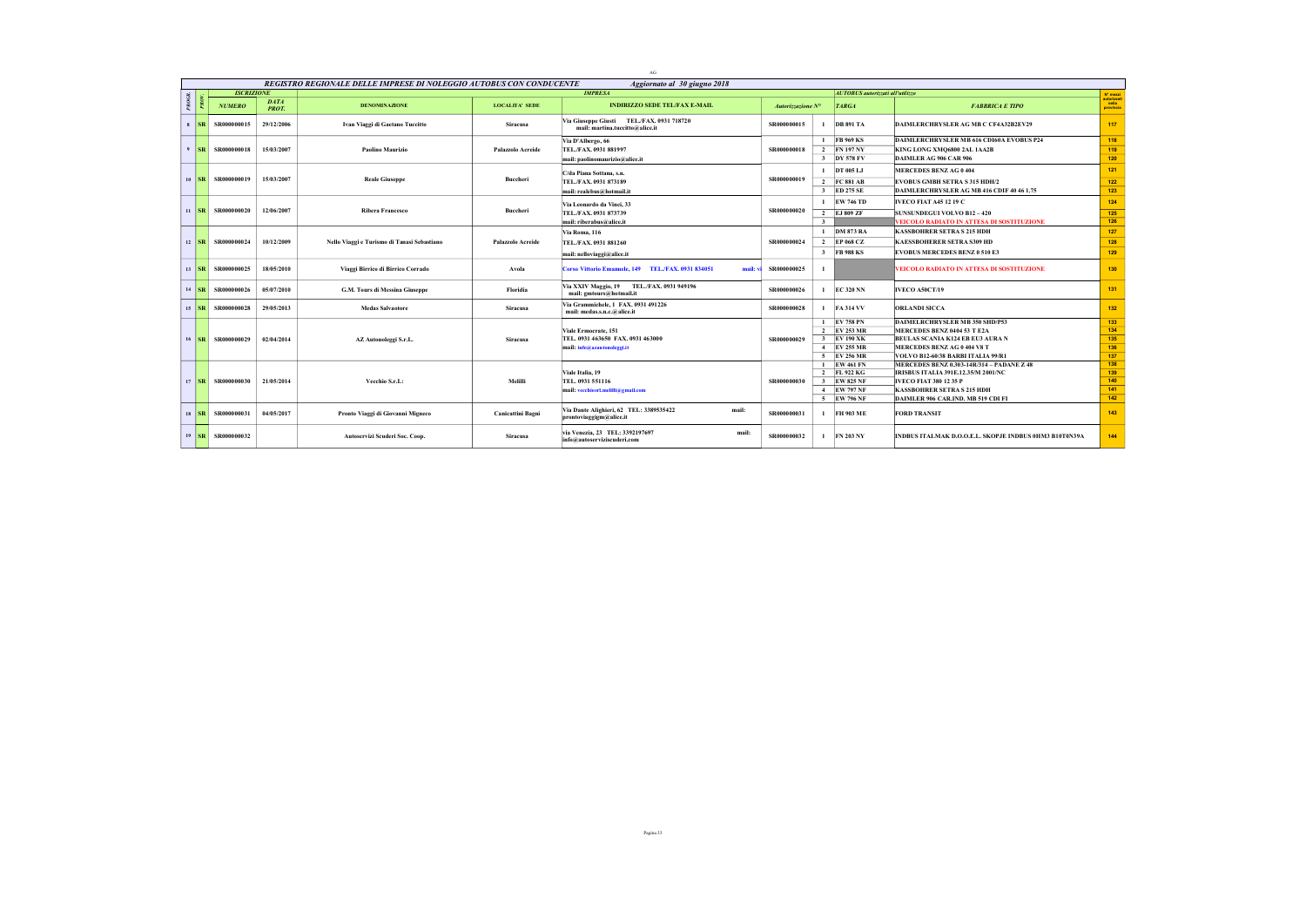|              |                             |                       |                             |                                                                     |                          | $\rm{AG}$                                                                    |                   |                         |                                         |                                                                                 |                                  |
|--------------|-----------------------------|-----------------------|-----------------------------|---------------------------------------------------------------------|--------------------------|------------------------------------------------------------------------------|-------------------|-------------------------|-----------------------------------------|---------------------------------------------------------------------------------|----------------------------------|
|              |                             |                       |                             | REGISTRO REGIONALE DELLE IMPRESE DI NOLEGGIO AUTOBUS CON CONDUCENTE |                          | Aggiornato al 30 giugno 2018                                                 |                   |                         |                                         |                                                                                 |                                  |
|              |                             | <b>ISCRIZIONE</b>     |                             |                                                                     |                          | <b>IMPRESA</b>                                                               |                   |                         | <b>AUTOBUS</b> autorizzati all'utilizzo |                                                                                 | N' mezzi                         |
| <b>PROGR</b> |                             | <b>NUMERO</b>         | <b>DATA</b><br><b>PROT.</b> | <b>DENOMINAZIONE</b>                                                | <b>LOCALITA' SEDE</b>    | <b>INDIRIZZO SEDE TEL/FAX E-MAIL</b>                                         | Autorizzazione N° |                         | <b>TARGA</b>                            | <b>FABBRICA E TIPO</b>                                                          | autorizzat<br>nella<br>provincia |
|              | $s$ $ SR $                  | SR000000015           | 29/12/2006                  | Ivan Viaggi di Gaetano Tuccitto                                     | <b>Siracusa</b>          | Via Giuseppe Giusti TEL./FAX. 0931 718720<br>mail: martina.tuccitto@alice.it | SR000000015       | $\mathbf{I}$            | <b>DB 891 TA</b>                        | DAIMLERCHRYSLER AG MB C CF4A32B2EV29                                            | 117                              |
|              |                             |                       |                             |                                                                     |                          | Via D'Albergo, 66                                                            |                   |                         | 1 FB 969 KS                             | DAIMLERCHRYSLER MB 616 CD160A EVOBUS P24                                        | 118                              |
|              | $9$ $SR$                    | SR000000018           | 15/03/2007                  | Paolino Maurizio                                                    | Palazzolo Acreide        | TEL./FAX. 0931 881997                                                        | SR000000018       |                         | 2 FN 197 NY                             | KING LONG XMQ6800 2AL 1AA2B                                                     | 119                              |
|              |                             |                       |                             |                                                                     |                          | mail: paolinomaurizio@alice.it                                               |                   |                         | 3 DY 578 FV                             | DAIMLER AG 906 CAR 906                                                          | 120                              |
|              |                             |                       |                             |                                                                     |                          | C/da Piana Sottana, s.n.                                                     |                   |                         | 1 DT 005 LJ                             | <b>MERCEDES BENZ AG 0 404</b>                                                   | 121                              |
|              | $10$ SR                     | SR000000019           | 15/03/2007                  | <b>Reale Giuseppe</b>                                               | Buccheri                 | TEL./FAX. 0931 873189                                                        | SR000000019       |                         | 2 FC 881 AB                             | <b>EVOBUS GMBH SETRA S 315 HDH/2</b>                                            | 122                              |
|              |                             |                       |                             |                                                                     |                          | mail: realebus@hotmail.it                                                    |                   |                         | 3 ED 275 SE                             | DAIMLERCHRYSLER AG MB 416 CDIF 40 46 1.75                                       | 123                              |
|              |                             |                       |                             |                                                                     |                          | Via Leonardo da Vinci, 33                                                    |                   |                         | 1 EW 746 TD                             | <b>IVECO FIAT A45 12 19 C</b>                                                   | 124                              |
|              | $\parallel$ SR              | SR000000020           | 12/06/2007                  | <b>Ribera Francesco</b>                                             | Buccheri                 | TEL./FAX. 0931 873739                                                        | SR000000020       |                         | 2 EJ 809 ZF                             | <b>SUNSUNDEGUI VOLVO B12 - 420</b>                                              | 125                              |
|              |                             |                       |                             |                                                                     |                          | mail: riberabus@alice.it                                                     |                   | $\overline{\mathbf{3}}$ |                                         | VEICOLO RADIATO IN ATTESA DI SOSTITUZIONE                                       | 126                              |
|              |                             |                       |                             |                                                                     |                          | Via Roma, 116                                                                |                   | $\mathbf{1}$            | <b>DM 873 RA</b>                        | <b>KASSBOHRER SETRA S 215 HDH</b>                                               | 127                              |
|              | $12$ SR                     | SR000000024           | 10/12/2009                  | Nello Viaggi e Turismo di Tanasi Sebastiano                         | Palazzolo Acreide        | TEL./FAX. 0931 881260                                                        | SR00000002        |                         | 2 EP 068 CZ                             | <b>KAESSBOHERER SETRA S309 HD</b>                                               | 128                              |
|              |                             |                       |                             |                                                                     |                          | mail: nelloviaggi@alice.it                                                   |                   |                         | 3 FB 988 KS                             | <b>EVOBUS MERCEDES BENZ 0 510 E3</b>                                            | 129                              |
|              | $13$ SR                     | SR000000025           | 18/05/2010                  | Viaggi Birrico di Birrico Corrado                                   | Avola                    | Corso Vittorio Emanuele, 149 TEL./FAX, 0931 834051<br>mail: v                | SR000000025       |                         |                                         | VEICOLO RADIATO IN ATTESA DI SOSTITUZIONE                                       | 130                              |
|              | $14$ SR                     | SR000000026           | 05/07/2010                  | G.M. Tours di Messina Giuseppe                                      | Floridia                 | Via XXIV Maggio, 19 TEL./FAX. 0931 949196<br>mail: gmtours@hotmail.it        | SR000000026       | $\mathbf{1}$            | <b>EC 320 NN</b>                        | <b>IVECO A50CT/19</b>                                                           | 131                              |
|              | $15$ $ SR $                 | SR000000028           | 29/05/2013                  | <b>Medas Salvaotore</b>                                             | <b>Siracusa</b>          | Via Grammichele, 1 FAX, 0931 491226<br>mail: medas.s.n.c.@alice.it           | SR000000028       |                         | $1$ FA 314 VV                           | <b>ORLANDI SICCA</b>                                                            | 132                              |
|              |                             |                       |                             |                                                                     |                          |                                                                              |                   |                         | 1 EV 758 PN                             | DAIMELRCHRYSLER MB 350 SHD/P53                                                  | 133                              |
|              |                             |                       |                             |                                                                     |                          | Viale Ermocrate, 151                                                         |                   |                         | 2 EV 253 MR                             | MERCEDES BENZ 0404 53 T E2A                                                     | 134                              |
|              | $16$ $\overline{\text{SR}}$ | SR000000029           | 02/04/2014                  | AZ Autonoleggi S.r.L.                                               | <b>Siracusa</b>          | TEL. 0931 463650 FAX. 0931 463000                                            | SR000000029       |                         | 3 EV 190 XK                             | BEULAS SCANIA K124 EB EU3 AURA N                                                | 135<br>136                       |
|              |                             |                       |                             |                                                                     |                          | mail: info@azautonoleggi.it                                                  |                   |                         | 4 EV 255 MR<br>5 EV 256 MR              | MERCEDES BENZ AG 0 404 V8 T                                                     | 137                              |
|              |                             |                       |                             |                                                                     |                          |                                                                              |                   |                         | 1 EW 461 FN                             | VOLVO B12-60/38 BARBI ITALIA 99/R1<br>MERCEDES BENZ 0.303-14R/314 - PADANE Z 48 | 138                              |
|              |                             |                       |                             |                                                                     |                          | Viale Italia, 19                                                             |                   |                         | 2 FL 922 KG                             | IRISBUS ITALIA 391E.12.35/M 2001/NC                                             | 139                              |
|              |                             | 17   SR   SR000000030 | 21/05/2014                  | Vecchio S.r.L:                                                      | Melilli                  | TEL. 0931 551116                                                             | SR00000003        |                         | 3 EW 825 NF                             | <b>IVECO FIAT 380 12 35 P</b>                                                   | 140                              |
|              |                             |                       |                             |                                                                     |                          | mail: vecchiosrl.melilli@gmail.com                                           |                   |                         | 4 EW 797 NF                             | <b>KASSBOHRER SETRA S 215 HDH</b>                                               | 141                              |
|              |                             |                       |                             |                                                                     |                          |                                                                              |                   |                         | 5 EW 796 NF                             | DAIMLER 906 CAR.IND, MB 519 CDI FI                                              | 142                              |
|              | $18$ $\overline{\text{SR}}$ | SR000000031           | 04/05/2017                  | Pronto Viaggi di Giovanni Migneco                                   | <b>Canicattini Bagni</b> | Via Dante Alighieri, 62 TEL: 3389535422<br>mail:<br>prontoviaggigm@alice.it  | SR000000031       | $\mathbf{I}$            | FH 903 ME                               | <b>FORD TRANSIT</b>                                                             | 143                              |
|              |                             | 19   SR   SR000000032 |                             | Autoservizi Scuderi Soc. Coop.                                      | <b>Siracusa</b>          | via Venezia, 23 TEL: 3392197697<br>mail:<br>info@autoserviziscuderi.com      | SR000000032       | $\mathbf{I}$            | <b>FN 203 NY</b>                        | INDBUS ITALMAK D.O.O.E.L. SKOPJE INDBUS 0HM3 B10T0N39A                          | 144                              |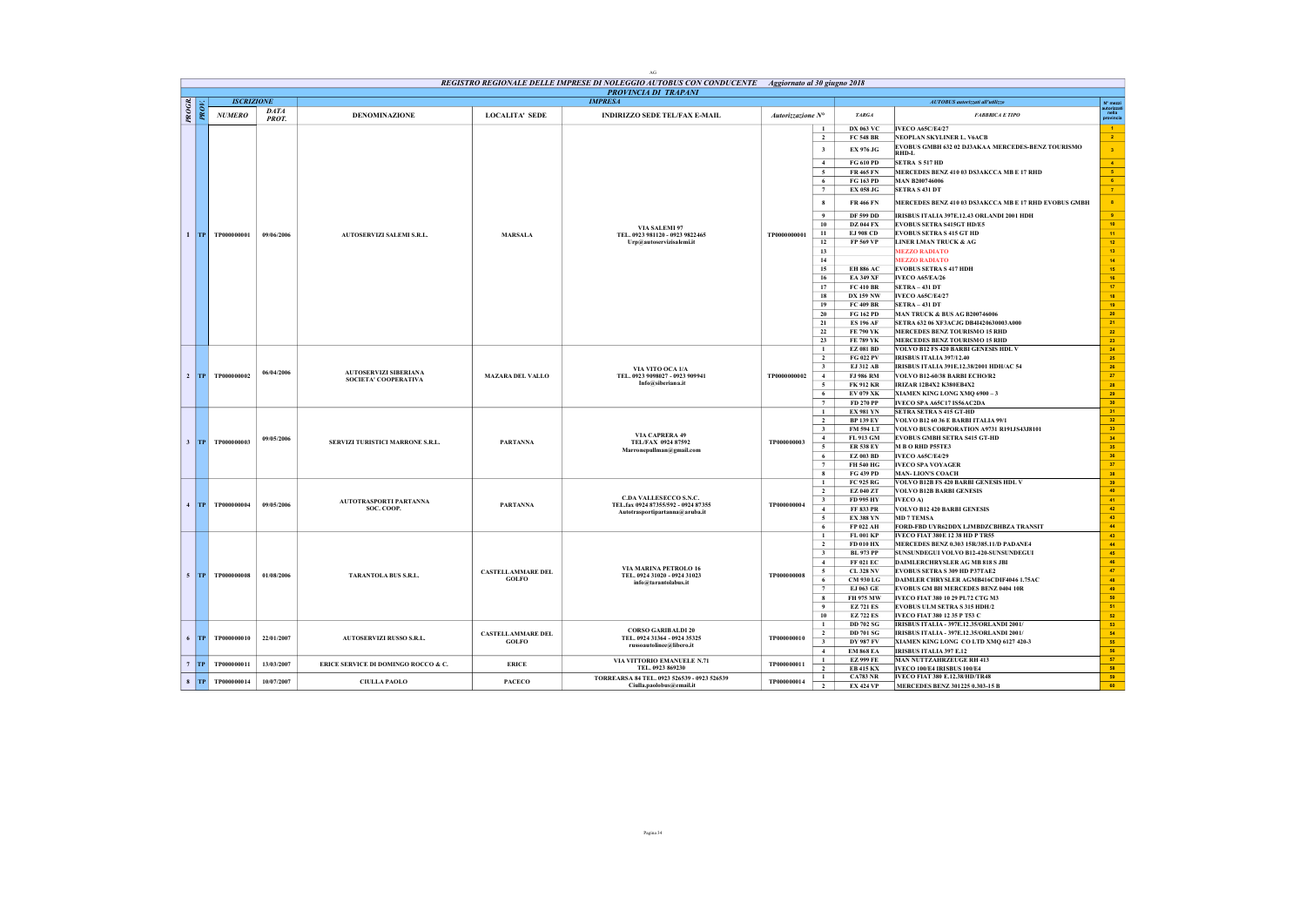|       |          |                    |                      |                                     |                          | $\rm{AG}$                                                                                                                 |                   |                                                                        |                                                                                |                                                 |
|-------|----------|--------------------|----------------------|-------------------------------------|--------------------------|---------------------------------------------------------------------------------------------------------------------------|-------------------|------------------------------------------------------------------------|--------------------------------------------------------------------------------|-------------------------------------------------|
|       |          |                    |                      |                                     |                          | REGISTRO REGIONALE DELLE IMPRESE DI NOLEGGIO AUTOBUS CON CONDUCENTE  Aggiornato al 30 giugno 2018<br>PROVINCIA DI TRAPANI |                   |                                                                        |                                                                                |                                                 |
|       |          | <b>ISCRIZIONE</b>  |                      |                                     |                          | <b>IMPRESA</b>                                                                                                            |                   |                                                                        | AUTOBUS autorizzati all'utilizzo                                               | N° mezzi                                        |
| PROGR | PROV.    | <b>NUMERO</b>      | <b>DATA</b><br>PROT. | <b>DENOMINAZIONE</b>                | <b>LOCALITA' SEDE</b>    | <b>INDIRIZZO SEDE TEL/FAX E-MAIL</b>                                                                                      | Autorizzazione N° | <b>TARGA</b>                                                           | <b>FABBRICA E TIPO</b>                                                         | nella<br>provincia                              |
|       |          |                    |                      |                                     |                          |                                                                                                                           |                   | <b>DX 063 VC</b>                                                       | <b>IVECO A65C/E4/27</b>                                                        | $-1$                                            |
|       |          |                    |                      |                                     |                          |                                                                                                                           |                   | $\overline{2}$<br><b>FC 548 BR</b>                                     | NEOPLAN SKYLINER L. V6ACB<br>EVOBUS GMBH 632 02 DJ3AKAA MERCEDES-BENZ TOURISMO | $\sim$ 2                                        |
|       |          |                    |                      |                                     |                          |                                                                                                                           |                   | $\mathbf{3}$<br>EX 976 JG                                              | RHD-L                                                                          | $\mathbf{3}$                                    |
|       |          |                    |                      |                                     |                          |                                                                                                                           |                   | <b>FG 610 PD</b><br>$\overline{4}$<br><b>FR 465 FN</b><br>$\sim$       | <b>SETRA S 517 HD</b>                                                          | $\blacktriangleleft$<br>$-8$                    |
|       |          |                    |                      |                                     |                          |                                                                                                                           |                   | FG 163 PD<br>6                                                         | MERCEDES BENZ 410 03 DS3AKCCA MB E 17 RHD<br><b>MAN B200746006</b>             | 6 <sup>2</sup>                                  |
|       |          |                    |                      |                                     |                          |                                                                                                                           |                   | $7\phantom{.0}$<br><b>EX 058 JG</b>                                    | <b>SETRA S 431 DT</b>                                                          | $\tau$                                          |
|       |          |                    |                      |                                     |                          |                                                                                                                           |                   | <b>FR 466 FN</b><br>$\mathbf{8}$                                       | MERCEDES BENZ 410 03 DS3AKCCA MB E 17 RHD EVOBUS GMBH                          | $\bullet$                                       |
|       |          |                    |                      |                                     |                          |                                                                                                                           |                   | <b>DF 599 DD</b><br>9                                                  | IRISBUS ITALIA 397E.12.43 ORLANDI 2001 HDH                                     | $\mathbf{s}$                                    |
|       |          |                    |                      |                                     |                          | VIA SALEMI 97                                                                                                             |                   | $10$<br><b>DZ 044 FX</b>                                               | <b>EVOBUS SETRA S415GT HD/E5</b>                                               | $10^\circ$                                      |
|       |          | 1 TP TP000000001   | 09/06/2006           | AUTOSERVIZI SALEMI S.R.L.           | <b>MARSALA</b>           | TEL. 0923 981120 - 0923 9822465                                                                                           | TP0000000001      | 11<br><b>EJ 908 CD</b>                                                 | <b>EVOBUS SETRA S 415 GT HD</b>                                                | 11 <sub>1</sub>                                 |
|       |          |                    |                      |                                     |                          | Urp@autoservizisalemi.it                                                                                                  |                   | 12<br>FP 569 VP<br>13                                                  | LINER LMAN TRUCK & AG<br><b>MEZZO RADIATO</b>                                  | $12\,$                                          |
|       |          |                    |                      |                                     |                          |                                                                                                                           |                   | 14                                                                     | <b>MEZZO RADIATO</b>                                                           | ${\bf 13}$<br>14                                |
|       |          |                    |                      |                                     |                          |                                                                                                                           |                   | 15<br><b>EH 886 AC</b>                                                 | <b>EVOBUS SETRA S 417 HDH</b>                                                  | 15                                              |
|       |          |                    |                      |                                     |                          |                                                                                                                           |                   | 16<br><b>EA 349 XF</b>                                                 | IVECO A65/EA/26                                                                | ${\bf 16}$                                      |
|       |          |                    |                      |                                     |                          |                                                                                                                           |                   | 17<br><b>FC 410 BR</b>                                                 | SETRA-431 DT                                                                   | $17\,$                                          |
|       |          |                    |                      |                                     |                          |                                                                                                                           |                   | 18<br><b>DX 159 NW</b>                                                 | <b>IVECO A65C/E4/27</b>                                                        | 18                                              |
|       |          |                    |                      |                                     |                          |                                                                                                                           |                   | 19<br>FC 409 BR                                                        | <b>SETRA-431 DT</b>                                                            | 19                                              |
|       |          |                    |                      |                                     |                          |                                                                                                                           |                   | 20<br>FG 162 PD                                                        | <b>MAN TRUCK &amp; BUS AG B200746006</b>                                       | $\overline{\bf 20}$<br>$\overline{\mathbf{21}}$ |
|       |          |                    |                      |                                     |                          |                                                                                                                           |                   | 21<br><b>ES 196 AF</b><br>22<br>FE 790 YK                              | SETRA 632 06 XF3ACJG DB4I420630003A000<br>MERCEDES BENZ TOURISMO 15 RHD        | $\bf{22}$                                       |
|       |          |                    |                      |                                     |                          |                                                                                                                           |                   | 23<br>FE 789 YK                                                        | MERCEDES BENZ TOURISMO 15 RHD                                                  | 23                                              |
|       |          |                    |                      |                                     |                          |                                                                                                                           |                   | $\mathbf{1}$<br><b>EZ 081 BD</b>                                       | VOLVO B12 FS 420 BARBI GENESIS HDL V                                           | 24 <sup>°</sup>                                 |
|       |          |                    |                      |                                     |                          |                                                                                                                           |                   | FG 022 PV<br>$\overline{2}$                                            | <b>IRISBUS ITALIA 397/12.40</b>                                                | 25 <sub>2</sub>                                 |
|       |          |                    | 06/04/2006           | <b>AUTOSERVIZI SIBERIANA</b>        |                          | VIA VITO OCA 1/A                                                                                                          |                   | $\mathbf{3}$<br>EJ 312 AB                                              | IRISBUS ITALIA 391E.12.38/2001 HDH/AC 54                                       | 26                                              |
|       |          | 2 TP TP000000002   |                      | <b>SOCIETA' COOPERATIVA</b>         | <b>MAZARA DEL VALLO</b>  | TEL. 0923 9098027 - 0923 909941                                                                                           | TP0000000002      | $\overline{4}$<br><b>FJ 986 RM</b>                                     | VOLVO B12-60/38 BARBI ECHO/R2                                                  | 27                                              |
|       |          |                    |                      |                                     |                          | Info@siberiana.it                                                                                                         |                   | 5<br><b>FK 912 KR</b>                                                  | <b>IRIZAR 12B4X2 K380EB4X2</b>                                                 | 28<br>29                                        |
|       |          |                    |                      |                                     |                          |                                                                                                                           |                   | 6<br>EV 079 XK<br>$\overline{7}$<br>FD 270 PP                          | XIAMEN KING LONG XMQ 6900 - 3<br>IVECO SPA A65C17 IS56AC2DA                    | 30 <sub>1</sub>                                 |
|       |          |                    |                      |                                     |                          |                                                                                                                           |                   | <b>EX 981 YN</b><br>$\mathbf{1}$                                       | SETRA SETRA S 415 GT-HD                                                        | 31 <sup>2</sup>                                 |
|       |          |                    |                      |                                     |                          |                                                                                                                           |                   | $\overline{2}$<br><b>BP 139 EY</b>                                     | VOLVO B12 60 36 E BARBI ITALIA 99/1                                            | 32 <sup>°</sup>                                 |
|       |          |                    |                      |                                     |                          |                                                                                                                           |                   | $\overline{\mathbf{3}}$<br><b>FM 594 LT</b>                            | VOLVO BUS CORPORATION A9731 R191JS43J8101                                      | 33                                              |
|       |          | 3 TP TP000000003   | 09/05/2006           | SERVIZI TURISTICI MARRONE S.R.L.    | <b>PARTANNA</b>          | VIA CAPRERA 49<br>TEL/FAX 0924 87592                                                                                      | TP000000003       | 4<br>FL 913 GM                                                         | EVOBUS GMBH SETRA S415 GT-HD                                                   | 34 <sub>1</sub>                                 |
|       |          |                    |                      |                                     |                          | Marronepullman@gmail.com                                                                                                  |                   | $\overline{5}$<br><b>ER 538 EY</b>                                     | M B O RHD P55TE3                                                               | 35 <sup>°</sup>                                 |
|       |          |                    |                      |                                     |                          |                                                                                                                           |                   | 6<br><b>EZ 003 BD</b><br>$\overline{7}$<br>FH 540 HG                   | <b>IVECO A65C/E4/29</b><br><b>IVECO SPA VOYAGER</b>                            | 36<br>37 <sub>z</sub>                           |
|       |          |                    |                      |                                     |                          |                                                                                                                           |                   | FG 439 PD<br>8                                                         | <b>MAN-LION'S COACH</b>                                                        | 38                                              |
|       |          |                    |                      |                                     |                          |                                                                                                                           |                   | FC 925 RG<br>1                                                         | VOLVO B12B FS 420 BARBI GENESIS HDL V                                          | 39                                              |
|       |          |                    |                      |                                     |                          |                                                                                                                           |                   | $\overline{2}$<br>EZ 040 ZT                                            | <b>VOLVO B12B BARBI GENESIS</b>                                                | 40 <sup>°</sup>                                 |
|       |          | 4 TP TP000000004   | 09/05/2006           | AUTOTRASPORTI PARTANNA              | <b>PARTANNA</b>          | C.DA VALLESECCO S.N.C.<br>TEL.fax 0924 87355/592 - 0924 87355                                                             | TP000000004       | FD 995 HY<br>$\overline{\mathbf{3}}$                                   | IVECO A)                                                                       | 41                                              |
|       |          |                    |                      | SOC. COOP.                          |                          | Autotrasportipartanna@aruba.it                                                                                            |                   | $\overline{4}$<br>FF 833 PR                                            | VOLVO B12 420 BARBI GENESIS<br><b>MD 7 TEMSA</b>                               | 42<br>43                                        |
|       |          |                    |                      |                                     |                          |                                                                                                                           |                   | $\sqrt{5}$<br><b>EX 388 YN</b><br>6<br>FP 022 AH                       | FORD-FBD UYR62DDX LJMBDZCBHBZA TRANSIT                                         | $\overline{44}$                                 |
|       |          |                    |                      |                                     |                          |                                                                                                                           |                   | $\mathbf{1}$<br>FL 001 KP                                              | IVECO FIAT 380E 12 38 HD P TR55                                                | 43                                              |
|       |          |                    |                      |                                     |                          |                                                                                                                           |                   | $\overline{2}$<br>FD 010 HX                                            | MERCEDES BENZ 0.303 15R/385.11/D PADANE4                                       | $\bf 44$                                        |
|       |          |                    |                      |                                     |                          |                                                                                                                           |                   | $\overline{\mathbf{3}}$<br><b>BL 973 PP</b>                            | SUNSUNDEGUI VOLVO B12-420-SUNSUNDEGUI                                          | 45                                              |
|       |          |                    |                      |                                     |                          |                                                                                                                           |                   | $\overline{4}$<br>FF 021 EC                                            | DAIMLERCHRYSLER AG MB 818 S JBI                                                | 46                                              |
|       |          | $5$ TP TP000000008 | 01/08/2006           | TARANTOLA BUS S.R.L.                | <b>CASTELLAMMARE DEL</b> | VIA MARINA PETROLO 16<br>TEL. 0924 31020 - 0924 31023                                                                     | TP000000008       | 5<br><b>CL 328 NV</b>                                                  | EVOBUS SETRA S 309 HD P37TAE2                                                  | 47                                              |
|       |          |                    |                      |                                     | <b>GOLFO</b>             | info@tarantolabus.it                                                                                                      |                   | CM 930 LG<br>6<br>$\overline{7}$<br>EJ 063 GE                          | DAIMLER CHRYSLER AGMB416CDIF4046 1.75AC<br>EVOBUS GM BH MERCEDES BENZ 0404 10R | 48                                              |
|       |          |                    |                      |                                     |                          |                                                                                                                           |                   | 8<br>FH 975 MW                                                         | IVECO FIAT 380 10 29 PL72 CTG M3                                               | 49<br>50                                        |
|       |          |                    |                      |                                     |                          |                                                                                                                           |                   | $\overline{9}$<br><b>EZ 721 ES</b>                                     | EVOBUS ULM SETRA S 315 HDH/2                                                   | 51                                              |
|       |          |                    |                      |                                     |                          |                                                                                                                           |                   | 10<br><b>EZ 722 ES</b>                                                 | IVECO FIAT 380 12 35 P T53 C                                                   | ${\bf 52}$                                      |
|       |          |                    |                      |                                     |                          |                                                                                                                           |                   | $\mathbf{1}$<br><b>DD 702 SG</b>                                       | IRISBUS ITALIA - 397E.12.35/ORLANDI 2001/                                      | 53                                              |
|       | $6$ $TP$ | TP000000010        | 22/01/2007           | <b>AUTOSERVIZI RUSSO S.R.L.</b>     | <b>CASTELLAMMARE DEL</b> | <b>CORSO GARIBALDI 20</b><br>TEL. 0924 31364 - 0924 35325                                                                 | TP000000010       | $\overline{2}$<br><b>DD 701 SG</b>                                     | IRISBUS ITALIA - 397E.12.35/ORLANDI 2001/                                      | 54                                              |
|       |          |                    |                      |                                     | <b>GOLFO</b>             | russoautolinee@libero.it                                                                                                  |                   | $\mathbf{3}$<br><b>DY 987 FV</b>                                       | XIAMEN KING LONG CO LTD XMQ 6127 420-3                                         | 55                                              |
|       |          |                    |                      |                                     |                          |                                                                                                                           |                   | $\overline{4}$<br><b>EM 868 EA</b>                                     | <b>IRISBUS ITALIA 397 E.12</b>                                                 | 56                                              |
|       | $7$ TP   | TP000000011        | 13/03/2007           | ERICE SERVICE DI DOMINGO ROCCO & C. | <b>ERICE</b>             | VIA VITTORIO EMANUELE N.71<br>TEL. 0923 869230                                                                            | TP000000011       | <b>EZ 999 FE</b><br>$\mathbf{1}$<br>$\overline{2}$<br><b>EB 415 KX</b> | <b>MAN NUTTZAHRZEUGE RH 413</b><br>IVECO 100/E4 IRISBUS 100/E4                 | 57<br>58                                        |
|       |          |                    |                      |                                     |                          | TORREARSA 84 TEL. 0923 526539 - 0923 526539                                                                               |                   | <b>CA783 NR</b><br>$\mathbf{1}$                                        | IVECO FIAT 380 E.12.38/HD/TR48                                                 | 59                                              |
|       | $8$ TP   | TP000000014        | 10/07/2007           | <b>CIULLA PAOLO</b>                 | <b>PACECO</b>            | Ciulla.paolobus@email.it                                                                                                  | TP000000014       | $\overline{2}$<br><b>EX 424 VP</b>                                     | MERCEDES BENZ 301225 0.303-15 B                                                | 60                                              |